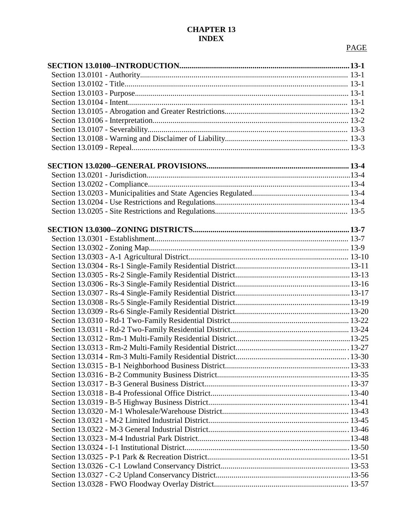## **CHAPTER 13 INDEX**

## <u>PAGE in the second state of the second state in the second state of the second state in the second state in the second state in the second state in the second state in the second state in the second state in the second st</u>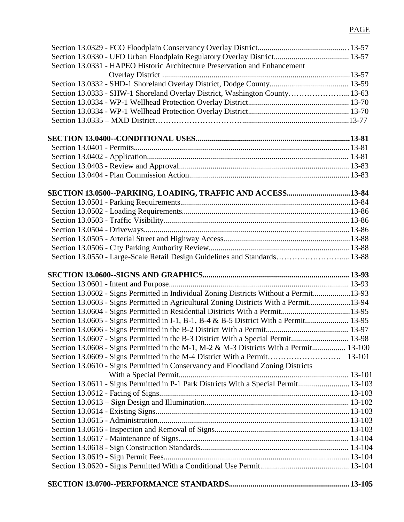## <u>PAGE</u>

| Section 13.0331 - HAPEO Historic Architecture Preservation and Enhancement             |  |
|----------------------------------------------------------------------------------------|--|
|                                                                                        |  |
|                                                                                        |  |
| Section 13.0333 - SHW-1 Shoreland Overlay District, Washington County13-63             |  |
|                                                                                        |  |
|                                                                                        |  |
|                                                                                        |  |
|                                                                                        |  |
|                                                                                        |  |
|                                                                                        |  |
|                                                                                        |  |
|                                                                                        |  |
| SECTION 13.0500--PARKING, LOADING, TRAFFIC AND ACCESS13-84                             |  |
|                                                                                        |  |
|                                                                                        |  |
|                                                                                        |  |
|                                                                                        |  |
|                                                                                        |  |
|                                                                                        |  |
| Section 13.0550 - Large-Scale Retail Design Guidelines and Standards 13-88             |  |
|                                                                                        |  |
|                                                                                        |  |
| Section 13.0602 - Signs Permitted in Individual Zoning Districts Without a Permit13-93 |  |
| Section 13.0603 - Signs Permitted in Agricultural Zoning Districts With a Permit13-94  |  |
| Section 13.0604 - Signs Permitted in Residential Districts With a Permit13-95          |  |
| Section 13.0605 - Signs Permitted in I-1, B-1, B-4 & B-5 District With a Permit 13-95  |  |
|                                                                                        |  |
| Section 13.0607 - Signs Permitted in the B-3 District With a Special Permit 13-98      |  |
| Section 13.0608 - Signs Permitted in the M-1, M-2 & M-3 Districts With a Permit 13-100 |  |
|                                                                                        |  |
| Section 13.0610 - Signs Permitted in Conservancy and Floodland Zoning Districts        |  |
|                                                                                        |  |
| Section 13.0611 - Signs Permitted in P-1 Park Districts With a Special Permit 13-103   |  |
|                                                                                        |  |
|                                                                                        |  |
|                                                                                        |  |
|                                                                                        |  |
|                                                                                        |  |
|                                                                                        |  |
|                                                                                        |  |
|                                                                                        |  |
|                                                                                        |  |
|                                                                                        |  |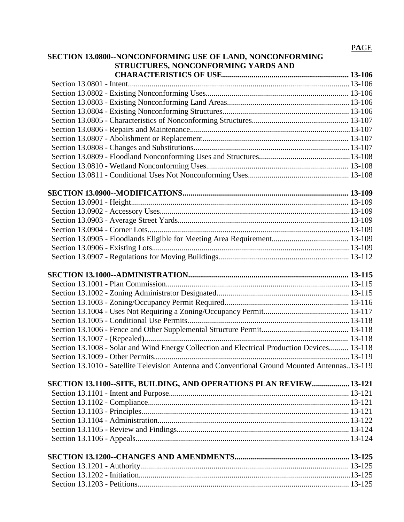|                                                           | <b>PAGE</b> |
|-----------------------------------------------------------|-------------|
| SECTION 13.0800--NONCONFORMING USE OF LAND, NONCONFORMING |             |
| STRUCTURES, NONCONFORMING YARDS AND                       |             |
|                                                           |             |
|                                                           |             |
|                                                           |             |
|                                                           |             |
|                                                           |             |
|                                                           |             |
|                                                           |             |
|                                                           |             |
|                                                           |             |
|                                                           |             |
|                                                           |             |
|                                                           |             |
|                                                           |             |
|                                                           |             |
|                                                           |             |
|                                                           |             |
|                                                           |             |
|                                                           |             |
|                                                           |             |
|                                                           |             |
| <b>CECTION 12 1000 A DMINICTD A TION</b>                  | 12, 115     |

| Section 13.1008 - Solar and Wind Energy Collection and Electrical Production Devices 13-118   |  |
|-----------------------------------------------------------------------------------------------|--|
|                                                                                               |  |
| Section 13.1010 - Satellite Television Antenna and Conventional Ground Mounted Antennas13-119 |  |

| SECTION 13.1100--SITE, BUILDING, AND OPERATIONS PLAN REVIEW13-121 |  |
|-------------------------------------------------------------------|--|
|                                                                   |  |
|                                                                   |  |
|                                                                   |  |
|                                                                   |  |
|                                                                   |  |
|                                                                   |  |
|                                                                   |  |
|                                                                   |  |
|                                                                   |  |
|                                                                   |  |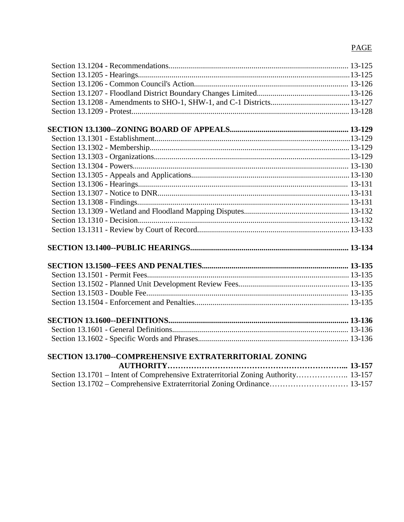# PAGE

| <b>SECTION 13.1700--COMPREHENSIVE EXTRATERRITORIAL ZONING</b>                      |  |
|------------------------------------------------------------------------------------|--|
|                                                                                    |  |
| Section 13.1701 – Intent of Comprehensive Extraterritorial Zoning Authority 13-157 |  |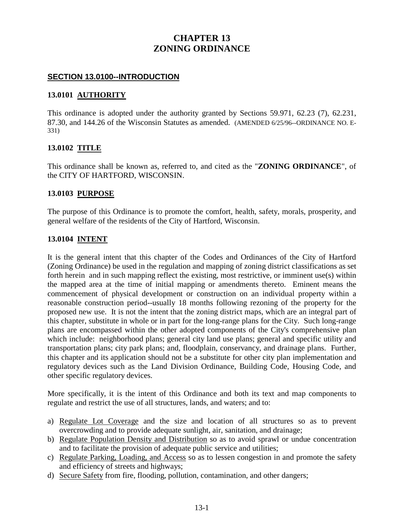# **CHAPTER 13 ZONING ORDINANCE**

#### **SECTION 13.0100--INTRODUCTION**

#### **13.0101 AUTHORITY**

This ordinance is adopted under the authority granted by Sections 59.971, 62.23 (7), 62.231, 87.30, and 144.26 of the Wisconsin Statutes as amended. (AMENDED 6/25/96--ORDINANCE NO. E-331)

### **13.0102 TITLE**

This ordinance shall be known as, referred to, and cited as the "**ZONING ORDINANCE**", of the CITY OF HARTFORD, WISCONSIN.

#### **13.0103 PURPOSE**

The purpose of this Ordinance is to promote the comfort, health, safety, morals, prosperity, and general welfare of the residents of the City of Hartford, Wisconsin.

### **13.0104 INTENT**

It is the general intent that this chapter of the Codes and Ordinances of the City of Hartford (Zoning Ordinance) be used in the regulation and mapping of zoning district classifications as set forth herein and in such mapping reflect the existing, most restrictive, or imminent use(s) within the mapped area at the time of initial mapping or amendments thereto. Eminent means the commencement of physical development or construction on an individual property within a reasonable construction period--usually 18 months following rezoning of the property for the proposed new use. It is not the intent that the zoning district maps, which are an integral part of this chapter, substitute in whole or in part for the long-range plans for the City. Such long-range plans are encompassed within the other adopted components of the City's comprehensive plan which include: neighborhood plans; general city land use plans; general and specific utility and transportation plans; city park plans; and, floodplain, conservancy, and drainage plans. Further, this chapter and its application should not be a substitute for other city plan implementation and regulatory devices such as the Land Division Ordinance, Building Code, Housing Code, and other specific regulatory devices.

More specifically, it is the intent of this Ordinance and both its text and map components to regulate and restrict the use of all structures, lands, and waters; and to:

- a) Regulate Lot Coverage and the size and location of all structures so as to prevent overcrowding and to provide adequate sunlight, air, sanitation, and drainage;
- b) Regulate Population Density and Distribution so as to avoid sprawl or undue concentration and to facilitate the provision of adequate public service and utilities;
- c) Regulate Parking, Loading, and Access so as to lessen congestion in and promote the safety and efficiency of streets and highways;
- d) Secure Safety from fire, flooding, pollution, contamination, and other dangers;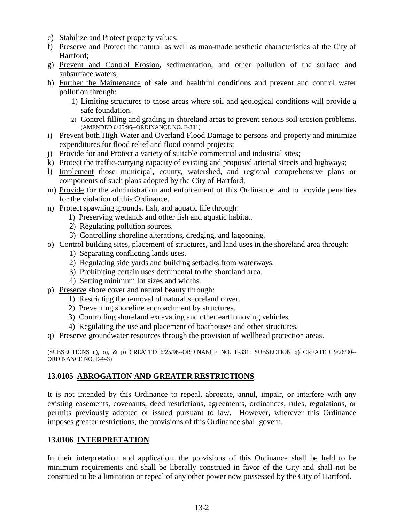- e) Stabilize and Protect property values;
- f) Preserve and Protect the natural as well as man-made aesthetic characteristics of the City of Hartford;
- g) Prevent and Control Erosion, sedimentation, and other pollution of the surface and subsurface waters;
- h) Further the Maintenance of safe and healthful conditions and prevent and control water pollution through:
	- 1) Limiting structures to those areas where soil and geological conditions will provide a safe foundation.
	- 2) Control filling and grading in shoreland areas to prevent serious soil erosion problems. (AMENDED 6/25/96--ORDINANCE NO. E-331)
- i) Prevent both High Water and Overland Flood Damage to persons and property and minimize expenditures for flood relief and flood control projects;
- j) Provide for and Protect a variety of suitable commercial and industrial sites;
- k) Protect the traffic-carrying capacity of existing and proposed arterial streets and highways;
- l) Implement those municipal, county, watershed, and regional comprehensive plans or components of such plans adopted by the City of Hartford;
- m) Provide for the administration and enforcement of this Ordinance; and to provide penalties for the violation of this Ordinance.
- n) Protect spawning grounds, fish, and aquatic life through:
	- 1) Preserving wetlands and other fish and aquatic habitat.
	- 2) Regulating pollution sources.
	- 3) Controlling shoreline alterations, dredging, and lagooning.
- o) Control building sites, placement of structures, and land uses in the shoreland area through:
	- 1) Separating conflicting lands uses.
	- 2) Regulating side yards and building setbacks from waterways.
	- 3) Prohibiting certain uses detrimental to the shoreland area.
	- 4) Setting minimum lot sizes and widths.
- p) Preserve shore cover and natural beauty through:
	- 1) Restricting the removal of natural shoreland cover.
	- 2) Preventing shoreline encroachment by structures.
	- 3) Controlling shoreland excavating and other earth moving vehicles.
	- 4) Regulating the use and placement of boathouses and other structures.
- q) Preserve groundwater resources through the provision of wellhead protection areas.

(SUBSECTIONS n), o), & p) CREATED  $6/25/96$ --ORDINANCE NO. E-331; SUBSECTION q) CREATED  $9/26/00$ --ORDINANCE NO. E-443)

## **13.0105 ABROGATION AND GREATER RESTRICTIONS**

It is not intended by this Ordinance to repeal, abrogate, annul, impair, or interfere with any existing easements, covenants, deed restrictions, agreements, ordinances, rules, regulations, or permits previously adopted or issued pursuant to law. However, wherever this Ordinance imposes greater restrictions, the provisions of this Ordinance shall govern.

## **13.0106 INTERPRETATION**

In their interpretation and application, the provisions of this Ordinance shall be held to be minimum requirements and shall be liberally construed in favor of the City and shall not be construed to be a limitation or repeal of any other power now possessed by the City of Hartford.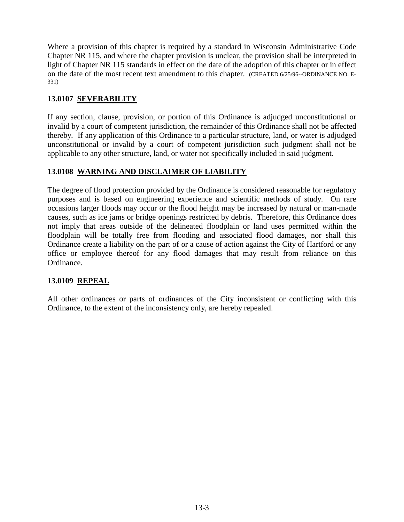Where a provision of this chapter is required by a standard in Wisconsin Administrative Code Chapter NR 115, and where the chapter provision is unclear, the provision shall be interpreted in light of Chapter NR 115 standards in effect on the date of the adoption of this chapter or in effect on the date of the most recent text amendment to this chapter. (CREATED 6/25/96--ORDINANCE NO. E-331)

## **13.0107 SEVERABILITY**

If any section, clause, provision, or portion of this Ordinance is adjudged unconstitutional or invalid by a court of competent jurisdiction, the remainder of this Ordinance shall not be affected thereby. If any application of this Ordinance to a particular structure, land, or water is adjudged unconstitutional or invalid by a court of competent jurisdiction such judgment shall not be applicable to any other structure, land, or water not specifically included in said judgment.

# **13.0108 WARNING AND DISCLAIMER OF LIABILITY**

The degree of flood protection provided by the Ordinance is considered reasonable for regulatory purposes and is based on engineering experience and scientific methods of study. On rare occasions larger floods may occur or the flood height may be increased by natural or man-made causes, such as ice jams or bridge openings restricted by debris. Therefore, this Ordinance does not imply that areas outside of the delineated floodplain or land uses permitted within the floodplain will be totally free from flooding and associated flood damages, nor shall this Ordinance create a liability on the part of or a cause of action against the City of Hartford or any office or employee thereof for any flood damages that may result from reliance on this Ordinance.

## **13.0109 REPEAL**

All other ordinances or parts of ordinances of the City inconsistent or conflicting with this Ordinance, to the extent of the inconsistency only, are hereby repealed.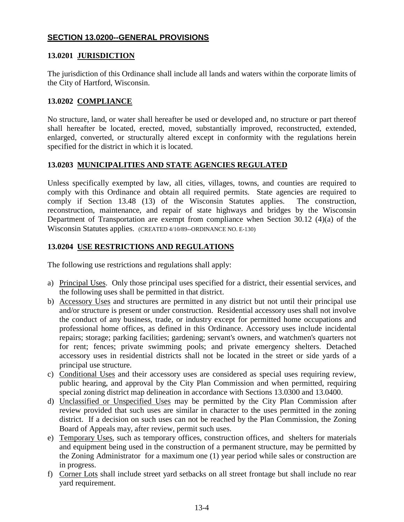## **SECTION 13.0200--GENERAL PROVISIONS**

## **13.0201 JURISDICTION**

The jurisdiction of this Ordinance shall include all lands and waters within the corporate limits of the City of Hartford, Wisconsin.

## **13.0202 COMPLIANCE**

No structure, land, or water shall hereafter be used or developed and, no structure or part thereof shall hereafter be located, erected, moved, substantially improved, reconstructed, extended, enlarged, converted, or structurally altered except in conformity with the regulations herein specified for the district in which it is located.

## **13.0203 MUNICIPALITIES AND STATE AGENCIES REGULATED**

Unless specifically exempted by law, all cities, villages, towns, and counties are required to comply with this Ordinance and obtain all required permits. State agencies are required to comply if Section 13.48 (13) of the Wisconsin Statutes applies. The construction, reconstruction, maintenance, and repair of state highways and bridges by the Wisconsin Department of Transportation are exempt from compliance when Section 30.12 (4)(a) of the Wisconsin Statutes applies. (CREATED 4/10/89--ORDINANCE NO. E-130)

## **13.0204 USE RESTRICTIONS AND REGULATIONS**

The following use restrictions and regulations shall apply:

- a) Principal Uses. Only those principal uses specified for a district, their essential services, and the following uses shall be permitted in that district.
- b) Accessory Uses and structures are permitted in any district but not until their principal use and/or structure is present or under construction. Residential accessory uses shall not involve the conduct of any business, trade, or industry except for permitted home occupations and professional home offices, as defined in this Ordinance. Accessory uses include incidental repairs; storage; parking facilities; gardening; servant's owners, and watchmen's quarters not for rent; fences; private swimming pools; and private emergency shelters. Detached accessory uses in residential districts shall not be located in the street or side yards of a principal use structure.
- c) Conditional Uses and their accessory uses are considered as special uses requiring review, public hearing, and approval by the City Plan Commission and when permitted, requiring special zoning district map delineation in accordance with Sections 13.0300 and 13.0400.
- d) Unclassified or Unspecified Uses may be permitted by the City Plan Commission after review provided that such uses are similar in character to the uses permitted in the zoning district. If a decision on such uses can not be reached by the Plan Commission, the Zoning Board of Appeals may, after review, permit such uses.
- e) Temporary Uses, such as temporary offices, construction offices, and shelters for materials and equipment being used in the construction of a permanent structure, may be permitted by the Zoning Administrator for a maximum one (1) year period while sales or construction are in progress.
- f) Corner Lots shall include street yard setbacks on all street frontage but shall include no rear yard requirement.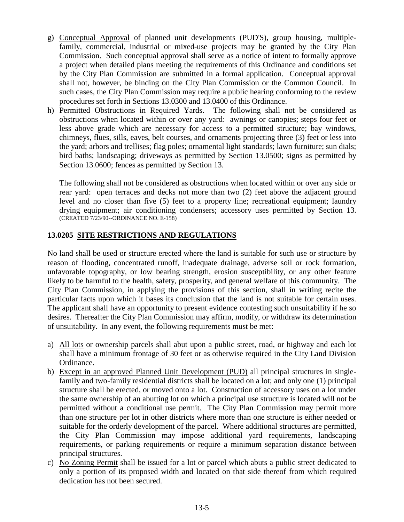- g) Conceptual Approval of planned unit developments (PUD'S), group housing, multiplefamily, commercial, industrial or mixed-use projects may be granted by the City Plan Commission. Such conceptual approval shall serve as a notice of intent to formally approve a project when detailed plans meeting the requirements of this Ordinance and conditions set by the City Plan Commission are submitted in a formal application. Conceptual approval shall not, however, be binding on the City Plan Commission or the Common Council. In such cases, the City Plan Commission may require a public hearing conforming to the review procedures set forth in Sections 13.0300 and 13.0400 of this Ordinance.
- h) Permitted Obstructions in Required Yards. The following shall not be considered as obstructions when located within or over any yard: awnings or canopies; steps four feet or less above grade which are necessary for access to a permitted structure; bay windows, chimneys, flues, sills, eaves, belt courses, and ornaments projecting three (3) feet or less into the yard; arbors and trellises; flag poles; ornamental light standards; lawn furniture; sun dials; bird baths; landscaping; driveways as permitted by Section 13.0500; signs as permitted by Section 13.0600; fences as permitted by Section 13.

The following shall not be considered as obstructions when located within or over any side or rear yard: open terraces and decks not more than two (2) feet above the adjacent ground level and no closer than five (5) feet to a property line; recreational equipment; laundry drying equipment; air conditioning condensers; accessory uses permitted by Section 13. (CREATED 7/23/90--ORDINANCE NO. E-158)

## **13.0205 SITE RESTRICTIONS AND REGULATIONS**

No land shall be used or structure erected where the land is suitable for such use or structure by reason of flooding, concentrated runoff, inadequate drainage, adverse soil or rock formation, unfavorable topography, or low bearing strength, erosion susceptibility, or any other feature likely to be harmful to the health, safety, prosperity, and general welfare of this community. The City Plan Commission, in applying the provisions of this section, shall in writing recite the particular facts upon which it bases its conclusion that the land is not suitable for certain uses. The applicant shall have an opportunity to present evidence contesting such unsuitability if he so desires. Thereafter the City Plan Commission may affirm, modify, or withdraw its determination of unsuitability. In any event, the following requirements must be met:

- a) All lots or ownership parcels shall abut upon a public street, road, or highway and each lot shall have a minimum frontage of 30 feet or as otherwise required in the City Land Division Ordinance.
- b) Except in an approved Planned Unit Development (PUD) all principal structures in singlefamily and two-family residential districts shall be located on a lot; and only one (1) principal structure shall be erected, or moved onto a lot. Construction of accessory uses on a lot under the same ownership of an abutting lot on which a principal use structure is located will not be permitted without a conditional use permit. The City Plan Commission may permit more than one structure per lot in other districts where more than one structure is either needed or suitable for the orderly development of the parcel. Where additional structures are permitted, the City Plan Commission may impose additional yard requirements, landscaping requirements, or parking requirements or require a minimum separation distance between principal structures.
- c) No Zoning Permit shall be issued for a lot or parcel which abuts a public street dedicated to only a portion of its proposed width and located on that side thereof from which required dedication has not been secured.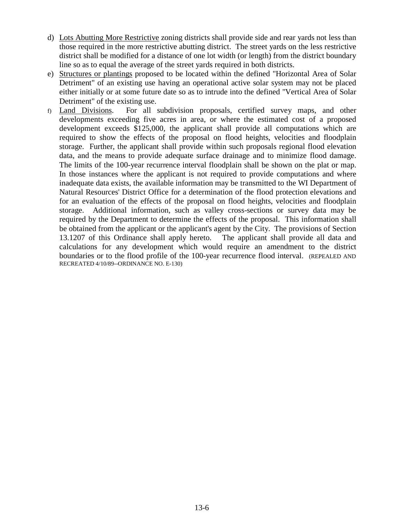- d) Lots Abutting More Restrictive zoning districts shall provide side and rear yards not less than those required in the more restrictive abutting district. The street yards on the less restrictive district shall be modified for a distance of one lot width (or length) from the district boundary line so as to equal the average of the street yards required in both districts.
- e) Structures or plantings proposed to be located within the defined "Horizontal Area of Solar Detriment" of an existing use having an operational active solar system may not be placed either initially or at some future date so as to intrude into the defined "Vertical Area of Solar Detriment" of the existing use.
- f) Land Divisions. For all subdivision proposals, certified survey maps, and other developments exceeding five acres in area, or where the estimated cost of a proposed development exceeds \$125,000, the applicant shall provide all computations which are required to show the effects of the proposal on flood heights, velocities and floodplain storage. Further, the applicant shall provide within such proposals regional flood elevation data, and the means to provide adequate surface drainage and to minimize flood damage. The limits of the 100-year recurrence interval floodplain shall be shown on the plat or map. In those instances where the applicant is not required to provide computations and where inadequate data exists, the available information may be transmitted to the WI Department of Natural Resources' District Office for a determination of the flood protection elevations and for an evaluation of the effects of the proposal on flood heights, velocities and floodplain storage. Additional information, such as valley cross-sections or survey data may be required by the Department to determine the effects of the proposal. This information shall be obtained from the applicant or the applicant's agent by the City. The provisions of Section 13.1207 of this Ordinance shall apply hereto. The applicant shall provide all data and calculations for any development which would require an amendment to the district boundaries or to the flood profile of the 100-year recurrence flood interval. (REPEALED AND RECREATED 4/10/89--ORDINANCE NO. E-130)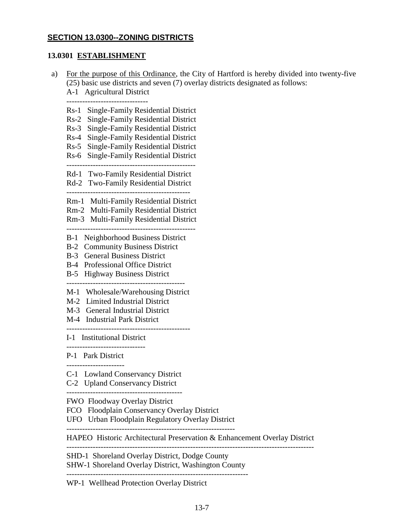## **SECTION 13.0300--ZONING DISTRICTS**

#### **13.0301 ESTABLISHMENT**

 a) For the purpose of this Ordinance, the City of Hartford is hereby divided into twenty-five (25) basic use districts and seven (7) overlay districts designated as follows: A-1 Agricultural District ------------------------------- Rs-1 Single-Family Residential District Rs-2 Single-Family Residential District Rs-3 Single-Family Residential District Rs-4 Single-Family Residential District Rs-5 Single-Family Residential District Rs-6 Single-Family Residential District ------------------------------------------------- Rd-1 Two-Family Residential District Rd-2 Two-Family Residential District ----------------------------------------------- Rm-1 Multi-Family Residential District Rm-2 Multi-Family Residential District Rm-3 Multi-Family Residential District ------------------------------------------------- B-1 Neighborhood Business District B-2 Community Business District B-3 General Business District B-4 Professional Office District B-5 Highway Business District --------------------------------------------- M-1 Wholesale/Warehousing District M-2 Limited Industrial District M-3 General Industrial District M-4 Industrial Park District ----------------------------------------------- I-1 Institutional District ------------------------------ P-1 Park District C-1 Lowland Conservancy District C-2 Upland Conservancy District -------------------------------------------- FWO Floodway Overlay District FCO Floodplain Conservancy Overlay District UFO Urban Floodplain Regulatory Overlay District ---------------------------------------------------------------- HAPEO Historic Architectural Preservation & Enhancement Overlay District ---------------------------------------------------------------------------------------------- SHD-1 Shoreland Overlay District, Dodge County SHW-1 Shoreland Overlay District, Washington County ---------------------------------------------------------------------

WP-1 Wellhead Protection Overlay District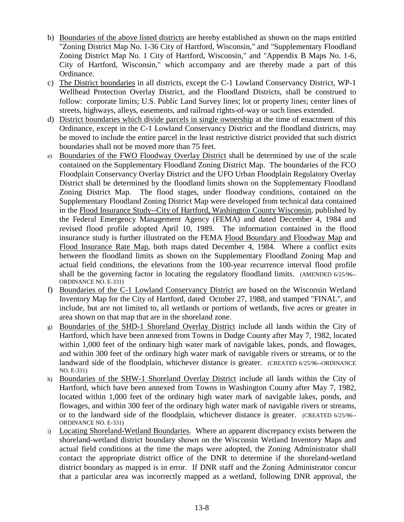- b) Boundaries of the above listed districts are hereby established as shown on the maps entitled "Zoning District Map No. 1-36 City of Hartford, Wisconsin," and "Supplementary Floodland Zoning District Map No. 1 City of Hartford, Wisconsin," and "Appendix B Maps No. 1-6, City of Hartford, Wisconsin," which accompany and are thereby made a part of this Ordinance.
- c) The District boundaries in all districts, except the C-1 Lowland Conservancy District, WP-1 Wellhead Protection Overlay District, and the Floodland Districts, shall be construed to follow: corporate limits; U.S. Public Land Survey lines; lot or property lines; center lines of streets, highways, alleys, easements, and railroad rights-of-way or such lines extended.
- d) District boundaries which divide parcels in single ownership at the time of enactment of this Ordinance, except in the C-1 Lowland Conservancy District and the floodland districts, may be moved to include the entire parcel in the least restrictive district provided that such district boundaries shall not be moved more than 75 feet.
- e) Boundaries of the FWO Floodway Overlay District shall be determined by use of the scale contained on the Supplementary Floodland Zoning District Map. The boundaries of the FCO Floodplain Conservancy Overlay District and the UFO Urban Floodplain Regulatory Overlay District shall be determined by the floodland limits shown on the Supplementary Floodland Zoning District Map. The flood stages, under floodway conditions, contained on the Supplementary Floodland Zoning District Map were developed from technical data contained in the Flood Insurance Study--City of Hartford, Washington County Wisconsin, published by the Federal Emergency Management Agency (FEMA) and dated December 4, 1984 and revised flood profile adopted April 10, 1989. The information contained in the flood insurance study is further illustrated on the FEMA Flood Boundary and Floodway Map and Flood Insurance Rate Map, both maps dated December 4, 1984. Where a conflict exits between the floodland limits as shown on the Supplementary Floodland Zoning Map and actual field conditions, the elevations from the 100-year recurrence interval flood profile shall be the governing factor in locating the regulatory floodland limits. (AMENDED 6/25/96-- ORDINANCE NO. E-331)
- f) Boundaries of the C-1 Lowland Conservancy District are based on the Wisconsin Wetland Inventory Map for the City of Hartford, dated October 27, 1988, and stamped "FINAL", and include, but are not limited to, all wetlands or portions of wetlands, five acres or greater in area shown on that map that are in the shoreland zone.
- g) Boundaries of the SHD-1 Shoreland Overlay District include all lands within the City of Hartford, which have been annexed from Towns in Dodge County after May 7, 1982, located within 1,000 feet of the ordinary high water mark of navigable lakes, ponds, and flowages, and within 300 feet of the ordinary high water mark of navigable rivers or streams, or to the landward side of the floodplain, whichever distance is greater. (CREATED 6/25/96--ORDINANCE NO. E-331)
- h) Boundaries of the SHW-1 Shoreland Overlay District include all lands within the City of Hartford, which have been annexed from Towns in Washington County after May 7, 1982, located within 1,000 feet of the ordinary high water mark of navigable lakes, ponds, and flowages, and within 300 feet of the ordinary high water mark of navigable rivers or streams, or to the landward side of the floodplain, whichever distance is greater. (CREATED 6/25/96-- ORDINANCE NO. E-331)
- i) Locating Shoreland-Wetland Boundaries. Where an apparent discrepancy exists between the shoreland-wetland district boundary shown on the Wisconsin Wetland Inventory Maps and actual field conditions at the time the maps were adopted, the Zoning Administrator shall contact the appropriate district office of the DNR to determine if the shoreland-wetland district boundary as mapped is in error. If DNR staff and the Zoning Administrator concur that a particular area was incorrectly mapped as a wetland, following DNR approval, the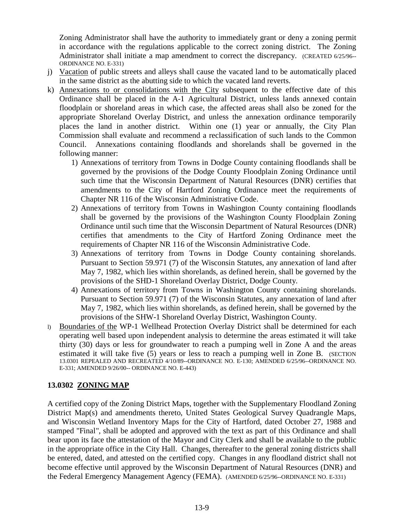Zoning Administrator shall have the authority to immediately grant or deny a zoning permit in accordance with the regulations applicable to the correct zoning district. The Zoning Administrator shall initiate a map amendment to correct the discrepancy. (CREATED 6/25/96-- ORDINANCE NO. E-331)

- j) Vacation of public streets and alleys shall cause the vacated land to be automatically placed in the same district as the abutting side to which the vacated land reverts.
- k) Annexations to or consolidations with the City subsequent to the effective date of this Ordinance shall be placed in the A-1 Agricultural District, unless lands annexed contain floodplain or shoreland areas in which case, the affected areas shall also be zoned for the appropriate Shoreland Overlay District, and unless the annexation ordinance temporarily places the land in another district. Within one (1) year or annually, the City Plan Commission shall evaluate and recommend a reclassification of such lands to the Common Council. Annexations containing floodlands and shorelands shall be governed in the following manner:
	- 1) Annexations of territory from Towns in Dodge County containing floodlands shall be governed by the provisions of the Dodge County Floodplain Zoning Ordinance until such time that the Wisconsin Department of Natural Resources (DNR) certifies that amendments to the City of Hartford Zoning Ordinance meet the requirements of Chapter NR 116 of the Wisconsin Administrative Code.
	- 2) Annexations of territory from Towns in Washington County containing floodlands shall be governed by the provisions of the Washington County Floodplain Zoning Ordinance until such time that the Wisconsin Department of Natural Resources (DNR) certifies that amendments to the City of Hartford Zoning Ordinance meet the requirements of Chapter NR 116 of the Wisconsin Administrative Code.
	- 3) Annexations of territory from Towns in Dodge County containing shorelands. Pursuant to Section 59.971 (7) of the Wisconsin Statutes, any annexation of land after May 7, 1982, which lies within shorelands, as defined herein, shall be governed by the provisions of the SHD-1 Shoreland Overlay District, Dodge County.
	- 4) Annexations of territory from Towns in Washington County containing shorelands. Pursuant to Section 59.971 (7) of the Wisconsin Statutes, any annexation of land after May 7, 1982, which lies within shorelands, as defined herein, shall be governed by the provisions of the SHW-1 Shoreland Overlay District, Washington County.
- l) Boundaries of the WP-1 Wellhead Protection Overlay District shall be determined for each operating well based upon independent analysis to determine the areas estimated it will take thirty (30) days or less for groundwater to reach a pumping well in Zone A and the areas estimated it will take five (5) years or less to reach a pumping well in Zone B. (SECTION 13.0301 REPEALED AND RECREATED 4/10/89--ORDINANCE NO. E-130; AMENDED 6/25/96--ORDINANCE NO. E-331; AMENDED 9/26/00-- ORDINANCE NO. E-443)

## **13.0302 ZONING MAP**

A certified copy of the Zoning District Maps, together with the Supplementary Floodland Zoning District Map(s) and amendments thereto, United States Geological Survey Quadrangle Maps, and Wisconsin Wetland Inventory Maps for the City of Hartford, dated October 27, 1988 and stamped "Final", shall be adopted and approved with the text as part of this Ordinance and shall bear upon its face the attestation of the Mayor and City Clerk and shall be available to the public in the appropriate office in the City Hall. Changes, thereafter to the general zoning districts shall be entered, dated, and attested on the certified copy. Changes in any floodland district shall not become effective until approved by the Wisconsin Department of Natural Resources (DNR) and the Federal Emergency Management Agency (FEMA). (AMENDED 6/25/96--ORDINANCE NO. E-331)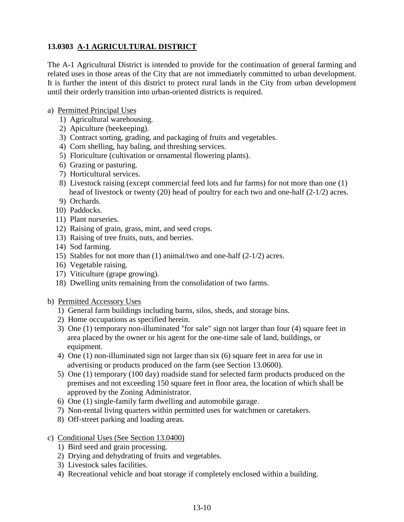# **13.0303 A-1 AGRICULTURAL DISTRICT**

The A-1 Agricultural District is intended to provide for the continuation of general farming and related uses in those areas of the City that are not immediately committed to urban development. It is further the intent of this district to protect rural lands in the City from urban development until their orderly transition into urban-oriented districts is required.

### a) Permitted Principal Uses

- 1) Agricultural warehousing.
- 2) Apiculture (beekeeping).
- 3) Contract sorting, grading, and packaging of fruits and vegetables.
- 4) Corn shelling, hay baling, and threshing services.
- 5) Floriculture (cultivation or ornamental flowering plants).
- 6) Grazing or pasturing.
- 7) Horticultural services.
- 8) Livestock raising (except commercial feed lots and fur farms) for not more than one (1) head of livestock or twenty (20) head of poultry for each two and one-half (2-1/2) acres.
- 9) Orchards.
- 10) Paddocks.
- 11) Plant nurseries.
- 12) Raising of grain, grass, mint, and seed crops.
- 13) Raising of tree fruits, nuts, and berries.
- 14) Sod farming.
- 15) Stables for not more than (1) animal/two and one-half (2-1/2) acres.
- 16) Vegetable raising.
- 17) Viticulture (grape growing).
- 18) Dwelling units remaining from the consolidation of two farms.

#### b) Permitted Accessory Uses

- 1) General farm buildings including barns, silos, sheds, and storage bins.
- 2) Home occupations as specified herein.
- 3) One (1) temporary non-illuminated "for sale" sign not larger than four (4) square feet in area placed by the owner or his agent for the one-time sale of land, buildings, or equipment.
- 4) One (1) non-illuminated sign not larger than six (6) square feet in area for use in advertising or products produced on the farm (see Section 13.0600).
- 5) One (1) temporary (100 day) roadside stand for selected farm products produced on the premises and not exceeding 150 square feet in floor area, the location of which shall be approved by the Zoning Administrator.
- 6) One (1) single-family farm dwelling and automobile garage.
- 7) Non-rental living quarters within permitted uses for watchmen or caretakers.
- 8) Off-street parking and loading areas.
- c) Conditional Uses (See Section 13.0400)
	- 1) Bird seed and grain processing.
	- 2) Drying and dehydrating of fruits and vegetables.
	- 3) Livestock sales facilities.
	- 4) Recreational vehicle and boat storage if completely enclosed within a building.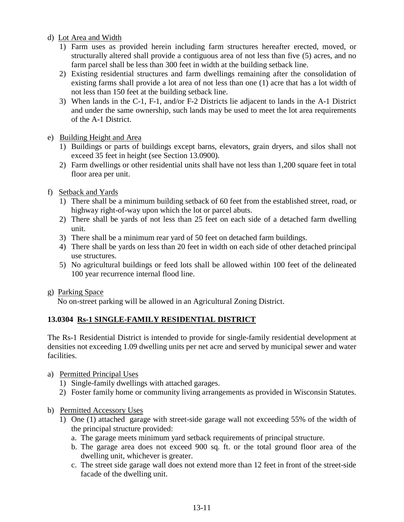d) Lot Area and Width

- 1) Farm uses as provided herein including farm structures hereafter erected, moved, or structurally altered shall provide a contiguous area of not less than five (5) acres, and no farm parcel shall be less than 300 feet in width at the building setback line.
- 2) Existing residential structures and farm dwellings remaining after the consolidation of existing farms shall provide a lot area of not less than one (1) acre that has a lot width of not less than 150 feet at the building setback line.
- 3) When lands in the C-1, F-1, and/or F-2 Districts lie adjacent to lands in the A-1 District and under the same ownership, such lands may be used to meet the lot area requirements of the A-1 District.
- e) Building Height and Area
	- 1) Buildings or parts of buildings except barns, elevators, grain dryers, and silos shall not exceed 35 feet in height (see Section 13.0900).
	- 2) Farm dwellings or other residential units shall have not less than 1,200 square feet in total floor area per unit.
- f) Setback and Yards
	- 1) There shall be a minimum building setback of 60 feet from the established street, road, or highway right-of-way upon which the lot or parcel abuts.
	- 2) There shall be yards of not less than 25 feet on each side of a detached farm dwelling unit.
	- 3) There shall be a minimum rear yard of 50 feet on detached farm buildings.
	- 4) There shall be yards on less than 20 feet in width on each side of other detached principal use structures.
	- 5) No agricultural buildings or feed lots shall be allowed within 100 feet of the delineated 100 year recurrence internal flood line.
- g) Parking Space

No on-street parking will be allowed in an Agricultural Zoning District.

## **13.0304 Rs-1 SINGLE-FAMILY RESIDENTIAL DISTRICT**

The Rs-1 Residential District is intended to provide for single-family residential development at densities not exceeding 1.09 dwelling units per net acre and served by municipal sewer and water facilities.

- a) Permitted Principal Uses
	- 1) Single-family dwellings with attached garages.
	- 2) Foster family home or community living arrangements as provided in Wisconsin Statutes.
- b) Permitted Accessory Uses
	- 1) One (1) attached garage with street-side garage wall not exceeding 55% of the width of the principal structure provided:
		- a. The garage meets minimum yard setback requirements of principal structure.
		- b. The garage area does not exceed 900 sq. ft. or the total ground floor area of the dwelling unit, whichever is greater.
		- c. The street side garage wall does not extend more than 12 feet in front of the street-side facade of the dwelling unit.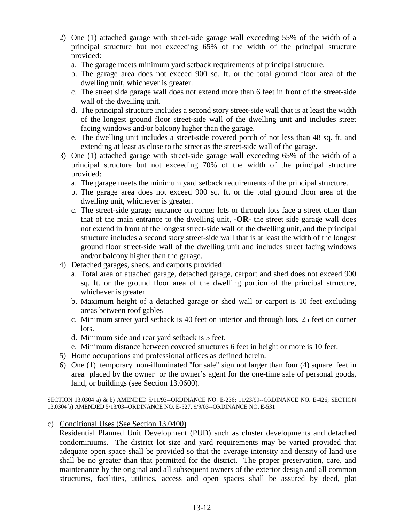- 2) One (1) attached garage with street-side garage wall exceeding 55% of the width of a principal structure but not exceeding 65% of the width of the principal structure provided:
	- a. The garage meets minimum yard setback requirements of principal structure.
	- b. The garage area does not exceed 900 sq. ft. or the total ground floor area of the dwelling unit, whichever is greater.
	- c. The street side garage wall does not extend more than 6 feet in front of the street-side wall of the dwelling unit.
	- d. The principal structure includes a second story street-side wall that is at least the width of the longest ground floor street-side wall of the dwelling unit and includes street facing windows and/or balcony higher than the garage.
	- e. The dwelling unit includes a street-side covered porch of not less than 48 sq. ft. and extending at least as close to the street as the street-side wall of the garage.
- 3) One (1) attached garage with street-side garage wall exceeding 65% of the width of a principal structure but not exceeding 70% of the width of the principal structure provided:
	- a. The garage meets the minimum yard setback requirements of the principal structure.
	- b. The garage area does not exceed 900 sq. ft. or the total ground floor area of the dwelling unit, whichever is greater.
	- c. The street-side garage entrance on corner lots or through lots face a street other than that of the main entrance to the dwelling unit, **-OR-** the street side garage wall does not extend in front of the longest street-side wall of the dwelling unit, and the principal structure includes a second story street-side wall that is at least the width of the longest ground floor street-side wall of the dwelling unit and includes street facing windows and/or balcony higher than the garage.
- 4) Detached garages, sheds, and carports provided:
	- a. Total area of attached garage, detached garage, carport and shed does not exceed 900 sq. ft. or the ground floor area of the dwelling portion of the principal structure, whichever is greater.
	- b. Maximum height of a detached garage or shed wall or carport is 10 feet excluding areas between roof gables
	- c. Minimum street yard setback is 40 feet on interior and through lots, 25 feet on corner lots.
	- d. Minimum side and rear yard setback is 5 feet.
	- e. Minimum distance between covered structures 6 feet in height or more is 10 feet.
- 5) Home occupations and professional offices as defined herein.
- 6) One (1) temporary non-illuminated "for sale" sign not larger than four (4) square feet in area placed by the owner or the owner's agent for the one-time sale of personal goods, land, or buildings (see Section 13.0600).

SECTION 13.0304 a) & b) AMENDED 5/11/93--ORDINANCE NO. E-236; 11/23/99--ORDINANCE NO. E-426; SECTION 13.0304 b) AMENDED 5/13/03--ORDINANCE NO. E-527; 9/9/03--ORDINANCE NO. E-531

c) Conditional Uses (See Section 13.0400)

Residential Planned Unit Development (PUD) such as cluster developments and detached condominiums. The district lot size and yard requirements may be varied provided that adequate open space shall be provided so that the average intensity and density of land use shall be no greater than that permitted for the district. The proper preservation, care, and maintenance by the original and all subsequent owners of the exterior design and all common structures, facilities, utilities, access and open spaces shall be assured by deed, plat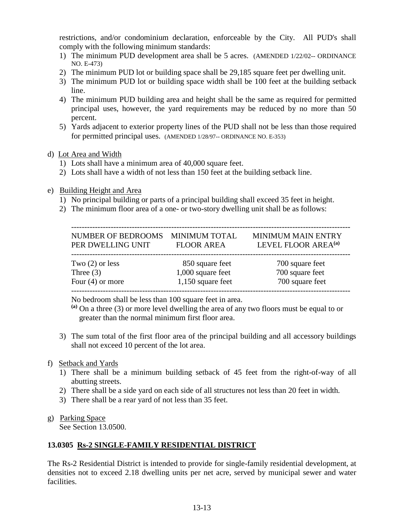restrictions, and/or condominium declaration, enforceable by the City. All PUD's shall comply with the following minimum standards:

- 1) The minimum PUD development area shall be 5 acres. (AMENDED 1/22/02-- ORDINANCE NO. E-473)
- 2) The minimum PUD lot or building space shall be 29,185 square feet per dwelling unit.
- 3) The minimum PUD lot or building space width shall be 100 feet at the building setback line.
- 4) The minimum PUD building area and height shall be the same as required for permitted principal uses, however, the yard requirements may be reduced by no more than 50 percent.
- 5) Yards adjacent to exterior property lines of the PUD shall not be less than those required for permitted principal uses. (AMENDED 1/28/97-- ORDINANCE NO. E-353)

## d) Lot Area and Width

- 1) Lots shall have a minimum area of 40,000 square feet.
- 2) Lots shall have a width of not less than 150 feet at the building setback line.
- e) Building Height and Area
	- 1) No principal building or parts of a principal building shall exceed 35 feet in height.
	- 2) The minimum floor area of a one- or two-story dwelling unit shall be as follows:

| NUMBER OF BEDROOMS MINIMUM TOTAL<br>PER DWELLING UNIT | <b>FLOOR AREA</b>   | <b>MINIMUM MAIN ENTRY</b><br>LEVEL FLOOR AREA <sup>(a)</sup> |
|-------------------------------------------------------|---------------------|--------------------------------------------------------------|
| Two $(2)$ or less                                     | 850 square feet     | 700 square feet                                              |
| Three $(3)$                                           | 1,000 square feet   | 700 square feet                                              |
| Four $(4)$ or more                                    | $1,150$ square feet | 700 square feet                                              |

No bedroom shall be less than 100 square feet in area.

 **(a)** On a three (3) or more level dwelling the area of any two floors must be equal to or greater than the normal minimum first floor area.

3) The sum total of the first floor area of the principal building and all accessory buildings shall not exceed 10 percent of the lot area.

## f) Setback and Yards

- 1) There shall be a minimum building setback of 45 feet from the right-of-way of all abutting streets.
- 2) There shall be a side yard on each side of all structures not less than 20 feet in width.
- 3) There shall be a rear yard of not less than 35 feet.

## g) Parking Space

See Section 13.0500.

## **13.0305 Rs-2 SINGLE-FAMILY RESIDENTIAL DISTRICT**

The Rs-2 Residential District is intended to provide for single-family residential development, at densities not to exceed 2.18 dwelling units per net acre, served by municipal sewer and water facilities.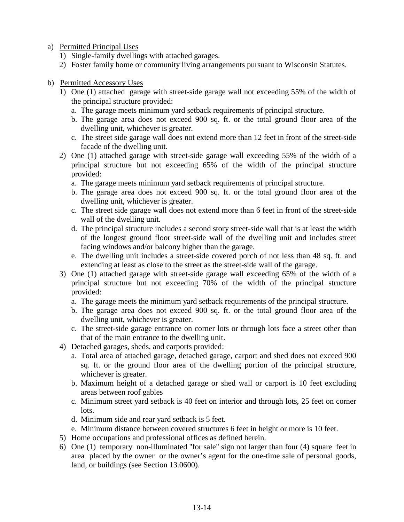a) Permitted Principal Uses

- 1) Single-family dwellings with attached garages.
- 2) Foster family home or community living arrangements pursuant to Wisconsin Statutes.
- b) Permitted Accessory Uses
	- 1) One (1) attached garage with street-side garage wall not exceeding 55% of the width of the principal structure provided:
		- a. The garage meets minimum yard setback requirements of principal structure.
		- b. The garage area does not exceed 900 sq. ft. or the total ground floor area of the dwelling unit, whichever is greater.
		- c. The street side garage wall does not extend more than 12 feet in front of the street-side facade of the dwelling unit.
	- 2) One (1) attached garage with street-side garage wall exceeding 55% of the width of a principal structure but not exceeding 65% of the width of the principal structure provided:
		- a. The garage meets minimum yard setback requirements of principal structure.
		- b. The garage area does not exceed 900 sq. ft. or the total ground floor area of the dwelling unit, whichever is greater.
		- c. The street side garage wall does not extend more than 6 feet in front of the street-side wall of the dwelling unit.
		- d. The principal structure includes a second story street-side wall that is at least the width of the longest ground floor street-side wall of the dwelling unit and includes street facing windows and/or balcony higher than the garage.
		- e. The dwelling unit includes a street-side covered porch of not less than 48 sq. ft. and extending at least as close to the street as the street-side wall of the garage.
	- 3) One (1) attached garage with street-side garage wall exceeding 65% of the width of a principal structure but not exceeding 70% of the width of the principal structure provided:
		- a. The garage meets the minimum yard setback requirements of the principal structure.
		- b. The garage area does not exceed 900 sq. ft. or the total ground floor area of the dwelling unit, whichever is greater.
		- c. The street-side garage entrance on corner lots or through lots face a street other than that of the main entrance to the dwelling unit.
	- 4) Detached garages, sheds, and carports provided:
		- a. Total area of attached garage, detached garage, carport and shed does not exceed 900 sq. ft. or the ground floor area of the dwelling portion of the principal structure, whichever is greater.
		- b. Maximum height of a detached garage or shed wall or carport is 10 feet excluding areas between roof gables
		- c. Minimum street yard setback is 40 feet on interior and through lots, 25 feet on corner lots.
		- d. Minimum side and rear yard setback is 5 feet.
		- e. Minimum distance between covered structures 6 feet in height or more is 10 feet.
	- 5) Home occupations and professional offices as defined herein.
	- 6) One (1) temporary non-illuminated "for sale" sign not larger than four (4) square feet in area placed by the owner or the owner's agent for the one-time sale of personal goods, land, or buildings (see Section 13.0600).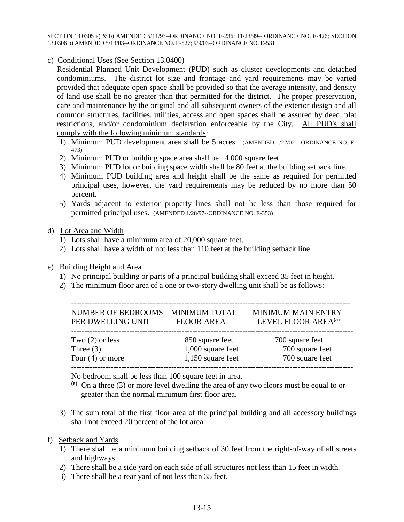SECTION 13.0305 a) & b) AMENDED 5/11/93--ORDINANCE NO. E-236; 11/23/99-- ORDINANCE NO. E-426; SECTION 13.0306 b) AMENDED 5/13/03--ORDINANCE NO. E-527; 9/9/03--ORDINANCE NO. E-531

c) Conditional Uses (See Section 13.0400)

Residential Planned Unit Development (PUD) such as cluster developments and detached condominiums. The district lot size and frontage and yard requirements may be varied provided that adequate open space shall be provided so that the average intensity, and density of land use shall be no greater than that permitted for the district. The proper preservation, care and maintenance by the original and all subsequent owners of the exterior design and all common structures, facilities, utilities, access and open spaces shall be assured by deed, plat restrictions, and/or condominium declaration enforceable by the City. All PUD's shall comply with the following minimum standards:

- 1) Minimum PUD development area shall be 5 acres. (AMENDED 1/22/02-- ORDINANCE NO. E-473)
- 2) Minimum PUD or building space area shall be 14,000 square feet.
- 3) Minimum PUD lot or building space width shall be 80 feet at the building setback line.
- 4) Minimum PUD building area and height shall be the same as required for permitted principal uses, however, the yard requirements may be reduced by no more than 50 percent.
- 5) Yards adjacent to exterior property lines shall not be less than those required for permitted principal uses. (AMENDED 1/28/97--ORDINANCE NO. E-353)

#### d) Lot Area and Width

- 1) Lots shall have a minimum area of 20,000 square feet.
- 2) Lots shall have a width of not less than 110 feet at the building setback line.
- e) Building Height and Area
	- 1) No principal building or parts of a principal building shall exceed 35 feet in height.
	- 2) The minimum floor area of a one or two-story dwelling unit shall be as follows:

| NUMBER OF BEDROOMS MINIMUM TOTAL<br>PER DWELLING UNIT | <b>FLOOR AREA</b> | <b>MINIMUM MAIN ENTRY</b><br>LEVEL FLOOR AREA <sup>(a)</sup> |
|-------------------------------------------------------|-------------------|--------------------------------------------------------------|
| Two $(2)$ or less                                     | 850 square feet   | 700 square feet                                              |
| Three $(3)$                                           | 1,000 square feet | 700 square feet                                              |
| Four $(4)$ or more                                    | 1,150 square feet | 700 square feet                                              |

No bedroom shall be less than 100 square feet in area.

- **(a)** On a three (3) or more level dwelling the area of any two floors must be equal to or greater than the normal minimum first floor area.
- 3) The sum total of the first floor area of the principal building and all accessory buildings shall not exceed 20 percent of the lot area.
- f) Setback and Yards
	- 1) There shall be a minimum building setback of 30 feet from the right-of-way of all streets and highways.
	- 2) There shall be a side yard on each side of all structures not less than 15 feet in width.
	- 3) There shall be a rear yard of not less than 35 feet.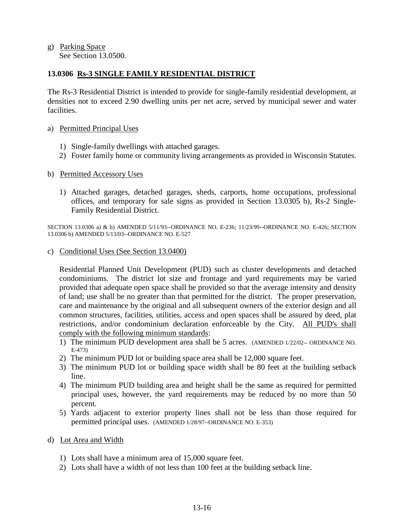g) Parking Space See Section 13.0500.

### **13.0306 Rs-3 SINGLE FAMILY RESIDENTIAL DISTRICT**

The Rs-3 Residential District is intended to provide for single-family residential development, at densities not to exceed 2.90 dwelling units per net acre, served by municipal sewer and water facilities.

#### a) Permitted Principal Uses

- 1) Single-family dwellings with attached garages.
- 2) Foster family home or community living arrangements as provided in Wisconsin Statutes.

#### b) Permitted Accessory Uses

1) Attached garages, detached garages, sheds, carports, home occupations, professional offices, and temporary for sale signs as provided in Section 13.0305 b), Rs-2 Single-Family Residential District.

SECTION 13.0306 a) & b) AMENDED 5/11/93--ORDINANCE NO. E-236; 11/23/99--ORDINANCE NO. E-426; SECTION 13.0306 b) AMENDED 5/13/03--ORDINANCE NO. E-527

c) Conditional Uses (See Section 13.0400)

Residential Planned Unit Development (PUD) such as cluster developments and detached condominiums. The district lot size and frontage and yard requirements may be varied provided that adequate open space shall be provided so that the average intensity and density of land; use shall be no greater than that permitted for the district. The proper preservation, care and maintenance by the original and all subsequent owners of the exterior design and all common structures, facilities, utilities, access and open spaces shall be assured by deed, plat restrictions, and/or condominium declaration enforceable by the City. All PUD's shall comply with the following minimum standards:

- 1) The minimum PUD development area shall be 5 acres. (AMENDED 1/22/02-- ORDINANCE NO. E-473)
- 2) The minimum PUD lot or building space area shall be 12,000 square feet.
- 3) The minimum PUD lot or building space width shall be 80 feet at the building setback line.
- 4) The minimum PUD building area and height shall be the same as required for permitted principal uses, however, the yard requirements may be reduced by no more than 50 percent.
- 5) Yards adjacent to exterior property lines shall not be less than those required for permitted principal uses. (AMENDED 1/28/97--ORDINANCE NO. E-353)
- d) Lot Area and Width
	- 1) Lots shall have a minimum area of 15,000 square feet.
	- 2) Lots shall have a width of not less than 100 feet at the building setback line.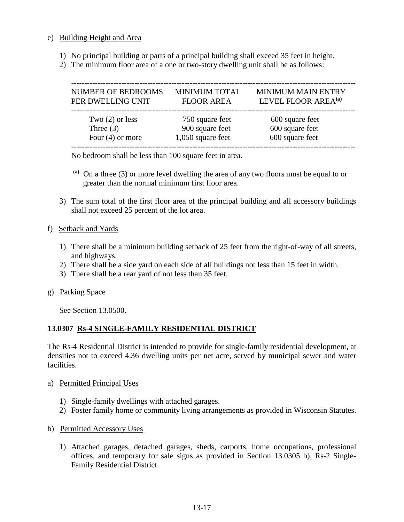#### e) Building Height and Area

- 1) No principal building or parts of a principal building shall exceed 35 feet in height.
- 2) The minimum floor area of a one or two-story dwelling unit shall be as follows:

| <b>NUMBER OF BEDROOMS</b> | <b>MINIMUM TOTAL</b> | <b>MINIMUM MAIN ENTRY</b>       |
|---------------------------|----------------------|---------------------------------|
| PER DWELLING UNIT         | <b>FLOOR AREA</b>    | LEVEL FLOOR AREA <sup>(a)</sup> |
| Two $(2)$ or less         | 750 square feet      | 600 square feet                 |
| Three $(3)$               | 900 square feet      | 600 square feet                 |
| Four $(4)$ or more        | 1,050 square feet    | 600 square feet                 |

No bedroom shall be less than 100 square feet in area.

- **(a)** On a three (3) or more level dwelling the area of any two floors must be equal to or greater than the normal minimum first floor area.
- 3) The sum total of the first floor area of the principal building and all accessory buildings shall not exceed 25 percent of the lot area.

### f) Setback and Yards

- 1) There shall be a minimum building setback of 25 feet from the right-of-way of all streets, and highways.
- 2) There shall be a side yard on each side of all buildings not less than 15 feet in width.
- 3) There shall be a rear yard of not less than 35 feet.
- g) Parking Space

See Section 13.0500.

## **13.0307 Rs-4 SINGLE-FAMILY RESIDENTIAL DISTRICT**

The Rs-4 Residential District is intended to provide for single-family residential development, at densities not to exceed 4.36 dwelling units per net acre, served by municipal sewer and water facilities.

- a) Permitted Principal Uses
	- 1) Single-family dwellings with attached garages.
	- 2) Foster family home or community living arrangements as provided in Wisconsin Statutes.
- b) Permitted Accessory Uses
	- 1) Attached garages, detached garages, sheds, carports, home occupations, professional offices, and temporary for sale signs as provided in Section 13.0305 b), Rs-2 Single-Family Residential District.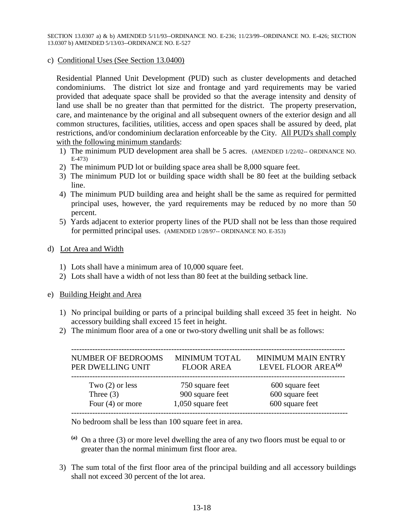SECTION 13.0307 a) & b) AMENDED 5/11/93--ORDINANCE NO. E-236; 11/23/99--ORDINANCE NO. E-426; SECTION 13.0307 b) AMENDED 5/13/03--ORDINANCE NO. E-527

#### c) Conditional Uses (See Section 13.0400)

Residential Planned Unit Development (PUD) such as cluster developments and detached condominiums. The district lot size and frontage and yard requirements may be varied provided that adequate space shall be provided so that the average intensity and density of land use shall be no greater than that permitted for the district. The property preservation, care, and maintenance by the original and all subsequent owners of the exterior design and all common structures, facilities, utilities, access and open spaces shall be assured by deed, plat restrictions, and/or condominium declaration enforceable by the City. All PUD's shall comply with the following minimum standards:

- 1) The minimum PUD development area shall be 5 acres. (AMENDED 1/22/02-- ORDINANCE NO. E-473)
- 2) The minimum PUD lot or building space area shall be 8,000 square feet.
- 3) The minimum PUD lot or building space width shall be 80 feet at the building setback line.
- 4) The minimum PUD building area and height shall be the same as required for permitted principal uses, however, the yard requirements may be reduced by no more than 50 percent.
- 5) Yards adjacent to exterior property lines of the PUD shall not be less than those required for permitted principal uses. (AMENDED 1/28/97-- ORDINANCE NO. E-353)

#### d) Lot Area and Width

- 1) Lots shall have a minimum area of 10,000 square feet.
- 2) Lots shall have a width of not less than 80 feet at the building setback line.

#### e) Building Height and Area

- 1) No principal building or parts of a principal building shall exceed 35 feet in height. No accessory building shall exceed 15 feet in height.
- 2) The minimum floor area of a one or two-story dwelling unit shall be as follows:

| <b>NUMBER OF BEDROOMS</b><br>PER DWELLING UNIT | <b>MINIMUM TOTAL</b><br><b>FLOOR AREA</b> | <b>MINIMUM MAIN ENTRY</b><br>LEVEL FLOOR AREA <sup>(a)</sup> |
|------------------------------------------------|-------------------------------------------|--------------------------------------------------------------|
| Two $(2)$ or less                              | 750 square feet                           | 600 square feet                                              |
| Three $(3)$                                    | 900 square feet                           | 600 square feet                                              |
| Four $(4)$ or more                             | $1,050$ square feet                       | 600 square feet                                              |

No bedroom shall be less than 100 square feet in area.

- **(a)** On a three (3) or more level dwelling the area of any two floors must be equal to or greater than the normal minimum first floor area.
- 3) The sum total of the first floor area of the principal building and all accessory buildings shall not exceed 30 percent of the lot area.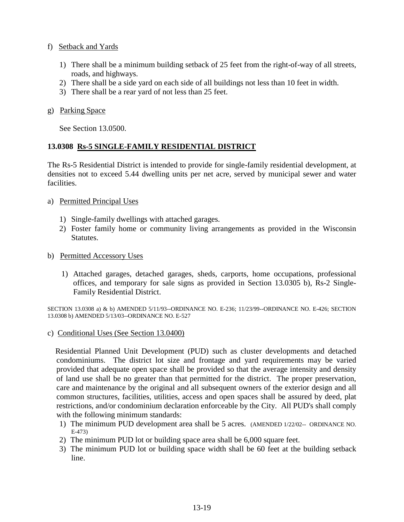### f) Setback and Yards

- 1) There shall be a minimum building setback of 25 feet from the right-of-way of all streets, roads, and highways.
- 2) There shall be a side yard on each side of all buildings not less than 10 feet in width.
- 3) There shall be a rear yard of not less than 25 feet.

## g) Parking Space

See Section 13.0500.

## **13.0308 Rs-5 SINGLE-FAMILY RESIDENTIAL DISTRICT**

The Rs-5 Residential District is intended to provide for single-family residential development, at densities not to exceed 5.44 dwelling units per net acre, served by municipal sewer and water facilities.

## a) Permitted Principal Uses

- 1) Single-family dwellings with attached garages.
- 2) Foster family home or community living arrangements as provided in the Wisconsin Statutes.

## b) Permitted Accessory Uses

1) Attached garages, detached garages, sheds, carports, home occupations, professional offices, and temporary for sale signs as provided in Section 13.0305 b), Rs-2 Single-Family Residential District.

SECTION 13.0308 a) & b) AMENDED 5/11/93--ORDINANCE NO. E-236; 11/23/99--ORDINANCE NO. E-426; SECTION 13.0308 b) AMENDED 5/13/03--ORDINANCE NO. E-527

## c) Conditional Uses (See Section 13.0400)

 Residential Planned Unit Development (PUD) such as cluster developments and detached condominiums. The district lot size and frontage and yard requirements may be varied provided that adequate open space shall be provided so that the average intensity and density of land use shall be no greater than that permitted for the district. The proper preservation, care and maintenance by the original and all subsequent owners of the exterior design and all common structures, facilities, utilities, access and open spaces shall be assured by deed, plat restrictions, and/or condominium declaration enforceable by the City. All PUD's shall comply with the following minimum standards:

- 1) The minimum PUD development area shall be 5 acres. (AMENDED 1/22/02-- ORDINANCE NO. E-473)
- 2) The minimum PUD lot or building space area shall be 6,000 square feet.
- 3) The minimum PUD lot or building space width shall be 60 feet at the building setback line.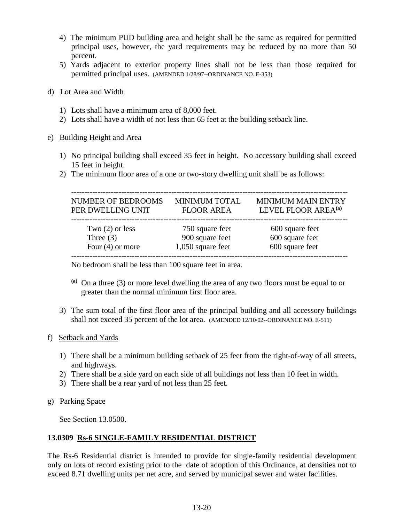- 4) The minimum PUD building area and height shall be the same as required for permitted principal uses, however, the yard requirements may be reduced by no more than 50 percent.
- 5) Yards adjacent to exterior property lines shall not be less than those required for permitted principal uses. (AMENDED 1/28/97--ORDINANCE NO. E-353)
- d) Lot Area and Width
	- 1) Lots shall have a minimum area of 8,000 feet.
	- 2) Lots shall have a width of not less than 65 feet at the building setback line.

#### e) Building Height and Area

- 1) No principal building shall exceed 35 feet in height. No accessory building shall exceed 15 feet in height.
- 2) The minimum floor area of a one or two-story dwelling unit shall be as follows:

| <b>NUMBER OF BEDROOMS</b><br>PER DWELLING UNIT | <b>MINIMUM TOTAL</b><br><b>FLOOR AREA</b> | <b>MINIMUM MAIN ENTRY</b><br>LEVEL FLOOR AREA <sup>(a)</sup> |
|------------------------------------------------|-------------------------------------------|--------------------------------------------------------------|
| Two $(2)$ or less                              | 750 square feet                           | 600 square feet                                              |
| Three $(3)$                                    | 900 square feet                           | 600 square feet                                              |
| Four $(4)$ or more                             | $1,050$ square feet                       | 600 square feet                                              |

No bedroom shall be less than 100 square feet in area.

- **(a)** On a three (3) or more level dwelling the area of any two floors must be equal to or greater than the normal minimum first floor area.
- 3) The sum total of the first floor area of the principal building and all accessory buildings shall not exceed 35 percent of the lot area. (AMENDED 12/10/02--ORDINANCE NO. E-511)

#### f) Setback and Yards

- 1) There shall be a minimum building setback of 25 feet from the right-of-way of all streets, and highways.
- 2) There shall be a side yard on each side of all buildings not less than 10 feet in width.
- 3) There shall be a rear yard of not less than 25 feet.
- g) Parking Space

See Section 13.0500.

#### **13.0309 Rs-6 SINGLE-FAMILY RESIDENTIAL DISTRICT**

The Rs-6 Residential district is intended to provide for single-family residential development only on lots of record existing prior to the date of adoption of this Ordinance, at densities not to exceed 8.71 dwelling units per net acre, and served by municipal sewer and water facilities.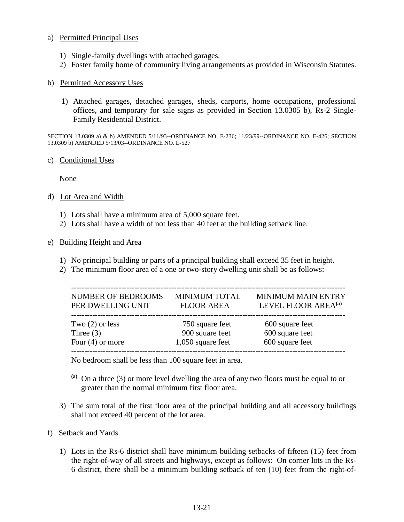#### a) Permitted Principal Uses

- 1) Single-family dwellings with attached garages.
- 2) Foster family home of community living arrangements as provided in Wisconsin Statutes.

#### b) Permitted Accessory Uses

1) Attached garages, detached garages, sheds, carports, home occupations, professional offices, and temporary for sale signs as provided in Section 13.0305 b), Rs-2 Single-Family Residential District.

SECTION 13.0309 a) & b) AMENDED 5/11/93--ORDINANCE NO. E-236; 11/23/99--ORDINANCE NO. E-426; SECTION 13.0309 b) AMENDED 5/13/03--ORDINANCE NO. E-527

#### c) Conditional Uses

None

#### d) Lot Area and Width

- 1) Lots shall have a minimum area of 5,000 square feet.
- 2) Lots shall have a width of not less than 40 feet at the building setback line.

#### e) Building Height and Area

- 1) No principal building or parts of a principal building shall exceed 35 feet in height.
- 2) The minimum floor area of a one or two-story dwelling unit shall be as follows:

| <b>NUMBER OF BEDROOMS</b><br>PER DWELLING UNIT | <b>MINIMUM TOTAL</b><br><b>FLOOR AREA</b> | <b>MINIMUM MAIN ENTRY</b><br>LEVEL FLOOR AREA <sup>(a)</sup> |
|------------------------------------------------|-------------------------------------------|--------------------------------------------------------------|
| Two $(2)$ or less                              | 750 square feet                           | 600 square feet                                              |
| Three $(3)$                                    | 900 square feet                           | 600 square feet                                              |
| Four $(4)$ or more                             | 1,050 square feet                         | 600 square feet                                              |

No bedroom shall be less than 100 square feet in area.

- **(a)** On a three (3) or more level dwelling the area of any two floors must be equal to or greater than the normal minimum first floor area.
- 3) The sum total of the first floor area of the principal building and all accessory buildings shall not exceed 40 percent of the lot area.

#### f) Setback and Yards

1) Lots in the Rs-6 district shall have minimum building setbacks of fifteen (15) feet from the right-of-way of all streets and highways, except as follows: On corner lots in the Rs-6 district, there shall be a minimum building setback of ten (10) feet from the right-of-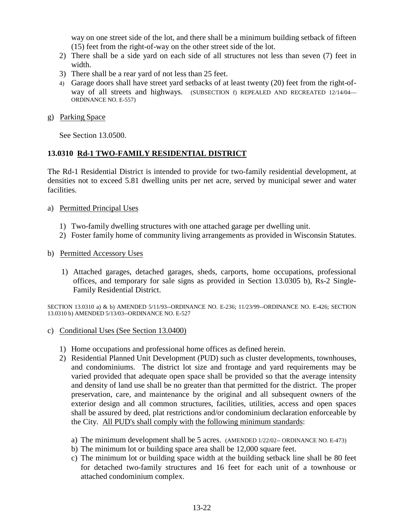way on one street side of the lot, and there shall be a minimum building setback of fifteen (15) feet from the right-of-way on the other street side of the lot.

- 2) There shall be a side yard on each side of all structures not less than seven (7) feet in width.
- 3) There shall be a rear yard of not less than 25 feet.
- 4) Garage doors shall have street yard setbacks of at least twenty (20) feet from the right-ofway of all streets and highways. (SUBSECTION f) REPEALED AND RECREATED 12/14/04— ORDINANCE NO. E-557)
- g) Parking Space

See Section 13.0500.

### **13.0310 Rd-1 TWO-FAMILY RESIDENTIAL DISTRICT**

The Rd-1 Residential District is intended to provide for two-family residential development, at densities not to exceed 5.81 dwelling units per net acre, served by municipal sewer and water facilities.

- a) Permitted Principal Uses
	- 1) Two-family dwelling structures with one attached garage per dwelling unit.
	- 2) Foster family home of community living arrangements as provided in Wisconsin Statutes.
- b) Permitted Accessory Uses
	- 1) Attached garages, detached garages, sheds, carports, home occupations, professional offices, and temporary for sale signs as provided in Section 13.0305 b), Rs-2 Single-Family Residential District.

SECTION 13.0310 a) & b) AMENDED 5/11/93--ORDINANCE NO. E-236; 11/23/99--ORDINANCE NO. E-426; SECTION 13.0310 b) AMENDED 5/13/03--ORDINANCE NO. E-527

- c) Conditional Uses (See Section 13.0400)
	- 1) Home occupations and professional home offices as defined herein.
	- 2) Residential Planned Unit Development (PUD) such as cluster developments, townhouses, and condominiums. The district lot size and frontage and yard requirements may be varied provided that adequate open space shall be provided so that the average intensity and density of land use shall be no greater than that permitted for the district. The proper preservation, care, and maintenance by the original and all subsequent owners of the exterior design and all common structures, facilities, utilities, access and open spaces shall be assured by deed, plat restrictions and/or condominium declaration enforceable by the City. All PUD's shall comply with the following minimum standards:
		- a) The minimum development shall be 5 acres. (AMENDED 1/22/02-- ORDINANCE NO. E-473)
		- b) The minimum lot or building space area shall be 12,000 square feet.
		- c) The minimum lot or building space width at the building setback line shall be 80 feet for detached two-family structures and 16 feet for each unit of a townhouse or attached condominium complex.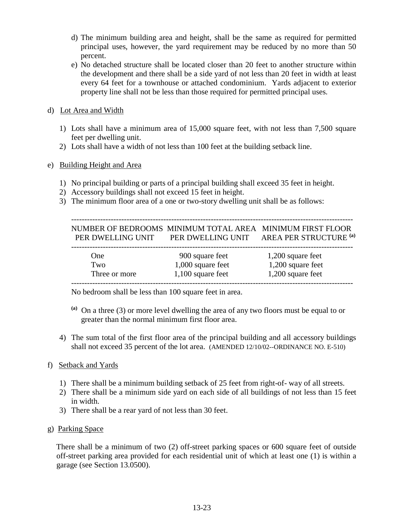- d) The minimum building area and height, shall be the same as required for permitted principal uses, however, the yard requirement may be reduced by no more than 50 percent.
- e) No detached structure shall be located closer than 20 feet to another structure within the development and there shall be a side yard of not less than 20 feet in width at least every 64 feet for a townhouse or attached condominium. Yards adjacent to exterior property line shall not be less than those required for permitted principal uses.
- d) Lot Area and Width
	- 1) Lots shall have a minimum area of 15,000 square feet, with not less than 7,500 square feet per dwelling unit.
	- 2) Lots shall have a width of not less than 100 feet at the building setback line.

### e) Building Height and Area

- 1) No principal building or parts of a principal building shall exceed 35 feet in height.
- 2) Accessory buildings shall not exceed 15 feet in height.
- 3) The minimum floor area of a one or two-story dwelling unit shall be as follows:

|                   | NUMBER OF BEDROOMS MINIMUM TOTAL AREA MINIMUM FIRST FLOOR |                        |
|-------------------|-----------------------------------------------------------|------------------------|
| PER DWELLING UNIT | PER DWELLING UNIT                                         | AREA PER STRUCTURE (a) |

| One           | 900 square feet     | 1,200 square feet   |
|---------------|---------------------|---------------------|
| Two           | $1,000$ square feet | $1,200$ square feet |
| Three or more | $1,100$ square feet | 1,200 square feet   |

No bedroom shall be less than 100 square feet in area.

- **(a)** On a three (3) or more level dwelling the area of any two floors must be equal to or greater than the normal minimum first floor area.
- 4) The sum total of the first floor area of the principal building and all accessory buildings shall not exceed 35 percent of the lot area. (AMENDED 12/10/02--ORDINANCE NO. E-510)

## f) Setback and Yards

- 1) There shall be a minimum building setback of 25 feet from right-of- way of all streets.
- 2) There shall be a minimum side yard on each side of all buildings of not less than 15 feet in width.
- 3) There shall be a rear yard of not less than 30 feet.

#### g) Parking Space

 There shall be a minimum of two (2) off-street parking spaces or 600 square feet of outside off-street parking area provided for each residential unit of which at least one (1) is within a garage (see Section 13.0500).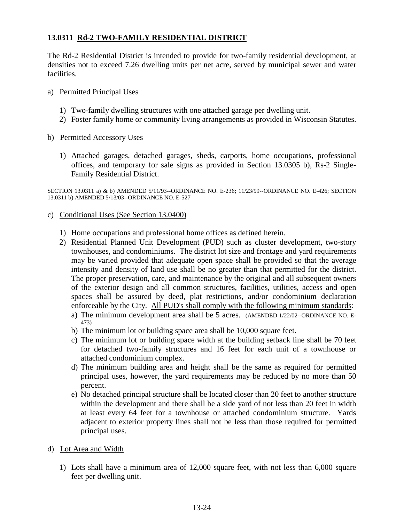## **13.0311 Rd-2 TWO-FAMILY RESIDENTIAL DISTRICT**

The Rd-2 Residential District is intended to provide for two-family residential development, at densities not to exceed 7.26 dwelling units per net acre, served by municipal sewer and water facilities.

#### a) Permitted Principal Uses

- 1) Two-family dwelling structures with one attached garage per dwelling unit.
- 2) Foster family home or community living arrangements as provided in Wisconsin Statutes.
- b) Permitted Accessory Uses
	- 1) Attached garages, detached garages, sheds, carports, home occupations, professional offices, and temporary for sale signs as provided in Section 13.0305 b), Rs-2 Single-Family Residential District.

SECTION 13.0311 a) & b) AMENDED 5/11/93--ORDINANCE NO. E-236; 11/23/99--ORDINANCE NO. E-426; SECTION 13.0311 b) AMENDED 5/13/03--ORDINANCE NO. E-527

- c) Conditional Uses (See Section 13.0400)
	- 1) Home occupations and professional home offices as defined herein.
	- 2) Residential Planned Unit Development (PUD) such as cluster development, two-story townhouses, and condominiums. The district lot size and frontage and yard requirements may be varied provided that adequate open space shall be provided so that the average intensity and density of land use shall be no greater than that permitted for the district. The proper preservation, care, and maintenance by the original and all subsequent owners of the exterior design and all common structures, facilities, utilities, access and open spaces shall be assured by deed, plat restrictions, and/or condominium declaration enforceable by the City. All PUD's shall comply with the following minimum standards:
		- a) The minimum development area shall be 5 acres. (AMENDED 1/22/02--ORDINANCE NO. E-473)
		- b) The minimum lot or building space area shall be 10,000 square feet.
		- c) The minimum lot or building space width at the building setback line shall be 70 feet for detached two-family structures and 16 feet for each unit of a townhouse or attached condominium complex.
		- d) The minimum building area and height shall be the same as required for permitted principal uses, however, the yard requirements may be reduced by no more than 50 percent.
		- e) No detached principal structure shall be located closer than 20 feet to another structure within the development and there shall be a side yard of not less than 20 feet in width at least every 64 feet for a townhouse or attached condominium structure. Yards adjacent to exterior property lines shall not be less than those required for permitted principal uses.
- d) Lot Area and Width
	- 1) Lots shall have a minimum area of 12,000 square feet, with not less than 6,000 square feet per dwelling unit.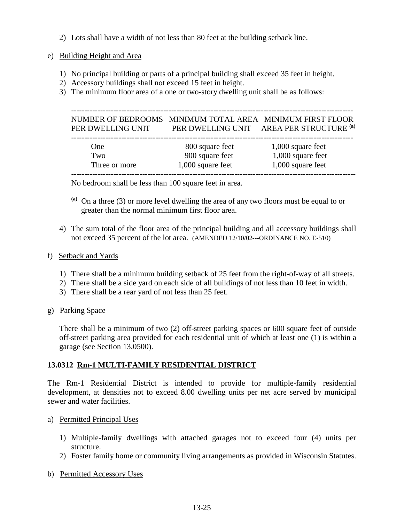- 2) Lots shall have a width of not less than 80 feet at the building setback line.
- e) Building Height and Area
	- 1) No principal building or parts of a principal building shall exceed 35 feet in height.
	- 2) Accessory buildings shall not exceed 15 feet in height.
	- 3) The minimum floor area of a one or two-story dwelling unit shall be as follows:

 ----------------------------------------------------------------------------------------------------------- NUMBER OF BEDROOMS MINIMUM TOTAL AREA MINIMUM FIRST FLOOR PER DWELLING UNIT PER DWELLING UNIT AREA PER STRUCTURE **(a)**

| One           | 800 square feet   | $1,000$ square feet |
|---------------|-------------------|---------------------|
| Two           | 900 square feet   | 1,000 square feet   |
| Three or more | 1,000 square feet | 1,000 square feet   |

No bedroom shall be less than 100 square feet in area.

- **(a)** On a three (3) or more level dwelling the area of any two floors must be equal to or greater than the normal minimum first floor area.
- 4) The sum total of the floor area of the principal building and all accessory buildings shall not exceed 35 percent of the lot area. (AMENDED 12/10/02---ORDINANCE NO. E-510)

#### f) Setback and Yards

- 1) There shall be a minimum building setback of 25 feet from the right-of-way of all streets.
- 2) There shall be a side yard on each side of all buildings of not less than 10 feet in width.
- 3) There shall be a rear yard of not less than 25 feet.
- g) Parking Space

There shall be a minimum of two (2) off-street parking spaces or 600 square feet of outside off-street parking area provided for each residential unit of which at least one (1) is within a garage (see Section 13.0500).

## **13.0312 Rm-1 MULTI-FAMILY RESIDENTIAL DISTRICT**

The Rm-1 Residential District is intended to provide for multiple-family residential development, at densities not to exceed 8.00 dwelling units per net acre served by municipal sewer and water facilities.

- a) Permitted Principal Uses
	- 1) Multiple-family dwellings with attached garages not to exceed four (4) units per structure.
	- 2) Foster family home or community living arrangements as provided in Wisconsin Statutes.
- b) Permitted Accessory Uses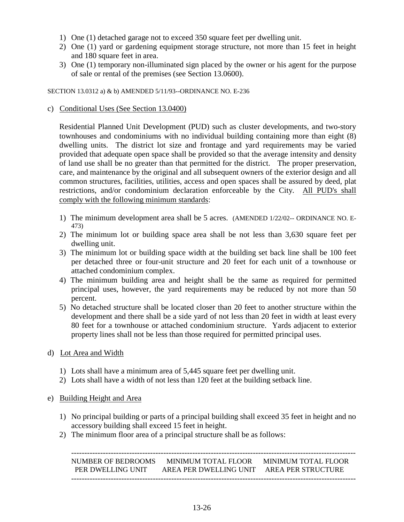- 1) One (1) detached garage not to exceed 350 square feet per dwelling unit.
- 2) One (1) yard or gardening equipment storage structure, not more than 15 feet in height and 180 square feet in area.
- 3) One (1) temporary non-illuminated sign placed by the owner or his agent for the purpose of sale or rental of the premises (see Section 13.0600).

SECTION 13.0312 a) & b) AMENDED 5/11/93--ORDINANCE NO. E-236

#### c) Conditional Uses (See Section 13.0400)

Residential Planned Unit Development (PUD) such as cluster developments, and two-story townhouses and condominiums with no individual building containing more than eight (8) dwelling units. The district lot size and frontage and yard requirements may be varied provided that adequate open space shall be provided so that the average intensity and density of land use shall be no greater than that permitted for the district. The proper preservation, care, and maintenance by the original and all subsequent owners of the exterior design and all common structures, facilities, utilities, access and open spaces shall be assured by deed, plat restrictions, and/or condominium declaration enforceable by the City. All PUD's shall comply with the following minimum standards:

- 1) The minimum development area shall be 5 acres. (AMENDED 1/22/02-- ORDINANCE NO. E-473)
- 2) The minimum lot or building space area shall be not less than 3,630 square feet per dwelling unit.
- 3) The minimum lot or building space width at the building set back line shall be 100 feet per detached three or four-unit structure and 20 feet for each unit of a townhouse or attached condominium complex.
- 4) The minimum building area and height shall be the same as required for permitted principal uses, however, the yard requirements may be reduced by not more than 50 percent.
- 5) No detached structure shall be located closer than 20 feet to another structure within the development and there shall be a side yard of not less than 20 feet in width at least every 80 feet for a townhouse or attached condominium structure. Yards adjacent to exterior property lines shall not be less than those required for permitted principal uses.
- d) Lot Area and Width
	- 1) Lots shall have a minimum area of 5,445 square feet per dwelling unit.
	- 2) Lots shall have a width of not less than 120 feet at the building setback line.

#### e) Building Height and Area

- 1) No principal building or parts of a principal building shall exceed 35 feet in height and no accessory building shall exceed 15 feet in height.
- 2) The minimum floor area of a principal structure shall be as follows:

 ------------------------------------------------------------------------------------------------------------ NUMBER OF BEDROOMS MINIMUM TOTAL FLOOR MINIMUM TOTAL FLOOR PER DWELLING UNIT AREA PER DWELLING UNIT AREA PER STRUCTURE ------------------------------------------------------------------------------------------------------------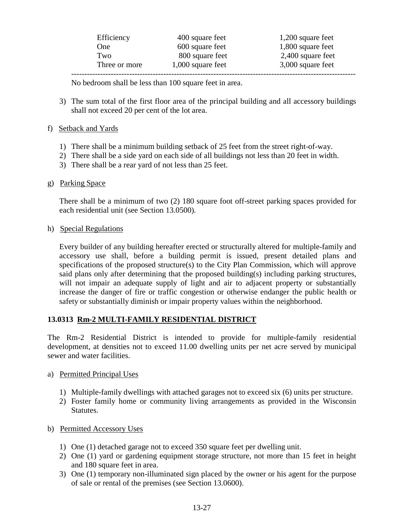| Efficiency    | 400 square feet   | 1,200 square feet   |
|---------------|-------------------|---------------------|
| One           | 600 square feet   | 1,800 square feet   |
| Two           | 800 square feet   | $2,400$ square feet |
| Three or more | 1,000 square feet | 3,000 square feet   |
|               |                   |                     |

No bedroom shall be less than 100 square feet in area.

3) The sum total of the first floor area of the principal building and all accessory buildings shall not exceed 20 per cent of the lot area.

## f) Setback and Yards

- 1) There shall be a minimum building setback of 25 feet from the street right-of-way.
- 2) There shall be a side yard on each side of all buildings not less than 20 feet in width.
- 3) There shall be a rear yard of not less than 25 feet.

## g) Parking Space

There shall be a minimum of two (2) 180 square foot off-street parking spaces provided for each residential unit (see Section 13.0500).

### h) Special Regulations

Every builder of any building hereafter erected or structurally altered for multiple-family and accessory use shall, before a building permit is issued, present detailed plans and specifications of the proposed structure(s) to the City Plan Commission, which will approve said plans only after determining that the proposed building(s) including parking structures, will not impair an adequate supply of light and air to adjacent property or substantially increase the danger of fire or traffic congestion or otherwise endanger the public health or safety or substantially diminish or impair property values within the neighborhood.

## **13.0313 Rm-2 MULTI-FAMILY RESIDENTIAL DISTRICT**

The Rm-2 Residential District is intended to provide for multiple-family residential development, at densities not to exceed 11.00 dwelling units per net acre served by municipal sewer and water facilities.

## a) Permitted Principal Uses

- 1) Multiple-family dwellings with attached garages not to exceed six (6) units per structure.
- 2) Foster family home or community living arrangements as provided in the Wisconsin Statutes.

## b) Permitted Accessory Uses

- 1) One (1) detached garage not to exceed 350 square feet per dwelling unit.
- 2) One (1) yard or gardening equipment storage structure, not more than 15 feet in height and 180 square feet in area.
- 3) One (1) temporary non-illuminated sign placed by the owner or his agent for the purpose of sale or rental of the premises (see Section 13.0600).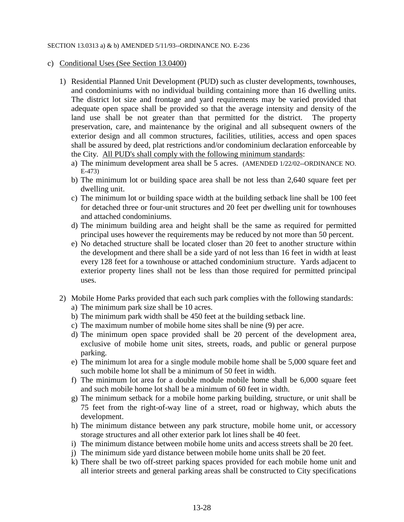#### SECTION 13.0313 a) & b) AMENDED 5/11/93--ORDINANCE NO. E-236

#### c) Conditional Uses (See Section 13.0400)

- 1) Residential Planned Unit Development (PUD) such as cluster developments, townhouses, and condominiums with no individual building containing more than 16 dwelling units. The district lot size and frontage and yard requirements may be varied provided that adequate open space shall be provided so that the average intensity and density of the land use shall be not greater than that permitted for the district. The property preservation, care, and maintenance by the original and all subsequent owners of the exterior design and all common structures, facilities, utilities, access and open spaces shall be assured by deed, plat restrictions and/or condominium declaration enforceable by the City. All PUD's shall comply with the following minimum standards:
	- a) The minimum development area shall be 5 acres. (AMENDED 1/22/02--ORDINANCE NO. E-473)
	- b) The minimum lot or building space area shall be not less than 2,640 square feet per dwelling unit.
	- c) The minimum lot or building space width at the building setback line shall be 100 feet for detached three or four-unit structures and 20 feet per dwelling unit for townhouses and attached condominiums.
	- d) The minimum building area and height shall be the same as required for permitted principal uses however the requirements may be reduced by not more than 50 percent.
	- e) No detached structure shall be located closer than 20 feet to another structure within the development and there shall be a side yard of not less than 16 feet in width at least every 128 feet for a townhouse or attached condominium structure. Yards adjacent to exterior property lines shall not be less than those required for permitted principal uses.
- 2) Mobile Home Parks provided that each such park complies with the following standards: a) The minimum park size shall be 10 acres.
	- b) The minimum park width shall be 450 feet at the building setback line.
	- c) The maximum number of mobile home sites shall be nine (9) per acre.
	- d) The minimum open space provided shall be 20 percent of the development area, exclusive of mobile home unit sites, streets, roads, and public or general purpose parking.
	- e) The minimum lot area for a single module mobile home shall be 5,000 square feet and such mobile home lot shall be a minimum of 50 feet in width.
	- f) The minimum lot area for a double module mobile home shall be 6,000 square feet and such mobile home lot shall be a minimum of 60 feet in width.
	- g) The minimum setback for a mobile home parking building, structure, or unit shall be 75 feet from the right-of-way line of a street, road or highway, which abuts the development.
	- h) The minimum distance between any park structure, mobile home unit, or accessory storage structures and all other exterior park lot lines shall be 40 feet.
	- i) The minimum distance between mobile home units and access streets shall be 20 feet.
	- j) The minimum side yard distance between mobile home units shall be 20 feet.
	- k) There shall be two off-street parking spaces provided for each mobile home unit and all interior streets and general parking areas shall be constructed to City specifications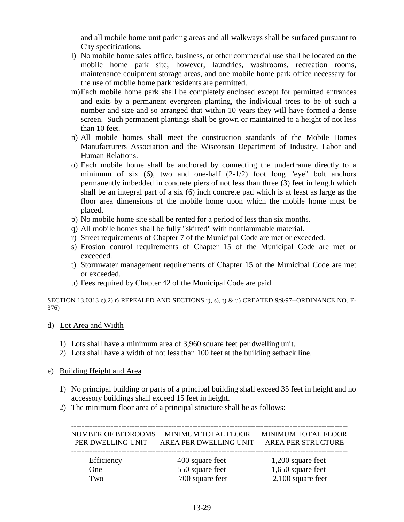and all mobile home unit parking areas and all walkways shall be surfaced pursuant to City specifications.

- l) No mobile home sales office, business, or other commercial use shall be located on the mobile home park site; however, laundries, washrooms, recreation rooms, maintenance equipment storage areas, and one mobile home park office necessary for the use of mobile home park residents are permitted.
- m)Each mobile home park shall be completely enclosed except for permitted entrances and exits by a permanent evergreen planting, the individual trees to be of such a number and size and so arranged that within 10 years they will have formed a dense screen. Such permanent plantings shall be grown or maintained to a height of not less than 10 feet.
- n) All mobile homes shall meet the construction standards of the Mobile Homes Manufacturers Association and the Wisconsin Department of Industry, Labor and Human Relations.
- o) Each mobile home shall be anchored by connecting the underframe directly to a minimum of six  $(6)$ , two and one-half  $(2-1/2)$  foot long "eye" bolt anchors permanently imbedded in concrete piers of not less than three (3) feet in length which shall be an integral part of a six (6) inch concrete pad which is at least as large as the floor area dimensions of the mobile home upon which the mobile home must be placed.
- p) No mobile home site shall be rented for a period of less than six months.
- q) All mobile homes shall be fully "skirted" with nonflammable material.
- r) Street requirements of Chapter 7 of the Municipal Code are met or exceeded.
- s) Erosion control requirements of Chapter 15 of the Municipal Code are met or exceeded.
- t) Stormwater management requirements of Chapter 15 of the Municipal Code are met or exceeded.
- u) Fees required by Chapter 42 of the Municipal Code are paid.

SECTION 13.0313 c),2),r) REPEALED AND SECTIONS r), s), t) & u) CREATED 9/9/97--ORDINANCE NO. E-376)

- d) Lot Area and Width
	- 1) Lots shall have a minimum area of 3,960 square feet per dwelling unit.
	- 2) Lots shall have a width of not less than 100 feet at the building setback line.

#### e) Building Height and Area

- 1) No principal building or parts of a principal building shall exceed 35 feet in height and no accessory buildings shall exceed 15 feet in height.
- 2) The minimum floor area of a principal structure shall be as follows:

 --------------------------------------------------------------------------------------------------------- NUMBER OF BEDROOMS MINIMUM TOTAL FLOOR MINIMUM TOTAL FLOOR PER DWELLING UNIT AREA PER DWELLING UNIT AREA PER STRUCTURE ---------------------------------------------------------------------------------------------------------

| Efficiency | 400 square feet | $1,200$ square feet |
|------------|-----------------|---------------------|
| One)       | 550 square feet | 1,650 square feet   |
| Two-       | 700 square feet | $2,100$ square feet |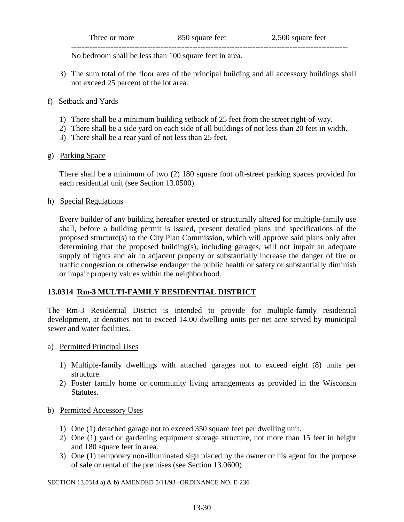| Three or more   | 850 square feet | 500 square feet |
|-----------------|-----------------|-----------------|
| --------------- |                 |                 |

No bedroom shall be less than 100 square feet in area.

- 3) The sum total of the floor area of the principal building and all accessory buildings shall not exceed 25 percent of the lot area.
- f) Setback and Yards
	- 1) There shall be a minimum building setback of 25 feet from the street right-of-way.
	- 2) There shall be a side yard on each side of all buildings of not less than 20 feet in width.
	- 3) There shall be a rear yard of not less than 25 feet.
- g) Parking Space

 There shall be a minimum of two (2) 180 square foot off-street parking spaces provided for each residential unit (see Section 13.0500).

h) Special Regulations

 Every builder of any building hereafter erected or structurally altered for multiple-family use shall, before a building permit is issued, present detailed plans and specifications of the proposed structure(s) to the City Plan Commission, which will approve said plans only after determining that the proposed building(s), including garages, will not impair an adequate supply of lights and air to adjacent property or substantially increase the danger of fire or traffic congestion or otherwise endanger the public health or safety or substantially diminish or impair property values within the neighborhood.

## **13.0314 Rm-3 MULTI-FAMILY RESIDENTIAL DISTRICT**

The Rm-3 Residential District is intended to provide for multiple-family residential development, at densities not to exceed 14.00 dwelling units per net acre served by municipal sewer and water facilities.

- a) Permitted Principal Uses
	- 1) Multiple-family dwellings with attached garages not to exceed eight (8) units per structure.
	- 2) Foster family home or community living arrangements as provided in the Wisconsin Statutes.
- b) Permitted Accessory Uses
	- 1) One (1) detached garage not to exceed 350 square feet per dwelling unit.
	- 2) One (1) yard or gardening equipment storage structure, not more than 15 feet in height and 180 square feet in area.
	- 3) One (1) temporary non-illuminated sign placed by the owner or his agent for the purpose of sale or rental of the premises (see Section 13.0600).

SECTION 13.0314 a) & b) AMENDED 5/11/93--ORDINANCE NO. E-236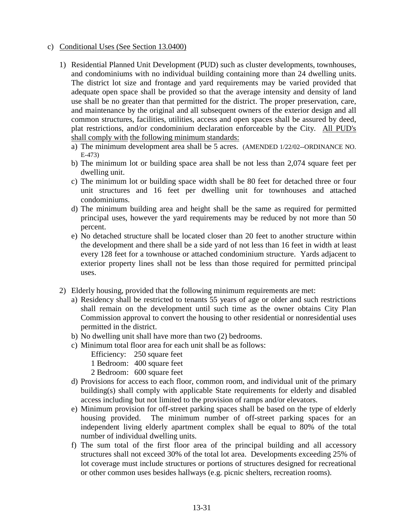#### c) Conditional Uses (See Section 13.0400)

- 1) Residential Planned Unit Development (PUD) such as cluster developments, townhouses, and condominiums with no individual building containing more than 24 dwelling units. The district lot size and frontage and yard requirements may be varied provided that adequate open space shall be provided so that the average intensity and density of land use shall be no greater than that permitted for the district. The proper preservation, care, and maintenance by the original and all subsequent owners of the exterior design and all common structures, facilities, utilities, access and open spaces shall be assured by deed, plat restrictions, and/or condominium declaration enforceable by the City. All PUD's shall comply with the following minimum standards:
	- a) The minimum development area shall be 5 acres. (AMENDED 1/22/02--ORDINANCE NO. E-473)
	- b) The minimum lot or building space area shall be not less than 2,074 square feet per dwelling unit.
	- c) The minimum lot or building space width shall be 80 feet for detached three or four unit structures and 16 feet per dwelling unit for townhouses and attached condominiums.
	- d) The minimum building area and height shall be the same as required for permitted principal uses, however the yard requirements may be reduced by not more than 50 percent.
	- e) No detached structure shall be located closer than 20 feet to another structure within the development and there shall be a side yard of not less than 16 feet in width at least every 128 feet for a townhouse or attached condominium structure. Yards adjacent to exterior property lines shall not be less than those required for permitted principal uses.
- 2) Elderly housing, provided that the following minimum requirements are met:
	- a) Residency shall be restricted to tenants 55 years of age or older and such restrictions shall remain on the development until such time as the owner obtains City Plan Commission approval to convert the housing to other residential or nonresidential uses permitted in the district.
	- b) No dwelling unit shall have more than two (2) bedrooms.
	- c) Minimum total floor area for each unit shall be as follows:
		- Efficiency: 250 square feet
		- 1 Bedroom: 400 square feet
		- 2 Bedroom: 600 square feet
	- d) Provisions for access to each floor, common room, and individual unit of the primary building(s) shall comply with applicable State requirements for elderly and disabled access including but not limited to the provision of ramps and/or elevators.
	- e) Minimum provision for off-street parking spaces shall be based on the type of elderly housing provided. The minimum number of off-street parking spaces for an independent living elderly apartment complex shall be equal to 80% of the total number of individual dwelling units.
	- f) The sum total of the first floor area of the principal building and all accessory structures shall not exceed 30% of the total lot area. Developments exceeding 25% of lot coverage must include structures or portions of structures designed for recreational or other common uses besides hallways (e.g. picnic shelters, recreation rooms).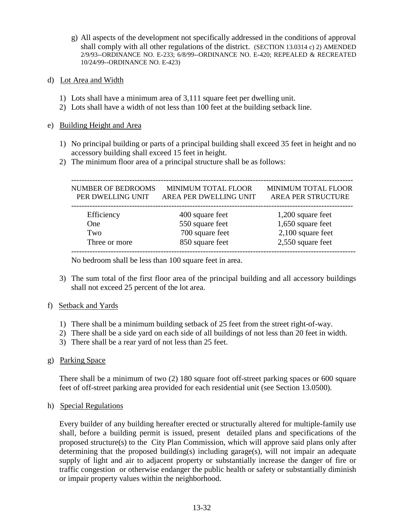- g) All aspects of the development not specifically addressed in the conditions of approval shall comply with all other regulations of the district. (SECTION 13.0314 c) 2) AMENDED 2/9/93--ORDINANCE NO. E-233; 6/8/99--ORDINANCE NO. E-420; REPEALED & RECREATED 10/24/99--ORDINANCE NO. E-423)
- d) Lot Area and Width
	- 1) Lots shall have a minimum area of 3,111 square feet per dwelling unit.
	- 2) Lots shall have a width of not less than 100 feet at the building setback line.

#### e) Building Height and Area

- 1) No principal building or parts of a principal building shall exceed 35 feet in height and no accessory building shall exceed 15 feet in height.
- 2) The minimum floor area of a principal structure shall be as follows:

| <b>NUMBER OF BEDROOMS</b><br>PER DWELLING UNIT | MINIMUM TOTAL FLOOR<br>AREA PER DWELLING UNIT | MINIMUM TOTAL FLOOR<br><b>AREA PER STRUCTURE</b> |
|------------------------------------------------|-----------------------------------------------|--------------------------------------------------|
| Efficiency                                     | 400 square feet                               | 1,200 square feet                                |
| <b>One</b>                                     | 550 square feet                               | 1,650 square feet                                |
| Two                                            | 700 square feet                               | $2,100$ square feet                              |
| Three or more                                  | 850 square feet                               | 2,550 square feet                                |

No bedroom shall be less than 100 square feet in area.

- 3) The sum total of the first floor area of the principal building and all accessory buildings shall not exceed 25 percent of the lot area.
- f) Setback and Yards
	- 1) There shall be a minimum building setback of 25 feet from the street right-of-way.
	- 2) There shall be a side yard on each side of all buildings of not less than 20 feet in width.
	- 3) There shall be a rear yard of not less than 25 feet.
- g) Parking Space

 There shall be a minimum of two (2) 180 square foot off-street parking spaces or 600 square feet of off-street parking area provided for each residential unit (see Section 13.0500).

h) Special Regulations

 Every builder of any building hereafter erected or structurally altered for multiple-family use shall, before a building permit is issued, present detailed plans and specifications of the proposed structure(s) to the City Plan Commission, which will approve said plans only after determining that the proposed building(s) including garage(s), will not impair an adequate supply of light and air to adjacent property or substantially increase the danger of fire or traffic congestion or otherwise endanger the public health or safety or substantially diminish or impair property values within the neighborhood.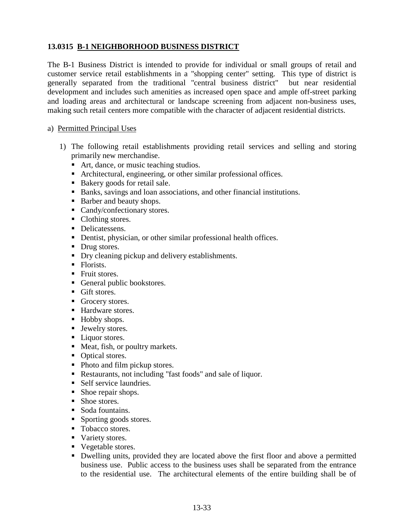# **13.0315 B-1 NEIGHBORHOOD BUSINESS DISTRICT**

The B-1 Business District is intended to provide for individual or small groups of retail and customer service retail establishments in a "shopping center" setting. This type of district is generally separated from the traditional "central business district" but near residential development and includes such amenities as increased open space and ample off-street parking and loading areas and architectural or landscape screening from adjacent non-business uses, making such retail centers more compatible with the character of adjacent residential districts.

#### a) Permitted Principal Uses

- 1) The following retail establishments providing retail services and selling and storing primarily new merchandise.
	- Art, dance, or music teaching studios.
	- Architectural, engineering, or other similar professional offices.
	- Bakery goods for retail sale.
	- Banks, savings and loan associations, and other financial institutions.
	- Barber and beauty shops.
	- **Candy/confectionary stores.**
	- Clothing stores.
	- Delicatessens.
	- Dentist, physician, or other similar professional health offices.
	- Drug stores.
	- Dry cleaning pickup and delivery establishments.
	- Florists.
	- **Fruit stores.**
	- General public bookstores.
	- **Gift stores.**
	- Grocery stores.
	- Hardware stores.
	- Hobby shops.
	- **Jewelry stores.**
	- **Liquor stores.**
	- Meat, fish, or poultry markets.
	- Optical stores.
	- Photo and film pickup stores.
	- Restaurants, not including "fast foods" and sale of liquor.
	- Self service laundries.
	- Shoe repair shops.
	- Shoe stores.
	- Soda fountains.
	- Sporting goods stores.
	- Tobacco stores.
	- Variety stores.
	- Vegetable stores.
	- Dwelling units, provided they are located above the first floor and above a permitted business use. Public access to the business uses shall be separated from the entrance to the residential use. The architectural elements of the entire building shall be of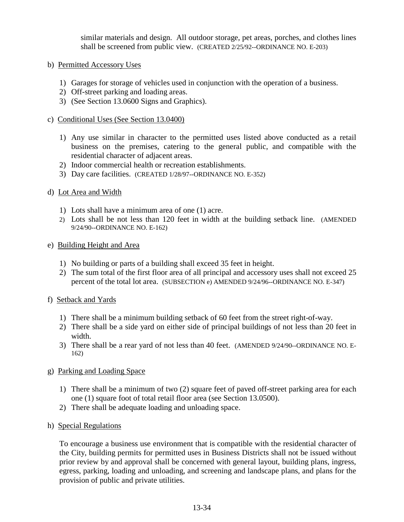similar materials and design. All outdoor storage, pet areas, porches, and clothes lines shall be screened from public view. (CREATED 2/25/92--ORDINANCE NO. E-203)

- b) Permitted Accessory Uses
	- 1) Garages for storage of vehicles used in conjunction with the operation of a business.
	- 2) Off-street parking and loading areas.
	- 3) (See Section 13.0600 Signs and Graphics).

#### c) Conditional Uses (See Section 13.0400)

- 1) Any use similar in character to the permitted uses listed above conducted as a retail business on the premises, catering to the general public, and compatible with the residential character of adjacent areas.
- 2) Indoor commercial health or recreation establishments.
- 3) Day care facilities. (CREATED 1/28/97--ORDINANCE NO. E-352)
- d) Lot Area and Width
	- 1) Lots shall have a minimum area of one (1) acre.
	- 2) Lots shall be not less than 120 feet in width at the building setback line. (AMENDED 9/24/90--ORDINANCE NO. E-162)
- e) Building Height and Area
	- 1) No building or parts of a building shall exceed 35 feet in height.
	- 2) The sum total of the first floor area of all principal and accessory uses shall not exceed 25 percent of the total lot area. (SUBSECTION e) AMENDED 9/24/96--ORDINANCE NO. E-347)
- f) Setback and Yards
	- 1) There shall be a minimum building setback of 60 feet from the street right-of-way.
	- 2) There shall be a side yard on either side of principal buildings of not less than 20 feet in width.
	- 3) There shall be a rear yard of not less than 40 feet. (AMENDED 9/24/90--ORDINANCE NO. E-162)
- g) Parking and Loading Space
	- 1) There shall be a minimum of two (2) square feet of paved off-street parking area for each one (1) square foot of total retail floor area (see Section 13.0500).
	- 2) There shall be adequate loading and unloading space.
- h) Special Regulations

To encourage a business use environment that is compatible with the residential character of the City, building permits for permitted uses in Business Districts shall not be issued without prior review by and approval shall be concerned with general layout, building plans, ingress, egress, parking, loading and unloading, and screening and landscape plans, and plans for the provision of public and private utilities.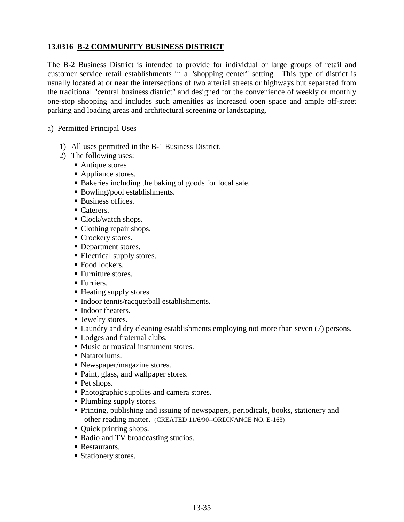# **13.0316 B-2 COMMUNITY BUSINESS DISTRICT**

The B-2 Business District is intended to provide for individual or large groups of retail and customer service retail establishments in a "shopping center" setting. This type of district is usually located at or near the intersections of two arterial streets or highways but separated from the traditional "central business district" and designed for the convenience of weekly or monthly one-stop shopping and includes such amenities as increased open space and ample off-street parking and loading areas and architectural screening or landscaping.

#### a) Permitted Principal Uses

- 1) All uses permitted in the B-1 Business District.
- 2) The following uses:
	- Antique stores
	- Appliance stores.
	- Bakeries including the baking of goods for local sale.
	- Bowling/pool establishments.
	- Business offices.
	- Caterers.
	- Clock/watch shops.
	- Clothing repair shops.
	- Crockery stores.
	- Department stores.
	- **Electrical supply stores.**
	- Food lockers.
	- Furniture stores.
	- **Furriers.**
	- Heating supply stores.
	- Indoor tennis/racquetball establishments.
	- Indoor theaters.
	- **Jewelry stores.**
	- **Laundry and dry cleaning establishments employing not more than seven (7) persons.**
	- Lodges and fraternal clubs.
	- Music or musical instrument stores.
	- Natatoriums.
	- Newspaper/magazine stores.
	- Paint, glass, and wallpaper stores.
	- Pet shops.
	- Photographic supplies and camera stores.
	- Plumbing supply stores.
	- Printing, publishing and issuing of newspapers, periodicals, books, stationery and other reading matter. (CREATED 11/6/90--ORDINANCE NO. E-163)
	- Quick printing shops.
	- Radio and TV broadcasting studios.
	- Restaurants.
	- **Stationery stores.**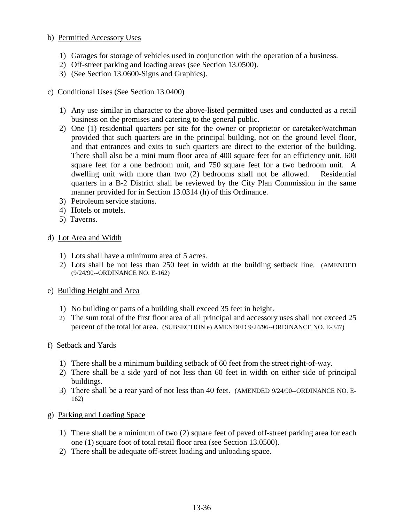## b) Permitted Accessory Uses

- 1) Garages for storage of vehicles used in conjunction with the operation of a business.
- 2) Off-street parking and loading areas (see Section 13.0500).
- 3) (See Section 13.0600-Signs and Graphics).

#### c) Conditional Uses (See Section 13.0400)

- 1) Any use similar in character to the above-listed permitted uses and conducted as a retail business on the premises and catering to the general public.
- 2) One (1) residential quarters per site for the owner or proprietor or caretaker/watchman provided that such quarters are in the principal building, not on the ground level floor, and that entrances and exits to such quarters are direct to the exterior of the building. There shall also be a mini mum floor area of 400 square feet for an efficiency unit, 600 square feet for a one bedroom unit, and 750 square feet for a two bedroom unit. A dwelling unit with more than two (2) bedrooms shall not be allowed. Residential quarters in a B-2 District shall be reviewed by the City Plan Commission in the same manner provided for in Section 13.0314 (h) of this Ordinance.
- 3) Petroleum service stations.
- 4) Hotels or motels.
- 5) Taverns.

#### d) Lot Area and Width

- 1) Lots shall have a minimum area of 5 acres.
- 2) Lots shall be not less than 250 feet in width at the building setback line. (AMENDED (9/24/90--ORDINANCE NO. E-162)
- e) Building Height and Area
	- 1) No building or parts of a building shall exceed 35 feet in height.
	- 2) The sum total of the first floor area of all principal and accessory uses shall not exceed 25 percent of the total lot area. (SUBSECTION e) AMENDED 9/24/96--ORDINANCE NO. E-347)

#### f) Setback and Yards

- 1) There shall be a minimum building setback of 60 feet from the street right-of-way.
- 2) There shall be a side yard of not less than 60 feet in width on either side of principal buildings.
- 3) There shall be a rear yard of not less than 40 feet. (AMENDED 9/24/90--ORDINANCE NO. E-162)
- g) Parking and Loading Space
	- 1) There shall be a minimum of two (2) square feet of paved off-street parking area for each one (1) square foot of total retail floor area (see Section 13.0500).
	- 2) There shall be adequate off-street loading and unloading space.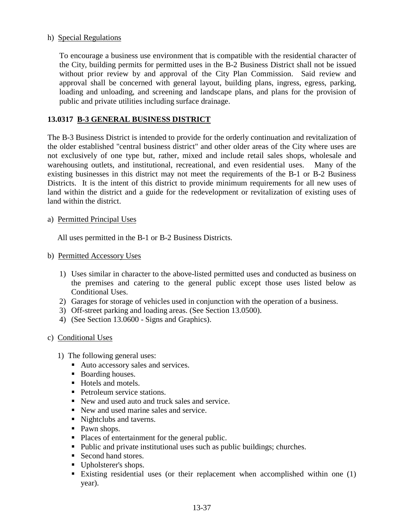### h) Special Regulations

 To encourage a business use environment that is compatible with the residential character of the City, building permits for permitted uses in the B-2 Business District shall not be issued without prior review by and approval of the City Plan Commission. Said review and approval shall be concerned with general layout, building plans, ingress, egress, parking, loading and unloading, and screening and landscape plans, and plans for the provision of public and private utilities including surface drainage.

## **13.0317 B-3 GENERAL BUSINESS DISTRICT**

The B-3 Business District is intended to provide for the orderly continuation and revitalization of the older established "central business district" and other older areas of the City where uses are not exclusively of one type but, rather, mixed and include retail sales shops, wholesale and warehousing outlets, and institutional, recreational, and even residential uses. Many of the existing businesses in this district may not meet the requirements of the B-1 or B-2 Business Districts. It is the intent of this district to provide minimum requirements for all new uses of land within the district and a guide for the redevelopment or revitalization of existing uses of land within the district.

#### a) Permitted Principal Uses

All uses permitted in the B-1 or B-2 Business Districts.

- b) Permitted Accessory Uses
	- 1) Uses similar in character to the above-listed permitted uses and conducted as business on the premises and catering to the general public except those uses listed below as Conditional Uses.
	- 2) Garages for storage of vehicles used in conjunction with the operation of a business.
	- 3) Off-street parking and loading areas. (See Section 13.0500).
	- 4) (See Section 13.0600 Signs and Graphics).
- c) Conditional Uses
	- 1) The following general uses:
		- Auto accessory sales and services.
		- Boarding houses.
		- Hotels and motels.
		- Petroleum service stations.
		- New and used auto and truck sales and service.
		- New and used marine sales and service.
		- lacktriangleright Nightclubs and taverns.
		- Pawn shops.
		- Places of entertainment for the general public.
		- Public and private institutional uses such as public buildings; churches.
		- Second hand stores.
		- Upholsterer's shops.
		- Existing residential uses (or their replacement when accomplished within one (1) year).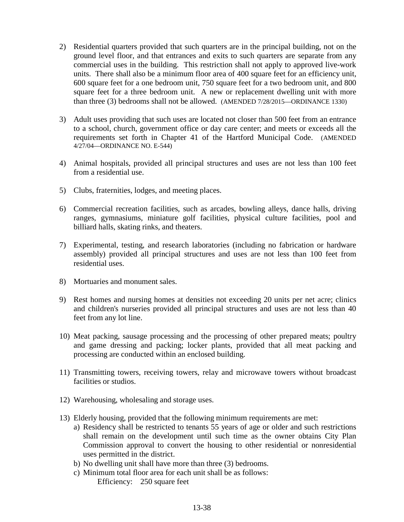- 2) Residential quarters provided that such quarters are in the principal building, not on the ground level floor, and that entrances and exits to such quarters are separate from any commercial uses in the building. This restriction shall not apply to approved live-work units. There shall also be a minimum floor area of 400 square feet for an efficiency unit, 600 square feet for a one bedroom unit, 750 square feet for a two bedroom unit, and 800 square feet for a three bedroom unit. A new or replacement dwelling unit with more than three (3) bedrooms shall not be allowed. (AMENDED 7/28/2015—ORDINANCE 1330)
- 3) Adult uses providing that such uses are located not closer than 500 feet from an entrance to a school, church, government office or day care center; and meets or exceeds all the requirements set forth in Chapter 41 of the Hartford Municipal Code. (AMENDED 4/27/04—ORDINANCE NO. E-544)
- 4) Animal hospitals, provided all principal structures and uses are not less than 100 feet from a residential use.
- 5) Clubs, fraternities, lodges, and meeting places.
- 6) Commercial recreation facilities, such as arcades, bowling alleys, dance halls, driving ranges, gymnasiums, miniature golf facilities, physical culture facilities, pool and billiard halls, skating rinks, and theaters.
- 7) Experimental, testing, and research laboratories (including no fabrication or hardware assembly) provided all principal structures and uses are not less than 100 feet from residential uses.
- 8) Mortuaries and monument sales.
- 9) Rest homes and nursing homes at densities not exceeding 20 units per net acre; clinics and children's nurseries provided all principal structures and uses are not less than 40 feet from any lot line.
- 10) Meat packing, sausage processing and the processing of other prepared meats; poultry and game dressing and packing; locker plants, provided that all meat packing and processing are conducted within an enclosed building.
- 11) Transmitting towers, receiving towers, relay and microwave towers without broadcast facilities or studios.
- 12) Warehousing, wholesaling and storage uses.
- 13) Elderly housing, provided that the following minimum requirements are met:
	- a) Residency shall be restricted to tenants 55 years of age or older and such restrictions shall remain on the development until such time as the owner obtains City Plan Commission approval to convert the housing to other residential or nonresidential uses permitted in the district.
	- b) No dwelling unit shall have more than three (3) bedrooms.
	- c) Minimum total floor area for each unit shall be as follows: Efficiency: 250 square feet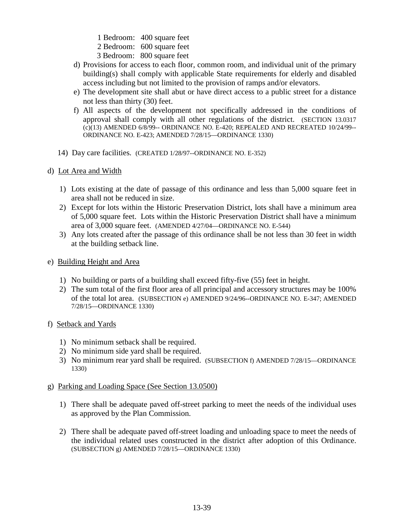1 Bedroom: 400 square feet 2 Bedroom: 600 square feet

- 3 Bedroom: 800 square feet
- d) Provisions for access to each floor, common room, and individual unit of the primary building(s) shall comply with applicable State requirements for elderly and disabled access including but not limited to the provision of ramps and/or elevators.
- e) The development site shall abut or have direct access to a public street for a distance not less than thirty (30) feet.
- f) All aspects of the development not specifically addressed in the conditions of approval shall comply with all other regulations of the district. (SECTION 13.0317 (c)(13) AMENDED 6/8/99-- ORDINANCE NO. E-420; REPEALED AND RECREATED 10/24/99-- ORDINANCE NO. E-423; AMENDED 7/28/15—ORDINANCE 1330)
- 14) Day care facilities. (CREATED 1/28/97--ORDINANCE NO. E-352)
- d) Lot Area and Width
	- 1) Lots existing at the date of passage of this ordinance and less than 5,000 square feet in area shall not be reduced in size.
	- 2) Except for lots within the Historic Preservation District, lots shall have a minimum area of 5,000 square feet. Lots within the Historic Preservation District shall have a minimum area of 3,000 square feet. (AMENDED 4/27/04—ORDINANCE NO. E-544)
	- 3) Any lots created after the passage of this ordinance shall be not less than 30 feet in width at the building setback line.
- e) Building Height and Area
	- 1) No building or parts of a building shall exceed fifty-five (55) feet in height.
	- 2) The sum total of the first floor area of all principal and accessory structures may be 100% of the total lot area. (SUBSECTION e) AMENDED 9/24/96--ORDINANCE NO. E-347; AMENDED 7/28/15—ORDINANCE 1330)
- f) Setback and Yards
	- 1) No minimum setback shall be required.
	- 2) No minimum side yard shall be required.
	- 3) No minimum rear yard shall be required. (SUBSECTION f) AMENDED 7/28/15—ORDINANCE 1330)

#### g) Parking and Loading Space (See Section 13.0500)

- 1) There shall be adequate paved off-street parking to meet the needs of the individual uses as approved by the Plan Commission.
- 2) There shall be adequate paved off-street loading and unloading space to meet the needs of the individual related uses constructed in the district after adoption of this Ordinance. (SUBSECTION g) AMENDED 7/28/15—ORDINANCE 1330)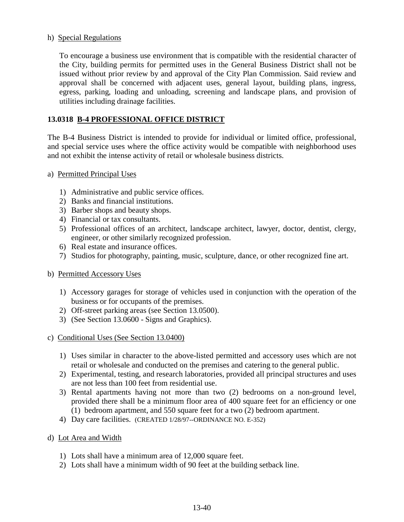#### h) Special Regulations

 To encourage a business use environment that is compatible with the residential character of the City, building permits for permitted uses in the General Business District shall not be issued without prior review by and approval of the City Plan Commission. Said review and approval shall be concerned with adjacent uses, general layout, building plans, ingress, egress, parking, loading and unloading, screening and landscape plans, and provision of utilities including drainage facilities.

## **13.0318 B-4 PROFESSIONAL OFFICE DISTRICT**

The B-4 Business District is intended to provide for individual or limited office, professional, and special service uses where the office activity would be compatible with neighborhood uses and not exhibit the intense activity of retail or wholesale business districts.

- a) Permitted Principal Uses
	- 1) Administrative and public service offices.
	- 2) Banks and financial institutions.
	- 3) Barber shops and beauty shops.
	- 4) Financial or tax consultants.
	- 5) Professional offices of an architect, landscape architect, lawyer, doctor, dentist, clergy, engineer, or other similarly recognized profession.
	- 6) Real estate and insurance offices.
	- 7) Studios for photography, painting, music, sculpture, dance, or other recognized fine art.
- b) Permitted Accessory Uses
	- 1) Accessory garages for storage of vehicles used in conjunction with the operation of the business or for occupants of the premises.
	- 2) Off-street parking areas (see Section 13.0500).
	- 3) (See Section 13.0600 Signs and Graphics).
- c) Conditional Uses (See Section 13.0400)
	- 1) Uses similar in character to the above-listed permitted and accessory uses which are not retail or wholesale and conducted on the premises and catering to the general public.
	- 2) Experimental, testing, and research laboratories, provided all principal structures and uses are not less than 100 feet from residential use.
	- 3) Rental apartments having not more than two (2) bedrooms on a non-ground level, provided there shall be a minimum floor area of 400 square feet for an efficiency or one (1) bedroom apartment, and 550 square feet for a two (2) bedroom apartment.
	- 4) Day care facilities. (CREATED 1/28/97--ORDINANCE NO. E-352)
- d) Lot Area and Width
	- 1) Lots shall have a minimum area of 12,000 square feet.
	- 2) Lots shall have a minimum width of 90 feet at the building setback line.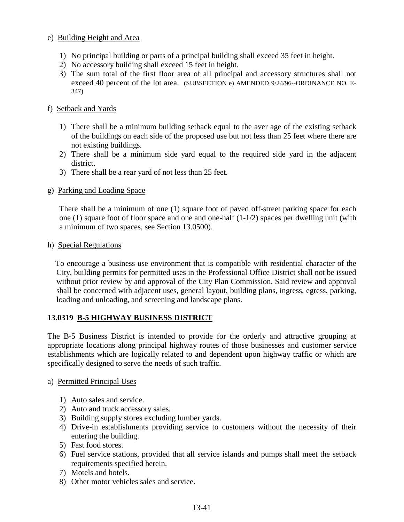## e) Building Height and Area

- 1) No principal building or parts of a principal building shall exceed 35 feet in height.
- 2) No accessory building shall exceed 15 feet in height.
- 3) The sum total of the first floor area of all principal and accessory structures shall not exceed 40 percent of the lot area. (SUBSECTION e) AMENDED 9/24/96--ORDINANCE NO. E-347)

## f) Setback and Yards

- 1) There shall be a minimum building setback equal to the aver age of the existing setback of the buildings on each side of the proposed use but not less than 25 feet where there are not existing buildings.
- 2) There shall be a minimum side yard equal to the required side yard in the adjacent district.
- 3) There shall be a rear yard of not less than 25 feet.
- g) Parking and Loading Space

 There shall be a minimum of one (1) square foot of paved off-street parking space for each one (1) square foot of floor space and one and one-half (1-1/2) spaces per dwelling unit (with a minimum of two spaces, see Section 13.0500).

#### h) Special Regulations

 To encourage a business use environment that is compatible with residential character of the City, building permits for permitted uses in the Professional Office District shall not be issued without prior review by and approval of the City Plan Commission. Said review and approval shall be concerned with adjacent uses, general layout, building plans, ingress, egress, parking, loading and unloading, and screening and landscape plans.

#### **13.0319 B-5 HIGHWAY BUSINESS DISTRICT**

The B-5 Business District is intended to provide for the orderly and attractive grouping at appropriate locations along principal highway routes of those businesses and customer service establishments which are logically related to and dependent upon highway traffic or which are specifically designed to serve the needs of such traffic.

#### a) Permitted Principal Uses

- 1) Auto sales and service.
- 2) Auto and truck accessory sales.
- 3) Building supply stores excluding lumber yards.
- 4) Drive-in establishments providing service to customers without the necessity of their entering the building.
- 5) Fast food stores.
- 6) Fuel service stations, provided that all service islands and pumps shall meet the setback requirements specified herein.
- 7) Motels and hotels.
- 8) Other motor vehicles sales and service.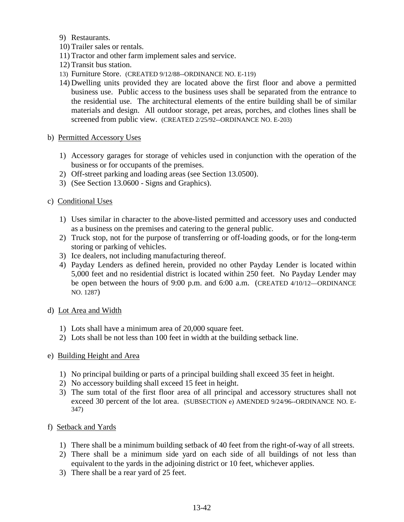9) Restaurants.

- 10) Trailer sales or rentals.
- 11) Tractor and other farm implement sales and service.
- 12) Transit bus station.
- 13) Furniture Store. (CREATED 9/12/88--ORDINANCE NO. E-119)
- 14) Dwelling units provided they are located above the first floor and above a permitted business use. Public access to the business uses shall be separated from the entrance to the residential use. The architectural elements of the entire building shall be of similar materials and design. All outdoor storage, pet areas, porches, and clothes lines shall be screened from public view. (CREATED 2/25/92--ORDINANCE NO. E-203)

#### b) Permitted Accessory Uses

- 1) Accessory garages for storage of vehicles used in conjunction with the operation of the business or for occupants of the premises.
- 2) Off-street parking and loading areas (see Section 13.0500).
- 3) (See Section 13.0600 Signs and Graphics).

#### c) Conditional Uses

- 1) Uses similar in character to the above-listed permitted and accessory uses and conducted as a business on the premises and catering to the general public.
- 2) Truck stop, not for the purpose of transferring or off-loading goods, or for the long-term storing or parking of vehicles.
- 3) Ice dealers, not including manufacturing thereof.
- 4) Payday Lenders as defined herein, provided no other Payday Lender is located within 5,000 feet and no residential district is located within 250 feet. No Payday Lender may be open between the hours of 9:00 p.m. and 6:00 a.m. (CREATED 4/10/12—ORDINANCE NO. 1287)
- d) Lot Area and Width
	- 1) Lots shall have a minimum area of 20,000 square feet.
	- 2) Lots shall be not less than 100 feet in width at the building setback line.

#### e) Building Height and Area

- 1) No principal building or parts of a principal building shall exceed 35 feet in height.
- 2) No accessory building shall exceed 15 feet in height.
- 3) The sum total of the first floor area of all principal and accessory structures shall not exceed 30 percent of the lot area. (SUBSECTION e) AMENDED 9/24/96--ORDINANCE NO. E-347)

#### f) Setback and Yards

- 1) There shall be a minimum building setback of 40 feet from the right-of-way of all streets.
- 2) There shall be a minimum side yard on each side of all buildings of not less than equivalent to the yards in the adjoining district or 10 feet, whichever applies.
- 3) There shall be a rear yard of 25 feet.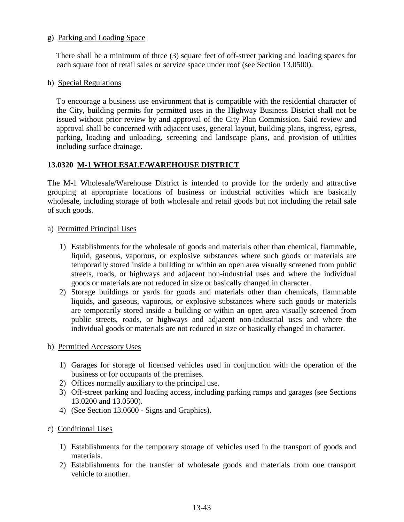#### g) Parking and Loading Space

 There shall be a minimum of three (3) square feet of off-street parking and loading spaces for each square foot of retail sales or service space under roof (see Section 13.0500).

#### h) Special Regulations

To encourage a business use environment that is compatible with the residential character of the City, building permits for permitted uses in the Highway Business District shall not be issued without prior review by and approval of the City Plan Commission. Said review and approval shall be concerned with adjacent uses, general layout, building plans, ingress, egress, parking, loading and unloading, screening and landscape plans, and provision of utilities including surface drainage.

## **13.0320 M-1 WHOLESALE/WAREHOUSE DISTRICT**

The M-1 Wholesale/Warehouse District is intended to provide for the orderly and attractive grouping at appropriate locations of business or industrial activities which are basically wholesale, including storage of both wholesale and retail goods but not including the retail sale of such goods.

## a) Permitted Principal Uses

- 1) Establishments for the wholesale of goods and materials other than chemical, flammable, liquid, gaseous, vaporous, or explosive substances where such goods or materials are temporarily stored inside a building or within an open area visually screened from public streets, roads, or highways and adjacent non-industrial uses and where the individual goods or materials are not reduced in size or basically changed in character.
- 2) Storage buildings or yards for goods and materials other than chemicals, flammable liquids, and gaseous, vaporous, or explosive substances where such goods or materials are temporarily stored inside a building or within an open area visually screened from public streets, roads, or highways and adjacent non-industrial uses and where the individual goods or materials are not reduced in size or basically changed in character.

#### b) Permitted Accessory Uses

- 1) Garages for storage of licensed vehicles used in conjunction with the operation of the business or for occupants of the premises.
- 2) Offices normally auxiliary to the principal use.
- 3) Off-street parking and loading access, including parking ramps and garages (see Sections 13.0200 and 13.0500).
- 4) (See Section 13.0600 Signs and Graphics).

## c) Conditional Uses

- 1) Establishments for the temporary storage of vehicles used in the transport of goods and materials.
- 2) Establishments for the transfer of wholesale goods and materials from one transport vehicle to another.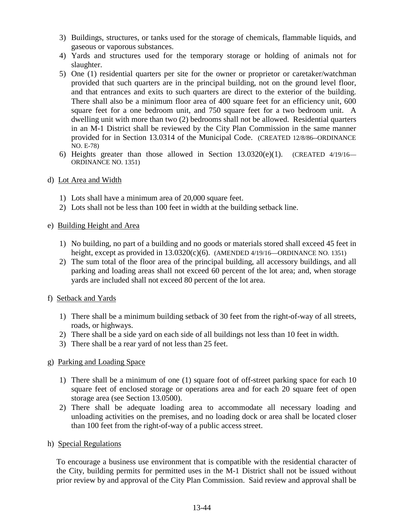- 3) Buildings, structures, or tanks used for the storage of chemicals, flammable liquids, and gaseous or vaporous substances.
- 4) Yards and structures used for the temporary storage or holding of animals not for slaughter.
- 5) One (1) residential quarters per site for the owner or proprietor or caretaker/watchman provided that such quarters are in the principal building, not on the ground level floor, and that entrances and exits to such quarters are direct to the exterior of the building. There shall also be a minimum floor area of 400 square feet for an efficiency unit, 600 square feet for a one bedroom unit, and 750 square feet for a two bedroom unit. A dwelling unit with more than two (2) bedrooms shall not be allowed. Residential quarters in an M-1 District shall be reviewed by the City Plan Commission in the same manner provided for in Section 13.0314 of the Municipal Code. (CREATED 12/8/86--ORDINANCE NO. E-78)
- 6) Heights greater than those allowed in Section  $13.0320(e)(1)$ . (CREATED  $4/19/16$  ORDINANCE NO. 1351)
- d) Lot Area and Width
	- 1) Lots shall have a minimum area of 20,000 square feet.
	- 2) Lots shall not be less than 100 feet in width at the building setback line.
- e) Building Height and Area
	- 1) No building, no part of a building and no goods or materials stored shall exceed 45 feet in height, except as provided in  $13.0320(c)(6)$ . (AMENDED 4/19/16—ORDINANCE NO. 1351)
	- 2) The sum total of the floor area of the principal building, all accessory buildings, and all parking and loading areas shall not exceed 60 percent of the lot area; and, when storage yards are included shall not exceed 80 percent of the lot area.
- f) Setback and Yards
	- 1) There shall be a minimum building setback of 30 feet from the right-of-way of all streets, roads, or highways.
	- 2) There shall be a side yard on each side of all buildings not less than 10 feet in width.
	- 3) There shall be a rear yard of not less than 25 feet.

## g) Parking and Loading Space

- 1) There shall be a minimum of one (1) square foot of off-street parking space for each 10 square feet of enclosed storage or operations area and for each 20 square feet of open storage area (see Section 13.0500).
- 2) There shall be adequate loading area to accommodate all necessary loading and unloading activities on the premises, and no loading dock or area shall be located closer than 100 feet from the right-of-way of a public access street.
- h) Special Regulations

To encourage a business use environment that is compatible with the residential character of the City, building permits for permitted uses in the M-1 District shall not be issued without prior review by and approval of the City Plan Commission. Said review and approval shall be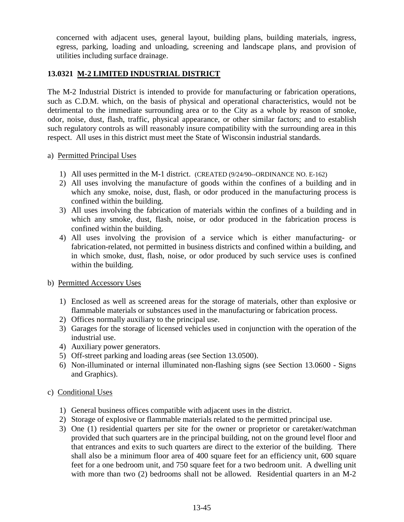concerned with adjacent uses, general layout, building plans, building materials, ingress, egress, parking, loading and unloading, screening and landscape plans, and provision of utilities including surface drainage.

## **13.0321 M-2 LIMITED INDUSTRIAL DISTRICT**

The M-2 Industrial District is intended to provide for manufacturing or fabrication operations, such as C.D.M. which, on the basis of physical and operational characteristics, would not be detrimental to the immediate surrounding area or to the City as a whole by reason of smoke, odor, noise, dust, flash, traffic, physical appearance, or other similar factors; and to establish such regulatory controls as will reasonably insure compatibility with the surrounding area in this respect. All uses in this district must meet the State of Wisconsin industrial standards.

## a) Permitted Principal Uses

- 1) All uses permitted in the M-1 district. (CREATED (9/24/90--ORDINANCE NO. E-162)
- 2) All uses involving the manufacture of goods within the confines of a building and in which any smoke, noise, dust, flash, or odor produced in the manufacturing process is confined within the building.
- 3) All uses involving the fabrication of materials within the confines of a building and in which any smoke, dust, flash, noise, or odor produced in the fabrication process is confined within the building.
- 4) All uses involving the provision of a service which is either manufacturing- or fabrication-related, not permitted in business districts and confined within a building, and in which smoke, dust, flash, noise, or odor produced by such service uses is confined within the building.

#### b) Permitted Accessory Uses

- 1) Enclosed as well as screened areas for the storage of materials, other than explosive or flammable materials or substances used in the manufacturing or fabrication process.
- 2) Offices normally auxiliary to the principal use.
- 3) Garages for the storage of licensed vehicles used in conjunction with the operation of the industrial use.
- 4) Auxiliary power generators.
- 5) Off-street parking and loading areas (see Section 13.0500).
- 6) Non-illuminated or internal illuminated non-flashing signs (see Section 13.0600 Signs and Graphics).

## c) Conditional Uses

- 1) General business offices compatible with adjacent uses in the district.
- 2) Storage of explosive or flammable materials related to the permitted principal use.
- 3) One (1) residential quarters per site for the owner or proprietor or caretaker/watchman provided that such quarters are in the principal building, not on the ground level floor and that entrances and exits to such quarters are direct to the exterior of the building. There shall also be a minimum floor area of 400 square feet for an efficiency unit, 600 square feet for a one bedroom unit, and 750 square feet for a two bedroom unit. A dwelling unit with more than two (2) bedrooms shall not be allowed. Residential quarters in an M-2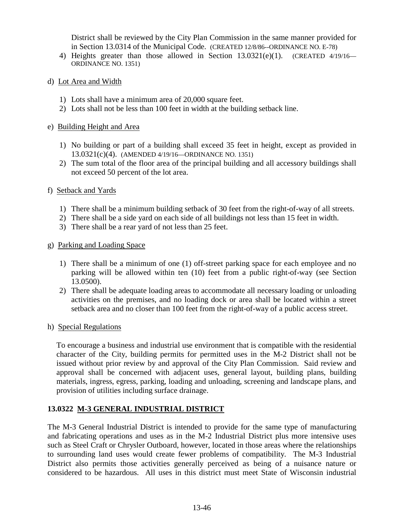District shall be reviewed by the City Plan Commission in the same manner provided for in Section 13.0314 of the Municipal Code. (CREATED 12/8/86--ORDINANCE NO. E-78)

- 4) Heights greater than those allowed in Section 13.0321(e)(1). (CREATED 4/19/16— ORDINANCE NO. 1351)
- d) Lot Area and Width
	- 1) Lots shall have a minimum area of 20,000 square feet.
	- 2) Lots shall not be less than 100 feet in width at the building setback line.

#### e) Building Height and Area

- 1) No building or part of a building shall exceed 35 feet in height, except as provided in 13.0321(c)(4). (AMENDED 4/19/16—ORDINANCE NO. 1351)
- 2) The sum total of the floor area of the principal building and all accessory buildings shall not exceed 50 percent of the lot area.

## f) Setback and Yards

- 1) There shall be a minimum building setback of 30 feet from the right-of-way of all streets.
- 2) There shall be a side yard on each side of all buildings not less than 15 feet in width.
- 3) There shall be a rear yard of not less than 25 feet.
- g) Parking and Loading Space
	- 1) There shall be a minimum of one (1) off-street parking space for each employee and no parking will be allowed within ten (10) feet from a public right-of-way (see Section 13.0500).
	- 2) There shall be adequate loading areas to accommodate all necessary loading or unloading activities on the premises, and no loading dock or area shall be located within a street setback area and no closer than 100 feet from the right-of-way of a public access street.

#### h) Special Regulations

To encourage a business and industrial use environment that is compatible with the residential character of the City, building permits for permitted uses in the M-2 District shall not be issued without prior review by and approval of the City Plan Commission. Said review and approval shall be concerned with adjacent uses, general layout, building plans, building materials, ingress, egress, parking, loading and unloading, screening and landscape plans, and provision of utilities including surface drainage.

## **13.0322 M-3 GENERAL INDUSTRIAL DISTRICT**

The M-3 General Industrial District is intended to provide for the same type of manufacturing and fabricating operations and uses as in the M-2 Industrial District plus more intensive uses such as Steel Craft or Chrysler Outboard, however, located in those areas where the relationships to surrounding land uses would create fewer problems of compatibility. The M-3 Industrial District also permits those activities generally perceived as being of a nuisance nature or considered to be hazardous. All uses in this district must meet State of Wisconsin industrial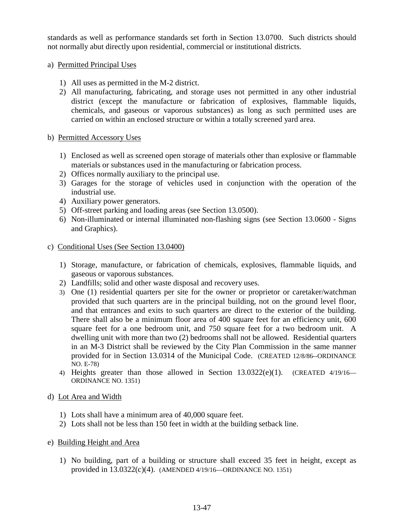standards as well as performance standards set forth in Section 13.0700. Such districts should not normally abut directly upon residential, commercial or institutional districts.

## a) Permitted Principal Uses

- 1) All uses as permitted in the M-2 district.
- 2) All manufacturing, fabricating, and storage uses not permitted in any other industrial district (except the manufacture or fabrication of explosives, flammable liquids, chemicals, and gaseous or vaporous substances) as long as such permitted uses are carried on within an enclosed structure or within a totally screened yard area.

## b) Permitted Accessory Uses

- 1) Enclosed as well as screened open storage of materials other than explosive or flammable materials or substances used in the manufacturing or fabrication process.
- 2) Offices normally auxiliary to the principal use.
- 3) Garages for the storage of vehicles used in conjunction with the operation of the industrial use.
- 4) Auxiliary power generators.
- 5) Off-street parking and loading areas (see Section 13.0500).
- 6) Non-illuminated or internal illuminated non-flashing signs (see Section 13.0600 Signs and Graphics).
- c) Conditional Uses (See Section 13.0400)
	- 1) Storage, manufacture, or fabrication of chemicals, explosives, flammable liquids, and gaseous or vaporous substances.
	- 2) Landfills; solid and other waste disposal and recovery uses.
	- 3) One (1) residential quarters per site for the owner or proprietor or caretaker/watchman provided that such quarters are in the principal building, not on the ground level floor, and that entrances and exits to such quarters are direct to the exterior of the building. There shall also be a minimum floor area of 400 square feet for an efficiency unit, 600 square feet for a one bedroom unit, and 750 square feet for a two bedroom unit. A dwelling unit with more than two (2) bedrooms shall not be allowed. Residential quarters in an M-3 District shall be reviewed by the City Plan Commission in the same manner provided for in Section 13.0314 of the Municipal Code. (CREATED 12/8/86--ORDINANCE NO. E-78)
	- 4) Heights greater than those allowed in Section 13.0322(e)(1). (CREATED 4/19/16— ORDINANCE NO. 1351)

#### d) Lot Area and Width

- 1) Lots shall have a minimum area of 40,000 square feet.
- 2) Lots shall not be less than 150 feet in width at the building setback line.

#### e) Building Height and Area

1) No building, part of a building or structure shall exceed 35 feet in height, except as provided in 13.0322(c)(4). (AMENDED 4/19/16—ORDINANCE NO. 1351)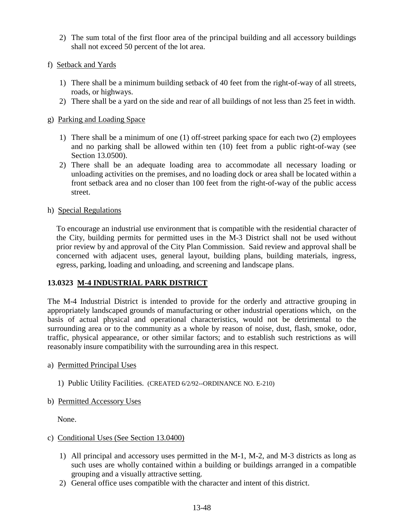- 2) The sum total of the first floor area of the principal building and all accessory buildings shall not exceed 50 percent of the lot area.
- f) Setback and Yards
	- 1) There shall be a minimum building setback of 40 feet from the right-of-way of all streets, roads, or highways.
	- 2) There shall be a yard on the side and rear of all buildings of not less than 25 feet in width.
- g) Parking and Loading Space
	- 1) There shall be a minimum of one (1) off-street parking space for each two (2) employees and no parking shall be allowed within ten (10) feet from a public right-of-way (see Section 13.0500).
	- 2) There shall be an adequate loading area to accommodate all necessary loading or unloading activities on the premises, and no loading dock or area shall be located within a front setback area and no closer than 100 feet from the right-of-way of the public access street.
- h) Special Regulations

To encourage an industrial use environment that is compatible with the residential character of the City, building permits for permitted uses in the M-3 District shall not be used without prior review by and approval of the City Plan Commission. Said review and approval shall be concerned with adjacent uses, general layout, building plans, building materials, ingress, egress, parking, loading and unloading, and screening and landscape plans.

## **13.0323 M-4 INDUSTRIAL PARK DISTRICT**

The M-4 Industrial District is intended to provide for the orderly and attractive grouping in appropriately landscaped grounds of manufacturing or other industrial operations which, on the basis of actual physical and operational characteristics, would not be detrimental to the surrounding area or to the community as a whole by reason of noise, dust, flash, smoke, odor, traffic, physical appearance, or other similar factors; and to establish such restrictions as will reasonably insure compatibility with the surrounding area in this respect.

- a) Permitted Principal Uses
	- 1) Public Utility Facilities. (CREATED 6/2/92--ORDINANCE NO. E-210)
- b) Permitted Accessory Uses

None.

- c) Conditional Uses (See Section 13.0400)
	- 1) All principal and accessory uses permitted in the M-1, M-2, and M-3 districts as long as such uses are wholly contained within a building or buildings arranged in a compatible grouping and a visually attractive setting.
	- 2) General office uses compatible with the character and intent of this district.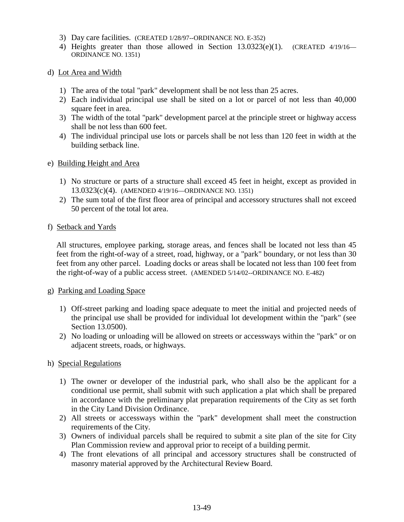- 3) Day care facilities. (CREATED 1/28/97--ORDINANCE NO. E-352)
- 4) Heights greater than those allowed in Section 13.0323(e)(1). (CREATED 4/19/16— ORDINANCE NO. 1351)
- d) Lot Area and Width
	- 1) The area of the total "park" development shall be not less than 25 acres.
	- 2) Each individual principal use shall be sited on a lot or parcel of not less than 40,000 square feet in area.
	- 3) The width of the total "park" development parcel at the principle street or highway access shall be not less than 600 feet.
	- 4) The individual principal use lots or parcels shall be not less than 120 feet in width at the building setback line.
- e) Building Height and Area
	- 1) No structure or parts of a structure shall exceed 45 feet in height, except as provided in 13.0323(c)(4). (AMENDED 4/19/16—ORDINANCE NO. 1351)
	- 2) The sum total of the first floor area of principal and accessory structures shall not exceed 50 percent of the total lot area.
- f) Setback and Yards

All structures, employee parking, storage areas, and fences shall be located not less than 45 feet from the right-of-way of a street, road, highway, or a "park" boundary, or not less than 30 feet from any other parcel. Loading docks or areas shall be located not less than 100 feet from the right-of-way of a public access street. (AMENDED 5/14/02--ORDINANCE NO. E-482)

#### g) Parking and Loading Space

- 1) Off-street parking and loading space adequate to meet the initial and projected needs of the principal use shall be provided for individual lot development within the "park" (see Section 13.0500).
- 2) No loading or unloading will be allowed on streets or accessways within the "park" or on adjacent streets, roads, or highways.

#### h) Special Regulations

- 1) The owner or developer of the industrial park, who shall also be the applicant for a conditional use permit, shall submit with such application a plat which shall be prepared in accordance with the preliminary plat preparation requirements of the City as set forth in the City Land Division Ordinance.
- 2) All streets or accessways within the "park" development shall meet the construction requirements of the City.
- 3) Owners of individual parcels shall be required to submit a site plan of the site for City Plan Commission review and approval prior to receipt of a building permit.
- 4) The front elevations of all principal and accessory structures shall be constructed of masonry material approved by the Architectural Review Board.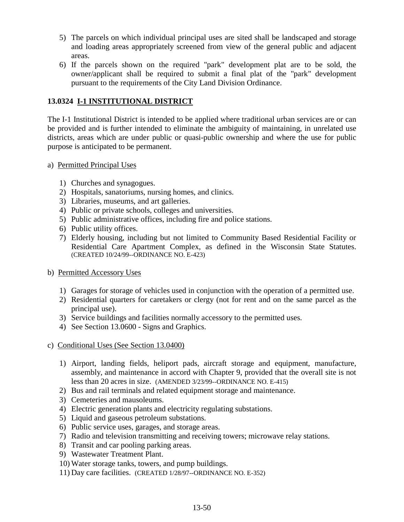- 5) The parcels on which individual principal uses are sited shall be landscaped and storage and loading areas appropriately screened from view of the general public and adjacent areas.
- 6) If the parcels shown on the required "park" development plat are to be sold, the owner/applicant shall be required to submit a final plat of the "park" development pursuant to the requirements of the City Land Division Ordinance.

# **13.0324 I-1 INSTITUTIONAL DISTRICT**

The I-1 Institutional District is intended to be applied where traditional urban services are or can be provided and is further intended to eliminate the ambiguity of maintaining, in unrelated use districts, areas which are under public or quasi-public ownership and where the use for public purpose is anticipated to be permanent.

- a) Permitted Principal Uses
	- 1) Churches and synagogues.
	- 2) Hospitals, sanatoriums, nursing homes, and clinics.
	- 3) Libraries, museums, and art galleries.
	- 4) Public or private schools, colleges and universities.
	- 5) Public administrative offices, including fire and police stations.
	- 6) Public utility offices.
	- 7) Elderly housing, including but not limited to Community Based Residential Facility or Residential Care Apartment Complex, as defined in the Wisconsin State Statutes. (CREATED 10/24/99--ORDINANCE NO. E-423)
- b) Permitted Accessory Uses
	- 1) Garages for storage of vehicles used in conjunction with the operation of a permitted use.
	- 2) Residential quarters for caretakers or clergy (not for rent and on the same parcel as the principal use).
	- 3) Service buildings and facilities normally accessory to the permitted uses.
	- 4) See Section 13.0600 Signs and Graphics.
- c) Conditional Uses (See Section 13.0400)
	- 1) Airport, landing fields, heliport pads, aircraft storage and equipment, manufacture, assembly, and maintenance in accord with Chapter 9, provided that the overall site is not less than 20 acres in size. (AMENDED 3/23/99--ORDINANCE NO. E-415)
	- 2) Bus and rail terminals and related equipment storage and maintenance.
	- 3) Cemeteries and mausoleums.
	- 4) Electric generation plants and electricity regulating substations.
	- 5) Liquid and gaseous petroleum substations.
	- 6) Public service uses, garages, and storage areas.
	- 7) Radio and television transmitting and receiving towers; microwave relay stations.
	- 8) Transit and car pooling parking areas.
	- 9) Wastewater Treatment Plant.
	- 10) Water storage tanks, towers, and pump buildings.
	- 11) Day care facilities. (CREATED 1/28/97--ORDINANCE NO. E-352)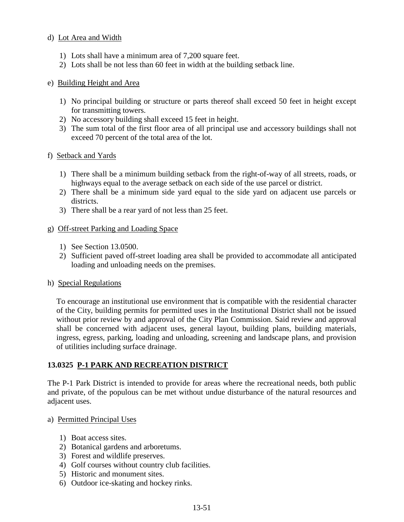#### d) Lot Area and Width

- 1) Lots shall have a minimum area of 7,200 square feet.
- 2) Lots shall be not less than 60 feet in width at the building setback line.

## e) Building Height and Area

- 1) No principal building or structure or parts thereof shall exceed 50 feet in height except for transmitting towers.
- 2) No accessory building shall exceed 15 feet in height.
- 3) The sum total of the first floor area of all principal use and accessory buildings shall not exceed 70 percent of the total area of the lot.

## f) Setback and Yards

- 1) There shall be a minimum building setback from the right-of-way of all streets, roads, or highways equal to the average setback on each side of the use parcel or district.
- 2) There shall be a minimum side yard equal to the side yard on adjacent use parcels or districts.
- 3) There shall be a rear yard of not less than 25 feet.

## g) Off-street Parking and Loading Space

- 1) See Section 13.0500.
- 2) Sufficient paved off-street loading area shall be provided to accommodate all anticipated loading and unloading needs on the premises.

#### h) Special Regulations

To encourage an institutional use environment that is compatible with the residential character of the City, building permits for permitted uses in the Institutional District shall not be issued without prior review by and approval of the City Plan Commission. Said review and approval shall be concerned with adjacent uses, general layout, building plans, building materials, ingress, egress, parking, loading and unloading, screening and landscape plans, and provision of utilities including surface drainage.

## **13.0325 P-1 PARK AND RECREATION DISTRICT**

The P-1 Park District is intended to provide for areas where the recreational needs, both public and private, of the populous can be met without undue disturbance of the natural resources and adjacent uses.

#### a) Permitted Principal Uses

- 1) Boat access sites.
- 2) Botanical gardens and arboretums.
- 3) Forest and wildlife preserves.
- 4) Golf courses without country club facilities.
- 5) Historic and monument sites.
- 6) Outdoor ice-skating and hockey rinks.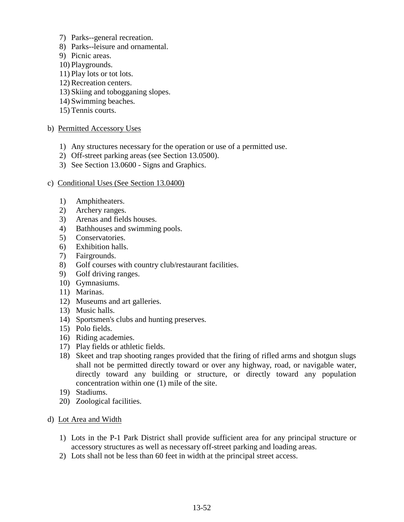- 7) Parks--general recreation.
- 8) Parks--leisure and ornamental.
- 9) Picnic areas.
- 10) Playgrounds.
- 11) Play lots or tot lots.
- 12) Recreation centers.
- 13) Skiing and tobogganing slopes.
- 14) Swimming beaches.
- 15) Tennis courts.

#### b) Permitted Accessory Uses

- 1) Any structures necessary for the operation or use of a permitted use.
- 2) Off-street parking areas (see Section 13.0500).
- 3) See Section 13.0600 Signs and Graphics.

#### c) Conditional Uses (See Section 13.0400)

- 1) Amphitheaters.
- 2) Archery ranges.
- 3) Arenas and fields houses.
- 4) Bathhouses and swimming pools.
- 5) Conservatories.
- 6) Exhibition halls.
- 7) Fairgrounds.
- 8) Golf courses with country club/restaurant facilities.
- 9) Golf driving ranges.
- 10) Gymnasiums.
- 11) Marinas.
- 12) Museums and art galleries.
- 13) Music halls.
- 14) Sportsmen's clubs and hunting preserves.
- 15) Polo fields.
- 16) Riding academies.
- 17) Play fields or athletic fields.
- 18) Skeet and trap shooting ranges provided that the firing of rifled arms and shotgun slugs shall not be permitted directly toward or over any highway, road, or navigable water, directly toward any building or structure, or directly toward any population concentration within one (1) mile of the site.
- 19) Stadiums.
- 20) Zoological facilities.
- d) Lot Area and Width
	- 1) Lots in the P-1 Park District shall provide sufficient area for any principal structure or accessory structures as well as necessary off-street parking and loading areas.
	- 2) Lots shall not be less than 60 feet in width at the principal street access.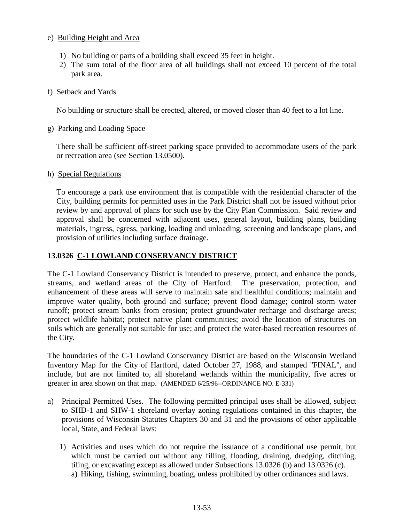### e) Building Height and Area

- 1) No building or parts of a building shall exceed 35 feet in height.
- 2) The sum total of the floor area of all buildings shall not exceed 10 percent of the total park area.

## f) Setback and Yards

No building or structure shall be erected, altered, or moved closer than 40 feet to a lot line.

#### g) Parking and Loading Space

There shall be sufficient off-street parking space provided to accommodate users of the park or recreation area (see Section 13.0500).

#### h) Special Regulations

To encourage a park use environment that is compatible with the residential character of the City, building permits for permitted uses in the Park District shall not be issued without prior review by and approval of plans for such use by the City Plan Commission. Said review and approval shall be concerned with adjacent uses, general layout, building plans, building materials, ingress, egress, parking, loading and unloading, screening and landscape plans, and provision of utilities including surface drainage.

## **13.0326 C-1 LOWLAND CONSERVANCY DISTRICT**

The C-1 Lowland Conservancy District is intended to preserve, protect, and enhance the ponds, streams, and wetland areas of the City of Hartford. The preservation, protection, and enhancement of these areas will serve to maintain safe and healthful conditions; maintain and improve water quality, both ground and surface; prevent flood damage; control storm water runoff; protect stream banks from erosion; protect groundwater recharge and discharge areas; protect wildlife habitat; protect native plant communities; avoid the location of structures on soils which are generally not suitable for use; and protect the water-based recreation resources of the City.

The boundaries of the C-1 Lowland Conservancy District are based on the Wisconsin Wetland Inventory Map for the City of Hartford, dated October 27, 1988, and stamped "FINAL", and include, but are not limited to, all shoreland wetlands within the municipality, five acres or greater in area shown on that map. (AMENDED 6/25/96--ORDINANCE NO. E-331)

- a) Principal Permitted Uses. The following permitted principal uses shall be allowed, subject to SHD-1 and SHW-1 shoreland overlay zoning regulations contained in this chapter, the provisions of Wisconsin Statutes Chapters 30 and 31 and the provisions of other applicable local, State, and Federal laws:
	- 1) Activities and uses which do not require the issuance of a conditional use permit, but which must be carried out without any filling, flooding, draining, dredging, ditching, tiling, or excavating except as allowed under Subsections 13.0326 (b) and 13.0326 (c). a) Hiking, fishing, swimming, boating, unless prohibited by other ordinances and laws.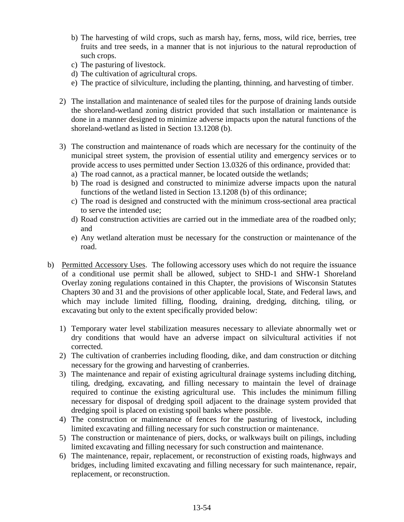- b) The harvesting of wild crops, such as marsh hay, ferns, moss, wild rice, berries, tree fruits and tree seeds, in a manner that is not injurious to the natural reproduction of such crops.
- c) The pasturing of livestock.
- d) The cultivation of agricultural crops.
- e) The practice of silviculture, including the planting, thinning, and harvesting of timber.
- 2) The installation and maintenance of sealed tiles for the purpose of draining lands outside the shoreland-wetland zoning district provided that such installation or maintenance is done in a manner designed to minimize adverse impacts upon the natural functions of the shoreland-wetland as listed in Section 13.1208 (b).
- 3) The construction and maintenance of roads which are necessary for the continuity of the municipal street system, the provision of essential utility and emergency services or to provide access to uses permitted under Section 13.0326 of this ordinance, provided that:
	- a) The road cannot, as a practical manner, be located outside the wetlands;
	- b) The road is designed and constructed to minimize adverse impacts upon the natural functions of the wetland listed in Section 13.1208 (b) of this ordinance;
	- c) The road is designed and constructed with the minimum cross-sectional area practical to serve the intended use;
	- d) Road construction activities are carried out in the immediate area of the roadbed only; and
	- e) Any wetland alteration must be necessary for the construction or maintenance of the road.
- b) Permitted Accessory Uses. The following accessory uses which do not require the issuance of a conditional use permit shall be allowed, subject to SHD-1 and SHW-1 Shoreland Overlay zoning regulations contained in this Chapter, the provisions of Wisconsin Statutes Chapters 30 and 31 and the provisions of other applicable local, State, and Federal laws, and which may include limited filling, flooding, draining, dredging, ditching, tiling, or excavating but only to the extent specifically provided below:
	- 1) Temporary water level stabilization measures necessary to alleviate abnormally wet or dry conditions that would have an adverse impact on silvicultural activities if not corrected.
	- 2) The cultivation of cranberries including flooding, dike, and dam construction or ditching necessary for the growing and harvesting of cranberries.
	- 3) The maintenance and repair of existing agricultural drainage systems including ditching, tiling, dredging, excavating, and filling necessary to maintain the level of drainage required to continue the existing agricultural use. This includes the minimum filling necessary for disposal of dredging spoil adjacent to the drainage system provided that dredging spoil is placed on existing spoil banks where possible.
	- 4) The construction or maintenance of fences for the pasturing of livestock, including limited excavating and filling necessary for such construction or maintenance.
	- 5) The construction or maintenance of piers, docks, or walkways built on pilings, including limited excavating and filling necessary for such construction and maintenance.
	- 6) The maintenance, repair, replacement, or reconstruction of existing roads, highways and bridges, including limited excavating and filling necessary for such maintenance, repair, replacement, or reconstruction.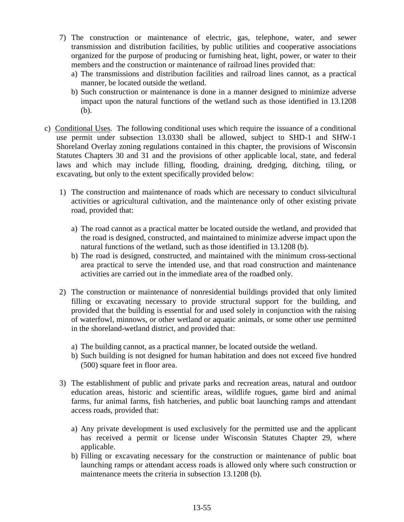- 7) The construction or maintenance of electric, gas, telephone, water, and sewer transmission and distribution facilities, by public utilities and cooperative associations organized for the purpose of producing or furnishing heat, light, power, or water to their members and the construction or maintenance of railroad lines provided that:
	- a) The transmissions and distribution facilities and railroad lines cannot, as a practical manner, be located outside the wetland.
	- b) Such construction or maintenance is done in a manner designed to minimize adverse impact upon the natural functions of the wetland such as those identified in 13.1208 (b).
- c) Conditional Uses. The following conditional uses which require the issuance of a conditional use permit under subsection 13.0330 shall be allowed, subject to SHD-1 and SHW-1 Shoreland Overlay zoning regulations contained in this chapter, the provisions of Wisconsin Statutes Chapters 30 and 31 and the provisions of other applicable local, state, and federal laws and which may include filling, flooding, draining, dredging, ditching, tiling, or excavating, but only to the extent specifically provided below:
	- 1) The construction and maintenance of roads which are necessary to conduct silvicultural activities or agricultural cultivation, and the maintenance only of other existing private road, provided that:
		- a) The road cannot as a practical matter be located outside the wetland, and provided that the road is designed, constructed, and maintained to minimize adverse impact upon the natural functions of the wetland, such as those identified in 13.1208 (b).
		- b) The road is designed, constructed, and maintained with the minimum cross-sectional area practical to serve the intended use, and that road construction and maintenance activities are carried out in the immediate area of the roadbed only.
	- 2) The construction or maintenance of nonresidential buildings provided that only limited filling or excavating necessary to provide structural support for the building, and provided that the building is essential for and used solely in conjunction with the raising of waterfowl, minnows, or other wetland or aquatic animals, or some other use permitted in the shoreland-wetland district, and provided that:
		- a) The building cannot, as a practical manner, be located outside the wetland.
		- b) Such building is not designed for human habitation and does not exceed five hundred (500) square feet in floor area.
	- 3) The establishment of public and private parks and recreation areas, natural and outdoor education areas, historic and scientific areas, wildlife rogues, game bird and animal farms, fur animal farms, fish hatcheries, and public boat launching ramps and attendant access roads, provided that:
		- a) Any private development is used exclusively for the permitted use and the applicant has received a permit or license under Wisconsin Statutes Chapter 29, where applicable.
		- b) Filling or excavating necessary for the construction or maintenance of public boat launching ramps or attendant access roads is allowed only where such construction or maintenance meets the criteria in subsection 13.1208 (b).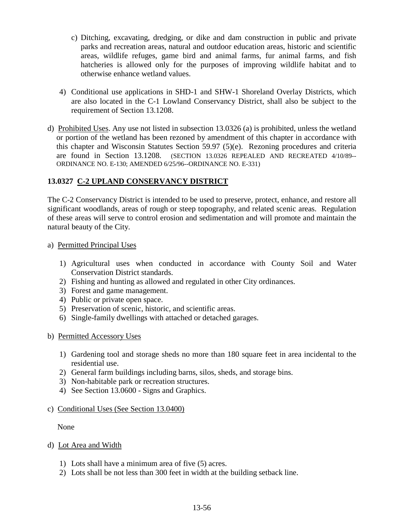- c) Ditching, excavating, dredging, or dike and dam construction in public and private parks and recreation areas, natural and outdoor education areas, historic and scientific areas, wildlife refuges, game bird and animal farms, fur animal farms, and fish hatcheries is allowed only for the purposes of improving wildlife habitat and to otherwise enhance wetland values.
- 4) Conditional use applications in SHD-1 and SHW-1 Shoreland Overlay Districts, which are also located in the C-1 Lowland Conservancy District, shall also be subject to the requirement of Section 13.1208.
- d) Prohibited Uses. Any use not listed in subsection 13.0326 (a) is prohibited, unless the wetland or portion of the wetland has been rezoned by amendment of this chapter in accordance with this chapter and Wisconsin Statutes Section 59.97 (5)(e). Rezoning procedures and criteria are found in Section 13.1208. (SECTION 13.0326 REPEALED AND RECREATED 4/10/89-- ORDINANCE NO. E-130; AMENDED 6/25/96--ORDINANCE NO. E-331)

# **13.0327 C-2 UPLAND CONSERVANCY DISTRICT**

The C-2 Conservancy District is intended to be used to preserve, protect, enhance, and restore all significant woodlands, areas of rough or steep topography, and related scenic areas. Regulation of these areas will serve to control erosion and sedimentation and will promote and maintain the natural beauty of the City.

#### a) Permitted Principal Uses

- 1) Agricultural uses when conducted in accordance with County Soil and Water Conservation District standards.
- 2) Fishing and hunting as allowed and regulated in other City ordinances.
- 3) Forest and game management.
- 4) Public or private open space.
- 5) Preservation of scenic, historic, and scientific areas.
- 6) Single-family dwellings with attached or detached garages.
- b) Permitted Accessory Uses
	- 1) Gardening tool and storage sheds no more than 180 square feet in area incidental to the residential use.
	- 2) General farm buildings including barns, silos, sheds, and storage bins.
	- 3) Non-habitable park or recreation structures.
	- 4) See Section 13.0600 Signs and Graphics.

#### c) Conditional Uses (See Section 13.0400)

None

- d) Lot Area and Width
	- 1) Lots shall have a minimum area of five (5) acres.
	- 2) Lots shall be not less than 300 feet in width at the building setback line.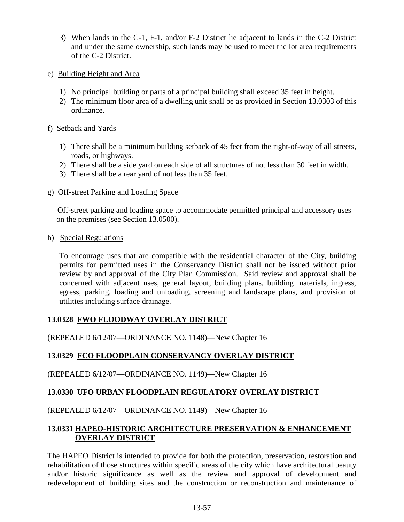- 3) When lands in the C-1, F-1, and/or F-2 District lie adjacent to lands in the C-2 District and under the same ownership, such lands may be used to meet the lot area requirements of the C-2 District.
- e) Building Height and Area
	- 1) No principal building or parts of a principal building shall exceed 35 feet in height.
	- 2) The minimum floor area of a dwelling unit shall be as provided in Section 13.0303 of this ordinance.

## f) Setback and Yards

- 1) There shall be a minimum building setback of 45 feet from the right-of-way of all streets, roads, or highways.
- 2) There shall be a side yard on each side of all structures of not less than 30 feet in width.
- 3) There shall be a rear yard of not less than 35 feet.
- g) Off-street Parking and Loading Space

 Off-street parking and loading space to accommodate permitted principal and accessory uses on the premises (see Section 13.0500).

h) Special Regulations

 To encourage uses that are compatible with the residential character of the City, building permits for permitted uses in the Conservancy District shall not be issued without prior review by and approval of the City Plan Commission. Said review and approval shall be concerned with adjacent uses, general layout, building plans, building materials, ingress, egress, parking, loading and unloading, screening and landscape plans, and provision of utilities including surface drainage.

# **13.0328 FWO FLOODWAY OVERLAY DISTRICT**

(REPEALED 6/12/07—ORDINANCE NO. 1148)—New Chapter 16

## **13.0329 FCO FLOODPLAIN CONSERVANCY OVERLAY DISTRICT**

(REPEALED 6/12/07—ORDINANCE NO. 1149)—New Chapter 16

## **13.0330 UFO URBAN FLOODPLAIN REGULATORY OVERLAY DISTRICT**

(REPEALED 6/12/07—ORDINANCE NO. 1149)—New Chapter 16

# **13.0331 HAPEO-HISTORIC ARCHITECTURE PRESERVATION & ENHANCEMENT OVERLAY DISTRICT**

The HAPEO District is intended to provide for both the protection, preservation, restoration and rehabilitation of those structures within specific areas of the city which have architectural beauty and/or historic significance as well as the review and approval of development and redevelopment of building sites and the construction or reconstruction and maintenance of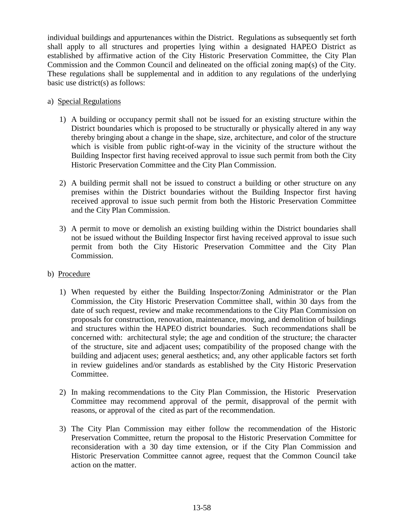individual buildings and appurtenances within the District. Regulations as subsequently set forth shall apply to all structures and properties lying within a designated HAPEO District as established by affirmative action of the City Historic Preservation Committee, the City Plan Commission and the Common Council and delineated on the official zoning map(s) of the City. These regulations shall be supplemental and in addition to any regulations of the underlying basic use district(s) as follows:

## a) Special Regulations

- 1) A building or occupancy permit shall not be issued for an existing structure within the District boundaries which is proposed to be structurally or physically altered in any way thereby bringing about a change in the shape, size, architecture, and color of the structure which is visible from public right-of-way in the vicinity of the structure without the Building Inspector first having received approval to issue such permit from both the City Historic Preservation Committee and the City Plan Commission.
- 2) A building permit shall not be issued to construct a building or other structure on any premises within the District boundaries without the Building Inspector first having received approval to issue such permit from both the Historic Preservation Committee and the City Plan Commission.
- 3) A permit to move or demolish an existing building within the District boundaries shall not be issued without the Building Inspector first having received approval to issue such permit from both the City Historic Preservation Committee and the City Plan Commission.

#### b) Procedure

- 1) When requested by either the Building Inspector/Zoning Administrator or the Plan Commission, the City Historic Preservation Committee shall, within 30 days from the date of such request, review and make recommendations to the City Plan Commission on proposals for construction, renovation, maintenance, moving, and demolition of buildings and structures within the HAPEO district boundaries. Such recommendations shall be concerned with: architectural style; the age and condition of the structure; the character of the structure, site and adjacent uses; compatibility of the proposed change with the building and adjacent uses; general aesthetics; and, any other applicable factors set forth in review guidelines and/or standards as established by the City Historic Preservation Committee.
- 2) In making recommendations to the City Plan Commission, the Historic Preservation Committee may recommend approval of the permit, disapproval of the permit with reasons, or approval of the cited as part of the recommendation.
- 3) The City Plan Commission may either follow the recommendation of the Historic Preservation Committee, return the proposal to the Historic Preservation Committee for reconsideration with a 30 day time extension, or if the City Plan Commission and Historic Preservation Committee cannot agree, request that the Common Council take action on the matter.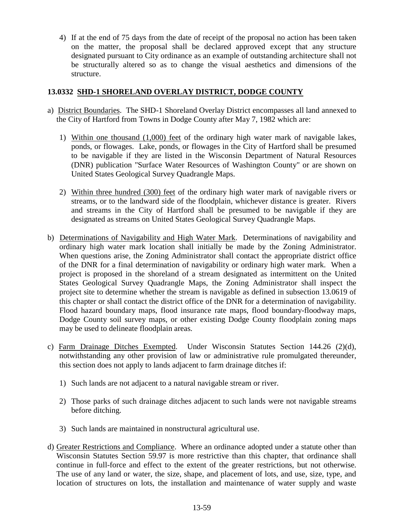4) If at the end of 75 days from the date of receipt of the proposal no action has been taken on the matter, the proposal shall be declared approved except that any structure designated pursuant to City ordinance as an example of outstanding architecture shall not be structurally altered so as to change the visual aesthetics and dimensions of the structure.

## **13.0332 SHD-1 SHORELAND OVERLAY DISTRICT, DODGE COUNTY**

- a) District Boundaries. The SHD-1 Shoreland Overlay District encompasses all land annexed to the City of Hartford from Towns in Dodge County after May 7, 1982 which are:
	- 1) Within one thousand (1,000) feet of the ordinary high water mark of navigable lakes, ponds, or flowages. Lake, ponds, or flowages in the City of Hartford shall be presumed to be navigable if they are listed in the Wisconsin Department of Natural Resources (DNR) publication "Surface Water Resources of Washington County" or are shown on United States Geological Survey Quadrangle Maps.
	- 2) Within three hundred (300) feet of the ordinary high water mark of navigable rivers or streams, or to the landward side of the floodplain, whichever distance is greater. Rivers and streams in the City of Hartford shall be presumed to be navigable if they are designated as streams on United States Geological Survey Quadrangle Maps.
- b) Determinations of Navigability and High Water Mark. Determinations of navigability and ordinary high water mark location shall initially be made by the Zoning Administrator. When questions arise, the Zoning Administrator shall contact the appropriate district office of the DNR for a final determination of navigability or ordinary high water mark. When a project is proposed in the shoreland of a stream designated as intermittent on the United States Geological Survey Quadrangle Maps, the Zoning Administrator shall inspect the project site to determine whether the stream is navigable as defined in subsection 13.0619 of this chapter or shall contact the district office of the DNR for a determination of navigability. Flood hazard boundary maps, flood insurance rate maps, flood boundary-floodway maps, Dodge County soil survey maps, or other existing Dodge County floodplain zoning maps may be used to delineate floodplain areas.
- c) Farm Drainage Ditches Exempted. Under Wisconsin Statutes Section 144.26 (2)(d), notwithstanding any other provision of law or administrative rule promulgated thereunder, this section does not apply to lands adjacent to farm drainage ditches if:
	- 1) Such lands are not adjacent to a natural navigable stream or river.
	- 2) Those parks of such drainage ditches adjacent to such lands were not navigable streams before ditching.
	- 3) Such lands are maintained in nonstructural agricultural use.
- d) Greater Restrictions and Compliance. Where an ordinance adopted under a statute other than Wisconsin Statutes Section 59.97 is more restrictive than this chapter, that ordinance shall continue in full-force and effect to the extent of the greater restrictions, but not otherwise. The use of any land or water, the size, shape, and placement of lots, and use, size, type, and location of structures on lots, the installation and maintenance of water supply and waste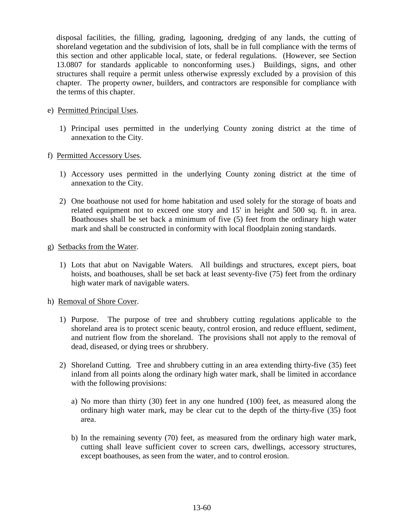disposal facilities, the filling, grading, lagooning, dredging of any lands, the cutting of shoreland vegetation and the subdivision of lots, shall be in full compliance with the terms of this section and other applicable local, state, or federal regulations. (However, see Section 13.0807 for standards applicable to nonconforming uses.) Buildings, signs, and other structures shall require a permit unless otherwise expressly excluded by a provision of this chapter. The property owner, builders, and contractors are responsible for compliance with the terms of this chapter.

- e) Permitted Principal Uses.
	- 1) Principal uses permitted in the underlying County zoning district at the time of annexation to the City.
- f) Permitted Accessory Uses.
	- 1) Accessory uses permitted in the underlying County zoning district at the time of annexation to the City.
	- 2) One boathouse not used for home habitation and used solely for the storage of boats and related equipment not to exceed one story and 15' in height and 500 sq. ft. in area. Boathouses shall be set back a minimum of five (5) feet from the ordinary high water mark and shall be constructed in conformity with local floodplain zoning standards.
- g) Setbacks from the Water.
	- 1) Lots that abut on Navigable Waters. All buildings and structures, except piers, boat hoists, and boathouses, shall be set back at least seventy-five (75) feet from the ordinary high water mark of navigable waters.
- h) Removal of Shore Cover.
	- 1) Purpose. The purpose of tree and shrubbery cutting regulations applicable to the shoreland area is to protect scenic beauty, control erosion, and reduce effluent, sediment, and nutrient flow from the shoreland. The provisions shall not apply to the removal of dead, diseased, or dying trees or shrubbery.
	- 2) Shoreland Cutting. Tree and shrubbery cutting in an area extending thirty-five (35) feet inland from all points along the ordinary high water mark, shall be limited in accordance with the following provisions:
		- a) No more than thirty (30) feet in any one hundred (100) feet, as measured along the ordinary high water mark, may be clear cut to the depth of the thirty-five (35) foot area.
		- b) In the remaining seventy (70) feet, as measured from the ordinary high water mark, cutting shall leave sufficient cover to screen cars, dwellings, accessory structures, except boathouses, as seen from the water, and to control erosion.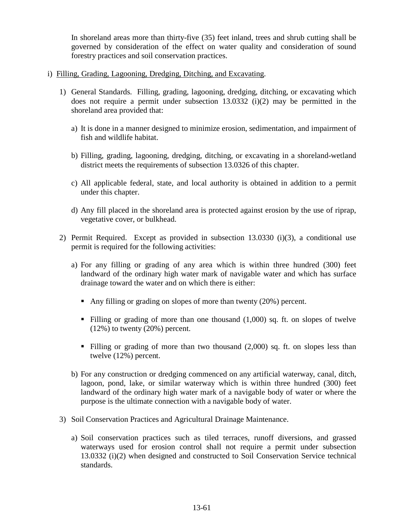In shoreland areas more than thirty-five (35) feet inland, trees and shrub cutting shall be governed by consideration of the effect on water quality and consideration of sound forestry practices and soil conservation practices.

- i) Filling, Grading, Lagooning, Dredging, Ditching, and Excavating.
	- 1) General Standards. Filling, grading, lagooning, dredging, ditching, or excavating which does not require a permit under subsection  $13.0332$  (i)(2) may be permitted in the shoreland area provided that:
		- a) It is done in a manner designed to minimize erosion, sedimentation, and impairment of fish and wildlife habitat.
		- b) Filling, grading, lagooning, dredging, ditching, or excavating in a shoreland-wetland district meets the requirements of subsection 13.0326 of this chapter.
		- c) All applicable federal, state, and local authority is obtained in addition to a permit under this chapter.
		- d) Any fill placed in the shoreland area is protected against erosion by the use of riprap, vegetative cover, or bulkhead.
	- 2) Permit Required. Except as provided in subsection 13.0330 (i)(3), a conditional use permit is required for the following activities:
		- a) For any filling or grading of any area which is within three hundred (300) feet landward of the ordinary high water mark of navigable water and which has surface drainage toward the water and on which there is either:
			- Any filling or grading on slopes of more than twenty (20%) percent.
			- Filling or grading of more than one thousand  $(1,000)$  sq. ft. on slopes of twelve  $(12\%)$  to twenty  $(20\%)$  percent.
			- Filling or grading of more than two thousand  $(2,000)$  sq. ft. on slopes less than twelve (12%) percent.
		- b) For any construction or dredging commenced on any artificial waterway, canal, ditch, lagoon, pond, lake, or similar waterway which is within three hundred (300) feet landward of the ordinary high water mark of a navigable body of water or where the purpose is the ultimate connection with a navigable body of water.
	- 3) Soil Conservation Practices and Agricultural Drainage Maintenance.
		- a) Soil conservation practices such as tiled terraces, runoff diversions, and grassed waterways used for erosion control shall not require a permit under subsection 13.0332 (i)(2) when designed and constructed to Soil Conservation Service technical standards.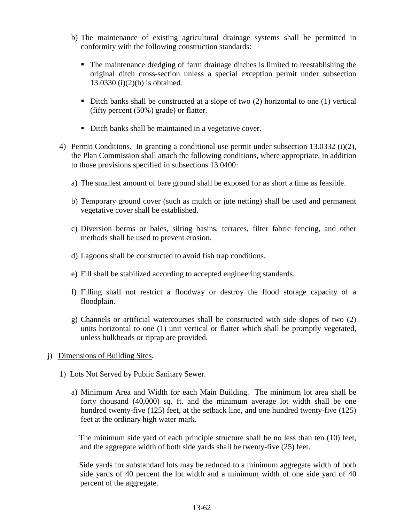- b) The maintenance of existing agricultural drainage systems shall be permitted in conformity with the following construction standards:
	- The maintenance dredging of farm drainage ditches is limited to reestablishing the original ditch cross-section unless a special exception permit under subsection 13.0330 (i)(2)(b) is obtained.
	- Ditch banks shall be constructed at a slope of two  $(2)$  horizontal to one  $(1)$  vertical (fifty percent (50%) grade) or flatter.
	- Ditch banks shall be maintained in a vegetative cover.
- 4) Permit Conditions. In granting a conditional use permit under subsection 13.0332 (i)(2), the Plan Commission shall attach the following conditions, where appropriate, in addition to those provisions specified in subsections 13.0400:
	- a) The smallest amount of bare ground shall be exposed for as short a time as feasible.
	- b) Temporary ground cover (such as mulch or jute netting) shall be used and permanent vegetative cover shall be established.
	- c) Diversion berms or bales, silting basins, terraces, filter fabric fencing, and other methods shall be used to prevent erosion.
	- d) Lagoons shall be constructed to avoid fish trap conditions.
	- e) Fill shall be stabilized according to accepted engineering standards.
	- f) Filling shall not restrict a floodway or destroy the flood storage capacity of a floodplain.
	- g) Channels or artificial watercourses shall be constructed with side slopes of two (2) units horizontal to one (1) unit vertical or flatter which shall be promptly vegetated, unless bulkheads or riprap are provided.
- j) Dimensions of Building Sites.
	- 1) Lots Not Served by Public Sanitary Sewer.
		- a) Minimum Area and Width for each Main Building. The minimum lot area shall be forty thousand (40,000) sq. ft. and the minimum average lot width shall be one hundred twenty-five (125) feet, at the setback line, and one hundred twenty-five (125) feet at the ordinary high water mark.

The minimum side yard of each principle structure shall be no less than ten (10) feet, and the aggregate width of both side yards shall be twenty-five (25) feet.

Side yards for substandard lots may be reduced to a minimum aggregate width of both side yards of 40 percent the lot width and a minimum width of one side yard of 40 percent of the aggregate.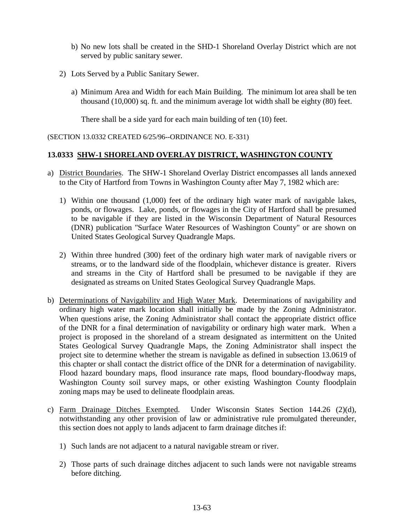- b) No new lots shall be created in the SHD-1 Shoreland Overlay District which are not served by public sanitary sewer.
- 2) Lots Served by a Public Sanitary Sewer.
	- a) Minimum Area and Width for each Main Building. The minimum lot area shall be ten thousand (10,000) sq. ft. and the minimum average lot width shall be eighty (80) feet.

There shall be a side yard for each main building of ten (10) feet.

(SECTION 13.0332 CREATED 6/25/96--ORDINANCE NO. E-331)

#### **13.0333 SHW-1 SHORELAND OVERLAY DISTRICT, WASHINGTON COUNTY**

- a) District Boundaries. The SHW-1 Shoreland Overlay District encompasses all lands annexed to the City of Hartford from Towns in Washington County after May 7, 1982 which are:
	- 1) Within one thousand (1,000) feet of the ordinary high water mark of navigable lakes, ponds, or flowages. Lake, ponds, or flowages in the City of Hartford shall be presumed to be navigable if they are listed in the Wisconsin Department of Natural Resources (DNR) publication "Surface Water Resources of Washington County" or are shown on United States Geological Survey Quadrangle Maps.
	- 2) Within three hundred (300) feet of the ordinary high water mark of navigable rivers or streams, or to the landward side of the floodplain, whichever distance is greater. Rivers and streams in the City of Hartford shall be presumed to be navigable if they are designated as streams on United States Geological Survey Quadrangle Maps.
- b) Determinations of Navigability and High Water Mark. Determinations of navigability and ordinary high water mark location shall initially be made by the Zoning Administrator. When questions arise, the Zoning Administrator shall contact the appropriate district office of the DNR for a final determination of navigability or ordinary high water mark. When a project is proposed in the shoreland of a stream designated as intermittent on the United States Geological Survey Quadrangle Maps, the Zoning Administrator shall inspect the project site to determine whether the stream is navigable as defined in subsection 13.0619 of this chapter or shall contact the district office of the DNR for a determination of navigability. Flood hazard boundary maps, flood insurance rate maps, flood boundary-floodway maps, Washington County soil survey maps, or other existing Washington County floodplain zoning maps may be used to delineate floodplain areas.
- c) Farm Drainage Ditches Exempted. Under Wisconsin States Section 144.26 (2)(d), notwithstanding any other provision of law or administrative rule promulgated thereunder, this section does not apply to lands adjacent to farm drainage ditches if:
	- 1) Such lands are not adjacent to a natural navigable stream or river.
	- 2) Those parts of such drainage ditches adjacent to such lands were not navigable streams before ditching.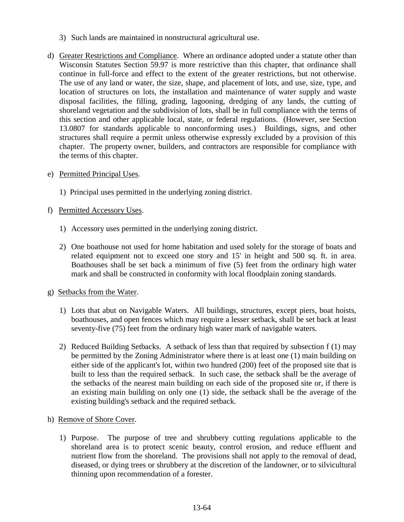- 3) Such lands are maintained in nonstructural agricultural use.
- d) Greater Restrictions and Compliance. Where an ordinance adopted under a statute other than Wisconsin Statutes Section 59.97 is more restrictive than this chapter, that ordinance shall continue in full-force and effect to the extent of the greater restrictions, but not otherwise. The use of any land or water, the size, shape, and placement of lots, and use, size, type, and location of structures on lots, the installation and maintenance of water supply and waste disposal facilities, the filling, grading, lagooning, dredging of any lands, the cutting of shoreland vegetation and the subdivision of lots, shall be in full compliance with the terms of this section and other applicable local, state, or federal regulations. (However, see Section 13.0807 for standards applicable to nonconforming uses.) Buildings, signs, and other structures shall require a permit unless otherwise expressly excluded by a provision of this chapter. The property owner, builders, and contractors are responsible for compliance with the terms of this chapter.
- e) Permitted Principal Uses.
	- 1) Principal uses permitted in the underlying zoning district.
- f) Permitted Accessory Uses.
	- 1) Accessory uses permitted in the underlying zoning district.
	- 2) One boathouse not used for home habitation and used solely for the storage of boats and related equipment not to exceed one story and 15' in height and 500 sq. ft. in area. Boathouses shall be set back a minimum of five (5) feet from the ordinary high water mark and shall be constructed in conformity with local floodplain zoning standards.
- g) Setbacks from the Water.
	- 1) Lots that abut on Navigable Waters. All buildings, structures, except piers, boat hoists, boathouses, and open fences which may require a lesser setback, shall be set back at least seventy-five (75) feet from the ordinary high water mark of navigable waters.
	- 2) Reduced Building Setbacks. A setback of less than that required by subsection f (1) may be permitted by the Zoning Administrator where there is at least one (1) main building on either side of the applicant's lot, within two hundred (200) feet of the proposed site that is built to less than the required setback. In such case, the setback shall be the average of the setbacks of the nearest main building on each side of the proposed site or, if there is an existing main building on only one (1) side, the setback shall be the average of the existing building's setback and the required setback.
- h) Remove of Shore Cover.
	- 1) Purpose. The purpose of tree and shrubbery cutting regulations applicable to the shoreland area is to protect scenic beauty, control erosion, and reduce effluent and nutrient flow from the shoreland. The provisions shall not apply to the removal of dead, diseased, or dying trees or shrubbery at the discretion of the landowner, or to silvicultural thinning upon recommendation of a forester.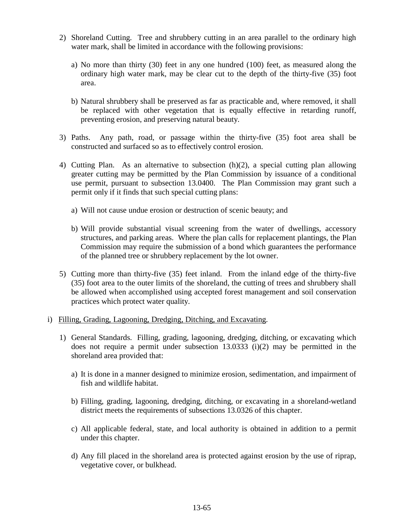- 2) Shoreland Cutting. Tree and shrubbery cutting in an area parallel to the ordinary high water mark, shall be limited in accordance with the following provisions:
	- a) No more than thirty (30) feet in any one hundred (100) feet, as measured along the ordinary high water mark, may be clear cut to the depth of the thirty-five (35) foot area.
	- b) Natural shrubbery shall be preserved as far as practicable and, where removed, it shall be replaced with other vegetation that is equally effective in retarding runoff, preventing erosion, and preserving natural beauty.
- 3) Paths. Any path, road, or passage within the thirty-five (35) foot area shall be constructed and surfaced so as to effectively control erosion.
- 4) Cutting Plan. As an alternative to subsection (h)(2), a special cutting plan allowing greater cutting may be permitted by the Plan Commission by issuance of a conditional use permit, pursuant to subsection 13.0400. The Plan Commission may grant such a permit only if it finds that such special cutting plans:
	- a) Will not cause undue erosion or destruction of scenic beauty; and
	- b) Will provide substantial visual screening from the water of dwellings, accessory structures, and parking areas. Where the plan calls for replacement plantings, the Plan Commission may require the submission of a bond which guarantees the performance of the planned tree or shrubbery replacement by the lot owner.
- 5) Cutting more than thirty-five (35) feet inland. From the inland edge of the thirty-five (35) foot area to the outer limits of the shoreland, the cutting of trees and shrubbery shall be allowed when accomplished using accepted forest management and soil conservation practices which protect water quality.
- i) Filling, Grading, Lagooning, Dredging, Ditching, and Excavating.
	- 1) General Standards. Filling, grading, lagooning, dredging, ditching, or excavating which does not require a permit under subsection 13.0333 (i)(2) may be permitted in the shoreland area provided that:
		- a) It is done in a manner designed to minimize erosion, sedimentation, and impairment of fish and wildlife habitat.
		- b) Filling, grading, lagooning, dredging, ditching, or excavating in a shoreland-wetland district meets the requirements of subsections 13.0326 of this chapter.
		- c) All applicable federal, state, and local authority is obtained in addition to a permit under this chapter.
		- d) Any fill placed in the shoreland area is protected against erosion by the use of riprap, vegetative cover, or bulkhead.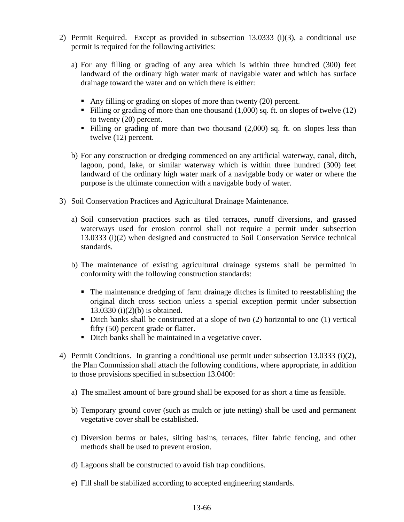- 2) Permit Required. Except as provided in subsection 13.0333 (i)(3), a conditional use permit is required for the following activities:
	- a) For any filling or grading of any area which is within three hundred (300) feet landward of the ordinary high water mark of navigable water and which has surface drainage toward the water and on which there is either:
		- Any filling or grading on slopes of more than twenty (20) percent.
		- Filling or grading of more than one thousand  $(1,000)$  sq. ft. on slopes of twelve  $(12)$ to twenty (20) percent.
		- Filling or grading of more than two thousand (2,000) sq. ft. on slopes less than twelve (12) percent.
	- b) For any construction or dredging commenced on any artificial waterway, canal, ditch, lagoon, pond, lake, or similar waterway which is within three hundred (300) feet landward of the ordinary high water mark of a navigable body or water or where the purpose is the ultimate connection with a navigable body of water.
- 3) Soil Conservation Practices and Agricultural Drainage Maintenance.
	- a) Soil conservation practices such as tiled terraces, runoff diversions, and grassed waterways used for erosion control shall not require a permit under subsection 13.0333 (i)(2) when designed and constructed to Soil Conservation Service technical standards.
	- b) The maintenance of existing agricultural drainage systems shall be permitted in conformity with the following construction standards:
		- The maintenance dredging of farm drainage ditches is limited to reestablishing the original ditch cross section unless a special exception permit under subsection 13.0330 (i)(2)(b) is obtained.
		- Ditch banks shall be constructed at a slope of two  $(2)$  horizontal to one  $(1)$  vertical fifty (50) percent grade or flatter.
		- Ditch banks shall be maintained in a vegetative cover.
- 4) Permit Conditions. In granting a conditional use permit under subsection 13.0333 (i)(2), the Plan Commission shall attach the following conditions, where appropriate, in addition to those provisions specified in subsection 13.0400:
	- a) The smallest amount of bare ground shall be exposed for as short a time as feasible.
	- b) Temporary ground cover (such as mulch or jute netting) shall be used and permanent vegetative cover shall be established.
	- c) Diversion berms or bales, silting basins, terraces, filter fabric fencing, and other methods shall be used to prevent erosion.
	- d) Lagoons shall be constructed to avoid fish trap conditions.
	- e) Fill shall be stabilized according to accepted engineering standards.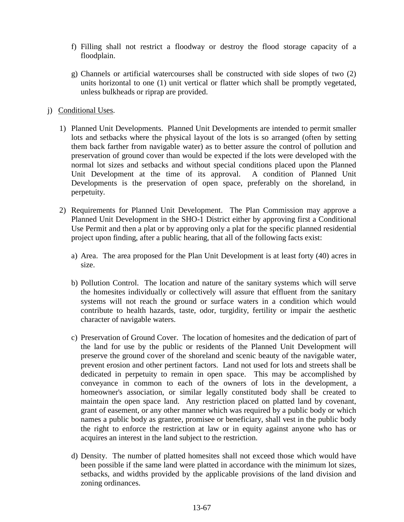- f) Filling shall not restrict a floodway or destroy the flood storage capacity of a floodplain.
- g) Channels or artificial watercourses shall be constructed with side slopes of two (2) units horizontal to one (1) unit vertical or flatter which shall be promptly vegetated, unless bulkheads or riprap are provided.
- j) Conditional Uses.
	- 1) Planned Unit Developments. Planned Unit Developments are intended to permit smaller lots and setbacks where the physical layout of the lots is so arranged (often by setting them back farther from navigable water) as to better assure the control of pollution and preservation of ground cover than would be expected if the lots were developed with the normal lot sizes and setbacks and without special conditions placed upon the Planned Unit Development at the time of its approval. A condition of Planned Unit Developments is the preservation of open space, preferably on the shoreland, in perpetuity.
	- 2) Requirements for Planned Unit Development. The Plan Commission may approve a Planned Unit Development in the SHO-1 District either by approving first a Conditional Use Permit and then a plat or by approving only a plat for the specific planned residential project upon finding, after a public hearing, that all of the following facts exist:
		- a) Area. The area proposed for the Plan Unit Development is at least forty (40) acres in size.
		- b) Pollution Control. The location and nature of the sanitary systems which will serve the homesites individually or collectively will assure that effluent from the sanitary systems will not reach the ground or surface waters in a condition which would contribute to health hazards, taste, odor, turgidity, fertility or impair the aesthetic character of navigable waters.
		- c) Preservation of Ground Cover. The location of homesites and the dedication of part of the land for use by the public or residents of the Planned Unit Development will preserve the ground cover of the shoreland and scenic beauty of the navigable water, prevent erosion and other pertinent factors. Land not used for lots and streets shall be dedicated in perpetuity to remain in open space. This may be accomplished by conveyance in common to each of the owners of lots in the development, a homeowner's association, or similar legally constituted body shall be created to maintain the open space land. Any restriction placed on platted land by covenant, grant of easement, or any other manner which was required by a public body or which names a public body as grantee, promisee or beneficiary, shall vest in the public body the right to enforce the restriction at law or in equity against anyone who has or acquires an interest in the land subject to the restriction.
		- d) Density. The number of platted homesites shall not exceed those which would have been possible if the same land were platted in accordance with the minimum lot sizes, setbacks, and widths provided by the applicable provisions of the land division and zoning ordinances.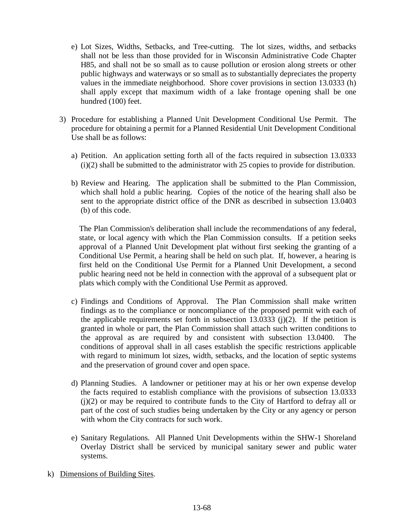- e) Lot Sizes, Widths, Setbacks, and Tree-cutting. The lot sizes, widths, and setbacks shall not be less than those provided for in Wisconsin Administrative Code Chapter H85, and shall not be so small as to cause pollution or erosion along streets or other public highways and waterways or so small as to substantially depreciates the property values in the immediate neighborhood. Shore cover provisions in section 13.0333 (h) shall apply except that maximum width of a lake frontage opening shall be one hundred (100) feet.
- 3) Procedure for establishing a Planned Unit Development Conditional Use Permit. The procedure for obtaining a permit for a Planned Residential Unit Development Conditional Use shall be as follows:
	- a) Petition. An application setting forth all of the facts required in subsection 13.0333 (i)(2) shall be submitted to the administrator with 25 copies to provide for distribution.
	- b) Review and Hearing. The application shall be submitted to the Plan Commission, which shall hold a public hearing. Copies of the notice of the hearing shall also be sent to the appropriate district office of the DNR as described in subsection 13.0403 (b) of this code.

The Plan Commission's deliberation shall include the recommendations of any federal, state, or local agency with which the Plan Commission consults. If a petition seeks approval of a Planned Unit Development plat without first seeking the granting of a Conditional Use Permit, a hearing shall be held on such plat. If, however, a hearing is first held on the Conditional Use Permit for a Planned Unit Development, a second public hearing need not be held in connection with the approval of a subsequent plat or plats which comply with the Conditional Use Permit as approved.

- c) Findings and Conditions of Approval. The Plan Commission shall make written findings as to the compliance or noncompliance of the proposed permit with each of the applicable requirements set forth in subsection  $13.0333$  (j)(2). If the petition is granted in whole or part, the Plan Commission shall attach such written conditions to the approval as are required by and consistent with subsection 13.0400. The conditions of approval shall in all cases establish the specific restrictions applicable with regard to minimum lot sizes, width, setbacks, and the location of septic systems and the preservation of ground cover and open space.
- d) Planning Studies. A landowner or petitioner may at his or her own expense develop the facts required to establish compliance with the provisions of subsection 13.0333 (j)(2) or may be required to contribute funds to the City of Hartford to defray all or part of the cost of such studies being undertaken by the City or any agency or person with whom the City contracts for such work.
- e) Sanitary Regulations. All Planned Unit Developments within the SHW-1 Shoreland Overlay District shall be serviced by municipal sanitary sewer and public water systems.
- k) Dimensions of Building Sites.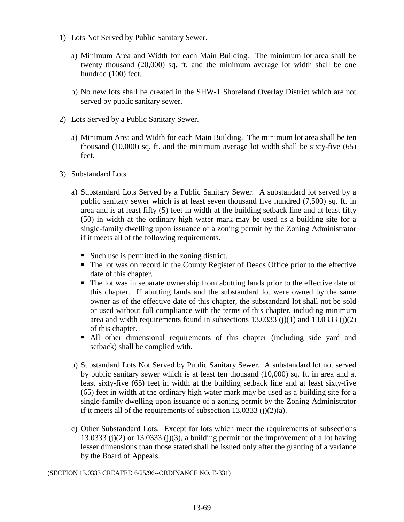- 1) Lots Not Served by Public Sanitary Sewer.
	- a) Minimum Area and Width for each Main Building. The minimum lot area shall be twenty thousand (20,000) sq. ft. and the minimum average lot width shall be one hundred (100) feet.
	- b) No new lots shall be created in the SHW-1 Shoreland Overlay District which are not served by public sanitary sewer.
- 2) Lots Served by a Public Sanitary Sewer.
	- a) Minimum Area and Width for each Main Building. The minimum lot area shall be ten thousand (10,000) sq. ft. and the minimum average lot width shall be sixty-five (65) feet.
- 3) Substandard Lots.
	- a) Substandard Lots Served by a Public Sanitary Sewer. A substandard lot served by a public sanitary sewer which is at least seven thousand five hundred (7,500) sq. ft. in area and is at least fifty (5) feet in width at the building setback line and at least fifty (50) in width at the ordinary high water mark may be used as a building site for a single-family dwelling upon issuance of a zoning permit by the Zoning Administrator if it meets all of the following requirements.
		- Such use is permitted in the zoning district.
		- The lot was on record in the County Register of Deeds Office prior to the effective date of this chapter.
		- The lot was in separate ownership from abutting lands prior to the effective date of this chapter. If abutting lands and the substandard lot were owned by the same owner as of the effective date of this chapter, the substandard lot shall not be sold or used without full compliance with the terms of this chapter, including minimum area and width requirements found in subsections  $13.0333$  (j)(1) and  $13.0333$  (j)(2) of this chapter.
		- All other dimensional requirements of this chapter (including side yard and setback) shall be complied with.
	- b) Substandard Lots Not Served by Public Sanitary Sewer. A substandard lot not served by public sanitary sewer which is at least ten thousand (10,000) sq. ft. in area and at least sixty-five (65) feet in width at the building setback line and at least sixty-five (65) feet in width at the ordinary high water mark may be used as a building site for a single-family dwelling upon issuance of a zoning permit by the Zoning Administrator if it meets all of the requirements of subsection  $13.0333$  (j)(2)(a).
	- c) Other Substandard Lots. Except for lots which meet the requirements of subsections 13.0333 (j)(2) or 13.0333 (j)(3), a building permit for the improvement of a lot having lesser dimensions than those stated shall be issued only after the granting of a variance by the Board of Appeals.

(SECTION 13.0333 CREATED 6/25/96--ORDINANCE NO. E-331)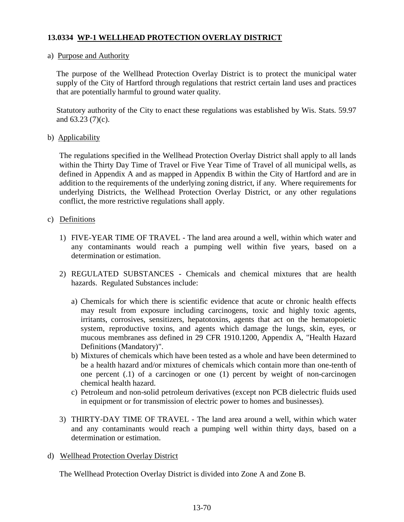# **13.0334 WP-1 WELLHEAD PROTECTION OVERLAY DISTRICT**

### a) Purpose and Authority

The purpose of the Wellhead Protection Overlay District is to protect the municipal water supply of the City of Hartford through regulations that restrict certain land uses and practices that are potentially harmful to ground water quality.

Statutory authority of the City to enact these regulations was established by Wis. Stats. 59.97 and 63.23 (7)(c).

### b) Applicability

 The regulations specified in the Wellhead Protection Overlay District shall apply to all lands within the Thirty Day Time of Travel or Five Year Time of Travel of all municipal wells, as defined in Appendix A and as mapped in Appendix B within the City of Hartford and are in addition to the requirements of the underlying zoning district, if any. Where requirements for underlying Districts, the Wellhead Protection Overlay District, or any other regulations conflict, the more restrictive regulations shall apply.

### c) Definitions

- 1) FIVE-YEAR TIME OF TRAVEL The land area around a well, within which water and any contaminants would reach a pumping well within five years, based on a determination or estimation.
- 2) REGULATED SUBSTANCES Chemicals and chemical mixtures that are health hazards. Regulated Substances include:
	- a) Chemicals for which there is scientific evidence that acute or chronic health effects may result from exposure including carcinogens, toxic and highly toxic agents, irritants, corrosives, sensitizers, hepatotoxins, agents that act on the hematopoietic system, reproductive toxins, and agents which damage the lungs, skin, eyes, or mucous membranes ass defined in 29 CFR 1910.1200, Appendix A, "Health Hazard Definitions (Mandatory)".
	- b) Mixtures of chemicals which have been tested as a whole and have been determined to be a health hazard and/or mixtures of chemicals which contain more than one-tenth of one percent (.1) of a carcinogen or one (1) percent by weight of non-carcinogen chemical health hazard.
	- c) Petroleum and non-solid petroleum derivatives (except non PCB dielectric fluids used in equipment or for transmission of electric power to homes and businesses).
- 3) THIRTY-DAY TIME OF TRAVEL The land area around a well, within which water and any contaminants would reach a pumping well within thirty days, based on a determination or estimation.

#### d) Wellhead Protection Overlay District

The Wellhead Protection Overlay District is divided into Zone A and Zone B.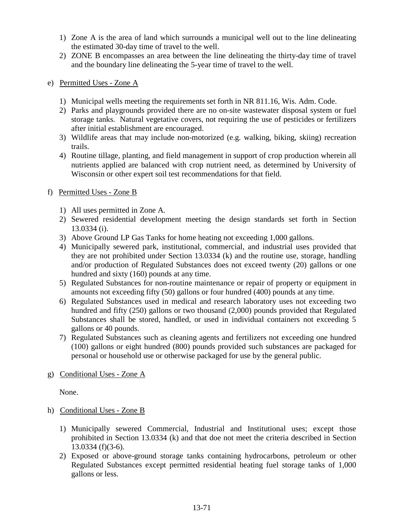- 1) Zone A is the area of land which surrounds a municipal well out to the line delineating the estimated 30-day time of travel to the well.
- 2) ZONE B encompasses an area between the line delineating the thirty-day time of travel and the boundary line delineating the 5-year time of travel to the well.
- e) Permitted Uses Zone A
	- 1) Municipal wells meeting the requirements set forth in NR 811.16, Wis. Adm. Code.
	- 2) Parks and playgrounds provided there are no on-site wastewater disposal system or fuel storage tanks. Natural vegetative covers, not requiring the use of pesticides or fertilizers after initial establishment are encouraged.
	- 3) Wildlife areas that may include non-motorized (e.g. walking, biking, skiing) recreation trails.
	- 4) Routine tillage, planting, and field management in support of crop production wherein all nutrients applied are balanced with crop nutrient need, as determined by University of Wisconsin or other expert soil test recommendations for that field.
- f) Permitted Uses Zone B
	- 1) All uses permitted in Zone A.
	- 2) Sewered residential development meeting the design standards set forth in Section 13.0334 (i).
	- 3) Above Ground LP Gas Tanks for home heating not exceeding 1,000 gallons.
	- 4) Municipally sewered park, institutional, commercial, and industrial uses provided that they are not prohibited under Section 13.0334 (k) and the routine use, storage, handling and/or production of Regulated Substances does not exceed twenty (20) gallons or one hundred and sixty (160) pounds at any time.
	- 5) Regulated Substances for non-routine maintenance or repair of property or equipment in amounts not exceeding fifty (50) gallons or four hundred (400) pounds at any time.
	- 6) Regulated Substances used in medical and research laboratory uses not exceeding two hundred and fifty (250) gallons or two thousand (2,000) pounds provided that Regulated Substances shall be stored, handled, or used in individual containers not exceeding 5 gallons or 40 pounds.
	- 7) Regulated Substances such as cleaning agents and fertilizers not exceeding one hundred (100) gallons or eight hundred (800) pounds provided such substances are packaged for personal or household use or otherwise packaged for use by the general public.
- g) Conditional Uses Zone A

None.

- h) Conditional Uses Zone B
	- 1) Municipally sewered Commercial, Industrial and Institutional uses; except those prohibited in Section 13.0334 (k) and that doe not meet the criteria described in Section 13.0334 (f)(3-6).
	- 2) Exposed or above-ground storage tanks containing hydrocarbons, petroleum or other Regulated Substances except permitted residential heating fuel storage tanks of 1,000 gallons or less.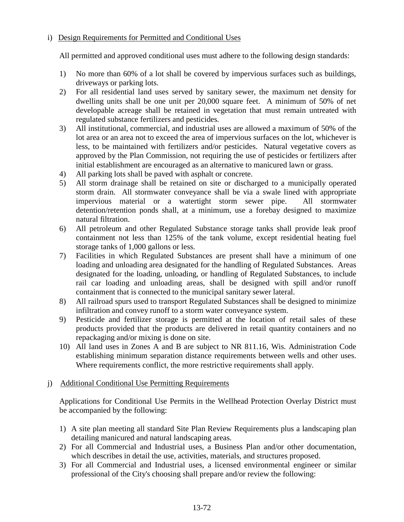### i) Design Requirements for Permitted and Conditional Uses

All permitted and approved conditional uses must adhere to the following design standards:

- 1) No more than 60% of a lot shall be covered by impervious surfaces such as buildings, driveways or parking lots.
- 2) For all residential land uses served by sanitary sewer, the maximum net density for dwelling units shall be one unit per 20,000 square feet. A minimum of 50% of net developable acreage shall be retained in vegetation that must remain untreated with regulated substance fertilizers and pesticides.
- 3) All institutional, commercial, and industrial uses are allowed a maximum of 50% of the lot area or an area not to exceed the area of impervious surfaces on the lot, whichever is less, to be maintained with fertilizers and/or pesticides. Natural vegetative covers as approved by the Plan Commission, not requiring the use of pesticides or fertilizers after initial establishment are encouraged as an alternative to manicured lawn or grass.
- 4) All parking lots shall be paved with asphalt or concrete.
- 5) All storm drainage shall be retained on site or discharged to a municipally operated storm drain. All stormwater conveyance shall be via a swale lined with appropriate impervious material or a watertight storm sewer pipe. All stormwater detention/retention ponds shall, at a minimum, use a forebay designed to maximize natural filtration.
- 6) All petroleum and other Regulated Substance storage tanks shall provide leak proof containment not less than 125% of the tank volume, except residential heating fuel storage tanks of 1,000 gallons or less.
- 7) Facilities in which Regulated Substances are present shall have a minimum of one loading and unloading area designated for the handling of Regulated Substances. Areas designated for the loading, unloading, or handling of Regulated Substances, to include rail car loading and unloading areas, shall be designed with spill and/or runoff containment that is connected to the municipal sanitary sewer lateral.
- 8) All railroad spurs used to transport Regulated Substances shall be designed to minimize infiltration and convey runoff to a storm water conveyance system.
- 9) Pesticide and fertilizer storage is permitted at the location of retail sales of these products provided that the products are delivered in retail quantity containers and no repackaging and/or mixing is done on site.
- 10) All land uses in Zones A and B are subject to NR 811.16, Wis. Administration Code establishing minimum separation distance requirements between wells and other uses. Where requirements conflict, the more restrictive requirements shall apply.

# j) Additional Conditional Use Permitting Requirements

Applications for Conditional Use Permits in the Wellhead Protection Overlay District must be accompanied by the following:

- 1) A site plan meeting all standard Site Plan Review Requirements plus a landscaping plan detailing manicured and natural landscaping areas.
- 2) For all Commercial and Industrial uses, a Business Plan and/or other documentation, which describes in detail the use, activities, materials, and structures proposed.
- 3) For all Commercial and Industrial uses, a licensed environmental engineer or similar professional of the City's choosing shall prepare and/or review the following: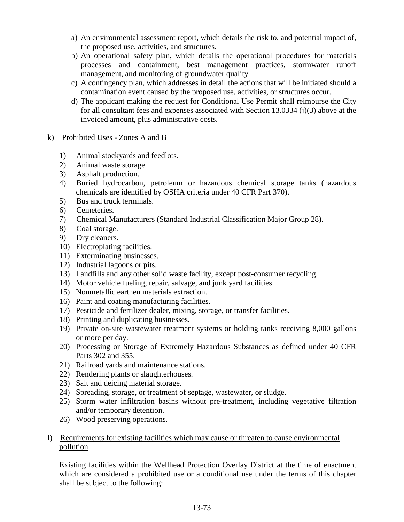- a) An environmental assessment report, which details the risk to, and potential impact of, the proposed use, activities, and structures.
- b) An operational safety plan, which details the operational procedures for materials processes and containment, best management practices, stormwater runoff management, and monitoring of groundwater quality.
- c) A contingency plan, which addresses in detail the actions that will be initiated should a contamination event caused by the proposed use, activities, or structures occur.
- d) The applicant making the request for Conditional Use Permit shall reimburse the City for all consultant fees and expenses associated with Section 13.0334 (j)(3) above at the invoiced amount, plus administrative costs.
- k) Prohibited Uses Zones A and B
	- 1) Animal stockyards and feedlots.
	- 2) Animal waste storage
	- 3) Asphalt production.
	- 4) Buried hydrocarbon, petroleum or hazardous chemical storage tanks (hazardous chemicals are identified by OSHA criteria under 40 CFR Part 370).
	- 5) Bus and truck terminals.
	- 6) Cemeteries.
	- 7) Chemical Manufacturers (Standard Industrial Classification Major Group 28).
	- 8) Coal storage.
	- 9) Dry cleaners.
	- 10) Electroplating facilities.
	- 11) Exterminating businesses.
	- 12) Industrial lagoons or pits.
	- 13) Landfills and any other solid waste facility, except post-consumer recycling.
	- 14) Motor vehicle fueling, repair, salvage, and junk yard facilities.
	- 15) Nonmetallic earthen materials extraction.
	- 16) Paint and coating manufacturing facilities.
	- 17) Pesticide and fertilizer dealer, mixing, storage, or transfer facilities.
	- 18) Printing and duplicating businesses.
	- 19) Private on-site wastewater treatment systems or holding tanks receiving 8,000 gallons or more per day.
	- 20) Processing or Storage of Extremely Hazardous Substances as defined under 40 CFR Parts 302 and 355.
	- 21) Railroad yards and maintenance stations.
	- 22) Rendering plants or slaughterhouses.
	- 23) Salt and deicing material storage.
	- 24) Spreading, storage, or treatment of septage, wastewater, or sludge.
	- 25) Storm water infiltration basins without pre-treatment, including vegetative filtration and/or temporary detention.
	- 26) Wood preserving operations.

#### l) Requirements for existing facilities which may cause or threaten to cause environmental pollution

 Existing facilities within the Wellhead Protection Overlay District at the time of enactment which are considered a prohibited use or a conditional use under the terms of this chapter shall be subject to the following: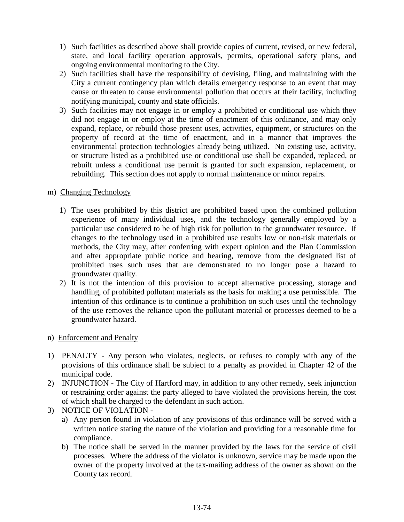- 1) Such facilities as described above shall provide copies of current, revised, or new federal, state, and local facility operation approvals, permits, operational safety plans, and ongoing environmental monitoring to the City.
- 2) Such facilities shall have the responsibility of devising, filing, and maintaining with the City a current contingency plan which details emergency response to an event that may cause or threaten to cause environmental pollution that occurs at their facility, including notifying municipal, county and state officials.
- 3) Such facilities may not engage in or employ a prohibited or conditional use which they did not engage in or employ at the time of enactment of this ordinance, and may only expand, replace, or rebuild those present uses, activities, equipment, or structures on the property of record at the time of enactment, and in a manner that improves the environmental protection technologies already being utilized. No existing use, activity, or structure listed as a prohibited use or conditional use shall be expanded, replaced, or rebuilt unless a conditional use permit is granted for such expansion, replacement, or rebuilding. This section does not apply to normal maintenance or minor repairs.

# m) Changing Technology

- 1) The uses prohibited by this district are prohibited based upon the combined pollution experience of many individual uses, and the technology generally employed by a particular use considered to be of high risk for pollution to the groundwater resource. If changes to the technology used in a prohibited use results low or non-risk materials or methods, the City may, after conferring with expert opinion and the Plan Commission and after appropriate public notice and hearing, remove from the designated list of prohibited uses such uses that are demonstrated to no longer pose a hazard to groundwater quality.
- 2) It is not the intention of this provision to accept alternative processing, storage and handling, of prohibited pollutant materials as the basis for making a use permissible. The intention of this ordinance is to continue a prohibition on such uses until the technology of the use removes the reliance upon the pollutant material or processes deemed to be a groundwater hazard.
- n) Enforcement and Penalty
- 1) PENALTY Any person who violates, neglects, or refuses to comply with any of the provisions of this ordinance shall be subject to a penalty as provided in Chapter 42 of the municipal code.
- 2) INJUNCTION The City of Hartford may, in addition to any other remedy, seek injunction or restraining order against the party alleged to have violated the provisions herein, the cost of which shall be charged to the defendant in such action.
- 3) NOTICE OF VIOLATION
	- a) Any person found in violation of any provisions of this ordinance will be served with a written notice stating the nature of the violation and providing for a reasonable time for compliance.
	- b) The notice shall be served in the manner provided by the laws for the service of civil processes. Where the address of the violator is unknown, service may be made upon the owner of the property involved at the tax-mailing address of the owner as shown on the County tax record.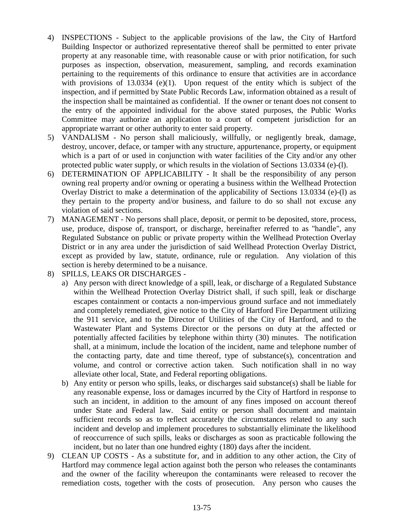- 4) INSPECTIONS Subject to the applicable provisions of the law, the City of Hartford Building Inspector or authorized representative thereof shall be permitted to enter private property at any reasonable time, with reasonable cause or with prior notification, for such purposes as inspection, observation, measurement, sampling, and records examination pertaining to the requirements of this ordinance to ensure that activities are in accordance with provisions of  $13.0334$  (e)(1). Upon request of the entity which is subject of the inspection, and if permitted by State Public Records Law, information obtained as a result of the inspection shall be maintained as confidential. If the owner or tenant does not consent to the entry of the appointed individual for the above stated purposes, the Public Works Committee may authorize an application to a court of competent jurisdiction for an appropriate warrant or other authority to enter said property.
- 5) VANDALISM No person shall maliciously, willfully, or negligently break, damage, destroy, uncover, deface, or tamper with any structure, appurtenance, property, or equipment which is a part of or used in conjunction with water facilities of the City and/or any other protected public water supply, or which results in the violation of Sections 13.0334 (e)-(l).
- 6) DETERMINATION OF APPLICABILITY It shall be the responsibility of any person owning real property and/or owning or operating a business within the Wellhead Protection Overlay District to make a determination of the applicability of Sections 13.0334 (e)-(l) as they pertain to the property and/or business, and failure to do so shall not excuse any violation of said sections.
- 7) MANAGEMENT No persons shall place, deposit, or permit to be deposited, store, process, use, produce, dispose of, transport, or discharge, hereinafter referred to as "handle", any Regulated Substance on public or private property within the Wellhead Protection Overlay District or in any area under the jurisdiction of said Wellhead Protection Overlay District, except as provided by law, statute, ordinance, rule or regulation. Any violation of this section is hereby determined to be a nuisance.
- 8) SPILLS, LEAKS OR DISCHARGES
	- a) Any person with direct knowledge of a spill, leak, or discharge of a Regulated Substance within the Wellhead Protection Overlay District shall, if such spill, leak or discharge escapes containment or contacts a non-impervious ground surface and not immediately and completely remediated, give notice to the City of Hartford Fire Department utilizing the 911 service, and to the Director of Utilities of the City of Hartford, and to the Wastewater Plant and Systems Director or the persons on duty at the affected or potentially affected facilities by telephone within thirty (30) minutes. The notification shall, at a minimum, include the location of the incident, name and telephone number of the contacting party, date and time thereof, type of substance(s), concentration and volume, and control or corrective action taken. Such notification shall in no way alleviate other local, State, and Federal reporting obligations.
	- b) Any entity or person who spills, leaks, or discharges said substance(s) shall be liable for any reasonable expense, loss or damages incurred by the City of Hartford in response to such an incident, in addition to the amount of any fines imposed on account thereof under State and Federal law. Said entity or person shall document and maintain sufficient records so as to reflect accurately the circumstances related to any such incident and develop and implement procedures to substantially eliminate the likelihood of reoccurrence of such spills, leaks or discharges as soon as practicable following the incident, but no later than one hundred eighty (180) days after the incident.
- 9) CLEAN UP COSTS As a substitute for, and in addition to any other action, the City of Hartford may commence legal action against both the person who releases the contaminants and the owner of the facility whereupon the contaminants were released to recover the remediation costs, together with the costs of prosecution. Any person who causes the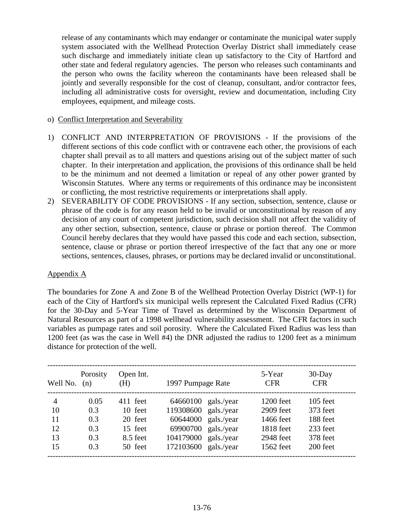release of any contaminants which may endanger or contaminate the municipal water supply system associated with the Wellhead Protection Overlay District shall immediately cease such discharge and immediately initiate clean up satisfactory to the City of Hartford and other state and federal regulatory agencies. The person who releases such contaminants and the person who owns the facility whereon the contaminants have been released shall be jointly and severally responsible for the cost of cleanup, consultant, and/or contractor fees, including all administrative costs for oversight, review and documentation, including City employees, equipment, and mileage costs.

#### o) Conflict Interpretation and Severability

- 1) CONFLICT AND INTERPRETATION OF PROVISIONS If the provisions of the different sections of this code conflict with or contravene each other, the provisions of each chapter shall prevail as to all matters and questions arising out of the subject matter of such chapter. In their interpretation and application, the provisions of this ordinance shall be held to be the minimum and not deemed a limitation or repeal of any other power granted by Wisconsin Statutes. Where any terms or requirements of this ordinance may be inconsistent or conflicting, the most restrictive requirements or interpretations shall apply.
- 2) SEVERABILITY OF CODE PROVISIONS If any section, subsection, sentence, clause or phrase of the code is for any reason held to be invalid or unconstitutional by reason of any decision of any court of competent jurisdiction, such decision shall not affect the validity of any other section, subsection, sentence, clause or phrase or portion thereof. The Common Council hereby declares that they would have passed this code and each section, subsection, sentence, clause or phrase or portion thereof irrespective of the fact that any one or more sections, sentences, clauses, phrases, or portions may be declared invalid or unconstitutional.

#### Appendix A

The boundaries for Zone A and Zone B of the Wellhead Protection Overlay District (WP-1) for each of the City of Hartford's six municipal wells represent the Calculated Fixed Radius (CFR) for the 30-Day and 5-Year Time of Travel as determined by the Wisconsin Department of Natural Resources as part of a 1998 wellhead vulnerability assessment. The CFR factors in such variables as pumpage rates and soil porosity. Where the Calculated Fixed Radius was less than 1200 feet (as was the case in Well #4) the DNR adjusted the radius to 1200 feet as a minimum distance for protection of the well.

| Well No. $(n)$ | Porosity | Open Int.<br>(H) | 1997 Pumpage Rate    |            | 5-Year<br><b>CFR</b> | $30$ -Day<br><b>CFR</b> |
|----------------|----------|------------------|----------------------|------------|----------------------|-------------------------|
| $\overline{4}$ | 0.05     | 411 feet         | 64660100             | gals./year | 1200 feet            | $105$ feet              |
| 10             | 0.3      | 10 feet          | 119308600 gals./year |            | 2909 feet            | 373 feet                |
| 11             | 0.3      | 20 feet          | 60644000             | gals./year | 1466 feet            | 188 feet                |
| 12             | 0.3      | 15 feet          | 69900700             | gals./year | 1818 feet            | 233 feet                |
| 13             | 0.3      | 8.5 feet         | 104179000            | gals./year | 2948 feet            | 378 feet                |
| 15             | 0.3      | 50 feet          | 172103600            | gals./year | 1562 feet            | 200 feet                |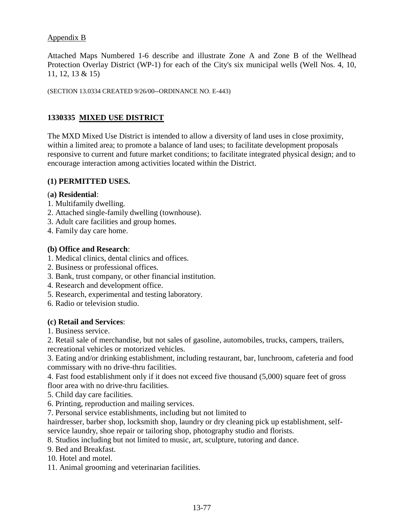### Appendix B

Attached Maps Numbered 1-6 describe and illustrate Zone A and Zone B of the Wellhead Protection Overlay District (WP-1) for each of the City's six municipal wells (Well Nos. 4, 10, 11, 12, 13 & 15)

(SECTION 13.0334 CREATED 9/26/00--ORDINANCE NO. E-443)

# **1330335 MIXED USE DISTRICT**

The MXD Mixed Use District is intended to allow a diversity of land uses in close proximity, within a limited area; to promote a balance of land uses; to facilitate development proposals responsive to current and future market conditions; to facilitate integrated physical design; and to encourage interaction among activities located within the District.

### **(1) PERMITTED USES.**

### (**a) Residential**:

- 1. Multifamily dwelling.
- 2. Attached single-family dwelling (townhouse).
- 3. Adult care facilities and group homes.
- 4. Family day care home.

#### **(b) Office and Research**:

- 1. Medical clinics, dental clinics and offices.
- 2. Business or professional offices.
- 3. Bank, trust company, or other financial institution.
- 4. Research and development office.
- 5. Research, experimental and testing laboratory.
- 6. Radio or television studio.

#### **(c) Retail and Services**:

1. Business service.

2. Retail sale of merchandise, but not sales of gasoline, automobiles, trucks, campers, trailers, recreational vehicles or motorized vehicles.

3. Eating and/or drinking establishment, including restaurant, bar, lunchroom, cafeteria and food commissary with no drive-thru facilities.

4. Fast food establishment only if it does not exceed five thousand (5,000) square feet of gross floor area with no drive-thru facilities.

- 5. Child day care facilities.
- 6. Printing, reproduction and mailing services.
- 7. Personal service establishments, including but not limited to

hairdresser, barber shop, locksmith shop, laundry or dry cleaning pick up establishment, selfservice laundry, shoe repair or tailoring shop, photography studio and florists.

8. Studios including but not limited to music, art, sculpture, tutoring and dance.

9. Bed and Breakfast.

10. Hotel and motel.

11. Animal grooming and veterinarian facilities.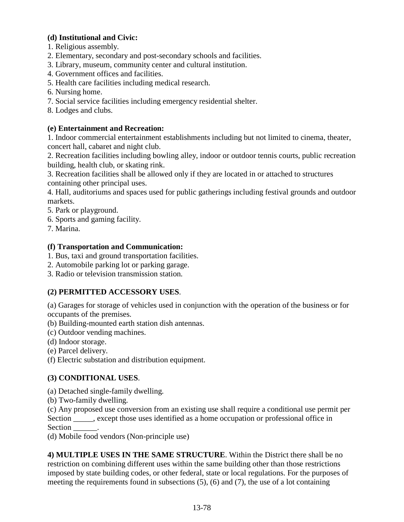# **(d) Institutional and Civic:**

- 1. Religious assembly.
- 2. Elementary, secondary and post-secondary schools and facilities.
- 3. Library, museum, community center and cultural institution.
- 4. Government offices and facilities.
- 5. Health care facilities including medical research.
- 6. Nursing home.
- 7. Social service facilities including emergency residential shelter.
- 8. Lodges and clubs.

### **(e) Entertainment and Recreation:**

1. Indoor commercial entertainment establishments including but not limited to cinema, theater, concert hall, cabaret and night club.

2. Recreation facilities including bowling alley, indoor or outdoor tennis courts, public recreation building, health club, or skating rink.

3. Recreation facilities shall be allowed only if they are located in or attached to structures containing other principal uses.

4. Hall, auditoriums and spaces used for public gatherings including festival grounds and outdoor markets.

5. Park or playground.

- 6. Sports and gaming facility.
- 7. Marina.

### **(f) Transportation and Communication:**

- 1. Bus, taxi and ground transportation facilities.
- 2. Automobile parking lot or parking garage.
- 3. Radio or television transmission station.

# **(2) PERMITTED ACCESSORY USES**.

(a) Garages for storage of vehicles used in conjunction with the operation of the business or for occupants of the premises.

(b) Building-mounted earth station dish antennas.

- (c) Outdoor vending machines.
- (d) Indoor storage.

(e) Parcel delivery.

(f) Electric substation and distribution equipment.

# **(3) CONDITIONAL USES**.

(a) Detached single-family dwelling.

(b) Two-family dwelling.

(c) Any proposed use conversion from an existing use shall require a conditional use permit per Section \_\_\_\_, except those uses identified as a home occupation or professional office in Section  $\overline{\phantom{a}}$ 

(d) Mobile food vendors (Non-principle use)

**4) MULTIPLE USES IN THE SAME STRUCTURE**. Within the District there shall be no restriction on combining different uses within the same building other than those restrictions imposed by state building codes, or other federal, state or local regulations. For the purposes of meeting the requirements found in subsections (5), (6) and (7), the use of a lot containing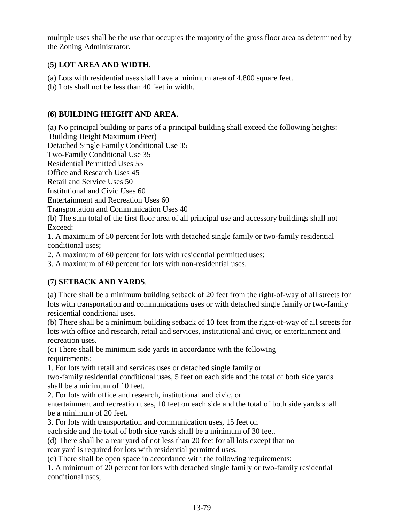multiple uses shall be the use that occupies the majority of the gross floor area as determined by the Zoning Administrator.

# (**5) LOT AREA AND WIDTH**.

- (a) Lots with residential uses shall have a minimum area of 4,800 square feet.
- (b) Lots shall not be less than 40 feet in width.

# **(6) BUILDING HEIGHT AND AREA.**

(a) No principal building or parts of a principal building shall exceed the following heights:

Building Height Maximum (Feet)

Detached Single Family Conditional Use 35

Two-Family Conditional Use 35

Residential Permitted Uses 55

Office and Research Uses 45

Retail and Service Uses 50

Institutional and Civic Uses 60

Entertainment and Recreation Uses 60

Transportation and Communication Uses 40

(b) The sum total of the first floor area of all principal use and accessory buildings shall not Exceed:

1. A maximum of 50 percent for lots with detached single family or two-family residential conditional uses;

2. A maximum of 60 percent for lots with residential permitted uses;

3. A maximum of 60 percent for lots with non-residential uses.

# **(7) SETBACK AND YARDS**.

(a) There shall be a minimum building setback of 20 feet from the right-of-way of all streets for lots with transportation and communications uses or with detached single family or two-family residential conditional uses.

(b) There shall be a minimum building setback of 10 feet from the right-of-way of all streets for lots with office and research, retail and services, institutional and civic, or entertainment and recreation uses.

(c) There shall be minimum side yards in accordance with the following requirements:

1. For lots with retail and services uses or detached single family or

two-family residential conditional uses, 5 feet on each side and the total of both side yards shall be a minimum of 10 feet.

2. For lots with office and research, institutional and civic, or

entertainment and recreation uses, 10 feet on each side and the total of both side yards shall be a minimum of 20 feet.

3. For lots with transportation and communication uses, 15 feet on

each side and the total of both side yards shall be a minimum of 30 feet.

(d) There shall be a rear yard of not less than 20 feet for all lots except that no

rear yard is required for lots with residential permitted uses.

(e) There shall be open space in accordance with the following requirements:

1. A minimum of 20 percent for lots with detached single family or two-family residential conditional uses;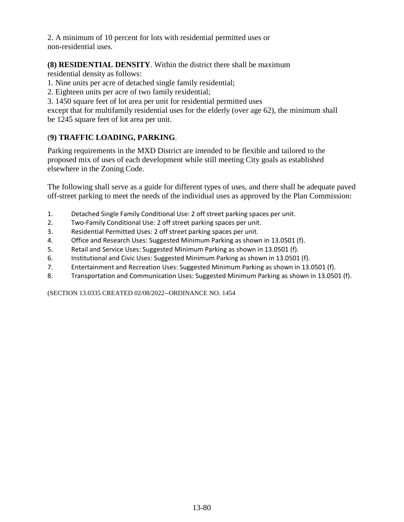2. A minimum of 10 percent for lots with residential permitted uses or non-residential uses.

# **(8) RESIDENTIAL DENSITY**. Within the district there shall be maximum

residential density as follows:

- 1. Nine units per acre of detached single family residential;
- 2. Eighteen units per acre of two family residential;
- 3. 1450 square feet of lot area per unit for residential permitted uses

except that for multifamily residential uses for the elderly (over age 62), the minimum shall be 1245 square feet of lot area per unit.

# (**9) TRAFFIC LOADING, PARKING**.

Parking requirements in the MXD District are intended to be flexible and tailored to the proposed mix of uses of each development while still meeting City goals as established elsewhere in the Zoning Code.

The following shall serve as a guide for different types of uses, and there shall be adequate paved off-street parking to meet the needs of the individual uses as approved by the Plan Commission:

- 1. Detached Single Family Conditional Use: 2 off street parking spaces per unit.
- 2. Two-Family Conditional Use: 2 off street parking spaces per unit.
- 3. Residential Permitted Uses: 2 off street parking spaces per unit.
- 4. Office and Research Uses: Suggested Minimum Parking as shown in 13.0501 (f).
- 5. Retail and Service Uses: Suggested Minimum Parking as shown in 13.0501 (f).
- 6. Institutional and Civic Uses: Suggested Minimum Parking as shown in 13.0501 (f).
- 7. Entertainment and Recreation Uses: Suggested Minimum Parking as shown in 13.0501 (f).
- 8. Transportation and Communication Uses: Suggested Minimum Parking as shown in 13.0501 (f).

(SECTION 13.0335 CREATED 02/08/2022--ORDINANCE NO. 1454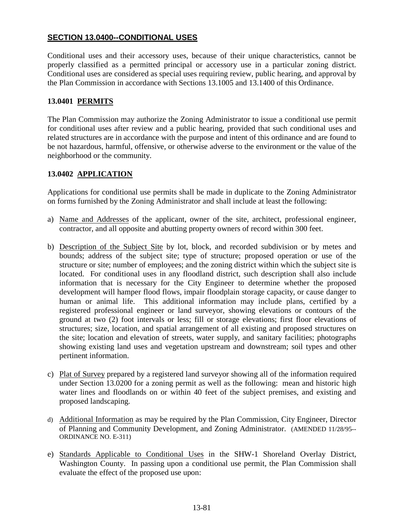# **SECTION 13.0400--CONDITIONAL USES**

Conditional uses and their accessory uses, because of their unique characteristics, cannot be properly classified as a permitted principal or accessory use in a particular zoning district. Conditional uses are considered as special uses requiring review, public hearing, and approval by the Plan Commission in accordance with Sections 13.1005 and 13.1400 of this Ordinance.

### **13.0401 PERMITS**

The Plan Commission may authorize the Zoning Administrator to issue a conditional use permit for conditional uses after review and a public hearing, provided that such conditional uses and related structures are in accordance with the purpose and intent of this ordinance and are found to be not hazardous, harmful, offensive, or otherwise adverse to the environment or the value of the neighborhood or the community.

# **13.0402 APPLICATION**

Applications for conditional use permits shall be made in duplicate to the Zoning Administrator on forms furnished by the Zoning Administrator and shall include at least the following:

- a) Name and Addresses of the applicant, owner of the site, architect, professional engineer, contractor, and all opposite and abutting property owners of record within 300 feet.
- b) Description of the Subject Site by lot, block, and recorded subdivision or by metes and bounds; address of the subject site; type of structure; proposed operation or use of the structure or site; number of employees; and the zoning district within which the subject site is located. For conditional uses in any floodland district, such description shall also include information that is necessary for the City Engineer to determine whether the proposed development will hamper flood flows, impair floodplain storage capacity, or cause danger to human or animal life. This additional information may include plans, certified by a registered professional engineer or land surveyor, showing elevations or contours of the ground at two (2) foot intervals or less; fill or storage elevations; first floor elevations of structures; size, location, and spatial arrangement of all existing and proposed structures on the site; location and elevation of streets, water supply, and sanitary facilities; photographs showing existing land uses and vegetation upstream and downstream; soil types and other pertinent information.
- c) Plat of Survey prepared by a registered land surveyor showing all of the information required under Section 13.0200 for a zoning permit as well as the following: mean and historic high water lines and floodlands on or within 40 feet of the subject premises, and existing and proposed landscaping.
- d) Additional Information as may be required by the Plan Commission, City Engineer, Director of Planning and Community Development, and Zoning Administrator. (AMENDED 11/28/95-- ORDINANCE NO. E-311)
- e) Standards Applicable to Conditional Uses in the SHW-1 Shoreland Overlay District, Washington County. In passing upon a conditional use permit, the Plan Commission shall evaluate the effect of the proposed use upon: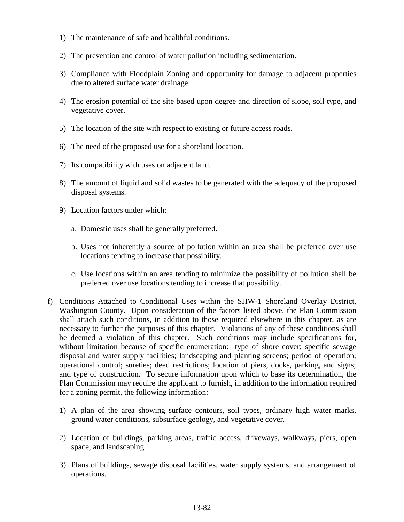- 1) The maintenance of safe and healthful conditions.
- 2) The prevention and control of water pollution including sedimentation.
- 3) Compliance with Floodplain Zoning and opportunity for damage to adjacent properties due to altered surface water drainage.
- 4) The erosion potential of the site based upon degree and direction of slope, soil type, and vegetative cover.
- 5) The location of the site with respect to existing or future access roads.
- 6) The need of the proposed use for a shoreland location.
- 7) Its compatibility with uses on adjacent land.
- 8) The amount of liquid and solid wastes to be generated with the adequacy of the proposed disposal systems.
- 9) Location factors under which:
	- a. Domestic uses shall be generally preferred.
	- b. Uses not inherently a source of pollution within an area shall be preferred over use locations tending to increase that possibility.
	- c. Use locations within an area tending to minimize the possibility of pollution shall be preferred over use locations tending to increase that possibility.
- f) Conditions Attached to Conditional Uses within the SHW-1 Shoreland Overlay District, Washington County. Upon consideration of the factors listed above, the Plan Commission shall attach such conditions, in addition to those required elsewhere in this chapter, as are necessary to further the purposes of this chapter. Violations of any of these conditions shall be deemed a violation of this chapter. Such conditions may include specifications for, without limitation because of specific enumeration: type of shore cover; specific sewage disposal and water supply facilities; landscaping and planting screens; period of operation; operational control; sureties; deed restrictions; location of piers, docks, parking, and signs; and type of construction. To secure information upon which to base its determination, the Plan Commission may require the applicant to furnish, in addition to the information required for a zoning permit, the following information:
	- 1) A plan of the area showing surface contours, soil types, ordinary high water marks, ground water conditions, subsurface geology, and vegetative cover.
	- 2) Location of buildings, parking areas, traffic access, driveways, walkways, piers, open space, and landscaping.
	- 3) Plans of buildings, sewage disposal facilities, water supply systems, and arrangement of operations.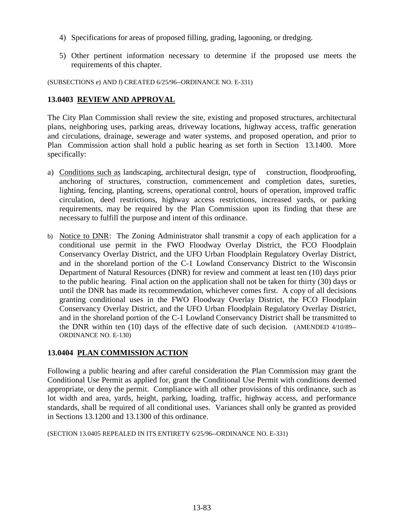- 4) Specifications for areas of proposed filling, grading, lagooning, or dredging.
- 5) Other pertinent information necessary to determine if the proposed use meets the requirements of this chapter.

(SUBSECTIONS e) AND f) CREATED 6/25/96--ORDINANCE NO. E-331)

# **13.0403 REVIEW AND APPROVAL**

The City Plan Commission shall review the site, existing and proposed structures, architectural plans, neighboring uses, parking areas, driveway locations, highway access, traffic generation and circulations, drainage, sewerage and water systems, and proposed operation, and prior to Plan Commission action shall hold a public hearing as set forth in Section 13.1400. More specifically:

- a) Conditions such as landscaping, architectural design, type of construction, floodproofing, anchoring of structures, construction, commencement and completion dates, sureties, lighting, fencing, planting, screens, operational control, hours of operation, improved traffic circulation, deed restrictions, highway access restrictions, increased yards, or parking requirements, may be required by the Plan Commission upon its finding that these are necessary to fulfill the purpose and intent of this ordinance.
- b) Notice to DNR: The Zoning Administrator shall transmit a copy of each application for a conditional use permit in the FWO Floodway Overlay District, the FCO Floodplain Conservancy Overlay District, and the UFO Urban Floodplain Regulatory Overlay District, and in the shoreland portion of the C-1 Lowland Conservancy District to the Wisconsin Department of Natural Resources (DNR) for review and comment at least ten (10) days prior to the public hearing. Final action on the application shall not be taken for thirty (30) days or until the DNR has made its recommendation, whichever comes first. A copy of all decisions granting conditional uses in the FWO Floodway Overlay District, the FCO Floodplain Conservancy Overlay District, and the UFO Urban Floodplain Regulatory Overlay District, and in the shoreland portion of the C-1 Lowland Conservancy District shall be transmitted to the DNR within ten (10) days of the effective date of such decision. (AMENDED 4/10/89-- ORDINANCE NO. E-130)

# **13.0404 PLAN COMMISSION ACTION**

Following a public hearing and after careful consideration the Plan Commission may grant the Conditional Use Permit as applied for, grant the Conditional Use Permit with conditions deemed appropriate, or deny the permit. Compliance with all other provisions of this ordinance, such as lot width and area, yards, height, parking, loading, traffic, highway access, and performance standards, shall be required of all conditional uses. Variances shall only be granted as provided in Sections 13.1200 and 13.1300 of this ordinance.

```
(SECTION 13.0405 REPEALED IN ITS ENTIRETY 6/25/96--ORDINANCE NO. E-331)
```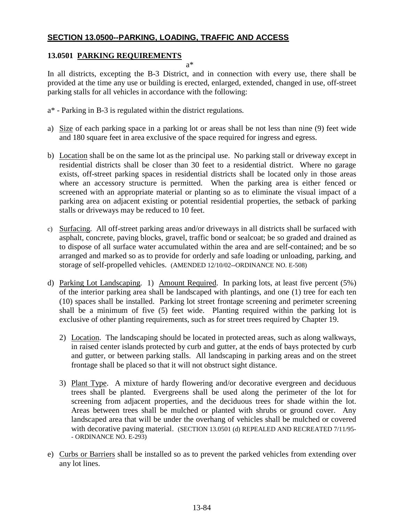# **SECTION 13.0500--PARKING, LOADING, TRAFFIC AND ACCESS**

# **13.0501 PARKING REQUIREMENTS**

a\*

In all districts, excepting the B-3 District, and in connection with every use, there shall be provided at the time any use or building is erected, enlarged, extended, changed in use, off-street parking stalls for all vehicles in accordance with the following:

- a\* Parking in B-3 is regulated within the district regulations.
- a) Size of each parking space in a parking lot or areas shall be not less than nine (9) feet wide and 180 square feet in area exclusive of the space required for ingress and egress.
- b) Location shall be on the same lot as the principal use. No parking stall or driveway except in residential districts shall be closer than 30 feet to a residential district. Where no garage exists, off-street parking spaces in residential districts shall be located only in those areas where an accessory structure is permitted. When the parking area is either fenced or screened with an appropriate material or planting so as to eliminate the visual impact of a parking area on adjacent existing or potential residential properties, the setback of parking stalls or driveways may be reduced to 10 feet.
- c) Surfacing. All off-street parking areas and/or driveways in all districts shall be surfaced with asphalt, concrete, paving blocks, gravel, traffic bond or sealcoat; be so graded and drained as to dispose of all surface water accumulated within the area and are self-contained; and be so arranged and marked so as to provide for orderly and safe loading or unloading, parking, and storage of self-propelled vehicles. (AMENDED 12/10/02--ORDINANCE NO. E-508)
- d) Parking Lot Landscaping. 1) Amount Required. In parking lots, at least five percent (5%) of the interior parking area shall be landscaped with plantings, and one (1) tree for each ten (10) spaces shall be installed. Parking lot street frontage screening and perimeter screening shall be a minimum of five (5) feet wide. Planting required within the parking lot is exclusive of other planting requirements, such as for street trees required by Chapter 19.
	- 2) Location. The landscaping should be located in protected areas, such as along walkways, in raised center islands protected by curb and gutter, at the ends of bays protected by curb and gutter, or between parking stalls. All landscaping in parking areas and on the street frontage shall be placed so that it will not obstruct sight distance.
	- 3) Plant Type. A mixture of hardy flowering and/or decorative evergreen and deciduous trees shall be planted. Evergreens shall be used along the perimeter of the lot for screening from adjacent properties, and the deciduous trees for shade within the lot. Areas between trees shall be mulched or planted with shrubs or ground cover. Any landscaped area that will be under the overhang of vehicles shall be mulched or covered with decorative paving material. (SECTION 13.0501 (d) REPEALED AND RECREATED 7/11/95-- ORDINANCE NO. E-293)
- e) Curbs or Barriers shall be installed so as to prevent the parked vehicles from extending over any lot lines.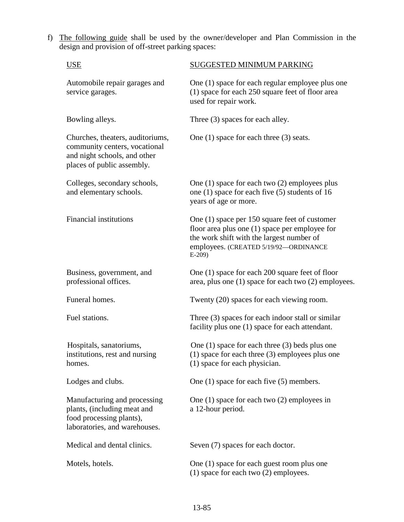f) The following guide shall be used by the owner/developer and Plan Commission in the design and provision of off-street parking spaces:

| <b>USE</b>                                                                                                                      | SUGGESTED MINIMUM PARKING                                                                                                                                                                          |
|---------------------------------------------------------------------------------------------------------------------------------|----------------------------------------------------------------------------------------------------------------------------------------------------------------------------------------------------|
| Automobile repair garages and<br>service garages.                                                                               | One (1) space for each regular employee plus one<br>(1) space for each 250 square feet of floor area<br>used for repair work.                                                                      |
| Bowling alleys.                                                                                                                 | Three (3) spaces for each alley.                                                                                                                                                                   |
| Churches, theaters, auditoriums,<br>community centers, vocational<br>and night schools, and other<br>places of public assembly. | One $(1)$ space for each three $(3)$ seats.                                                                                                                                                        |
| Colleges, secondary schools,<br>and elementary schools.                                                                         | One $(1)$ space for each two $(2)$ employees plus<br>one $(1)$ space for each five $(5)$ students of 16<br>years of age or more.                                                                   |
| <b>Financial institutions</b>                                                                                                   | One (1) space per 150 square feet of customer<br>floor area plus one $(1)$ space per employee for<br>the work shift with the largest number of<br>employees. (CREATED 5/19/92-ORDINANCE<br>$E-209$ |
| Business, government, and<br>professional offices.                                                                              | One (1) space for each 200 square feet of floor<br>area, plus one (1) space for each two (2) employees.                                                                                            |
| Funeral homes.                                                                                                                  | Twenty (20) spaces for each viewing room.                                                                                                                                                          |
| Fuel stations.                                                                                                                  | Three $(3)$ spaces for each indoor stall or similar<br>facility plus one (1) space for each attendant.                                                                                             |
| Hospitals, sanatoriums,<br>institutions, rest and nursing<br>homes.                                                             | One $(1)$ space for each three $(3)$ beds plus one<br>$(1)$ space for each three $(3)$ employees plus one<br>(1) space for each physician.                                                         |
| Lodges and clubs.                                                                                                               | One $(1)$ space for each five $(5)$ members.                                                                                                                                                       |
| Manufacturing and processing<br>plants, (including meat and<br>food processing plants),<br>laboratories, and warehouses.        | One $(1)$ space for each two $(2)$ employees in<br>a 12-hour period.                                                                                                                               |
| Medical and dental clinics.                                                                                                     | Seven (7) spaces for each doctor.                                                                                                                                                                  |
| Motels, hotels.                                                                                                                 | One (1) space for each guest room plus one<br>$(1)$ space for each two $(2)$ employees.                                                                                                            |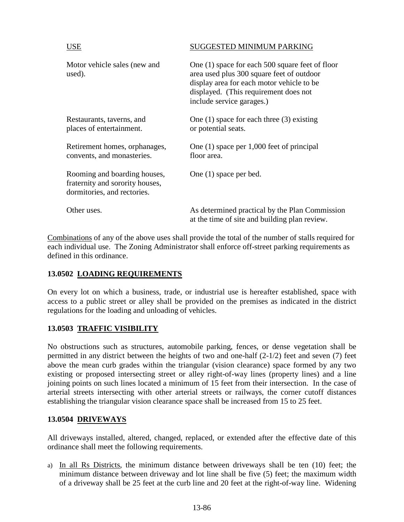# USE SUGGESTED MINIMUM PARKING

| Motor vehicle sales (new and<br>used).                                                         | One (1) space for each 500 square feet of floor<br>area used plus 300 square feet of outdoor<br>display area for each motor vehicle to be<br>displayed. (This requirement does not<br>include service garages.) |
|------------------------------------------------------------------------------------------------|-----------------------------------------------------------------------------------------------------------------------------------------------------------------------------------------------------------------|
| Restaurants, taverns, and<br>places of entertainment.                                          | One $(1)$ space for each three $(3)$ existing<br>or potential seats.                                                                                                                                            |
| Retirement homes, orphanages,<br>convents, and monasteries.                                    | One $(1)$ space per 1,000 feet of principal<br>floor area.                                                                                                                                                      |
| Rooming and boarding houses,<br>fraternity and sorority houses,<br>dormitories, and rectories. | One (1) space per bed.                                                                                                                                                                                          |
| Other uses.                                                                                    | As determined practical by the Plan Commission<br>at the time of site and building plan review.                                                                                                                 |

Combinations of any of the above uses shall provide the total of the number of stalls required for each individual use. The Zoning Administrator shall enforce off-street parking requirements as defined in this ordinance.

# **13.0502 LOADING REQUIREMENTS**

On every lot on which a business, trade, or industrial use is hereafter established, space with access to a public street or alley shall be provided on the premises as indicated in the district regulations for the loading and unloading of vehicles.

#### **13.0503 TRAFFIC VISIBILITY**

No obstructions such as structures, automobile parking, fences, or dense vegetation shall be permitted in any district between the heights of two and one-half (2-1/2) feet and seven (7) feet above the mean curb grades within the triangular (vision clearance) space formed by any two existing or proposed intersecting street or alley right-of-way lines (property lines) and a line joining points on such lines located a minimum of 15 feet from their intersection. In the case of arterial streets intersecting with other arterial streets or railways, the corner cutoff distances establishing the triangular vision clearance space shall be increased from 15 to 25 feet.

#### **13.0504 DRIVEWAYS**

All driveways installed, altered, changed, replaced, or extended after the effective date of this ordinance shall meet the following requirements.

a) In all Rs Districts, the minimum distance between driveways shall be ten (10) feet; the minimum distance between driveway and lot line shall be five (5) feet; the maximum width of a driveway shall be 25 feet at the curb line and 20 feet at the right-of-way line. Widening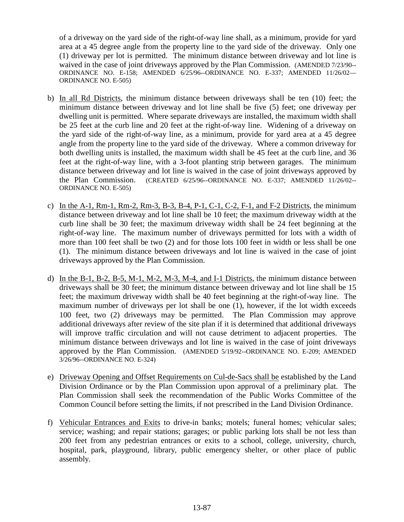of a driveway on the yard side of the right-of-way line shall, as a minimum, provide for yard area at a 45 degree angle from the property line to the yard side of the driveway. Only one (1) driveway per lot is permitted. The minimum distance between driveway and lot line is waived in the case of joint driveways approved by the Plan Commission. (AMENDED 7/23/90--ORDINANCE NO. E-158; AMENDED 6/25/96--ORDINANCE NO. E-337; AMENDED 11/26/02— ORDINANCE NO. E-505)

- b) In all Rd Districts, the minimum distance between driveways shall be ten (10) feet; the minimum distance between driveway and lot line shall be five (5) feet; one driveway per dwelling unit is permitted. Where separate driveways are installed, the maximum width shall be 25 feet at the curb line and 20 feet at the right-of-way line. Widening of a driveway on the yard side of the right-of-way line, as a minimum, provide for yard area at a 45 degree angle from the property line to the yard side of the driveway. Where a common driveway for both dwelling units is installed, the maximum width shall be 45 feet at the curb line, and 36 feet at the right-of-way line, with a 3-foot planting strip between garages. The minimum distance between driveway and lot line is waived in the case of joint driveways approved by the Plan Commission. (CREATED 6/25/96--ORDINANCE NO. E-337; AMENDED 11/26/02-- ORDINANCE NO. E-505)
- c) In the A-1, Rm-1, Rm-2, Rm-3, B-3, B-4, P-1, C-1, C-2, F-1, and F-2 Districts, the minimum distance between driveway and lot line shall be 10 feet; the maximum driveway width at the curb line shall be 30 feet; the maximum driveway width shall be 24 feet beginning at the right-of-way line. The maximum number of driveways permitted for lots with a width of more than 100 feet shall be two (2) and for those lots 100 feet in width or less shall be one (1). The minimum distance between driveways and lot line is waived in the case of joint driveways approved by the Plan Commission.
- d) In the B-1, B-2, B-5, M-1, M-2, M-3, M-4, and I-1 Districts, the minimum distance between driveways shall be 30 feet; the minimum distance between driveway and lot line shall be 15 feet; the maximum driveway width shall be 40 feet beginning at the right-of-way line. The maximum number of driveways per lot shall be one (1), however, if the lot width exceeds 100 feet, two (2) driveways may be permitted. The Plan Commission may approve additional driveways after review of the site plan if it is determined that additional driveways will improve traffic circulation and will not cause detriment to adjacent properties. The minimum distance between driveways and lot line is waived in the case of joint driveways approved by the Plan Commission. (AMENDED 5/19/92--ORDINANCE NO. E-209; AMENDED 3/26/96--ORDINANCE NO. E-324)
- e) Driveway Opening and Offset Requirements on Cul-de-Sacs shall be established by the Land Division Ordinance or by the Plan Commission upon approval of a preliminary plat. The Plan Commission shall seek the recommendation of the Public Works Committee of the Common Council before setting the limits, if not prescribed in the Land Division Ordinance.
- f) Vehicular Entrances and Exits to drive-in banks; motels; funeral homes; vehicular sales; service; washing; and repair stations; garages; or public parking lots shall be not less than 200 feet from any pedestrian entrances or exits to a school, college, university, church, hospital, park, playground, library, public emergency shelter, or other place of public assembly.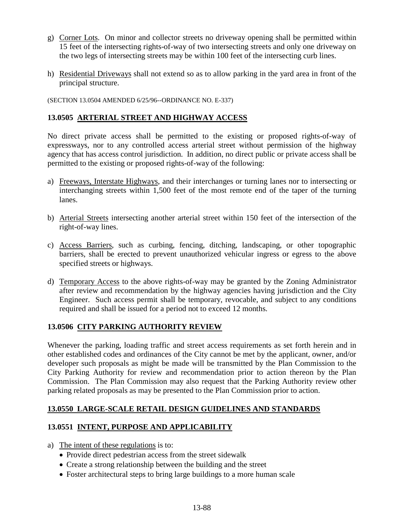- g) Corner Lots. On minor and collector streets no driveway opening shall be permitted within 15 feet of the intersecting rights-of-way of two intersecting streets and only one driveway on the two legs of intersecting streets may be within 100 feet of the intersecting curb lines.
- h) Residential Driveways shall not extend so as to allow parking in the yard area in front of the principal structure.

(SECTION 13.0504 AMENDED 6/25/96--ORDINANCE NO. E-337)

### **13.0505 ARTERIAL STREET AND HIGHWAY ACCESS**

No direct private access shall be permitted to the existing or proposed rights-of-way of expressways, nor to any controlled access arterial street without permission of the highway agency that has access control jurisdiction. In addition, no direct public or private access shall be permitted to the existing or proposed rights-of-way of the following:

- a) Freeways, Interstate Highways, and their interchanges or turning lanes nor to intersecting or interchanging streets within 1,500 feet of the most remote end of the taper of the turning lanes.
- b) Arterial Streets intersecting another arterial street within 150 feet of the intersection of the right-of-way lines.
- c) Access Barriers, such as curbing, fencing, ditching, landscaping, or other topographic barriers, shall be erected to prevent unauthorized vehicular ingress or egress to the above specified streets or highways.
- d) Temporary Access to the above rights-of-way may be granted by the Zoning Administrator after review and recommendation by the highway agencies having jurisdiction and the City Engineer. Such access permit shall be temporary, revocable, and subject to any conditions required and shall be issued for a period not to exceed 12 months.

#### **13.0506 CITY PARKING AUTHORITY REVIEW**

Whenever the parking, loading traffic and street access requirements as set forth herein and in other established codes and ordinances of the City cannot be met by the applicant, owner, and/or developer such proposals as might be made will be transmitted by the Plan Commission to the City Parking Authority for review and recommendation prior to action thereon by the Plan Commission. The Plan Commission may also request that the Parking Authority review other parking related proposals as may be presented to the Plan Commission prior to action.

#### **13.0550 LARGE-SCALE RETAIL DESIGN GUIDELINES AND STANDARDS**

#### **13.0551 INTENT, PURPOSE AND APPLICABILITY**

- a) The intent of these regulations is to:
	- Provide direct pedestrian access from the street sidewalk
	- Create a strong relationship between the building and the street
	- Foster architectural steps to bring large buildings to a more human scale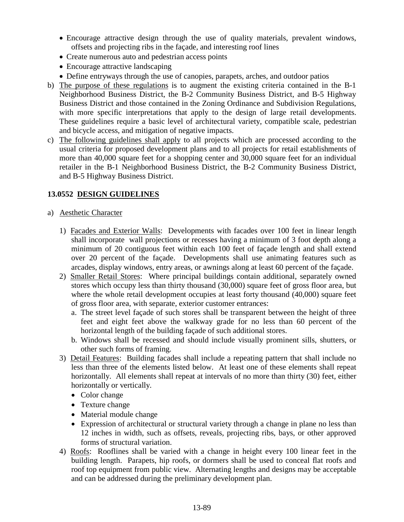- Encourage attractive design through the use of quality materials, prevalent windows, offsets and projecting ribs in the façade, and interesting roof lines
- Create numerous auto and pedestrian access points
- Encourage attractive landscaping
- Define entryways through the use of canopies, parapets, arches, and outdoor patios
- b) The purpose of these regulations is to augment the existing criteria contained in the B-1 Neighborhood Business District, the B-2 Community Business District, and B-5 Highway Business District and those contained in the Zoning Ordinance and Subdivision Regulations, with more specific interpretations that apply to the design of large retail developments. These guidelines require a basic level of architectural variety, compatible scale, pedestrian and bicycle access, and mitigation of negative impacts.
- c) The following guidelines shall apply to all projects which are processed according to the usual criteria for proposed development plans and to all projects for retail establishments of more than 40,000 square feet for a shopping center and 30,000 square feet for an individual retailer in the B-1 Neighborhood Business District, the B-2 Community Business District, and B-5 Highway Business District.

# **13.0552 DESIGN GUIDELINES**

- a) Aesthetic Character
	- 1) Facades and Exterior Walls: Developments with facades over 100 feet in linear length shall incorporate wall projections or recesses having a minimum of 3 foot depth along a minimum of 20 contiguous feet within each 100 feet of façade length and shall extend over 20 percent of the façade. Developments shall use animating features such as arcades, display windows, entry areas, or awnings along at least 60 percent of the façade.
	- 2) Smaller Retail Stores: Where principal buildings contain additional, separately owned stores which occupy less than thirty thousand (30,000) square feet of gross floor area, but where the whole retail development occupies at least forty thousand (40,000) square feet of gross floor area, with separate, exterior customer entrances:
		- a. The street level façade of such stores shall be transparent between the height of three feet and eight feet above the walkway grade for no less than 60 percent of the horizontal length of the building façade of such additional stores.
		- b. Windows shall be recessed and should include visually prominent sills, shutters, or other such forms of framing.
	- 3) Detail Features: Building facades shall include a repeating pattern that shall include no less than three of the elements listed below. At least one of these elements shall repeat horizontally. All elements shall repeat at intervals of no more than thirty (30) feet, either horizontally or vertically.
		- Color change
		- Texture change
		- Material module change
		- Expression of architectural or structural variety through a change in plane no less than 12 inches in width, such as offsets, reveals, projecting ribs, bays, or other approved forms of structural variation.
	- 4) Roofs: Rooflines shall be varied with a change in height every 100 linear feet in the building length. Parapets, hip roofs, or dormers shall be used to conceal flat roofs and roof top equipment from public view. Alternating lengths and designs may be acceptable and can be addressed during the preliminary development plan.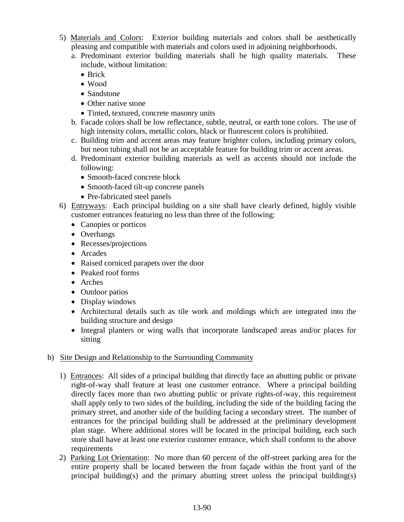- 5) Materials and Colors: Exterior building materials and colors shall be aesthetically pleasing and compatible with materials and colors used in adjoining neighborhoods.
	- a. Predominant exterior building materials shall be high quality materials. These include, without limitation:
		- Brick
		- Wood
		- Sandstone
		- Other native stone
		- Tinted, textured, concrete masonry units
	- b. Facade colors shall be low reflectance, subtle, neutral, or earth tone colors. The use of high intensity colors, metallic colors, black or fluorescent colors is prohibited.
	- c. Building trim and accent areas may feature brighter colors, including primary colors, but neon tubing shall not be an acceptable feature for building trim or accent areas.
	- d. Predominant exterior building materials as well as accents should not include the following:
		- Smooth-faced concrete block
		- Smooth-faced tilt-up concrete panels
		- Pre-fabricated steel panels
- 6) Entryways: Each principal building on a site shall have clearly defined, highly visible customer entrances featuring no less than three of the following:
	- Canopies or porticos
	- Overhangs
	- Recesses/projections
	- Arcades
	- Raised corniced parapets over the door
	- Peaked roof forms
	- Arches
	- Outdoor patios
	- Display windows
	- Architectural details such as tile work and moldings which are integrated into the building structure and design
	- Integral planters or wing walls that incorporate landscaped areas and/or places for sitting

# b) Site Design and Relationship to the Surrounding Community

- 1) Entrances: All sides of a principal building that directly face an abutting public or private right-of-way shall feature at least one customer entrance. Where a principal building directly faces more than two abutting public or private rights-of-way, this requirement shall apply only to two sides of the building, including the side of the building facing the primary street, and another side of the building facing a secondary street. The number of entrances for the principal building shall be addressed at the preliminary development plan stage. Where additional stores will be located in the principal building, each such store shall have at least one exterior customer entrance, which shall conform to the above requirements
- 2) Parking Lot Orientation: No more than 60 percent of the off-street parking area for the entire property shall be located between the front façade within the front yard of the principal building(s) and the primary abutting street unless the principal building(s)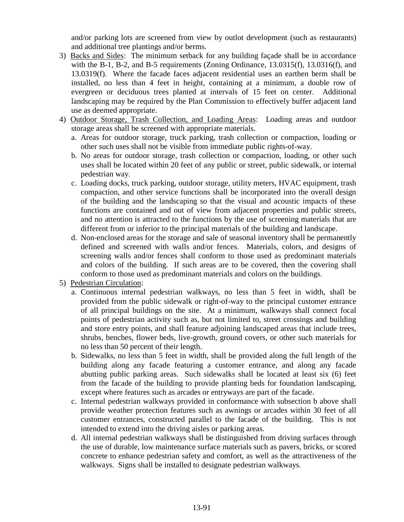and/or parking lots are screened from view by outlot development (such as restaurants) and additional tree plantings and/or berms.

- 3) Backs and Sides: The minimum setback for any building façade shall be in accordance with the B-1, B-2, and B-5 requirements (Zoning Ordinance, 13.0315(f), 13.0316(f), and 13.0319(f). Where the facade faces adjacent residential uses an earthen berm shall be installed, no less than 4 feet in height, containing at a minimum, a double row of evergreen or deciduous trees planted at intervals of 15 feet on center. Additional landscaping may be required by the Plan Commission to effectively buffer adjacent land use as deemed appropriate.
- 4) Outdoor Storage, Trash Collection, and Loading Areas: Loading areas and outdoor storage areas shall be screened with appropriate materials.
	- a. Areas for outdoor storage, truck parking, trash collection or compaction, loading or other such uses shall not be visible from immediate public rights-of-way.
	- b. No areas for outdoor storage, trash collection or compaction, loading, or other such uses shall be located within 20 feet of any public or street, public sidewalk, or internal pedestrian way.
	- c. Loading docks, truck parking, outdoor storage, utility meters, HVAC equipment, trash compaction, and other service functions shall be incorporated into the overall design of the building and the landscaping so that the visual and acoustic impacts of these functions are contained and out of view from adjacent properties and public streets, and no attention is attracted to the functions by the use of screening materials that are different from or inferior to the principal materials of the building and landscape.
	- d. Non-enclosed areas for the storage and sale of seasonal inventory shall be permanently defined and screened with walls and/or fences. Materials, colors, and designs of screening walls and/or fences shall conform to those used as predominant materials and colors of the building. If such areas are to be covered, then the covering shall conform to those used as predominant materials and colors on the buildings.
- 5) Pedestrian Circulation:
	- a. Continuous internal pedestrian walkways, no less than 5 feet in width, shall be provided from the public sidewalk or right-of-way to the principal customer entrance of all principal buildings on the site. At a minimum, walkways shall connect focal points of pedestrian activity such as, but not limited to, street crossings and building and store entry points, and shall feature adjoining landscaped areas that include trees, shrubs, benches, flower beds, live-growth, ground covers, or other such materials for no less than 50 percent of their length.
	- b. Sidewalks, no less than 5 feet in width, shall be provided along the full length of the building along any facade featuring a customer entrance, and along any facade abutting public parking areas. Such sidewalks shall be located at least six (6) feet from the facade of the building to provide planting beds for foundation landscaping, except where features such as arcades or entryways are part of the facade.
	- c. Internal pedestrian walkways provided in conformance with subsection b above shall provide weather protection features such as awnings or arcades within 30 feet of all customer entrances, constructed parallel to the facade of the building. This is not intended to extend into the driving aisles or parking areas.
	- d. All internal pedestrian walkways shall be distinguished from driving surfaces through the use of durable, low maintenance surface materials such as pavers, bricks, or scored concrete to enhance pedestrian safety and comfort, as well as the attractiveness of the walkways. Signs shall be installed to designate pedestrian walkways.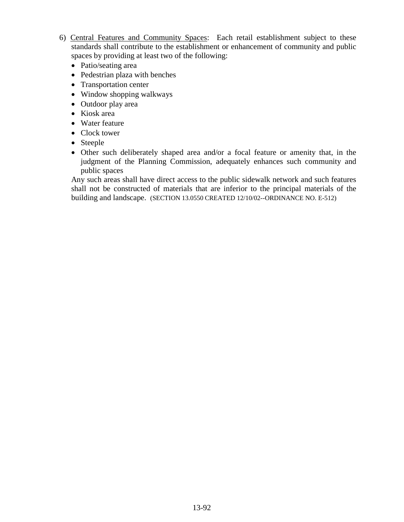- 6) Central Features and Community Spaces: Each retail establishment subject to these standards shall contribute to the establishment or enhancement of community and public spaces by providing at least two of the following:
	- Patio/seating area
	- Pedestrian plaza with benches
	- Transportation center
	- Window shopping walkways
	- Outdoor play area
	- Kiosk area
	- Water feature
	- Clock tower
	- Steeple
	- Other such deliberately shaped area and/or a focal feature or amenity that, in the judgment of the Planning Commission, adequately enhances such community and public spaces

Any such areas shall have direct access to the public sidewalk network and such features shall not be constructed of materials that are inferior to the principal materials of the building and landscape. (SECTION 13.0550 CREATED 12/10/02--ORDINANCE NO. E-512)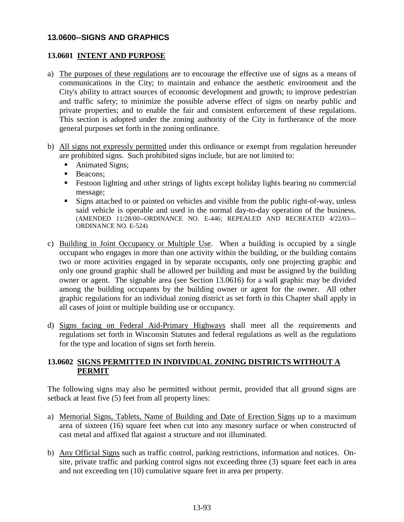### **13.0600--SIGNS AND GRAPHICS**

### **13.0601 INTENT AND PURPOSE**

- a) The purposes of these regulations are to encourage the effective use of signs as a means of communications in the City; to maintain and enhance the aesthetic environment and the City's ability to attract sources of economic development and growth; to improve pedestrian and traffic safety; to minimize the possible adverse effect of signs on nearby public and private properties; and to enable the fair and consistent enforcement of these regulations. This section is adopted under the zoning authority of the City in furtherance of the more general purposes set forth in the zoning ordinance.
- b) All signs not expressly permitted under this ordinance or exempt from regulation hereunder are prohibited signs. Such prohibited signs include, but are not limited to:
	- Animated Signs;
	- **Beacons:**
	- Festoon lighting and other strings of lights except holiday lights bearing no commercial message;
	- Signs attached to or painted on vehicles and visible from the public right-of-way, unless said vehicle is operable and used in the normal day-to-day operation of the business. (AMENDED 11/28/00--ORDINANCE NO. E-446; REPEALED AND RECREATED 4/22/03— ORDINANCE NO. E-524)
- c) Building in Joint Occupancy or Multiple Use. When a building is occupied by a single occupant who engages in more than one activity within the building, or the building contains two or more activities engaged in by separate occupants, only one projecting graphic and only one ground graphic shall be allowed per building and must be assigned by the building owner or agent. The signable area (see Section 13.0616) for a wall graphic may be divided among the building occupants by the building owner or agent for the owner. All other graphic regulations for an individual zoning district as set forth in this Chapter shall apply in all cases of joint or multiple building use or occupancy.
- d) Signs facing on Federal Aid-Primary Highways shall meet all the requirements and regulations set forth in Wisconsin Statutes and federal regulations as well as the regulations for the type and location of signs set forth herein.

# **13.0602 SIGNS PERMITTED IN INDIVIDUAL ZONING DISTRICTS WITHOUT A PERMIT**

The following signs may also be permitted without permit, provided that all ground signs are setback at least five (5) feet from all property lines:

- a) Memorial Signs, Tablets, Name of Building and Date of Erection Signs up to a maximum area of sixteen (16) square feet when cut into any masonry surface or when constructed of cast metal and affixed flat against a structure and not illuminated.
- b) Any Official Signs such as traffic control, parking restrictions, information and notices. Onsite, private traffic and parking control signs not exceeding three (3) square feet each in area and not exceeding ten (10) cumulative square feet in area per property.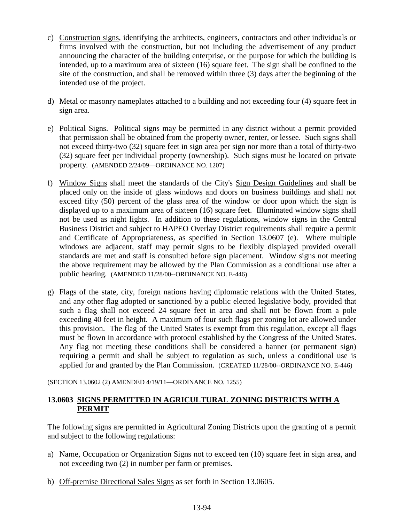- c) Construction signs, identifying the architects, engineers, contractors and other individuals or firms involved with the construction, but not including the advertisement of any product announcing the character of the building enterprise, or the purpose for which the building is intended, up to a maximum area of sixteen (16) square feet. The sign shall be confined to the site of the construction, and shall be removed within three (3) days after the beginning of the intended use of the project.
- d) Metal or masonry nameplates attached to a building and not exceeding four (4) square feet in sign area.
- e) Political Signs. Political signs may be permitted in any district without a permit provided that permission shall be obtained from the property owner, renter, or lessee. Such signs shall not exceed thirty-two (32) square feet in sign area per sign nor more than a total of thirty-two (32) square feet per individual property (ownership). Such signs must be located on private property. (AMENDED 2/24/09—ORDINANCE NO. 1207)
- f) Window Signs shall meet the standards of the City's Sign Design Guidelines and shall be placed only on the inside of glass windows and doors on business buildings and shall not exceed fifty (50) percent of the glass area of the window or door upon which the sign is displayed up to a maximum area of sixteen (16) square feet. Illuminated window signs shall not be used as night lights. In addition to these regulations, window signs in the Central Business District and subject to HAPEO Overlay District requirements shall require a permit and Certificate of Appropriateness, as specified in Section 13.0607 (e). Where multiple windows are adjacent, staff may permit signs to be flexibly displayed provided overall standards are met and staff is consulted before sign placement. Window signs not meeting the above requirement may be allowed by the Plan Commission as a conditional use after a public hearing. (AMENDED 11/28/00--ORDINANCE NO. E-446)
- g) Flags of the state, city, foreign nations having diplomatic relations with the United States, and any other flag adopted or sanctioned by a public elected legislative body, provided that such a flag shall not exceed 24 square feet in area and shall not be flown from a pole exceeding 40 feet in height. A maximum of four such flags per zoning lot are allowed under this provision. The flag of the United States is exempt from this regulation, except all flags must be flown in accordance with protocol established by the Congress of the United States. Any flag not meeting these conditions shall be considered a banner (or permanent sign) requiring a permit and shall be subject to regulation as such, unless a conditional use is applied for and granted by the Plan Commission. (CREATED 11/28/00--ORDINANCE NO. E-446)

(SECTION 13.0602 (2) AMENDED 4/19/11—ORDINANCE NO. 1255)

### **13.0603 SIGNS PERMITTED IN AGRICULTURAL ZONING DISTRICTS WITH A PERMIT**

The following signs are permitted in Agricultural Zoning Districts upon the granting of a permit and subject to the following regulations:

- a) Name, Occupation or Organization Signs not to exceed ten (10) square feet in sign area, and not exceeding two (2) in number per farm or premises.
- b) Off-premise Directional Sales Signs as set forth in Section 13.0605.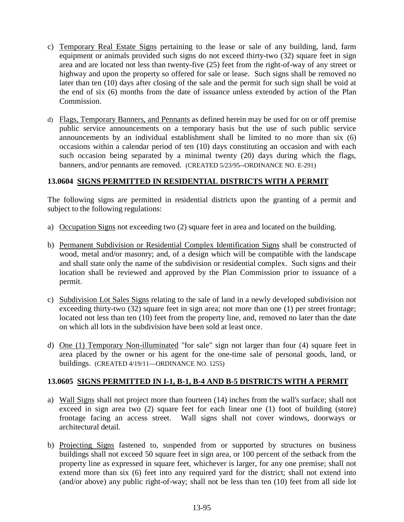- c) Temporary Real Estate Signs pertaining to the lease or sale of any building, land, farm equipment or animals provided such signs do not exceed thirty-two (32) square feet in sign area and are located not less than twenty-five (25) feet from the right-of-way of any street or highway and upon the property so offered for sale or lease. Such signs shall be removed no later than ten (10) days after closing of the sale and the permit for such sign shall be void at the end of six (6) months from the date of issuance unless extended by action of the Plan Commission.
- d) Flags, Temporary Banners, and Pennants as defined herein may be used for on or off premise public service announcements on a temporary basis but the use of such public service announcements by an individual establishment shall be limited to no more than six (6) occasions within a calendar period of ten (10) days constituting an occasion and with each such occasion being separated by a minimal twenty (20) days during which the flags, banners, and/or pennants are removed. (CREATED 5/23/95--ORDINANCE NO. E-291)

# **13.0604 SIGNS PERMITTED IN RESIDENTIAL DISTRICTS WITH A PERMIT**

The following signs are permitted in residential districts upon the granting of a permit and subject to the following regulations:

- a) Occupation Signs not exceeding two (2) square feet in area and located on the building.
- b) Permanent Subdivision or Residential Complex Identification Signs shall be constructed of wood, metal and/or masonry; and, of a design which will be compatible with the landscape and shall state only the name of the subdivision or residential complex. Such signs and their location shall be reviewed and approved by the Plan Commission prior to issuance of a permit.
- c) Subdivision Lot Sales Signs relating to the sale of land in a newly developed subdivision not exceeding thirty-two (32) square feet in sign area; not more than one (1) per street frontage; located not less than ten (10) feet from the property line, and, removed no later than the date on which all lots in the subdivision have been sold at least once.
- d) One (1) Temporary Non-illuminated "for sale" sign not larger than four (4) square feet in area placed by the owner or his agent for the one-time sale of personal goods, land, or buildings. (CREATED 4/19/11—ORDINANCE NO. 1255)

#### **13.0605 SIGNS PERMITTED IN I-1, B-1, B-4 AND B-5 DISTRICTS WITH A PERMIT**

- a) Wall Signs shall not project more than fourteen (14) inches from the wall's surface; shall not exceed in sign area two (2) square feet for each linear one (1) foot of building (store) frontage facing an access street. Wall signs shall not cover windows, doorways or architectural detail.
- b) Projecting Signs fastened to, suspended from or supported by structures on business buildings shall not exceed 50 square feet in sign area, or 100 percent of the setback from the property line as expressed in square feet, whichever is larger, for any one premise; shall not extend more than six (6) feet into any required yard for the district; shall not extend into (and/or above) any public right-of-way; shall not be less than ten (10) feet from all side lot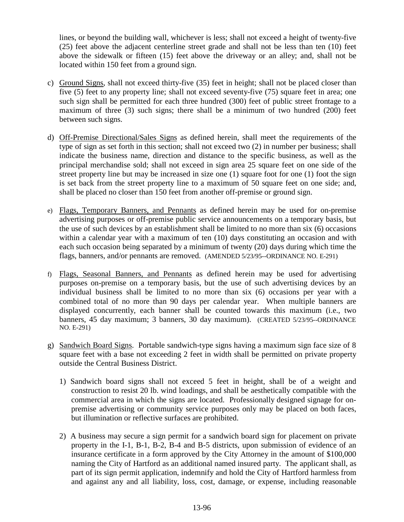lines, or beyond the building wall, whichever is less; shall not exceed a height of twenty-five (25) feet above the adjacent centerline street grade and shall not be less than ten (10) feet above the sidewalk or fifteen (15) feet above the driveway or an alley; and, shall not be located within 150 feet from a ground sign.

- c) Ground Signs, shall not exceed thirty-five (35) feet in height; shall not be placed closer than five (5) feet to any property line; shall not exceed seventy-five (75) square feet in area; one such sign shall be permitted for each three hundred (300) feet of public street frontage to a maximum of three (3) such signs; there shall be a minimum of two hundred (200) feet between such signs.
- d) Off-Premise Directional/Sales Signs as defined herein, shall meet the requirements of the type of sign as set forth in this section; shall not exceed two (2) in number per business; shall indicate the business name, direction and distance to the specific business, as well as the principal merchandise sold; shall not exceed in sign area 25 square feet on one side of the street property line but may be increased in size one (1) square foot for one (1) foot the sign is set back from the street property line to a maximum of 50 square feet on one side; and, shall be placed no closer than 150 feet from another off-premise or ground sign.
- e) Flags, Temporary Banners, and Pennants as defined herein may be used for on-premise advertising purposes or off-premise public service announcements on a temporary basis, but the use of such devices by an establishment shall be limited to no more than six (6) occasions within a calendar year with a maximum of ten (10) days constituting an occasion and with each such occasion being separated by a minimum of twenty (20) days during which time the flags, banners, and/or pennants are removed. (AMENDED 5/23/95--ORDINANCE NO. E-291)
- f) Flags, Seasonal Banners, and Pennants as defined herein may be used for advertising purposes on-premise on a temporary basis, but the use of such advertising devices by an individual business shall be limited to no more than six (6) occasions per year with a combined total of no more than 90 days per calendar year. When multiple banners are displayed concurrently, each banner shall be counted towards this maximum (i.e., two banners, 45 day maximum; 3 banners, 30 day maximum). (CREATED 5/23/95--ORDINANCE NO. E-291)
- g) Sandwich Board Signs. Portable sandwich-type signs having a maximum sign face size of 8 square feet with a base not exceeding 2 feet in width shall be permitted on private property outside the Central Business District.
	- 1) Sandwich board signs shall not exceed 5 feet in height, shall be of a weight and construction to resist 20 lb. wind loadings, and shall be aesthetically compatible with the commercial area in which the signs are located. Professionally designed signage for onpremise advertising or community service purposes only may be placed on both faces, but illumination or reflective surfaces are prohibited.
	- 2) A business may secure a sign permit for a sandwich board sign for placement on private property in the I-1, B-1, B-2, B-4 and B-5 districts, upon submission of evidence of an insurance certificate in a form approved by the City Attorney in the amount of \$100,000 naming the City of Hartford as an additional named insured party. The applicant shall, as part of its sign permit application, indemnify and hold the City of Hartford harmless from and against any and all liability, loss, cost, damage, or expense, including reasonable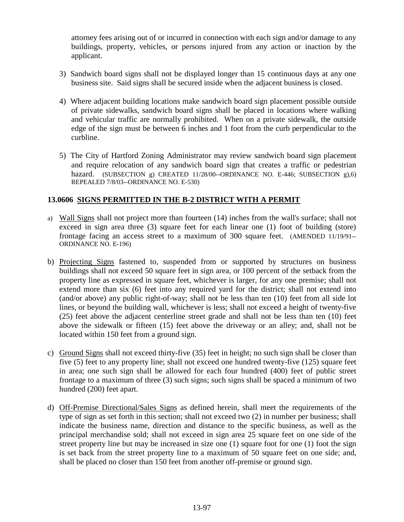attorney fees arising out of or incurred in connection with each sign and/or damage to any buildings, property, vehicles, or persons injured from any action or inaction by the applicant.

- 3) Sandwich board signs shall not be displayed longer than 15 continuous days at any one business site. Said signs shall be secured inside when the adjacent business is closed.
- 4) Where adjacent building locations make sandwich board sign placement possible outside of private sidewalks, sandwich board signs shall be placed in locations where walking and vehicular traffic are normally prohibited. When on a private sidewalk, the outside edge of the sign must be between 6 inches and 1 foot from the curb perpendicular to the curbline.
- 5) The City of Hartford Zoning Administrator may review sandwich board sign placement and require relocation of any sandwich board sign that creates a traffic or pedestrian hazard. (SUBSECTION g) CREATED 11/28/00--ORDINANCE NO. E-446; SUBSECTION g),6) REPEALED 7/8/03--ORDINANCE NO. E-530)

# **13.0606 SIGNS PERMITTED IN THE B-2 DISTRICT WITH A PERMIT**

- a) Wall Signs shall not project more than fourteen (14) inches from the wall's surface; shall not exceed in sign area three (3) square feet for each linear one (1) foot of building (store) frontage facing an access street to a maximum of 300 square feet. (AMENDED 11/19/91-- ORDINANCE NO. E-196)
- b) Projecting Signs fastened to, suspended from or supported by structures on business buildings shall not exceed 50 square feet in sign area, or 100 percent of the setback from the property line as expressed in square feet, whichever is larger, for any one premise; shall not extend more than six (6) feet into any required yard for the district; shall not extend into (and/or above) any public right-of-way; shall not be less than ten (10) feet from all side lot lines, or beyond the building wall, whichever is less; shall not exceed a height of twenty-five (25) feet above the adjacent centerline street grade and shall not be less than ten (10) feet above the sidewalk or fifteen (15) feet above the driveway or an alley; and, shall not be located within 150 feet from a ground sign.
- c) Ground Signs shall not exceed thirty-five (35) feet in height; no such sign shall be closer than five (5) feet to any property line; shall not exceed one hundred twenty-five (125) square feet in area; one such sign shall be allowed for each four hundred (400) feet of public street frontage to a maximum of three (3) such signs; such signs shall be spaced a minimum of two hundred (200) feet apart.
- d) Off-Premise Directional/Sales Signs as defined herein, shall meet the requirements of the type of sign as set forth in this section; shall not exceed two (2) in number per business; shall indicate the business name, direction and distance to the specific business, as well as the principal merchandise sold; shall not exceed in sign area 25 square feet on one side of the street property line but may be increased in size one (1) square foot for one (1) foot the sign is set back from the street property line to a maximum of 50 square feet on one side; and, shall be placed no closer than 150 feet from another off-premise or ground sign.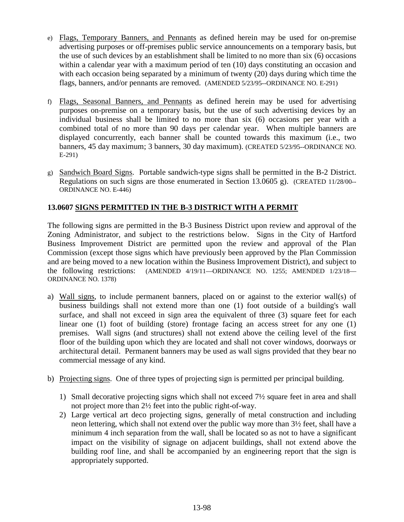- e) Flags, Temporary Banners, and Pennants as defined herein may be used for on-premise advertising purposes or off-premises public service announcements on a temporary basis, but the use of such devices by an establishment shall be limited to no more than six (6) occasions within a calendar year with a maximum period of ten (10) days constituting an occasion and with each occasion being separated by a minimum of twenty (20) days during which time the flags, banners, and/or pennants are removed. (AMENDED 5/23/95--ORDINANCE NO. E-291)
- f) Flags, Seasonal Banners, and Pennants as defined herein may be used for advertising purposes on-premise on a temporary basis, but the use of such advertising devices by an individual business shall be limited to no more than six (6) occasions per year with a combined total of no more than 90 days per calendar year. When multiple banners are displayed concurrently, each banner shall be counted towards this maximum (i.e., two banners, 45 day maximum; 3 banners, 30 day maximum). (CREATED 5/23/95--ORDINANCE NO. E-291)
- g) Sandwich Board Signs. Portable sandwich-type signs shall be permitted in the B-2 District. Regulations on such signs are those enumerated in Section 13.0605 g). (CREATED 11/28/00-- ORDINANCE NO. E-446)

# **13.0607 SIGNS PERMITTED IN THE B-3 DISTRICT WITH A PERMIT**

The following signs are permitted in the B-3 Business District upon review and approval of the Zoning Administrator, and subject to the restrictions below. Signs in the City of Hartford Business Improvement District are permitted upon the review and approval of the Plan Commission (except those signs which have previously been approved by the Plan Commission and are being moved to a new location within the Business Improvement District), and subject to the following restrictions: (AMENDED 4/19/11—ORDINANCE NO. 1255; AMENDED 1/23/18— ORDINANCE NO. 1378)

- a) Wall signs, to include permanent banners, placed on or against to the exterior wall(s) of business buildings shall not extend more than one (1) foot outside of a building's wall surface, and shall not exceed in sign area the equivalent of three (3) square feet for each linear one (1) foot of building (store) frontage facing an access street for any one (1) premises. Wall signs (and structures) shall not extend above the ceiling level of the first floor of the building upon which they are located and shall not cover windows, doorways or architectural detail. Permanent banners may be used as wall signs provided that they bear no commercial message of any kind.
- b) Projecting signs. One of three types of projecting sign is permitted per principal building.
	- 1) Small decorative projecting signs which shall not exceed 7½ square feet in area and shall not project more than 2½ feet into the public right-of-way.
	- 2) Large vertical art deco projecting signs, generally of metal construction and including neon lettering, which shall not extend over the public way more than 3½ feet, shall have a minimum 4 inch separation from the wall, shall be located so as not to have a significant impact on the visibility of signage on adjacent buildings, shall not extend above the building roof line, and shall be accompanied by an engineering report that the sign is appropriately supported.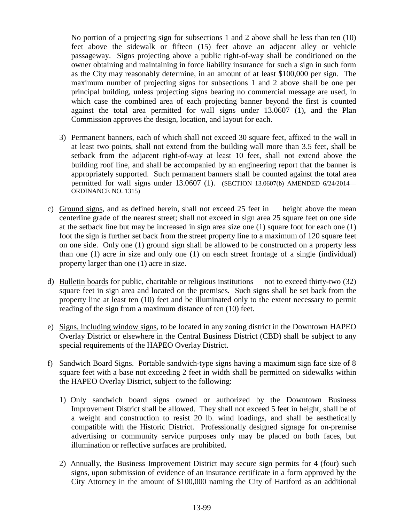No portion of a projecting sign for subsections 1 and 2 above shall be less than ten (10) feet above the sidewalk or fifteen (15) feet above an adjacent alley or vehicle passageway. Signs projecting above a public right-of-way shall be conditioned on the owner obtaining and maintaining in force liability insurance for such a sign in such form as the City may reasonably determine, in an amount of at least \$100,000 per sign. The maximum number of projecting signs for subsections 1 and 2 above shall be one per principal building, unless projecting signs bearing no commercial message are used, in which case the combined area of each projecting banner beyond the first is counted against the total area permitted for wall signs under 13.0607 (1), and the Plan Commission approves the design, location, and layout for each.

- 3) Permanent banners, each of which shall not exceed 30 square feet, affixed to the wall in at least two points, shall not extend from the building wall more than 3.5 feet, shall be setback from the adjacent right-of-way at least 10 feet, shall not extend above the building roof line, and shall be accompanied by an engineering report that the banner is appropriately supported. Such permanent banners shall be counted against the total area permitted for wall signs under 13.0607 (1). (SECTION 13.0607(b) AMENDED 6/24/2014— ORDINANCE NO. 1315)
- c) Ground signs, and as defined herein, shall not exceed 25 feet in height above the mean centerline grade of the nearest street; shall not exceed in sign area 25 square feet on one side at the setback line but may be increased in sign area size one (1) square foot for each one (1) foot the sign is further set back from the street property line to a maximum of 120 square feet on one side. Only one (1) ground sign shall be allowed to be constructed on a property less than one (1) acre in size and only one (1) on each street frontage of a single (individual) property larger than one (1) acre in size.
- d) Bulletin boards for public, charitable or religious institutions not to exceed thirty-two (32) square feet in sign area and located on the premises. Such signs shall be set back from the property line at least ten (10) feet and be illuminated only to the extent necessary to permit reading of the sign from a maximum distance of ten (10) feet.
- e) Signs, including window signs, to be located in any zoning district in the Downtown HAPEO Overlay District or elsewhere in the Central Business District (CBD) shall be subject to any special requirements of the HAPEO Overlay District.
- f) Sandwich Board Signs. Portable sandwich-type signs having a maximum sign face size of 8 square feet with a base not exceeding 2 feet in width shall be permitted on sidewalks within the HAPEO Overlay District, subject to the following:
	- 1) Only sandwich board signs owned or authorized by the Downtown Business Improvement District shall be allowed. They shall not exceed 5 feet in height, shall be of a weight and construction to resist 20 lb. wind loadings, and shall be aesthetically compatible with the Historic District. Professionally designed signage for on-premise advertising or community service purposes only may be placed on both faces, but illumination or reflective surfaces are prohibited.
	- 2) Annually, the Business Improvement District may secure sign permits for 4 (four) such signs, upon submission of evidence of an insurance certificate in a form approved by the City Attorney in the amount of \$100,000 naming the City of Hartford as an additional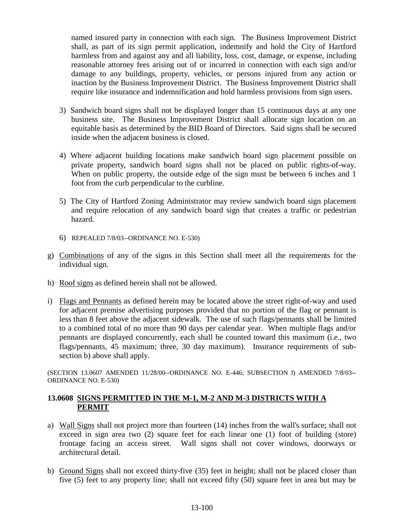named insured party in connection with each sign. The Business Improvement District shall, as part of its sign permit application, indemnify and hold the City of Hartford harmless from and against any and all liability, loss, cost, damage, or expense, including reasonable attorney fees arising out of or incurred in connection with each sign and/or damage to any buildings, property, vehicles, or persons injured from any action or inaction by the Business Improvement District. The Business Improvement District shall require like insurance and indemnification and hold harmless provisions from sign users.

- 3) Sandwich board signs shall not be displayed longer than 15 continuous days at any one business site. The Business Improvement District shall allocate sign location on an equitable basis as determined by the BID Board of Directors. Said signs shall be secured inside when the adjacent business is closed.
- 4) Where adjacent building locations make sandwich board sign placement possible on private property, sandwich board signs shall not be placed on public rights-of-way. When on public property, the outside edge of the sign must be between 6 inches and 1 foot from the curb perpendicular to the curbline.
- 5) The City of Hartford Zoning Administrator may review sandwich board sign placement and require relocation of any sandwich board sign that creates a traffic or pedestrian hazard.
- 6) REPEALED 7/8/03--ORDINANCE NO. E-530)
- g) Combinations of any of the signs in this Section shall meet all the requirements for the individual sign.
- h) Roof signs as defined herein shall not be allowed.
- i) Flags and Pennants as defined herein may be located above the street right-of-way and used for adjacent premise advertising purposes provided that no portion of the flag or pennant is less than 8 feet above the adjacent sidewalk. The use of such flags/pennants shall be limited to a combined total of no more than 90 days per calendar year. When multiple flags and/or pennants are displayed concurrently, each shall be counted toward this maximum (i.e., two flags/pennants, 45 maximum; three, 30 day maximum). Insurance requirements of subsection b) above shall apply.

(SECTION 13.0607 AMENDED 11/28/00--ORDINANCE NO. E-446; SUBSECTION f) AMENDED 7/8/03-- ORDINANCE NO. E-530)

# **13.0608 SIGNS PERMITTED IN THE M-1, M-2 AND M-3 DISTRICTS WITH A PERMIT**

- a) Wall Signs shall not project more than fourteen (14) inches from the wall's surface; shall not exceed in sign area two (2) square feet for each linear one (1) foot of building (store) frontage facing an access street. Wall signs shall not cover windows, doorways or architectural detail.
- b) Ground Signs shall not exceed thirty-five (35) feet in height; shall not be placed closer than five (5) feet to any property line; shall not exceed fifty (50) square feet in area but may be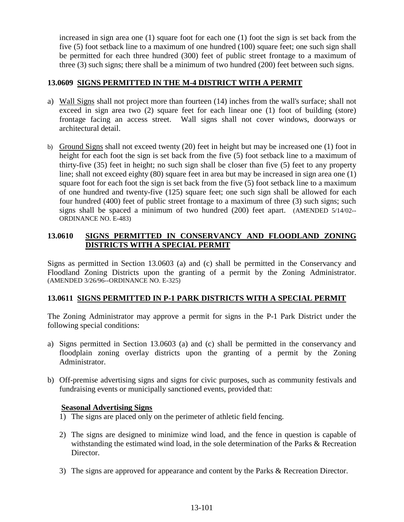increased in sign area one (1) square foot for each one (1) foot the sign is set back from the five (5) foot setback line to a maximum of one hundred (100) square feet; one such sign shall be permitted for each three hundred (300) feet of public street frontage to a maximum of three (3) such signs; there shall be a minimum of two hundred (200) feet between such signs.

### **13.0609 SIGNS PERMITTED IN THE M-4 DISTRICT WITH A PERMIT**

- a) Wall Signs shall not project more than fourteen (14) inches from the wall's surface; shall not exceed in sign area two (2) square feet for each linear one (1) foot of building (store) frontage facing an access street. Wall signs shall not cover windows, doorways or architectural detail.
- b) Ground Signs shall not exceed twenty (20) feet in height but may be increased one (1) foot in height for each foot the sign is set back from the five (5) foot setback line to a maximum of thirty-five (35) feet in height; no such sign shall be closer than five (5) feet to any property line; shall not exceed eighty (80) square feet in area but may be increased in sign area one (1) square foot for each foot the sign is set back from the five (5) foot setback line to a maximum of one hundred and twenty-five (125) square feet; one such sign shall be allowed for each four hundred (400) feet of public street frontage to a maximum of three (3) such signs; such signs shall be spaced a minimum of two hundred (200) feet apart. (AMENDED 5/14/02-- ORDINANCE NO. E-483)

# **13.0610 SIGNS PERMITTED IN CONSERVANCY AND FLOODLAND ZONING DISTRICTS WITH A SPECIAL PERMIT**

Signs as permitted in Section 13.0603 (a) and (c) shall be permitted in the Conservancy and Floodland Zoning Districts upon the granting of a permit by the Zoning Administrator. (AMENDED 3/26/96--ORDINANCE NO. E-325)

#### **13.0611 SIGNS PERMITTED IN P-1 PARK DISTRICTS WITH A SPECIAL PERMIT**

The Zoning Administrator may approve a permit for signs in the P-1 Park District under the following special conditions:

- a) Signs permitted in Section 13.0603 (a) and (c) shall be permitted in the conservancy and floodplain zoning overlay districts upon the granting of a permit by the Zoning Administrator.
- b) Off-premise advertising signs and signs for civic purposes, such as community festivals and fundraising events or municipally sanctioned events, provided that:

#### **Seasonal Advertising Signs**

- 1) The signs are placed only on the perimeter of athletic field fencing.
- 2) The signs are designed to minimize wind load, and the fence in question is capable of withstanding the estimated wind load, in the sole determination of the Parks & Recreation Director.
- 3) The signs are approved for appearance and content by the Parks & Recreation Director.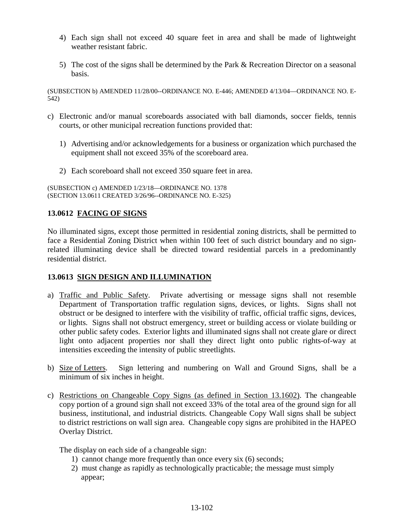- 4) Each sign shall not exceed 40 square feet in area and shall be made of lightweight weather resistant fabric.
- 5) The cost of the signs shall be determined by the Park & Recreation Director on a seasonal basis.

(SUBSECTION b) AMENDED 11/28/00--ORDINANCE NO. E-446; AMENDED 4/13/04—ORDINANCE NO. E-542)

- c) Electronic and/or manual scoreboards associated with ball diamonds, soccer fields, tennis courts, or other municipal recreation functions provided that:
	- 1) Advertising and/or acknowledgements for a business or organization which purchased the equipment shall not exceed 35% of the scoreboard area.
	- 2) Each scoreboard shall not exceed 350 square feet in area.

(SUBSECTION c) AMENDED 1/23/18—ORDINANCE NO. 1378 (SECTION 13.0611 CREATED 3/26/96--ORDINANCE NO. E-325)

# **13.0612 FACING OF SIGNS**

No illuminated signs, except those permitted in residential zoning districts, shall be permitted to face a Residential Zoning District when within 100 feet of such district boundary and no signrelated illuminating device shall be directed toward residential parcels in a predominantly residential district.

# **13.0613 SIGN DESIGN AND ILLUMINATION**

- a) Traffic and Public Safety. Private advertising or message signs shall not resemble Department of Transportation traffic regulation signs, devices, or lights. Signs shall not obstruct or be designed to interfere with the visibility of traffic, official traffic signs, devices, or lights. Signs shall not obstruct emergency, street or building access or violate building or other public safety codes. Exterior lights and illuminated signs shall not create glare or direct light onto adjacent properties nor shall they direct light onto public rights-of-way at intensities exceeding the intensity of public streetlights.
- b) Size of Letters. Sign lettering and numbering on Wall and Ground Signs, shall be a minimum of six inches in height.
- c) Restrictions on Changeable Copy Signs (as defined in Section 13.1602). The changeable copy portion of a ground sign shall not exceed 33% of the total area of the ground sign for all business, institutional, and industrial districts. Changeable Copy Wall signs shall be subject to district restrictions on wall sign area. Changeable copy signs are prohibited in the HAPEO Overlay District.

The display on each side of a changeable sign:

- 1) cannot change more frequently than once every six (6) seconds;
- 2) must change as rapidly as technologically practicable; the message must simply appear;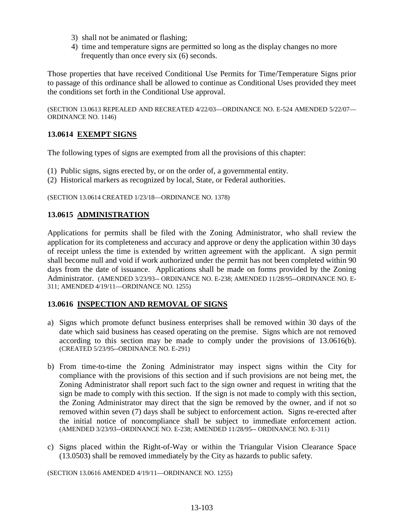- 3) shall not be animated or flashing;
- 4) time and temperature signs are permitted so long as the display changes no more frequently than once every six (6) seconds.

Those properties that have received Conditional Use Permits for Time/Temperature Signs prior to passage of this ordinance shall be allowed to continue as Conditional Uses provided they meet the conditions set forth in the Conditional Use approval.

(SECTION 13.0613 REPEALED AND RECREATED 4/22/03—ORDINANCE NO. E-524 AMENDED 5/22/07— ORDINANCE NO. 1146)

# **13.0614 EXEMPT SIGNS**

The following types of signs are exempted from all the provisions of this chapter:

- (1) Public signs, signs erected by, or on the order of, a governmental entity.
- (2) Historical markers as recognized by local, State, or Federal authorities.

(SECTION 13.0614 CREATED 1/23/18—ORDINANCE NO. 1378)

#### **13.0615 ADMINISTRATION**

Applications for permits shall be filed with the Zoning Administrator, who shall review the application for its completeness and accuracy and approve or deny the application within 30 days of receipt unless the time is extended by written agreement with the applicant. A sign permit shall become null and void if work authorized under the permit has not been completed within 90 days from the date of issuance. Applications shall be made on forms provided by the Zoning Administrator. (AMENDED 3/23/93-- ORDINANCE NO. E-238; AMENDED 11/28/95--ORDINANCE NO. E-311; AMENDED 4/19/11—ORDINANCE NO. 1255)

#### **13.0616 INSPECTION AND REMOVAL OF SIGNS**

- a) Signs which promote defunct business enterprises shall be removed within 30 days of the date which said business has ceased operating on the premise. Signs which are not removed according to this section may be made to comply under the provisions of 13.0616(b). (CREATED 5/23/95--ORDINANCE NO. E-291)
- b) From time-to-time the Zoning Administrator may inspect signs within the City for compliance with the provisions of this section and if such provisions are not being met, the Zoning Administrator shall report such fact to the sign owner and request in writing that the sign be made to comply with this section. If the sign is not made to comply with this section, the Zoning Administrator may direct that the sign be removed by the owner, and if not so removed within seven (7) days shall be subject to enforcement action. Signs re-erected after the initial notice of noncompliance shall be subject to immediate enforcement action. (AMENDED 3/23/93--ORDINANCE NO. E-238; AMENDED 11/28/95-- ORDINANCE NO. E-311)
- c) Signs placed within the Right-of-Way or within the Triangular Vision Clearance Space (13.0503) shall be removed immediately by the City as hazards to public safety.

(SECTION 13.0616 AMENDED 4/19/11—ORDINANCE NO. 1255)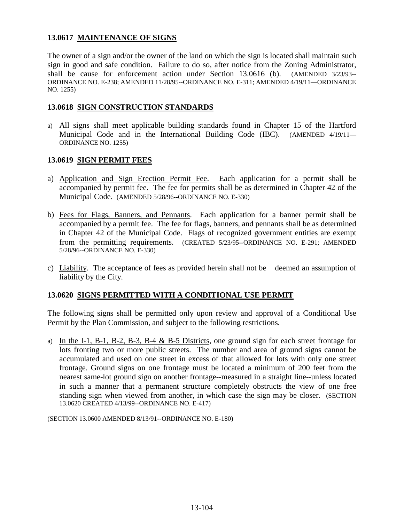### **13.0617 MAINTENANCE OF SIGNS**

The owner of a sign and/or the owner of the land on which the sign is located shall maintain such sign in good and safe condition. Failure to do so, after notice from the Zoning Administrator, shall be cause for enforcement action under Section 13.0616 (b). (AMENDED 3/23/93-- ORDINANCE NO. E-238; AMENDED 11/28/95--ORDINANCE NO. E-311; AMENDED 4/19/11—ORDINANCE NO. 1255)

#### **13.0618 SIGN CONSTRUCTION STANDARDS**

a) All signs shall meet applicable building standards found in Chapter 15 of the Hartford Municipal Code and in the International Building Code (IBC). (AMENDED 4/19/11— ORDINANCE NO. 1255)

### **13.0619 SIGN PERMIT FEES**

- a) Application and Sign Erection Permit Fee. Each application for a permit shall be accompanied by permit fee. The fee for permits shall be as determined in Chapter 42 of the Municipal Code. (AMENDED 5/28/96--ORDINANCE NO. E-330)
- b) Fees for Flags, Banners, and Pennants. Each application for a banner permit shall be accompanied by a permit fee. The fee for flags, banners, and pennants shall be as determined in Chapter 42 of the Municipal Code. Flags of recognized government entities are exempt from the permitting requirements. (CREATED 5/23/95--ORDINANCE NO. E-291; AMENDED 5/28/96--ORDINANCE NO. E-330)
- c) Liability. The acceptance of fees as provided herein shall not be deemed an assumption of liability by the City.

# **13.0620 SIGNS PERMITTED WITH A CONDITIONAL USE PERMIT**

The following signs shall be permitted only upon review and approval of a Conditional Use Permit by the Plan Commission, and subject to the following restrictions.

a) In the I-1, B-1, B-2, B-3, B-4 & B-5 Districts, one ground sign for each street frontage for lots fronting two or more public streets. The number and area of ground signs cannot be accumulated and used on one street in excess of that allowed for lots with only one street frontage. Ground signs on one frontage must be located a minimum of 200 feet from the nearest same-lot ground sign on another frontage--measured in a straight line--unless located in such a manner that a permanent structure completely obstructs the view of one free standing sign when viewed from another, in which case the sign may be closer. (SECTION 13.0620 CREATED 4/13/99--ORDINANCE NO. E-417)

(SECTION 13.0600 AMENDED 8/13/91--ORDINANCE NO. E-180)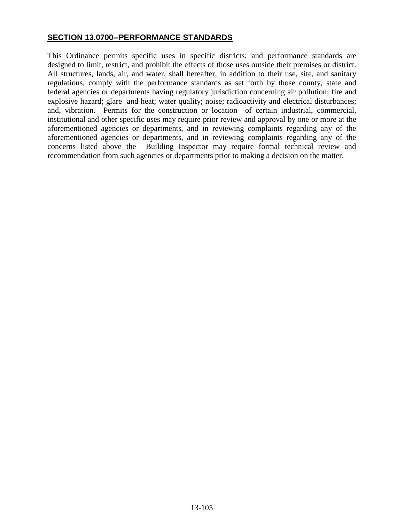## **SECTION 13.0700--PERFORMANCE STANDARDS**

This Ordinance permits specific uses in specific districts; and performance standards are designed to limit, restrict, and prohibit the effects of those uses outside their premises or district. All structures, lands, air, and water, shall hereafter, in addition to their use, site, and sanitary regulations, comply with the performance standards as set forth by those county, state and federal agencies or departments having regulatory jurisdiction concerning air pollution; fire and explosive hazard; glare and heat; water quality; noise; radioactivity and electrical disturbances; and, vibration. Permits for the construction or location of certain industrial, commercial, institutional and other specific uses may require prior review and approval by one or more at the aforementioned agencies or departments, and in reviewing complaints regarding any of the aforementioned agencies or departments, and in reviewing complaints regarding any of the concerns listed above the Building Inspector may require formal technical review and recommendation from such agencies or departments prior to making a decision on the matter.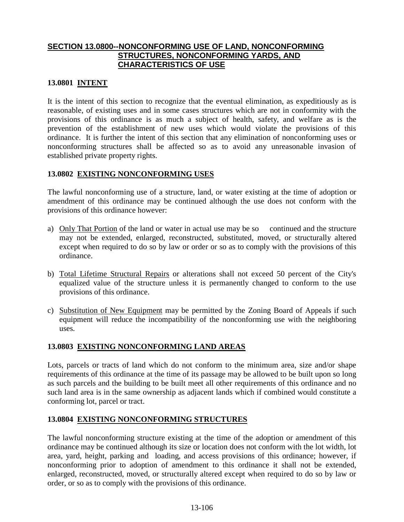## **SECTION 13.0800--NONCONFORMING USE OF LAND, NONCONFORMING STRUCTURES, NONCONFORMING YARDS, AND CHARACTERISTICS OF USE**

#### **13.0801 INTENT**

It is the intent of this section to recognize that the eventual elimination, as expeditiously as is reasonable, of existing uses and in some cases structures which are not in conformity with the provisions of this ordinance is as much a subject of health, safety, and welfare as is the prevention of the establishment of new uses which would violate the provisions of this ordinance. It is further the intent of this section that any elimination of nonconforming uses or nonconforming structures shall be affected so as to avoid any unreasonable invasion of established private property rights.

#### **13.0802 EXISTING NONCONFORMING USES**

The lawful nonconforming use of a structure, land, or water existing at the time of adoption or amendment of this ordinance may be continued although the use does not conform with the provisions of this ordinance however:

- a) Only That Portion of the land or water in actual use may be so continued and the structure may not be extended, enlarged, reconstructed, substituted, moved, or structurally altered except when required to do so by law or order or so as to comply with the provisions of this ordinance.
- b) Total Lifetime Structural Repairs or alterations shall not exceed 50 percent of the City's equalized value of the structure unless it is permanently changed to conform to the use provisions of this ordinance.
- c) Substitution of New Equipment may be permitted by the Zoning Board of Appeals if such equipment will reduce the incompatibility of the nonconforming use with the neighboring uses.

#### **13.0803 EXISTING NONCONFORMING LAND AREAS**

Lots, parcels or tracts of land which do not conform to the minimum area, size and/or shape requirements of this ordinance at the time of its passage may be allowed to be built upon so long as such parcels and the building to be built meet all other requirements of this ordinance and no such land area is in the same ownership as adjacent lands which if combined would constitute a conforming lot, parcel or tract.

#### **13.0804 EXISTING NONCONFORMING STRUCTURES**

The lawful nonconforming structure existing at the time of the adoption or amendment of this ordinance may be continued although its size or location does not conform with the lot width, lot area, yard, height, parking and loading, and access provisions of this ordinance; however, if nonconforming prior to adoption of amendment to this ordinance it shall not be extended, enlarged, reconstructed, moved, or structurally altered except when required to do so by law or order, or so as to comply with the provisions of this ordinance.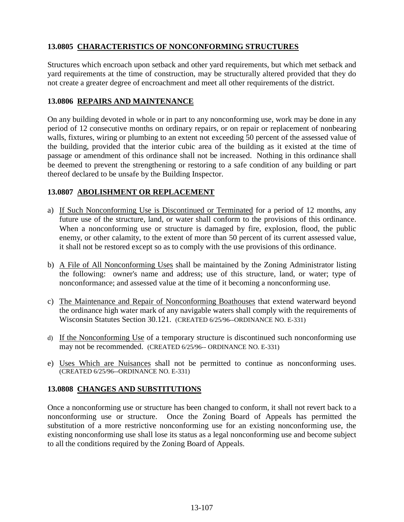# **13.0805 CHARACTERISTICS OF NONCONFORMING STRUCTURES**

Structures which encroach upon setback and other yard requirements, but which met setback and yard requirements at the time of construction, may be structurally altered provided that they do not create a greater degree of encroachment and meet all other requirements of the district.

## **13.0806 REPAIRS AND MAINTENANCE**

On any building devoted in whole or in part to any nonconforming use, work may be done in any period of 12 consecutive months on ordinary repairs, or on repair or replacement of nonbearing walls, fixtures, wiring or plumbing to an extent not exceeding 50 percent of the assessed value of the building, provided that the interior cubic area of the building as it existed at the time of passage or amendment of this ordinance shall not be increased. Nothing in this ordinance shall be deemed to prevent the strengthening or restoring to a safe condition of any building or part thereof declared to be unsafe by the Building Inspector.

# **13.0807 ABOLISHMENT OR REPLACEMENT**

- a) If Such Nonconforming Use is Discontinued or Terminated for a period of 12 months, any future use of the structure, land, or water shall conform to the provisions of this ordinance. When a nonconforming use or structure is damaged by fire, explosion, flood, the public enemy, or other calamity, to the extent of more than 50 percent of its current assessed value, it shall not be restored except so as to comply with the use provisions of this ordinance.
- b) A File of All Nonconforming Uses shall be maintained by the Zoning Administrator listing the following: owner's name and address; use of this structure, land, or water; type of nonconformance; and assessed value at the time of it becoming a nonconforming use.
- c) The Maintenance and Repair of Nonconforming Boathouses that extend waterward beyond the ordinance high water mark of any navigable waters shall comply with the requirements of Wisconsin Statutes Section 30.121. (CREATED 6/25/96--ORDINANCE NO. E-331)
- d) If the Nonconforming Use of a temporary structure is discontinued such nonconforming use may not be recommended. (CREATED 6/25/96-- ORDINANCE NO. E-331)
- e) Uses Which are Nuisances shall not be permitted to continue as nonconforming uses. (CREATED 6/25/96--ORDINANCE NO. E-331)

# **13.0808 CHANGES AND SUBSTITUTIONS**

Once a nonconforming use or structure has been changed to conform, it shall not revert back to a nonconforming use or structure. Once the Zoning Board of Appeals has permitted the substitution of a more restrictive nonconforming use for an existing nonconforming use, the existing nonconforming use shall lose its status as a legal nonconforming use and become subject to all the conditions required by the Zoning Board of Appeals.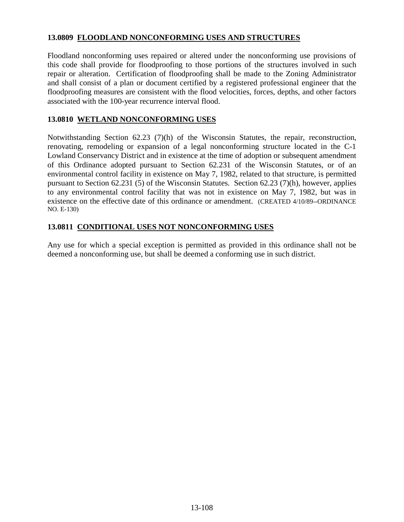### **13.0809 FLOODLAND NONCONFORMING USES AND STRUCTURES**

Floodland nonconforming uses repaired or altered under the nonconforming use provisions of this code shall provide for floodproofing to those portions of the structures involved in such repair or alteration. Certification of floodproofing shall be made to the Zoning Administrator and shall consist of a plan or document certified by a registered professional engineer that the floodproofing measures are consistent with the flood velocities, forces, depths, and other factors associated with the 100-year recurrence interval flood.

#### **13.0810 WETLAND NONCONFORMING USES**

Notwithstanding Section 62.23 (7)(h) of the Wisconsin Statutes, the repair, reconstruction, renovating, remodeling or expansion of a legal nonconforming structure located in the C-1 Lowland Conservancy District and in existence at the time of adoption or subsequent amendment of this Ordinance adopted pursuant to Section 62.231 of the Wisconsin Statutes, or of an environmental control facility in existence on May 7, 1982, related to that structure, is permitted pursuant to Section 62.231 (5) of the Wisconsin Statutes. Section 62.23 (7)(h), however, applies to any environmental control facility that was not in existence on May 7, 1982, but was in existence on the effective date of this ordinance or amendment. (CREATED 4/10/89--ORDINANCE NO. E-130)

#### **13.0811 CONDITIONAL USES NOT NONCONFORMING USES**

Any use for which a special exception is permitted as provided in this ordinance shall not be deemed a nonconforming use, but shall be deemed a conforming use in such district.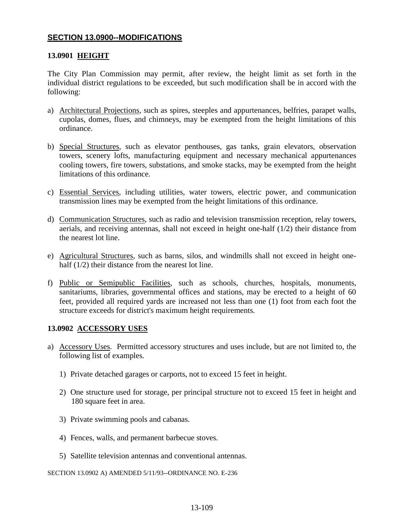## **SECTION 13.0900--MODIFICATIONS**

#### **13.0901 HEIGHT**

The City Plan Commission may permit, after review, the height limit as set forth in the individual district regulations to be exceeded, but such modification shall be in accord with the following:

- a) Architectural Projections, such as spires, steeples and appurtenances, belfries, parapet walls, cupolas, domes, flues, and chimneys, may be exempted from the height limitations of this ordinance.
- b) Special Structures, such as elevator penthouses, gas tanks, grain elevators, observation towers, scenery lofts, manufacturing equipment and necessary mechanical appurtenances cooling towers, fire towers, substations, and smoke stacks, may be exempted from the height limitations of this ordinance.
- c) Essential Services, including utilities, water towers, electric power, and communication transmission lines may be exempted from the height limitations of this ordinance.
- d) Communication Structures, such as radio and television transmission reception, relay towers, aerials, and receiving antennas, shall not exceed in height one-half (1/2) their distance from the nearest lot line.
- e) Agricultural Structures, such as barns, silos, and windmills shall not exceed in height onehalf (1/2) their distance from the nearest lot line.
- f) Public or Semipublic Facilities, such as schools, churches, hospitals, monuments, sanitariums, libraries, governmental offices and stations, may be erected to a height of 60 feet, provided all required yards are increased not less than one (1) foot from each foot the structure exceeds for district's maximum height requirements.

#### **13.0902 ACCESSORY USES**

- a) Accessory Uses. Permitted accessory structures and uses include, but are not limited to, the following list of examples.
	- 1) Private detached garages or carports, not to exceed 15 feet in height.
	- 2) One structure used for storage, per principal structure not to exceed 15 feet in height and 180 square feet in area.
	- 3) Private swimming pools and cabanas.
	- 4) Fences, walls, and permanent barbecue stoves.
	- 5) Satellite television antennas and conventional antennas.

SECTION 13.0902 A) AMENDED 5/11/93--ORDINANCE NO. E-236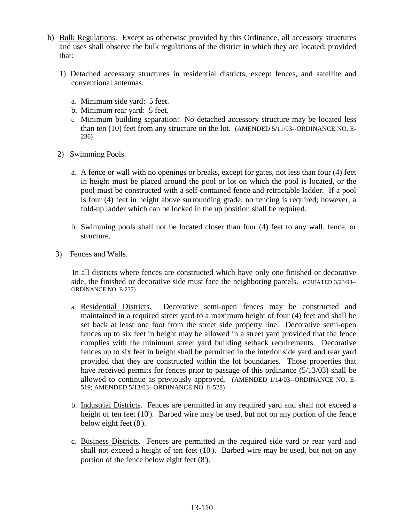- b) Bulk Regulations. Except as otherwise provided by this Ordinance, all accessory structures and uses shall observe the bulk regulations of the district in which they are located, provided that:
	- 1) Detached accessory structures in residential districts, except fences, and satellite and conventional antennas.
		- a. Minimum side yard: 5 feet.
		- b. Minimum rear yard: 5 feet.
		- c. Minimum building separation: No detached accessory structure may be located less than ten (10) feet from any structure on the lot. (AMENDED 5/11/93--ORDINANCE NO. E-236)
	- 2) Swimming Pools.
		- a. A fence or wall with no openings or breaks, except for gates, not less than four (4) feet in height must be placed around the pool or lot on which the pool is located, or the pool must be constructed with a self-contained fence and retractable ladder. If a pool is four (4) feet in height above surrounding grade, no fencing is required; however, a fold-up ladder which can be locked in the up position shall be required.
		- b. Swimming pools shall not be located closer than four (4) feet to any wall, fence, or structure.
	- 3) Fences and Walls.

 In all districts where fences are constructed which have only one finished or decorative side, the finished or decorative side must face the neighboring parcels. (CREATED 3/23/93--ORDINANCE NO. E-237)

- a. Residential Districts. Decorative semi-open fences may be constructed and maintained in a required street yard to a maximum height of four (4) feet and shall be set back at least one foot from the street side property line. Decorative semi-open fences up to six feet in height may be allowed in a street yard provided that the fence complies with the minimum street yard building setback requirements. Decorative fences up to six feet in height shall be permitted in the interior side yard and rear yard provided that they are constructed within the lot boundaries. Those properties that have received permits for fences prior to passage of this ordinance (5/13/03) shall be allowed to continue as previously approved. (AMENDED 1/14/03--ORDINANCE NO. E-519; AMENDED 5/13/03--ORDINANCE NO. E-528)
- b. Industrial Districts. Fences are permitted in any required yard and shall not exceed a height of ten feet (10'). Barbed wire may be used, but not on any portion of the fence below eight feet (8').
- c. Business Districts. Fences are permitted in the required side yard or rear yard and shall not exceed a height of ten feet (10'). Barbed wire may be used, but not on any portion of the fence below eight feet (8').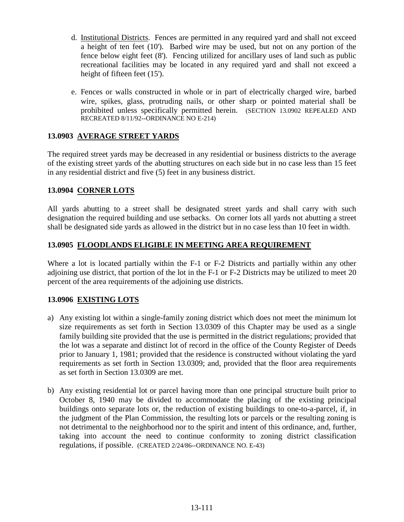- d. Institutional Districts. Fences are permitted in any required yard and shall not exceed a height of ten feet (10'). Barbed wire may be used, but not on any portion of the fence below eight feet (8'). Fencing utilized for ancillary uses of land such as public recreational facilities may be located in any required yard and shall not exceed a height of fifteen feet (15').
- e. Fences or walls constructed in whole or in part of electrically charged wire, barbed wire, spikes, glass, protruding nails, or other sharp or pointed material shall be prohibited unless specifically permitted herein. (SECTION 13.0902 REPEALED AND RECREATED 8/11/92--ORDINANCE NO E-214)

## **13.0903 AVERAGE STREET YARDS**

The required street yards may be decreased in any residential or business districts to the average of the existing street yards of the abutting structures on each side but in no case less than 15 feet in any residential district and five (5) feet in any business district.

## **13.0904 CORNER LOTS**

All yards abutting to a street shall be designated street yards and shall carry with such designation the required building and use setbacks. On corner lots all yards not abutting a street shall be designated side yards as allowed in the district but in no case less than 10 feet in width.

## **13.0905 FLOODLANDS ELIGIBLE IN MEETING AREA REQUIREMENT**

Where a lot is located partially within the F-1 or F-2 Districts and partially within any other adjoining use district, that portion of the lot in the F-1 or F-2 Districts may be utilized to meet 20 percent of the area requirements of the adjoining use districts.

# **13.0906 EXISTING LOTS**

- a) Any existing lot within a single-family zoning district which does not meet the minimum lot size requirements as set forth in Section 13.0309 of this Chapter may be used as a single family building site provided that the use is permitted in the district regulations; provided that the lot was a separate and distinct lot of record in the office of the County Register of Deeds prior to January 1, 1981; provided that the residence is constructed without violating the yard requirements as set forth in Section 13.0309; and, provided that the floor area requirements as set forth in Section 13.0309 are met.
- b) Any existing residential lot or parcel having more than one principal structure built prior to October 8, 1940 may be divided to accommodate the placing of the existing principal buildings onto separate lots or, the reduction of existing buildings to one-to-a-parcel, if, in the judgment of the Plan Commission, the resulting lots or parcels or the resulting zoning is not detrimental to the neighborhood nor to the spirit and intent of this ordinance, and, further, taking into account the need to continue conformity to zoning district classification regulations, if possible. (CREATED 2/24/86--ORDINANCE NO. E-43)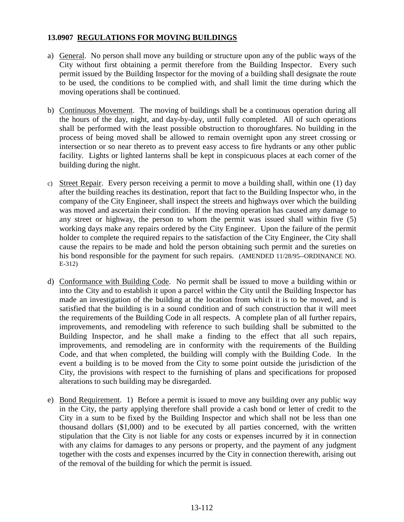#### **13.0907 REGULATIONS FOR MOVING BUILDINGS**

- a) General. No person shall move any building or structure upon any of the public ways of the City without first obtaining a permit therefore from the Building Inspector. Every such permit issued by the Building Inspector for the moving of a building shall designate the route to be used, the conditions to be complied with, and shall limit the time during which the moving operations shall be continued.
- b) Continuous Movement. The moving of buildings shall be a continuous operation during all the hours of the day, night, and day-by-day, until fully completed. All of such operations shall be performed with the least possible obstruction to thoroughfares. No building in the process of being moved shall be allowed to remain overnight upon any street crossing or intersection or so near thereto as to prevent easy access to fire hydrants or any other public facility. Lights or lighted lanterns shall be kept in conspicuous places at each corner of the building during the night.
- c) Street Repair. Every person receiving a permit to move a building shall, within one (1) day after the building reaches its destination, report that fact to the Building Inspector who, in the company of the City Engineer, shall inspect the streets and highways over which the building was moved and ascertain their condition. If the moving operation has caused any damage to any street or highway, the person to whom the permit was issued shall within five (5) working days make any repairs ordered by the City Engineer. Upon the failure of the permit holder to complete the required repairs to the satisfaction of the City Engineer, the City shall cause the repairs to be made and hold the person obtaining such permit and the sureties on his bond responsible for the payment for such repairs. (AMENDED 11/28/95--ORDINANCE NO. E-312)
- d) Conformance with Building Code. No permit shall be issued to move a building within or into the City and to establish it upon a parcel within the City until the Building Inspector has made an investigation of the building at the location from which it is to be moved, and is satisfied that the building is in a sound condition and of such construction that it will meet the requirements of the Building Code in all respects. A complete plan of all further repairs, improvements, and remodeling with reference to such building shall be submitted to the Building Inspector, and he shall make a finding to the effect that all such repairs, improvements, and remodeling are in conformity with the requirements of the Building Code, and that when completed, the building will comply with the Building Code. In the event a building is to be moved from the City to some point outside the jurisdiction of the City, the provisions with respect to the furnishing of plans and specifications for proposed alterations to such building may be disregarded.
- e) Bond Requirement. 1) Before a permit is issued to move any building over any public way in the City, the party applying therefore shall provide a cash bond or letter of credit to the City in a sum to be fixed by the Building Inspector and which shall not be less than one thousand dollars (\$1,000) and to be executed by all parties concerned, with the written stipulation that the City is not liable for any costs or expenses incurred by it in connection with any claims for damages to any persons or property, and the payment of any judgment together with the costs and expenses incurred by the City in connection therewith, arising out of the removal of the building for which the permit is issued.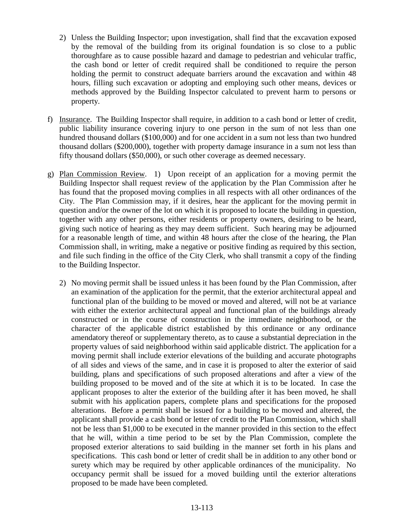- 2) Unless the Building Inspector; upon investigation, shall find that the excavation exposed by the removal of the building from its original foundation is so close to a public thoroughfare as to cause possible hazard and damage to pedestrian and vehicular traffic, the cash bond or letter of credit required shall be conditioned to require the person holding the permit to construct adequate barriers around the excavation and within 48 hours, filling such excavation or adopting and employing such other means, devices or methods approved by the Building Inspector calculated to prevent harm to persons or property.
- f) Insurance. The Building Inspector shall require, in addition to a cash bond or letter of credit, public liability insurance covering injury to one person in the sum of not less than one hundred thousand dollars (\$100,000) and for one accident in a sum not less than two hundred thousand dollars (\$200,000), together with property damage insurance in a sum not less than fifty thousand dollars (\$50,000), or such other coverage as deemed necessary.
- g) Plan Commission Review. 1) Upon receipt of an application for a moving permit the Building Inspector shall request review of the application by the Plan Commission after he has found that the proposed moving complies in all respects with all other ordinances of the City. The Plan Commission may, if it desires, hear the applicant for the moving permit in question and/or the owner of the lot on which it is proposed to locate the building in question, together with any other persons, either residents or property owners, desiring to be heard, giving such notice of hearing as they may deem sufficient. Such hearing may be adjourned for a reasonable length of time, and within 48 hours after the close of the hearing, the Plan Commission shall, in writing, make a negative or positive finding as required by this section, and file such finding in the office of the City Clerk, who shall transmit a copy of the finding to the Building Inspector.
	- 2) No moving permit shall be issued unless it has been found by the Plan Commission, after an examination of the application for the permit, that the exterior architectural appeal and functional plan of the building to be moved or moved and altered, will not be at variance with either the exterior architectural appeal and functional plan of the buildings already constructed or in the course of construction in the immediate neighborhood, or the character of the applicable district established by this ordinance or any ordinance amendatory thereof or supplementary thereto, as to cause a substantial depreciation in the property values of said neighborhood within said applicable district. The application for a moving permit shall include exterior elevations of the building and accurate photographs of all sides and views of the same, and in case it is proposed to alter the exterior of said building, plans and specifications of such proposed alterations and after a view of the building proposed to be moved and of the site at which it is to be located. In case the applicant proposes to alter the exterior of the building after it has been moved, he shall submit with his application papers, complete plans and specifications for the proposed alterations. Before a permit shall be issued for a building to be moved and altered, the applicant shall provide a cash bond or letter of credit to the Plan Commission, which shall not be less than \$1,000 to be executed in the manner provided in this section to the effect that he will, within a time period to be set by the Plan Commission, complete the proposed exterior alterations to said building in the manner set forth in his plans and specifications. This cash bond or letter of credit shall be in addition to any other bond or surety which may be required by other applicable ordinances of the municipality. No occupancy permit shall be issued for a moved building until the exterior alterations proposed to be made have been completed.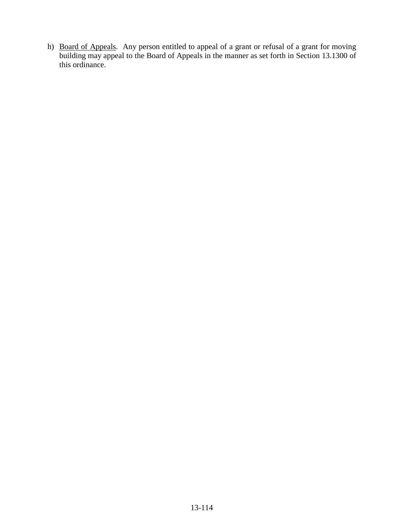h) Board of Appeals. Any person entitled to appeal of a grant or refusal of a grant for moving building may appeal to the Board of Appeals in the manner as set forth in Section 13.1300 of this ordinance.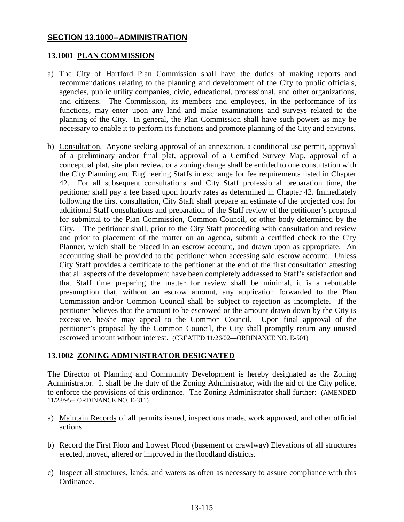### **SECTION 13.1000--ADMINISTRATION**

### **13.1001 PLAN COMMISSION**

- a) The City of Hartford Plan Commission shall have the duties of making reports and recommendations relating to the planning and development of the City to public officials, agencies, public utility companies, civic, educational, professional, and other organizations, and citizens. The Commission, its members and employees, in the performance of its functions, may enter upon any land and make examinations and surveys related to the planning of the City. In general, the Plan Commission shall have such powers as may be necessary to enable it to perform its functions and promote planning of the City and environs.
- b) Consultation. Anyone seeking approval of an annexation, a conditional use permit, approval of a preliminary and/or final plat, approval of a Certified Survey Map, approval of a conceptual plat, site plan review, or a zoning change shall be entitled to one consultation with the City Planning and Engineering Staffs in exchange for fee requirements listed in Chapter 42. For all subsequent consultations and City Staff professional preparation time, the petitioner shall pay a fee based upon hourly rates as determined in Chapter 42. Immediately following the first consultation, City Staff shall prepare an estimate of the projected cost for additional Staff consultations and preparation of the Staff review of the petitioner's proposal for submittal to the Plan Commission, Common Council, or other body determined by the City. The petitioner shall, prior to the City Staff proceeding with consultation and review and prior to placement of the matter on an agenda, submit a certified check to the City Planner, which shall be placed in an escrow account, and drawn upon as appropriate. An accounting shall be provided to the petitioner when accessing said escrow account. Unless City Staff provides a certificate to the petitioner at the end of the first consultation attesting that all aspects of the development have been completely addressed to Staff's satisfaction and that Staff time preparing the matter for review shall be minimal, it is a rebuttable presumption that, without an escrow amount, any application forwarded to the Plan Commission and/or Common Council shall be subject to rejection as incomplete. If the petitioner believes that the amount to be escrowed or the amount drawn down by the City is excessive, he/she may appeal to the Common Council. Upon final approval of the petitioner's proposal by the Common Council, the City shall promptly return any unused escrowed amount without interest. (CREATED 11/26/02—ORDINANCE NO. E-501)

## **13.1002 ZONING ADMINISTRATOR DESIGNATED**

The Director of Planning and Community Development is hereby designated as the Zoning Administrator. It shall be the duty of the Zoning Administrator, with the aid of the City police, to enforce the provisions of this ordinance. The Zoning Administrator shall further: (AMENDED 11/28/95-- ORDINANCE NO. E-311)

- a) Maintain Records of all permits issued, inspections made, work approved, and other official actions.
- b) Record the First Floor and Lowest Flood (basement or crawlway) Elevations of all structures erected, moved, altered or improved in the floodland districts.
- c) Inspect all structures, lands, and waters as often as necessary to assure compliance with this Ordinance.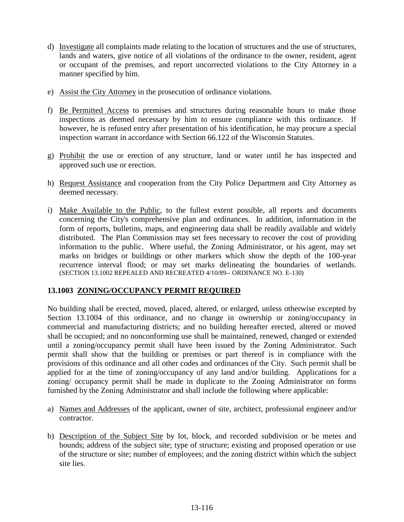- d) Investigate all complaints made relating to the location of structures and the use of structures, lands and waters, give notice of all violations of the ordinance to the owner, resident, agent or occupant of the premises, and report uncorrected violations to the City Attorney in a manner specified by him.
- e) Assist the City Attorney in the prosecution of ordinance violations.
- f) Be Permitted Access to premises and structures during reasonable hours to make those inspections as deemed necessary by him to ensure compliance with this ordinance. If however, he is refused entry after presentation of his identification, he may procure a special inspection warrant in accordance with Section 66.122 of the Wisconsin Statutes.
- g) Prohibit the use or erection of any structure, land or water until he has inspected and approved such use or erection.
- h) Request Assistance and cooperation from the City Police Department and City Attorney as deemed necessary.
- i) Make Available to the Public, to the fullest extent possible, all reports and documents concerning the City's comprehensive plan and ordinances. In addition, information in the form of reports, bulletins, maps, and engineering data shall be readily available and widely distributed. The Plan Commission may set fees necessary to recover the cost of providing information to the public. Where useful, the Zoning Administrator, or his agent, may set marks on bridges or buildings or other markers which show the depth of the 100-year recurrence interval flood; or may set marks delineating the boundaries of wetlands. (SECTION 13.1002 REPEALED AND RECREATED 4/10/89-- ORDINANCE NO. E-130)

## **13.1003 ZONING/OCCUPANCY PERMIT REQUIRED**

No building shall be erected, moved, placed, altered, or enlarged, unless otherwise excepted by Section 13.1004 of this ordinance, and no change in ownership or zoning/occupancy in commercial and manufacturing districts; and no building hereafter erected, altered or moved shall be occupied; and no nonconforming use shall be maintained, renewed, changed or extended until a zoning/occupancy permit shall have been issued by the Zoning Administrator. Such permit shall show that the building or premises or part thereof is in compliance with the provisions of this ordinance and all other codes and ordinances of the City. Such permit shall be applied for at the time of zoning/occupancy of any land and/or building. Applications for a zoning/ occupancy permit shall be made in duplicate to the Zoning Administrator on forms furnished by the Zoning Administrator and shall include the following where applicable:

- a) Names and Addresses of the applicant, owner of site, architect, professional engineer and/or contractor.
- b) Description of the Subject Site by lot, block, and recorded subdivision or be metes and bounds; address of the subject site; type of structure; existing and proposed operation or use of the structure or site; number of employees; and the zoning district within which the subject site lies.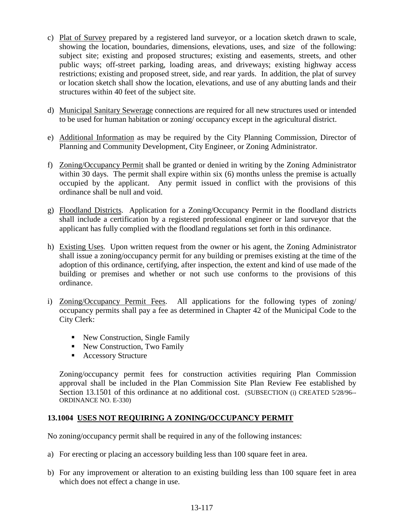- c) Plat of Survey prepared by a registered land surveyor, or a location sketch drawn to scale, showing the location, boundaries, dimensions, elevations, uses, and size of the following: subject site; existing and proposed structures; existing and easements, streets, and other public ways; off-street parking, loading areas, and driveways; existing highway access restrictions; existing and proposed street, side, and rear yards. In addition, the plat of survey or location sketch shall show the location, elevations, and use of any abutting lands and their structures within 40 feet of the subject site.
- d) Municipal Sanitary Sewerage connections are required for all new structures used or intended to be used for human habitation or zoning/ occupancy except in the agricultural district.
- e) Additional Information as may be required by the City Planning Commission, Director of Planning and Community Development, City Engineer, or Zoning Administrator.
- f) Zoning/Occupancy Permit shall be granted or denied in writing by the Zoning Administrator within 30 days. The permit shall expire within six (6) months unless the premise is actually occupied by the applicant. Any permit issued in conflict with the provisions of this ordinance shall be null and void.
- g) Floodland Districts. Application for a Zoning/Occupancy Permit in the floodland districts shall include a certification by a registered professional engineer or land surveyor that the applicant has fully complied with the floodland regulations set forth in this ordinance.
- h) Existing Uses. Upon written request from the owner or his agent, the Zoning Administrator shall issue a zoning/occupancy permit for any building or premises existing at the time of the adoption of this ordinance, certifying, after inspection, the extent and kind of use made of the building or premises and whether or not such use conforms to the provisions of this ordinance.
- i) Zoning/Occupancy Permit Fees. All applications for the following types of zoning/ occupancy permits shall pay a fee as determined in Chapter 42 of the Municipal Code to the City Clerk:
	- New Construction, Single Family
	- New Construction, Two Family
	- Accessory Structure

 Zoning/occupancy permit fees for construction activities requiring Plan Commission approval shall be included in the Plan Commission Site Plan Review Fee established by Section 13.1501 of this ordinance at no additional cost. (SUBSECTION (i) CREATED 5/28/96--ORDINANCE NO. E-330)

## **13.1004 USES NOT REQUIRING A ZONING/OCCUPANCY PERMIT**

No zoning/occupancy permit shall be required in any of the following instances:

- a) For erecting or placing an accessory building less than 100 square feet in area.
- b) For any improvement or alteration to an existing building less than 100 square feet in area which does not effect a change in use.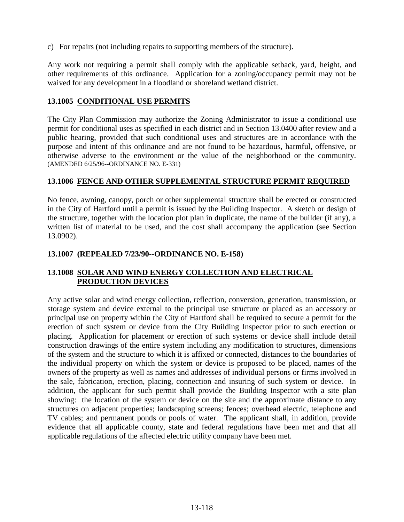c) For repairs (not including repairs to supporting members of the structure).

Any work not requiring a permit shall comply with the applicable setback, yard, height, and other requirements of this ordinance. Application for a zoning/occupancy permit may not be waived for any development in a floodland or shoreland wetland district.

### **13.1005 CONDITIONAL USE PERMITS**

The City Plan Commission may authorize the Zoning Administrator to issue a conditional use permit for conditional uses as specified in each district and in Section 13.0400 after review and a public hearing, provided that such conditional uses and structures are in accordance with the purpose and intent of this ordinance and are not found to be hazardous, harmful, offensive, or otherwise adverse to the environment or the value of the neighborhood or the community. (AMENDED 6/25/96--ORDINANCE NO. E-331)

#### **13.1006 FENCE AND OTHER SUPPLEMENTAL STRUCTURE PERMIT REQUIRED**

No fence, awning, canopy, porch or other supplemental structure shall be erected or constructed in the City of Hartford until a permit is issued by the Building Inspector. A sketch or design of the structure, together with the location plot plan in duplicate, the name of the builder (if any), a written list of material to be used, and the cost shall accompany the application (see Section 13.0902).

### **13.1007 (REPEALED 7/23/90--ORDINANCE NO. E-158)**

## **13.1008 SOLAR AND WIND ENERGY COLLECTION AND ELECTRICAL PRODUCTION DEVICES**

Any active solar and wind energy collection, reflection, conversion, generation, transmission, or storage system and device external to the principal use structure or placed as an accessory or principal use on property within the City of Hartford shall be required to secure a permit for the erection of such system or device from the City Building Inspector prior to such erection or placing. Application for placement or erection of such systems or device shall include detail construction drawings of the entire system including any modification to structures, dimensions of the system and the structure to which it is affixed or connected, distances to the boundaries of the individual property on which the system or device is proposed to be placed, names of the owners of the property as well as names and addresses of individual persons or firms involved in the sale, fabrication, erection, placing, connection and insuring of such system or device. In addition, the applicant for such permit shall provide the Building Inspector with a site plan showing: the location of the system or device on the site and the approximate distance to any structures on adjacent properties; landscaping screens; fences; overhead electric, telephone and TV cables; and permanent ponds or pools of water. The applicant shall, in addition, provide evidence that all applicable county, state and federal regulations have been met and that all applicable regulations of the affected electric utility company have been met.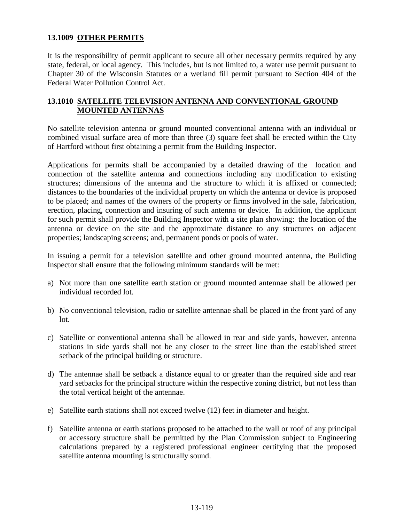### **13.1009 OTHER PERMITS**

It is the responsibility of permit applicant to secure all other necessary permits required by any state, federal, or local agency. This includes, but is not limited to, a water use permit pursuant to Chapter 30 of the Wisconsin Statutes or a wetland fill permit pursuant to Section 404 of the Federal Water Pollution Control Act.

### **13.1010 SATELLITE TELEVISION ANTENNA AND CONVENTIONAL GROUND MOUNTED ANTENNAS**

No satellite television antenna or ground mounted conventional antenna with an individual or combined visual surface area of more than three (3) square feet shall be erected within the City of Hartford without first obtaining a permit from the Building Inspector.

Applications for permits shall be accompanied by a detailed drawing of the location and connection of the satellite antenna and connections including any modification to existing structures; dimensions of the antenna and the structure to which it is affixed or connected; distances to the boundaries of the individual property on which the antenna or device is proposed to be placed; and names of the owners of the property or firms involved in the sale, fabrication, erection, placing, connection and insuring of such antenna or device. In addition, the applicant for such permit shall provide the Building Inspector with a site plan showing: the location of the antenna or device on the site and the approximate distance to any structures on adjacent properties; landscaping screens; and, permanent ponds or pools of water.

In issuing a permit for a television satellite and other ground mounted antenna, the Building Inspector shall ensure that the following minimum standards will be met:

- a) Not more than one satellite earth station or ground mounted antennae shall be allowed per individual recorded lot.
- b) No conventional television, radio or satellite antennae shall be placed in the front yard of any lot.
- c) Satellite or conventional antenna shall be allowed in rear and side yards, however, antenna stations in side yards shall not be any closer to the street line than the established street setback of the principal building or structure.
- d) The antennae shall be setback a distance equal to or greater than the required side and rear yard setbacks for the principal structure within the respective zoning district, but not less than the total vertical height of the antennae.
- e) Satellite earth stations shall not exceed twelve (12) feet in diameter and height.
- f) Satellite antenna or earth stations proposed to be attached to the wall or roof of any principal or accessory structure shall be permitted by the Plan Commission subject to Engineering calculations prepared by a registered professional engineer certifying that the proposed satellite antenna mounting is structurally sound.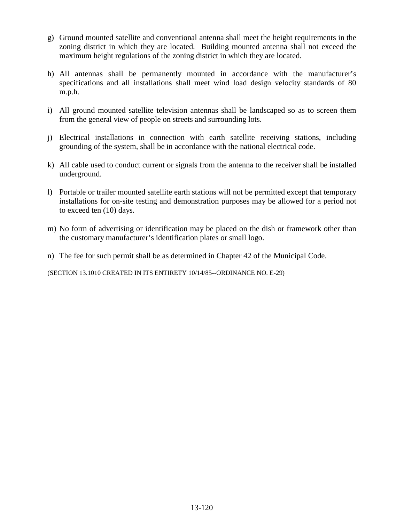- g) Ground mounted satellite and conventional antenna shall meet the height requirements in the zoning district in which they are located. Building mounted antenna shall not exceed the maximum height regulations of the zoning district in which they are located.
- h) All antennas shall be permanently mounted in accordance with the manufacturer's specifications and all installations shall meet wind load design velocity standards of 80 m.p.h.
- i) All ground mounted satellite television antennas shall be landscaped so as to screen them from the general view of people on streets and surrounding lots.
- j) Electrical installations in connection with earth satellite receiving stations, including grounding of the system, shall be in accordance with the national electrical code.
- k) All cable used to conduct current or signals from the antenna to the receiver shall be installed underground.
- l) Portable or trailer mounted satellite earth stations will not be permitted except that temporary installations for on-site testing and demonstration purposes may be allowed for a period not to exceed ten (10) days.
- m) No form of advertising or identification may be placed on the dish or framework other than the customary manufacturer's identification plates or small logo.
- n) The fee for such permit shall be as determined in Chapter 42 of the Municipal Code.

(SECTION 13.1010 CREATED IN ITS ENTIRETY 10/14/85--ORDINANCE NO. E-29)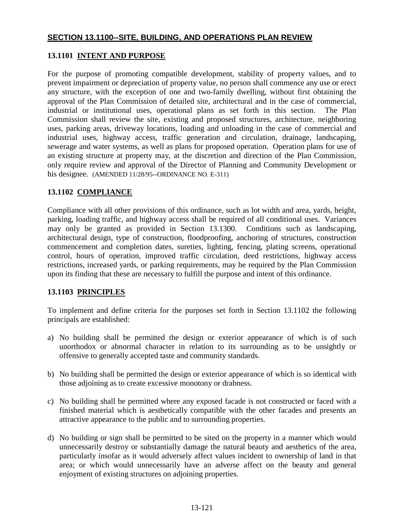## **SECTION 13.1100--SITE, BUILDING, AND OPERATIONS PLAN REVIEW**

## **13.1101 INTENT AND PURPOSE**

For the purpose of promoting compatible development, stability of property values, and to prevent impairment or depreciation of property value, no person shall commence any use or erect any structure, with the exception of one and two-family dwelling, without first obtaining the approval of the Plan Commission of detailed site, architectural and in the case of commercial, industrial or institutional uses, operational plans as set forth in this section. The Plan Commission shall review the site, existing and proposed structures, architecture, neighboring uses, parking areas, driveway locations, loading and unloading in the case of commercial and industrial uses, highway access, traffic generation and circulation, drainage, landscaping, sewerage and water systems, as well as plans for proposed operation. Operation plans for use of an existing structure at property may, at the discretion and direction of the Plan Commission, only require review and approval of the Director of Planning and Community Development or his designee. (AMENDED 11/28/95--ORDINANCE NO. E-311)

# **13.1102 COMPLIANCE**

Compliance with all other provisions of this ordinance, such as lot width and area, yards, height, parking, loading traffic, and highway access shall be required of all conditional uses. Variances may only be granted as provided in Section 13.1300. Conditions such as landscaping, architectural design, type of construction, floodproofing, anchoring of structures, construction commencement and completion dates, sureties, lighting, fencing, plating screens, operational control, hours of operation, improved traffic circulation, deed restrictions, highway access restrictions, increased yards, or parking requirements, may be required by the Plan Commission upon its finding that these are necessary to fulfill the purpose and intent of this ordinance.

## **13.1103 PRINCIPLES**

To implement and define criteria for the purposes set forth in Section 13.1102 the following principals are established:

- a) No building shall be permitted the design or exterior appearance of which is of such unorthodox or abnormal character in relation to its surrounding as to be unsightly or offensive to generally accepted taste and community standards.
- b) No building shall be permitted the design or exterior appearance of which is so identical with those adjoining as to create excessive monotony or drabness.
- c) No building shall be permitted where any exposed facade is not constructed or faced with a finished material which is aesthetically compatible with the other facades and presents an attractive appearance to the public and to surrounding properties.
- d) No building or sign shall be permitted to be sited on the property in a manner which would unnecessarily destroy or substantially damage the natural beauty and aesthetics of the area, particularly insofar as it would adversely affect values incident to ownership of land in that area; or which would unnecessarily have an adverse affect on the beauty and general enjoyment of existing structures on adjoining properties.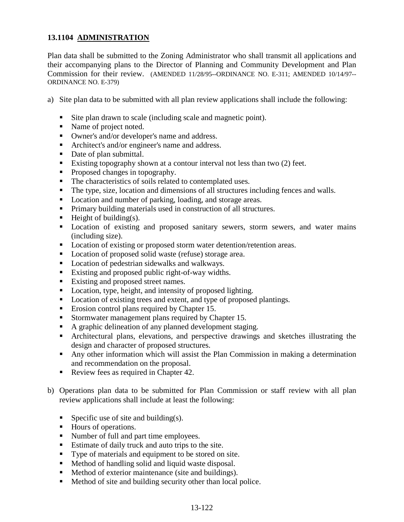## **13.1104 ADMINISTRATION**

Plan data shall be submitted to the Zoning Administrator who shall transmit all applications and their accompanying plans to the Director of Planning and Community Development and Plan Commission for their review. (AMENDED 11/28/95--ORDINANCE NO. E-311; AMENDED 10/14/97-- ORDINANCE NO. E-379)

- a) Site plan data to be submitted with all plan review applications shall include the following:
	- Site plan drawn to scale (including scale and magnetic point).
	- Name of project noted.
	- Owner's and/or developer's name and address.
	- Architect's and/or engineer's name and address.
	- Date of plan submittal.
	- Existing topography shown at a contour interval not less than two (2) feet.
	- Proposed changes in topography.
	- The characteristics of soils related to contemplated uses.
	- The type, size, location and dimensions of all structures including fences and walls.
	- Location and number of parking, loading, and storage areas.
	- **Primary building materials used in construction of all structures.**
	- $\blacksquare$  Height of building(s).
	- **Location of existing and proposed sanitary sewers, storm sewers, and water mains** (including size).
	- **Location of existing or proposed storm water detention/retention areas.**
	- Location of proposed solid waste (refuse) storage area.
	- Location of pedestrian sidewalks and walkways.
	- Existing and proposed public right-of-way widths.
	- Existing and proposed street names.
	- Location, type, height, and intensity of proposed lighting.
	- Location of existing trees and extent, and type of proposed plantings.
	- Erosion control plans required by Chapter 15.
	- Stormwater management plans required by Chapter 15.
	- A graphic delineation of any planned development staging.
	- Architectural plans, elevations, and perspective drawings and sketches illustrating the design and character of proposed structures.
	- Any other information which will assist the Plan Commission in making a determination and recommendation on the proposal.
	- Review fees as required in Chapter 42.
- b) Operations plan data to be submitted for Plan Commission or staff review with all plan review applications shall include at least the following:
	- Specific use of site and building(s).
	- Hours of operations.
	- Number of full and part time employees.
	- Estimate of daily truck and auto trips to the site.
	- Type of materials and equipment to be stored on site.
	- **Method of handling solid and liquid waste disposal.**
	- **Method of exterior maintenance (site and buildings).**
	- **Method of site and building security other than local police.**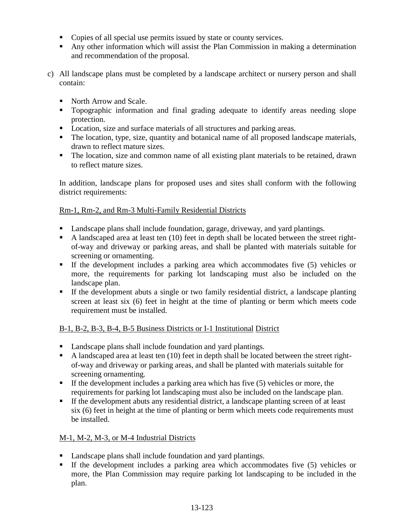- Copies of all special use permits issued by state or county services.
- Any other information which will assist the Plan Commission in making a determination and recommendation of the proposal.
- c) All landscape plans must be completed by a landscape architect or nursery person and shall contain:
	- North Arrow and Scale.
	- Topographic information and final grading adequate to identify areas needing slope protection.
	- Location, size and surface materials of all structures and parking areas.
	- The location, type, size, quantity and botanical name of all proposed landscape materials, drawn to reflect mature sizes.
	- The location, size and common name of all existing plant materials to be retained, drawn to reflect mature sizes.

In addition, landscape plans for proposed uses and sites shall conform with the following district requirements:

## Rm-1, Rm-2, and Rm-3 Multi-Family Residential Districts

- Landscape plans shall include foundation, garage, driveway, and yard plantings.
- A landscaped area at least ten (10) feet in depth shall be located between the street rightof-way and driveway or parking areas, and shall be planted with materials suitable for screening or ornamenting.
- If the development includes a parking area which accommodates five (5) vehicles or more, the requirements for parking lot landscaping must also be included on the landscape plan.
- If the development abuts a single or two family residential district, a landscape planting screen at least six (6) feet in height at the time of planting or berm which meets code requirement must be installed.

## B-1, B-2, B-3, B-4, B-5 Business Districts or I-1 Institutional District

- Landscape plans shall include foundation and yard plantings.
- A landscaped area at least ten  $(10)$  feet in depth shall be located between the street rightof-way and driveway or parking areas, and shall be planted with materials suitable for screening ornamenting.
- If the development includes a parking area which has five  $(5)$  vehicles or more, the requirements for parking lot landscaping must also be included on the landscape plan.
- If the development abuts any residential district, a landscape planting screen of at least six (6) feet in height at the time of planting or berm which meets code requirements must be installed.

## M-1, M-2, M-3, or M-4 Industrial Districts

- Landscape plans shall include foundation and yard plantings.
- If the development includes a parking area which accommodates five (5) vehicles or more, the Plan Commission may require parking lot landscaping to be included in the plan.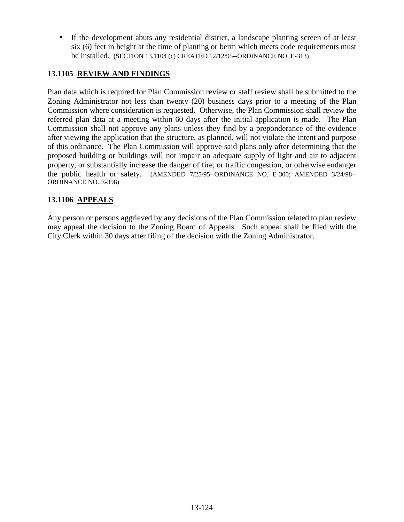If the development abuts any residential district, a landscape planting screen of at least six (6) feet in height at the time of planting or berm which meets code requirements must be installed. (SECTION 13.1104 (c) CREATED 12/12/95--ORDINANCE NO. E-313)

## **13.1105 REVIEW AND FINDINGS**

Plan data which is required for Plan Commission review or staff review shall be submitted to the Zoning Administrator not less than twenty (20) business days prior to a meeting of the Plan Commission where consideration is requested. Otherwise, the Plan Commission shall review the referred plan data at a meeting within 60 days after the initial application is made. The Plan Commission shall not approve any plans unless they find by a preponderance of the evidence after viewing the application that the structure, as planned, will not violate the intent and purpose of this ordinance. The Plan Commission will approve said plans only after determining that the proposed building or buildings will not impair an adequate supply of light and air to adjacent property, or substantially increase the danger of fire, or traffic congestion, or otherwise endanger the public health or safety. (AMENDED 7/25/95--ORDINANCE NO. E-300; AMENDED 3/24/98-- ORDINANCE NO. E-398)

## **13.1106 APPEALS**

Any person or persons aggrieved by any decisions of the Plan Commission related to plan review may appeal the decision to the Zoning Board of Appeals. Such appeal shall be filed with the City Clerk within 30 days after filing of the decision with the Zoning Administrator.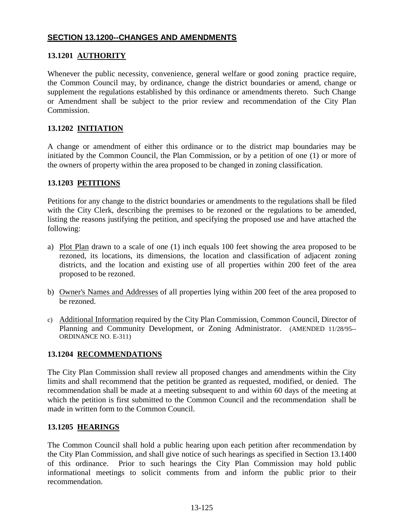## **SECTION 13.1200--CHANGES AND AMENDMENTS**

## **13.1201 AUTHORITY**

Whenever the public necessity, convenience, general welfare or good zoning practice require, the Common Council may, by ordinance, change the district boundaries or amend, change or supplement the regulations established by this ordinance or amendments thereto. Such Change or Amendment shall be subject to the prior review and recommendation of the City Plan Commission.

## **13.1202 INITIATION**

A change or amendment of either this ordinance or to the district map boundaries may be initiated by the Common Council, the Plan Commission, or by a petition of one (1) or more of the owners of property within the area proposed to be changed in zoning classification.

## **13.1203 PETITIONS**

Petitions for any change to the district boundaries or amendments to the regulations shall be filed with the City Clerk, describing the premises to be rezoned or the regulations to be amended, listing the reasons justifying the petition, and specifying the proposed use and have attached the following:

- a) Plot Plan drawn to a scale of one (1) inch equals 100 feet showing the area proposed to be rezoned, its locations, its dimensions, the location and classification of adjacent zoning districts, and the location and existing use of all properties within 200 feet of the area proposed to be rezoned.
- b) Owner's Names and Addresses of all properties lying within 200 feet of the area proposed to be rezoned.
- c) Additional Information required by the City Plan Commission, Common Council, Director of Planning and Community Development, or Zoning Administrator. (AMENDED 11/28/95-- ORDINANCE NO. E-311)

## **13.1204 RECOMMENDATIONS**

The City Plan Commission shall review all proposed changes and amendments within the City limits and shall recommend that the petition be granted as requested, modified, or denied. The recommendation shall be made at a meeting subsequent to and within 60 days of the meeting at which the petition is first submitted to the Common Council and the recommendation shall be made in written form to the Common Council.

## **13.1205 HEARINGS**

The Common Council shall hold a public hearing upon each petition after recommendation by the City Plan Commission, and shall give notice of such hearings as specified in Section 13.1400 of this ordinance. Prior to such hearings the City Plan Commission may hold public informational meetings to solicit comments from and inform the public prior to their recommendation.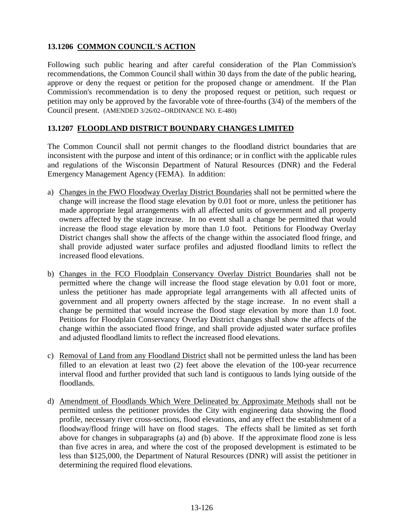# **13.1206 COMMON COUNCIL'S ACTION**

Following such public hearing and after careful consideration of the Plan Commission's recommendations, the Common Council shall within 30 days from the date of the public hearing, approve or deny the request or petition for the proposed change or amendment. If the Plan Commission's recommendation is to deny the proposed request or petition, such request or petition may only be approved by the favorable vote of three-fourths (3/4) of the members of the Council present. (AMENDED 3/26/02--ORDINANCE NO. E-480)

## **13.1207 FLOODLAND DISTRICT BOUNDARY CHANGES LIMITED**

The Common Council shall not permit changes to the floodland district boundaries that are inconsistent with the purpose and intent of this ordinance; or in conflict with the applicable rules and regulations of the Wisconsin Department of Natural Resources (DNR) and the Federal Emergency Management Agency (FEMA). In addition:

- a) Changes in the FWO Floodway Overlay District Boundaries shall not be permitted where the change will increase the flood stage elevation by 0.01 foot or more, unless the petitioner has made appropriate legal arrangements with all affected units of government and all property owners affected by the stage increase. In no event shall a change be permitted that would increase the flood stage elevation by more than 1.0 foot. Petitions for Floodway Overlay District changes shall show the affects of the change within the associated flood fringe, and shall provide adjusted water surface profiles and adjusted floodland limits to reflect the increased flood elevations.
- b) Changes in the FCO Floodplain Conservancy Overlay District Boundaries shall not be permitted where the change will increase the flood stage elevation by 0.01 foot or more, unless the petitioner has made appropriate legal arrangements with all affected units of government and all property owners affected by the stage increase. In no event shall a change be permitted that would increase the flood stage elevation by more than 1.0 foot. Petitions for Floodplain Conservancy Overlay District changes shall show the affects of the change within the associated flood fringe, and shall provide adjusted water surface profiles and adjusted floodland limits to reflect the increased flood elevations.
- c) Removal of Land from any Floodland District shall not be permitted unless the land has been filled to an elevation at least two (2) feet above the elevation of the 100-year recurrence interval flood and further provided that such land is contiguous to lands lying outside of the floodlands.
- d) Amendment of Floodlands Which Were Delineated by Approximate Methods shall not be permitted unless the petitioner provides the City with engineering data showing the flood profile, necessary river cross-sections, flood elevations, and any effect the establishment of a floodway/flood fringe will have on flood stages. The effects shall be limited as set forth above for changes in subparagraphs (a) and (b) above. If the approximate flood zone is less than five acres in area, and where the cost of the proposed development is estimated to be less than \$125,000, the Department of Natural Resources (DNR) will assist the petitioner in determining the required flood elevations.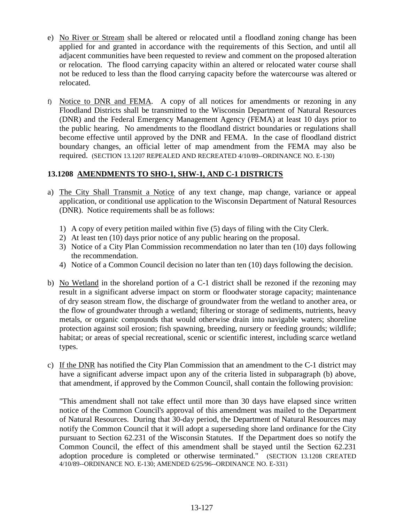- e) No River or Stream shall be altered or relocated until a floodland zoning change has been applied for and granted in accordance with the requirements of this Section, and until all adjacent communities have been requested to review and comment on the proposed alteration or relocation. The flood carrying capacity within an altered or relocated water course shall not be reduced to less than the flood carrying capacity before the watercourse was altered or relocated.
- f) Notice to DNR and FEMA. A copy of all notices for amendments or rezoning in any Floodland Districts shall be transmitted to the Wisconsin Department of Natural Resources (DNR) and the Federal Emergency Management Agency (FEMA) at least 10 days prior to the public hearing. No amendments to the floodland district boundaries or regulations shall become effective until approved by the DNR and FEMA. In the case of floodland district boundary changes, an official letter of map amendment from the FEMA may also be required. (SECTION 13.1207 REPEALED AND RECREATED 4/10/89--ORDINANCE NO. E-130)

## **13.1208 AMENDMENTS TO SHO-1, SHW-1, AND C-1 DISTRICTS**

- a) The City Shall Transmit a Notice of any text change, map change, variance or appeal application, or conditional use application to the Wisconsin Department of Natural Resources (DNR). Notice requirements shall be as follows:
	- 1) A copy of every petition mailed within five (5) days of filing with the City Clerk.
	- 2) At least ten (10) days prior notice of any public hearing on the proposal.
	- 3) Notice of a City Plan Commission recommendation no later than ten (10) days following the recommendation.
	- 4) Notice of a Common Council decision no later than ten (10) days following the decision.
- b) No Wetland in the shoreland portion of a C-1 district shall be rezoned if the rezoning may result in a significant adverse impact on storm or floodwater storage capacity; maintenance of dry season stream flow, the discharge of groundwater from the wetland to another area, or the flow of groundwater through a wetland; filtering or storage of sediments, nutrients, heavy metals, or organic compounds that would otherwise drain into navigable waters; shoreline protection against soil erosion; fish spawning, breeding, nursery or feeding grounds; wildlife; habitat; or areas of special recreational, scenic or scientific interest, including scarce wetland types.
- c) If the DNR has notified the City Plan Commission that an amendment to the C-1 district may have a significant adverse impact upon any of the criteria listed in subparagraph (b) above, that amendment, if approved by the Common Council, shall contain the following provision:

 "This amendment shall not take effect until more than 30 days have elapsed since written notice of the Common Council's approval of this amendment was mailed to the Department of Natural Resources. During that 30-day period, the Department of Natural Resources may notify the Common Council that it will adopt a superseding shore land ordinance for the City pursuant to Section 62.231 of the Wisconsin Statutes. If the Department does so notify the Common Council, the effect of this amendment shall be stayed until the Section 62.231 adoption procedure is completed or otherwise terminated." (SECTION 13.1208 CREATED 4/10/89--ORDINANCE NO. E-130; AMENDED 6/25/96--ORDINANCE NO. E-331)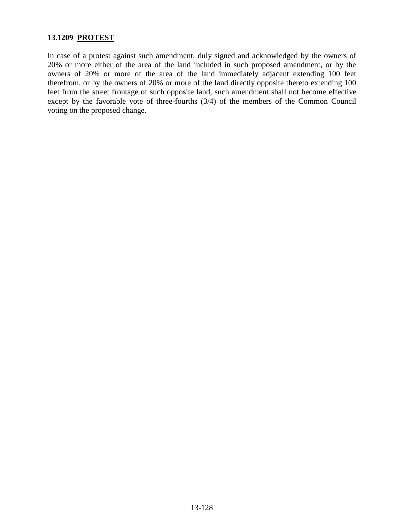## **13.1209 PROTEST**

In case of a protest against such amendment, duly signed and acknowledged by the owners of 20% or more either of the area of the land included in such proposed amendment, or by the owners of 20% or more of the area of the land immediately adjacent extending 100 feet therefrom, or by the owners of 20% or more of the land directly opposite thereto extending 100 feet from the street frontage of such opposite land, such amendment shall not become effective except by the favorable vote of three-fourths (3/4) of the members of the Common Council voting on the proposed change.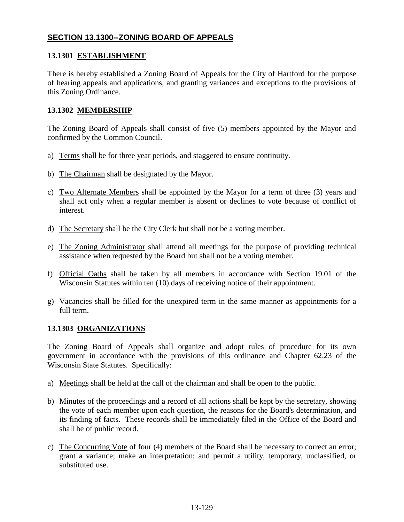## **SECTION 13.1300--ZONING BOARD OF APPEALS**

## **13.1301 ESTABLISHMENT**

There is hereby established a Zoning Board of Appeals for the City of Hartford for the purpose of hearing appeals and applications, and granting variances and exceptions to the provisions of this Zoning Ordinance.

## **13.1302 MEMBERSHIP**

The Zoning Board of Appeals shall consist of five (5) members appointed by the Mayor and confirmed by the Common Council.

- a) Terms shall be for three year periods, and staggered to ensure continuity.
- b) The Chairman shall be designated by the Mayor.
- c) Two Alternate Members shall be appointed by the Mayor for a term of three (3) years and shall act only when a regular member is absent or declines to vote because of conflict of interest.
- d) The Secretary shall be the City Clerk but shall not be a voting member.
- e) The Zoning Administrator shall attend all meetings for the purpose of providing technical assistance when requested by the Board but shall not be a voting member.
- f) Official Oaths shall be taken by all members in accordance with Section 19.01 of the Wisconsin Statutes within ten (10) days of receiving notice of their appointment.
- g) Vacancies shall be filled for the unexpired term in the same manner as appointments for a full term.

## **13.1303 ORGANIZATIONS**

The Zoning Board of Appeals shall organize and adopt rules of procedure for its own government in accordance with the provisions of this ordinance and Chapter 62.23 of the Wisconsin State Statutes. Specifically:

- a) Meetings shall be held at the call of the chairman and shall be open to the public.
- b) Minutes of the proceedings and a record of all actions shall be kept by the secretary, showing the vote of each member upon each question, the reasons for the Board's determination, and its finding of facts. These records shall be immediately filed in the Office of the Board and shall be of public record.
- c) The Concurring Vote of four (4) members of the Board shall be necessary to correct an error; grant a variance; make an interpretation; and permit a utility, temporary, unclassified, or substituted use.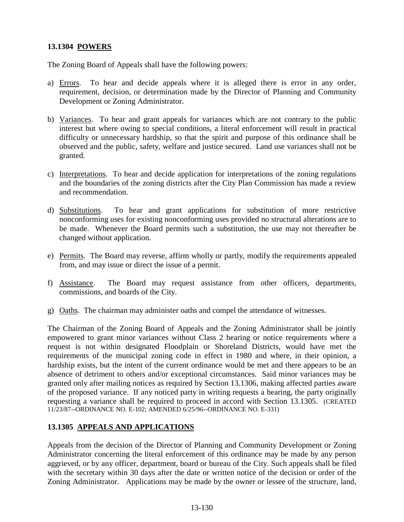## **13.1304 POWERS**

The Zoning Board of Appeals shall have the following powers:

- a) Errors. To hear and decide appeals where it is alleged there is error in any order, requirement, decision, or determination made by the Director of Planning and Community Development or Zoning Administrator.
- b) Variances. To hear and grant appeals for variances which are not contrary to the public interest but where owing to special conditions, a literal enforcement will result in practical difficulty or unnecessary hardship, so that the spirit and purpose of this ordinance shall be observed and the public, safety, welfare and justice secured. Land use variances shall not be granted.
- c) Interpretations. To hear and decide application for interpretations of the zoning regulations and the boundaries of the zoning districts after the City Plan Commission has made a review and recommendation.
- d) Substitutions. To hear and grant applications for substitution of more restrictive nonconforming uses for existing nonconforming uses provided no structural alterations are to be made. Whenever the Board permits such a substitution, the use may not thereafter be changed without application.
- e) Permits. The Board may reverse, affirm wholly or partly, modify the requirements appealed from, and may issue or direct the issue of a permit.
- f) Assistance. The Board may request assistance from other officers, departments, commissions, and boards of the City.
- g) Oaths. The chairman may administer oaths and compel the attendance of witnesses.

The Chairman of the Zoning Board of Appeals and the Zoning Administrator shall be jointly empowered to grant minor variances without Class 2 hearing or notice requirements where a request is not within designated Floodplain or Shoreland Districts, would have met the requirements of the municipal zoning code in effect in 1980 and where, in their opinion, a hardship exists, but the intent of the current ordinance would be met and there appears to be an absence of detriment to others and/or exceptional circumstances. Said minor variances may be granted only after mailing notices as required by Section 13.1306, making affected parties aware of the proposed variance. If any noticed party in writing requests a hearing, the party originally requesting a variance shall be required to proceed in accord with Section 13.1305. (CREATED 11/23/87--ORDINANCE NO. E-102; AMENDED 6/25/96--ORDINANCE NO. E-331)

## **13.1305 APPEALS AND APPLICATIONS**

Appeals from the decision of the Director of Planning and Community Development or Zoning Administrator concerning the literal enforcement of this ordinance may be made by any person aggrieved, or by any officer, department, board or bureau of the City. Such appeals shall be filed with the secretary within 30 days after the date or written notice of the decision or order of the Zoning Administrator. Applications may be made by the owner or lessee of the structure, land,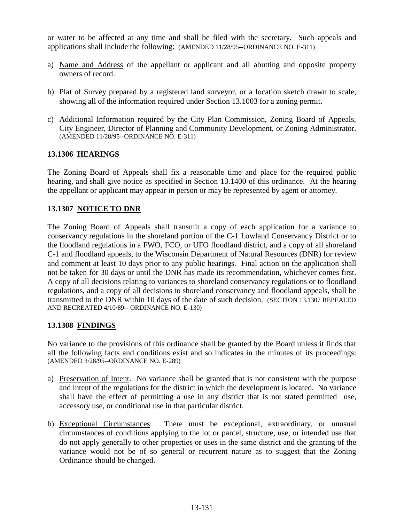or water to be affected at any time and shall be filed with the secretary. Such appeals and applications shall include the following: (AMENDED 11/28/95--ORDINANCE NO. E-311)

- a) Name and Address of the appellant or applicant and all abutting and opposite property owners of record.
- b) Plat of Survey prepared by a registered land surveyor, or a location sketch drawn to scale, showing all of the information required under Section 13.1003 for a zoning permit.
- c) Additional Information required by the City Plan Commission, Zoning Board of Appeals, City Engineer, Director of Planning and Community Development, or Zoning Administrator. (AMENDED 11/28/95--ORDINANCE NO. E-311)

## **13.1306 HEARINGS**

The Zoning Board of Appeals shall fix a reasonable time and place for the required public hearing, and shall give notice as specified in Section 13.1400 of this ordinance. At the hearing the appellant or applicant may appear in person or may be represented by agent or attorney.

#### **13.1307 NOTICE TO DNR**

The Zoning Board of Appeals shall transmit a copy of each application for a variance to conservancy regulations in the shoreland portion of the C-1 Lowland Conservancy District or to the floodland regulations in a FWO, FCO, or UFO floodland district, and a copy of all shoreland C-1 and floodland appeals, to the Wisconsin Department of Natural Resources (DNR) for review and comment at least 10 days prior to any public hearings. Final action on the application shall not be taken for 30 days or until the DNR has made its recommendation, whichever comes first. A copy of all decisions relating to variances to shoreland conservancy regulations or to floodland regulations, and a copy of all decisions to shoreland conservancy and floodland appeals, shall be transmitted to the DNR within 10 days of the date of such decision. (SECTION 13.1307 REPEALED AND RECREATED 4/10/89-- ORDINANCE NO. E-130)

#### **13.1308 FINDINGS**

No variance to the provisions of this ordinance shall be granted by the Board unless it finds that all the following facts and conditions exist and so indicates in the minutes of its proceedings: (AMENDED 3/28/95--ORDINANCE NO. E-289)

- a) Preservation of Intent. No variance shall be granted that is not consistent with the purpose and intent of the regulations for the district in which the development is located. No variance shall have the effect of permitting a use in any district that is not stated permitted use, accessory use, or conditional use in that particular district.
- b) Exceptional Circumstances. There must be exceptional, extraordinary, or unusual circumstances of conditions applying to the lot or parcel, structure, use, or intended use that do not apply generally to other properties or uses in the same district and the granting of the variance would not be of so general or recurrent nature as to suggest that the Zoning Ordinance should be changed.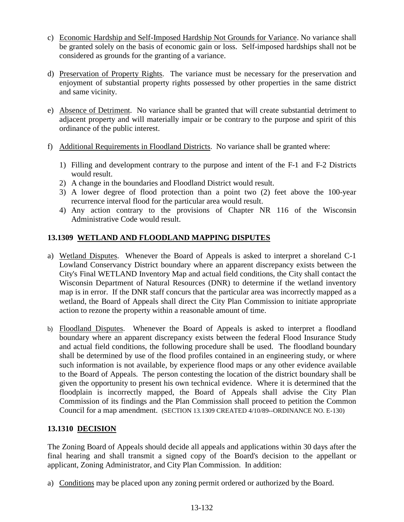- c) Economic Hardship and Self-Imposed Hardship Not Grounds for Variance. No variance shall be granted solely on the basis of economic gain or loss. Self-imposed hardships shall not be considered as grounds for the granting of a variance.
- d) Preservation of Property Rights. The variance must be necessary for the preservation and enjoyment of substantial property rights possessed by other properties in the same district and same vicinity.
- e) Absence of Detriment. No variance shall be granted that will create substantial detriment to adjacent property and will materially impair or be contrary to the purpose and spirit of this ordinance of the public interest.
- f) Additional Requirements in Floodland Districts. No variance shall be granted where:
	- 1) Filling and development contrary to the purpose and intent of the F-1 and F-2 Districts would result.
	- 2) A change in the boundaries and Floodland District would result.
	- 3) A lower degree of flood protection than a point two (2) feet above the 100-year recurrence interval flood for the particular area would result.
	- 4) Any action contrary to the provisions of Chapter NR 116 of the Wisconsin Administrative Code would result.

# **13.1309 WETLAND AND FLOODLAND MAPPING DISPUTES**

- a) Wetland Disputes. Whenever the Board of Appeals is asked to interpret a shoreland C-1 Lowland Conservancy District boundary where an apparent discrepancy exists between the City's Final WETLAND Inventory Map and actual field conditions, the City shall contact the Wisconsin Department of Natural Resources (DNR) to determine if the wetland inventory map is in error. If the DNR staff concurs that the particular area was incorrectly mapped as a wetland, the Board of Appeals shall direct the City Plan Commission to initiate appropriate action to rezone the property within a reasonable amount of time.
- b) Floodland Disputes. Whenever the Board of Appeals is asked to interpret a floodland boundary where an apparent discrepancy exists between the federal Flood Insurance Study and actual field conditions, the following procedure shall be used. The floodland boundary shall be determined by use of the flood profiles contained in an engineering study, or where such information is not available, by experience flood maps or any other evidence available to the Board of Appeals. The person contesting the location of the district boundary shall be given the opportunity to present his own technical evidence. Where it is determined that the floodplain is incorrectly mapped, the Board of Appeals shall advise the City Plan Commission of its findings and the Plan Commission shall proceed to petition the Common Council for a map amendment. (SECTION 13.1309 CREATED 4/10/89--ORDINANCE NO. E-130)

# **13.1310 DECISION**

The Zoning Board of Appeals should decide all appeals and applications within 30 days after the final hearing and shall transmit a signed copy of the Board's decision to the appellant or applicant, Zoning Administrator, and City Plan Commission. In addition:

a) Conditions may be placed upon any zoning permit ordered or authorized by the Board.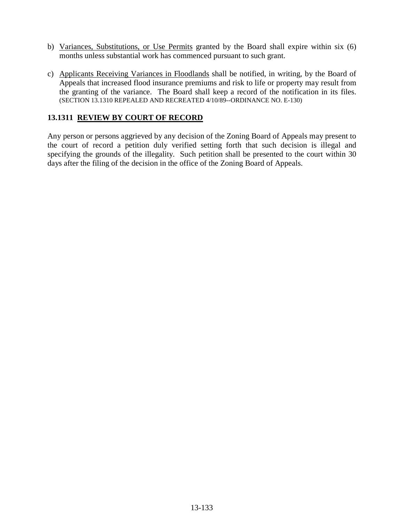- b) Variances, Substitutions, or Use Permits granted by the Board shall expire within six (6) months unless substantial work has commenced pursuant to such grant.
- c) Applicants Receiving Variances in Floodlands shall be notified, in writing, by the Board of Appeals that increased flood insurance premiums and risk to life or property may result from the granting of the variance. The Board shall keep a record of the notification in its files. (SECTION 13.1310 REPEALED AND RECREATED 4/10/89--ORDINANCE NO. E-130)

### **13.1311 REVIEW BY COURT OF RECORD**

Any person or persons aggrieved by any decision of the Zoning Board of Appeals may present to the court of record a petition duly verified setting forth that such decision is illegal and specifying the grounds of the illegality. Such petition shall be presented to the court within 30 days after the filing of the decision in the office of the Zoning Board of Appeals.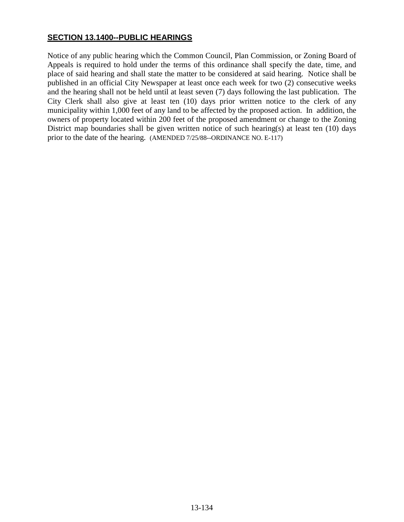## **SECTION 13.1400--PUBLIC HEARINGS**

Notice of any public hearing which the Common Council, Plan Commission, or Zoning Board of Appeals is required to hold under the terms of this ordinance shall specify the date, time, and place of said hearing and shall state the matter to be considered at said hearing. Notice shall be published in an official City Newspaper at least once each week for two (2) consecutive weeks and the hearing shall not be held until at least seven (7) days following the last publication. The City Clerk shall also give at least ten (10) days prior written notice to the clerk of any municipality within 1,000 feet of any land to be affected by the proposed action. In addition, the owners of property located within 200 feet of the proposed amendment or change to the Zoning District map boundaries shall be given written notice of such hearing(s) at least ten (10) days prior to the date of the hearing. (AMENDED 7/25/88--ORDINANCE NO. E-117)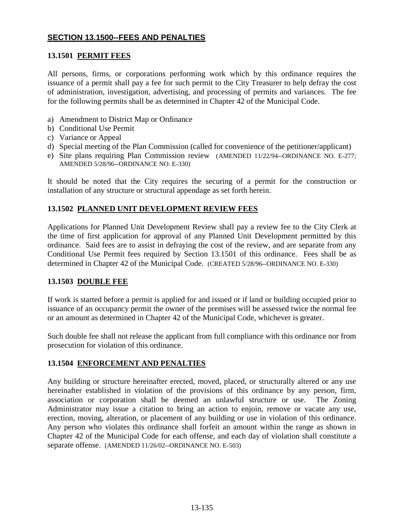## **SECTION 13.1500--FEES AND PENALTIES**

## **13.1501 PERMIT FEES**

All persons, firms, or corporations performing work which by this ordinance requires the issuance of a permit shall pay a fee for such permit to the City Treasurer to help defray the cost of administration, investigation, advertising, and processing of permits and variances. The fee for the following permits shall be as determined in Chapter 42 of the Municipal Code.

- a) Amendment to District Map or Ordinance
- b) Conditional Use Permit
- c) Variance or Appeal
- d) Special meeting of the Plan Commission (called for convenience of the petitioner/applicant)
- e) Site plans requiring Plan Commission review (AMENDED 11/22/94--ORDINANCE NO. E-277; AMENDED 5/28/96--ORDINANCE NO. E-330)

It should be noted that the City requires the securing of a permit for the construction or installation of any structure or structural appendage as set forth herein.

#### **13.1502 PLANNED UNIT DEVELOPMENT REVIEW FEES**

Applications for Planned Unit Development Review shall pay a review fee to the City Clerk at the time of first application for approval of any Planned Unit Development permitted by this ordinance. Said fees are to assist in defraying the cost of the review, and are separate from any Conditional Use Permit fees required by Section 13.1501 of this ordinance. Fees shall be as determined in Chapter 42 of the Municipal Code. (CREATED 5/28/96--ORDINANCE NO. E-330)

#### **13.1503 DOUBLE FEE**

If work is started before a permit is applied for and issued or if land or building occupied prior to issuance of an occupancy permit the owner of the premises will be assessed twice the normal fee or an amount as determined in Chapter 42 of the Municipal Code, whichever is greater.

Such double fee shall not release the applicant from full compliance with this ordinance nor from prosecution for violation of this ordinance.

#### **13.1504 ENFORCEMENT AND PENALTIES**

Any building or structure hereinafter erected, moved, placed, or structurally altered or any use hereinafter established in violation of the provisions of this ordinance by any person, firm, association or corporation shall be deemed an unlawful structure or use. The Zoning Administrator may issue a citation to bring an action to enjoin, remove or vacate any use, erection, moving, alteration, or placement of any building or use in violation of this ordinance. Any person who violates this ordinance shall forfeit an amount within the range as shown in Chapter 42 of the Municipal Code for each offense, and each day of violation shall constitute a separate offense. (AMENDED 11/26/02--ORDINANCE NO. E-503)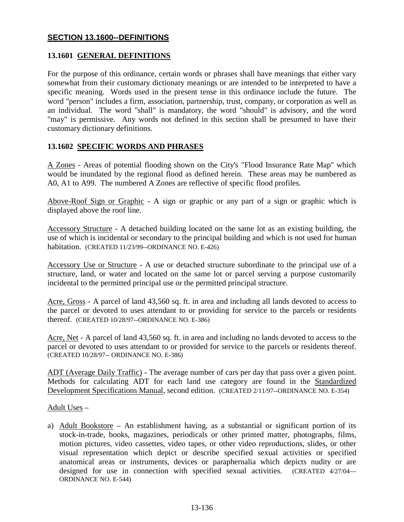## **SECTION 13.1600--DEFINITIONS**

## **13.1601 GENERAL DEFINITIONS**

For the purpose of this ordinance, certain words or phrases shall have meanings that either vary somewhat from their customary dictionary meanings or are intended to be interpreted to have a specific meaning. Words used in the present tense in this ordinance include the future. The word "person" includes a firm, association, partnership, trust, company, or corporation as well as an individual. The word "shall" is mandatory, the word "should" is advisory, and the word "may" is permissive. Any words not defined in this section shall be presumed to have their customary dictionary definitions.

#### **13.1602 SPECIFIC WORDS AND PHRASES**

A Zones - Areas of potential flooding shown on the City's "Flood Insurance Rate Map" which would be inundated by the regional flood as defined herein. These areas may be numbered as A0, A1 to A99. The numbered A Zones are reflective of specific flood profiles.

Above-Roof Sign or Graphic - A sign or graphic or any part of a sign or graphic which is displayed above the roof line.

Accessory Structure - A detached building located on the same lot as an existing building, the use of which is incidental or secondary to the principal building and which is not used for human habitation. (CREATED 11/23/99--ORDINANCE NO. E-426)

Accessory Use or Structure - A use or detached structure subordinate to the principal use of a structure, land, or water and located on the same lot or parcel serving a purpose customarily incidental to the permitted principal use or the permitted principal structure.

Acre, Gross - A parcel of land 43,560 sq. ft. in area and including all lands devoted to access to the parcel or devoted to uses attendant to or providing for service to the parcels or residents thereof. (CREATED 10/28/97--ORDINANCE NO. E-386)

Acre, Net - A parcel of land 43,560 sq. ft. in area and including no lands devoted to access to the parcel or devoted to uses attendant to or provided for service to the parcels or residents thereof. (CREATED 10/28/97-- ORDINANCE NO. E-386)

ADT (Average Daily Traffic) - The average number of cars per day that pass over a given point. Methods for calculating ADT for each land use category are found in the Standardized Development Specifications Manual, second edition. (CREATED 2/11/97--ORDINANCE NO. E-354)

Adult Uses –

a) Adult Bookstore – An establishment having, as a substantial or significant portion of its stock-in-trade, books, magazines, periodicals or other printed matter, photographs, films, motion pictures, video cassettes, video tapes, or other video reproductions, slides, or other visual representation which depict or describe specified sexual activities or specified anatomical areas or instruments, devices or paraphernalia which depicts nudity or are designed for use in connection with specified sexual activities. (CREATED 4/27/04— ORDINANCE NO. E-544)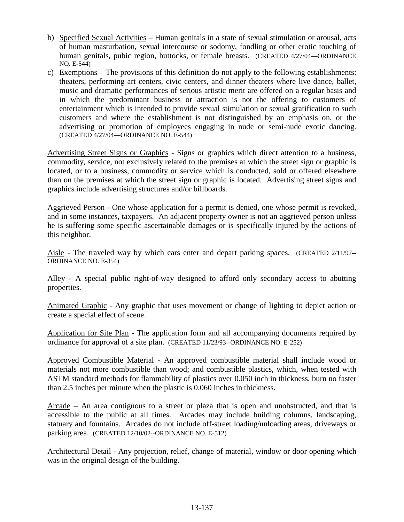- b) Specified Sexual Activities Human genitals in a state of sexual stimulation or arousal, acts of human masturbation, sexual intercourse or sodomy, fondling or other erotic touching of human genitals, pubic region, buttocks, or female breasts. (CREATED 4/27/04—ORDINANCE NO. E-544)
- c) Exemptions The provisions of this definition do not apply to the following establishments: theaters, performing art centers, civic centers, and dinner theaters where live dance, ballet, music and dramatic performances of serious artistic merit are offered on a regular basis and in which the predominant business or attraction is not the offering to customers of entertainment which is intended to provide sexual stimulation or sexual gratification to such customers and where the establishment is not distinguished by an emphasis on, or the advertising or promotion of employees engaging in nude or semi-nude exotic dancing. (CREATED 4/27/04—ORDINANCE NO. E-544)

Advertising Street Signs or Graphics - Signs or graphics which direct attention to a business, commodity, service, not exclusively related to the premises at which the street sign or graphic is located, or to a business, commodity or service which is conducted, sold or offered elsewhere than on the premises at which the street sign or graphic is located. Advertising street signs and graphics include advertising structures and/or billboards.

Aggrieved Person - One whose application for a permit is denied, one whose permit is revoked, and in some instances, taxpayers. An adjacent property owner is not an aggrieved person unless he is suffering some specific ascertainable damages or is specifically injured by the actions of this neighbor.

Aisle - The traveled way by which cars enter and depart parking spaces. (CREATED 2/11/97-- ORDINANCE NO. E-354)

Alley - A special public right-of-way designed to afford only secondary access to abutting properties.

Animated Graphic - Any graphic that uses movement or change of lighting to depict action or create a special effect of scene.

Application for Site Plan - The application form and all accompanying documents required by ordinance for approval of a site plan. (CREATED 11/23/93--ORDINANCE NO. E-252)

Approved Combustible Material - An approved combustible material shall include wood or materials not more combustible than wood; and combustible plastics, which, when tested with ASTM standard methods for flammability of plastics over 0.050 inch in thickness, burn no faster than 2.5 inches per minute when the plastic is 0.060 inches in thickness.

Arcade – An area contiguous to a street or plaza that is open and unobstructed, and that is accessible to the public at all times. Arcades may include building columns, landscaping, statuary and fountains. Arcades do not include off-street loading/unloading areas, driveways or parking area. (CREATED 12/10/02--ORDINANCE NO. E-512)

Architectural Detail - Any projection, relief, change of material, window or door opening which was in the original design of the building.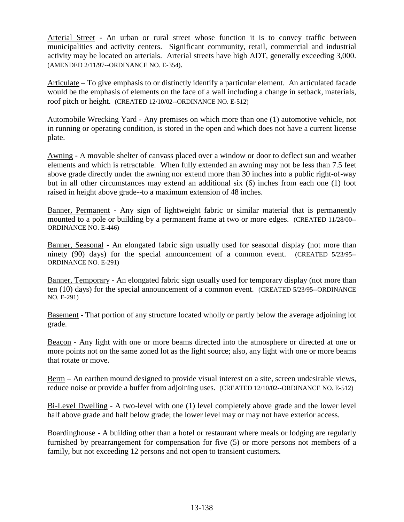Arterial Street - An urban or rural street whose function it is to convey traffic between municipalities and activity centers. Significant community, retail, commercial and industrial activity may be located on arterials. Arterial streets have high ADT, generally exceeding 3,000. (AMENDED 2/11/97--ORDINANCE NO. E-354).

Articulate – To give emphasis to or distinctly identify a particular element. An articulated facade would be the emphasis of elements on the face of a wall including a change in setback, materials, roof pitch or height. (CREATED 12/10/02--ORDINANCE NO. E-512)

Automobile Wrecking Yard - Any premises on which more than one (1) automotive vehicle, not in running or operating condition, is stored in the open and which does not have a current license plate.

Awning - A movable shelter of canvass placed over a window or door to deflect sun and weather elements and which is retractable. When fully extended an awning may not be less than 7.5 feet above grade directly under the awning nor extend more than 30 inches into a public right-of-way but in all other circumstances may extend an additional six (6) inches from each one (1) foot raised in height above grade--to a maximum extension of 48 inches.

Banner, Permanent - Any sign of lightweight fabric or similar material that is permanently mounted to a pole or building by a permanent frame at two or more edges. (CREATED 11/28/00-- ORDINANCE NO. E-446)

Banner, Seasonal - An elongated fabric sign usually used for seasonal display (not more than ninety (90) days) for the special announcement of a common event. (CREATED 5/23/95-- ORDINANCE NO. E-291)

Banner, Temporary - An elongated fabric sign usually used for temporary display (not more than ten (10) days) for the special announcement of a common event. (CREATED 5/23/95--ORDINANCE NO. E-291)

Basement - That portion of any structure located wholly or partly below the average adjoining lot grade.

Beacon - Any light with one or more beams directed into the atmosphere or directed at one or more points not on the same zoned lot as the light source; also, any light with one or more beams that rotate or move.

Berm – An earthen mound designed to provide visual interest on a site, screen undesirable views, reduce noise or provide a buffer from adjoining uses. (CREATED 12/10/02--ORDINANCE NO. E-512)

Bi-Level Dwelling - A two-level with one (1) level completely above grade and the lower level half above grade and half below grade; the lower level may or may not have exterior access.

Boardinghouse - A building other than a hotel or restaurant where meals or lodging are regularly furnished by prearrangement for compensation for five (5) or more persons not members of a family, but not exceeding 12 persons and not open to transient customers.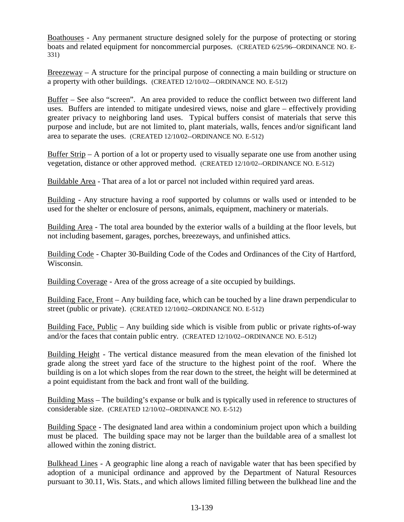Boathouses - Any permanent structure designed solely for the purpose of protecting or storing boats and related equipment for noncommercial purposes. (CREATED 6/25/96--ORDINANCE NO. E-331)

Breezeway – A structure for the principal purpose of connecting a main building or structure on a property with other buildings. (CREATED 12/10/02—ORDINANCE NO. E-512)

Buffer – See also "screen". An area provided to reduce the conflict between two different land uses. Buffers are intended to mitigate undesired views, noise and glare – effectively providing greater privacy to neighboring land uses. Typical buffers consist of materials that serve this purpose and include, but are not limited to, plant materials, walls, fences and/or significant land area to separate the uses. (CREATED 12/10/02--ORDINANCE NO. E-512)

Buffer Strip – A portion of a lot or property used to visually separate one use from another using vegetation, distance or other approved method. (CREATED 12/10/02--ORDINANCE NO. E-512)

Buildable Area - That area of a lot or parcel not included within required yard areas.

Building - Any structure having a roof supported by columns or walls used or intended to be used for the shelter or enclosure of persons, animals, equipment, machinery or materials.

Building Area - The total area bounded by the exterior walls of a building at the floor levels, but not including basement, garages, porches, breezeways, and unfinished attics.

Building Code - Chapter 30-Building Code of the Codes and Ordinances of the City of Hartford, Wisconsin.

Building Coverage - Area of the gross acreage of a site occupied by buildings.

Building Face, Front – Any building face, which can be touched by a line drawn perpendicular to street (public or private). (CREATED 12/10/02--ORDINANCE NO. E-512)

Building Face, Public – Any building side which is visible from public or private rights-of-way and/or the faces that contain public entry. (CREATED 12/10/02--ORDINANCE NO. E-512)

Building Height - The vertical distance measured from the mean elevation of the finished lot grade along the street yard face of the structure to the highest point of the roof. Where the building is on a lot which slopes from the rear down to the street, the height will be determined at a point equidistant from the back and front wall of the building.

Building Mass – The building's expanse or bulk and is typically used in reference to structures of considerable size. (CREATED 12/10/02--ORDINANCE NO. E-512)

Building Space - The designated land area within a condominium project upon which a building must be placed. The building space may not be larger than the buildable area of a smallest lot allowed within the zoning district.

Bulkhead Lines - A geographic line along a reach of navigable water that has been specified by adoption of a municipal ordinance and approved by the Department of Natural Resources pursuant to 30.11, Wis. Stats., and which allows limited filling between the bulkhead line and the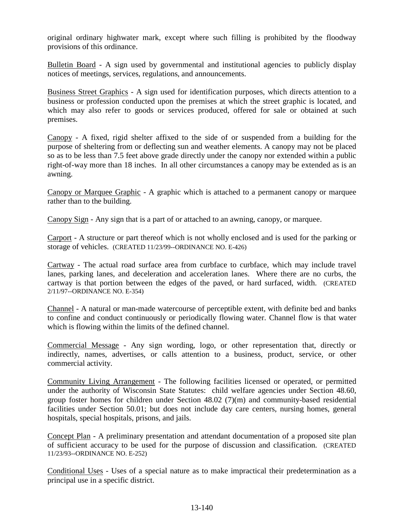original ordinary highwater mark, except where such filling is prohibited by the floodway provisions of this ordinance.

Bulletin Board - A sign used by governmental and institutional agencies to publicly display notices of meetings, services, regulations, and announcements.

Business Street Graphics - A sign used for identification purposes, which directs attention to a business or profession conducted upon the premises at which the street graphic is located, and which may also refer to goods or services produced, offered for sale or obtained at such premises.

Canopy - A fixed, rigid shelter affixed to the side of or suspended from a building for the purpose of sheltering from or deflecting sun and weather elements. A canopy may not be placed so as to be less than 7.5 feet above grade directly under the canopy nor extended within a public right-of-way more than 18 inches. In all other circumstances a canopy may be extended as is an awning.

Canopy or Marquee Graphic - A graphic which is attached to a permanent canopy or marquee rather than to the building.

Canopy Sign - Any sign that is a part of or attached to an awning, canopy, or marquee.

Carport - A structure or part thereof which is not wholly enclosed and is used for the parking or storage of vehicles. (CREATED 11/23/99--ORDINANCE NO. E-426)

Cartway - The actual road surface area from curbface to curbface, which may include travel lanes, parking lanes, and deceleration and acceleration lanes. Where there are no curbs, the cartway is that portion between the edges of the paved, or hard surfaced, width. (CREATED 2/11/97--ORDINANCE NO. E-354)

Channel - A natural or man-made watercourse of perceptible extent, with definite bed and banks to confine and conduct continuously or periodically flowing water. Channel flow is that water which is flowing within the limits of the defined channel.

Commercial Message - Any sign wording, logo, or other representation that, directly or indirectly, names, advertises, or calls attention to a business, product, service, or other commercial activity.

Community Living Arrangement - The following facilities licensed or operated, or permitted under the authority of Wisconsin State Statutes: child welfare agencies under Section 48.60, group foster homes for children under Section 48.02 (7)(m) and community-based residential facilities under Section 50.01; but does not include day care centers, nursing homes, general hospitals, special hospitals, prisons, and jails.

Concept Plan - A preliminary presentation and attendant documentation of a proposed site plan of sufficient accuracy to be used for the purpose of discussion and classification. (CREATED 11/23/93--ORDINANCE NO. E-252)

Conditional Uses - Uses of a special nature as to make impractical their predetermination as a principal use in a specific district.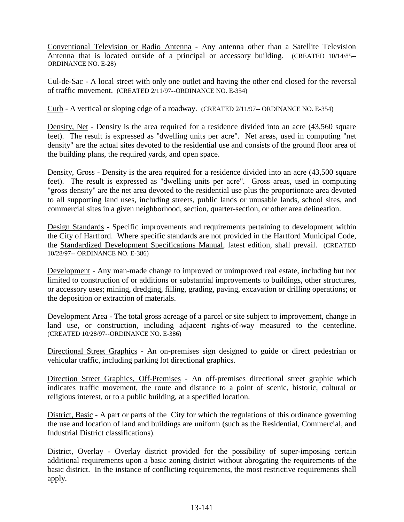Conventional Television or Radio Antenna - Any antenna other than a Satellite Television Antenna that is located outside of a principal or accessory building. (CREATED 10/14/85-- ORDINANCE NO. E-28)

Cul-de-Sac - A local street with only one outlet and having the other end closed for the reversal of traffic movement. (CREATED 2/11/97--ORDINANCE NO. E-354)

Curb - A vertical or sloping edge of a roadway. (CREATED 2/11/97-- ORDINANCE NO. E-354)

Density, Net - Density is the area required for a residence divided into an acre (43,560 square feet). The result is expressed as "dwelling units per acre". Net areas, used in computing "net density" are the actual sites devoted to the residential use and consists of the ground floor area of the building plans, the required yards, and open space.

Density, Gross - Density is the area required for a residence divided into an acre (43,500 square feet). The result is expressed as "dwelling units per acre". Gross areas, used in computing "gross density" are the net area devoted to the residential use plus the proportionate area devoted to all supporting land uses, including streets, public lands or unusable lands, school sites, and commercial sites in a given neighborhood, section, quarter-section, or other area delineation.

Design Standards - Specific improvements and requirements pertaining to development within the City of Hartford. Where specific standards are not provided in the Hartford Municipal Code, the Standardized Development Specifications Manual, latest edition, shall prevail. (CREATED 10/28/97-- ORDINANCE NO. E-386)

Development - Any man-made change to improved or unimproved real estate, including but not limited to construction of or additions or substantial improvements to buildings, other structures, or accessory uses; mining, dredging, filling, grading, paving, excavation or drilling operations; or the deposition or extraction of materials.

Development Area - The total gross acreage of a parcel or site subject to improvement, change in land use, or construction, including adjacent rights-of-way measured to the centerline. (CREATED 10/28/97--ORDINANCE NO. E-386)

Directional Street Graphics - An on-premises sign designed to guide or direct pedestrian or vehicular traffic, including parking lot directional graphics.

Direction Street Graphics, Off-Premises - An off-premises directional street graphic which indicates traffic movement, the route and distance to a point of scenic, historic, cultural or religious interest, or to a public building, at a specified location.

District, Basic - A part or parts of the City for which the regulations of this ordinance governing the use and location of land and buildings are uniform (such as the Residential, Commercial, and Industrial District classifications).

District, Overlay - Overlay district provided for the possibility of super-imposing certain additional requirements upon a basic zoning district without abrogating the requirements of the basic district. In the instance of conflicting requirements, the most restrictive requirements shall apply.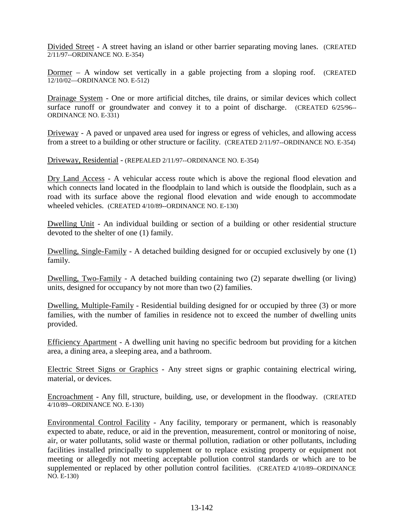Divided Street - A street having an island or other barrier separating moving lanes. (CREATED 2/11/97--ORDINANCE NO. E-354)

Dormer – A window set vertically in a gable projecting from a sloping roof. (CREATED 12/10/02—ORDINANCE NO. E-512)

Drainage System - One or more artificial ditches, tile drains, or similar devices which collect surface runoff or groundwater and convey it to a point of discharge. (CREATED 6/25/96-- ORDINANCE NO. E-331)

Driveway - A paved or unpaved area used for ingress or egress of vehicles, and allowing access from a street to a building or other structure or facility. (CREATED 2/11/97--ORDINANCE NO. E-354)

Driveway, Residential - (REPEALED 2/11/97--ORDINANCE NO. E-354)

Dry Land Access - A vehicular access route which is above the regional flood elevation and which connects land located in the floodplain to land which is outside the floodplain, such as a road with its surface above the regional flood elevation and wide enough to accommodate wheeled vehicles. (CREATED 4/10/89--ORDINANCE NO. E-130)

Dwelling Unit - An individual building or section of a building or other residential structure devoted to the shelter of one (1) family.

Dwelling, Single-Family - A detached building designed for or occupied exclusively by one (1) family.

Dwelling, Two-Family - A detached building containing two (2) separate dwelling (or living) units, designed for occupancy by not more than two (2) families.

Dwelling, Multiple-Family - Residential building designed for or occupied by three (3) or more families, with the number of families in residence not to exceed the number of dwelling units provided.

Efficiency Apartment - A dwelling unit having no specific bedroom but providing for a kitchen area, a dining area, a sleeping area, and a bathroom.

Electric Street Signs or Graphics - Any street signs or graphic containing electrical wiring, material, or devices.

Encroachment - Any fill, structure, building, use, or development in the floodway. (CREATED 4/10/89--ORDINANCE NO. E-130)

Environmental Control Facility - Any facility, temporary or permanent, which is reasonably expected to abate, reduce, or aid in the prevention, measurement, control or monitoring of noise, air, or water pollutants, solid waste or thermal pollution, radiation or other pollutants, including facilities installed principally to supplement or to replace existing property or equipment not meeting or allegedly not meeting acceptable pollution control standards or which are to be supplemented or replaced by other pollution control facilities. (CREATED 4/10/89--ORDINANCE NO. E-130)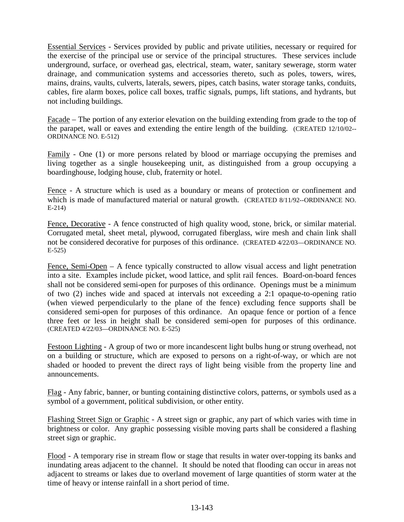Essential Services - Services provided by public and private utilities, necessary or required for the exercise of the principal use or service of the principal structures. These services include underground, surface, or overhead gas, electrical, steam, water, sanitary sewerage, storm water drainage, and communication systems and accessories thereto, such as poles, towers, wires, mains, drains, vaults, culverts, laterals, sewers, pipes, catch basins, water storage tanks, conduits, cables, fire alarm boxes, police call boxes, traffic signals, pumps, lift stations, and hydrants, but not including buildings.

Facade – The portion of any exterior elevation on the building extending from grade to the top of the parapet, wall or eaves and extending the entire length of the building. (CREATED 12/10/02-- ORDINANCE NO. E-512)

Family - One (1) or more persons related by blood or marriage occupying the premises and living together as a single housekeeping unit, as distinguished from a group occupying a boardinghouse, lodging house, club, fraternity or hotel.

Fence - A structure which is used as a boundary or means of protection or confinement and which is made of manufactured material or natural growth. (CREATED 8/11/92--ORDINANCE NO. E-214)

Fence, Decorative - A fence constructed of high quality wood, stone, brick, or similar material. Corrugated metal, sheet metal, plywood, corrugated fiberglass, wire mesh and chain link shall not be considered decorative for purposes of this ordinance. (CREATED 4/22/03—ORDINANCE NO. E-525)

Fence, Semi-Open – A fence typically constructed to allow visual access and light penetration into a site. Examples include picket, wood lattice, and split rail fences. Board-on-board fences shall not be considered semi-open for purposes of this ordinance. Openings must be a minimum of two (2) inches wide and spaced at intervals not exceeding a 2:1 opaque-to-opening ratio (when viewed perpendicularly to the plane of the fence) excluding fence supports shall be considered semi-open for purposes of this ordinance. An opaque fence or portion of a fence three feet or less in height shall be considered semi-open for purposes of this ordinance. (CREATED 4/22/03—ORDINANCE NO. E-525)

Festoon Lighting - A group of two or more incandescent light bulbs hung or strung overhead, not on a building or structure, which are exposed to persons on a right-of-way, or which are not shaded or hooded to prevent the direct rays of light being visible from the property line and announcements.

Flag - Any fabric, banner, or bunting containing distinctive colors, patterns, or symbols used as a symbol of a government, political subdivision, or other entity.

Flashing Street Sign or Graphic - A street sign or graphic, any part of which varies with time in brightness or color. Any graphic possessing visible moving parts shall be considered a flashing street sign or graphic.

Flood - A temporary rise in stream flow or stage that results in water over-topping its banks and inundating areas adjacent to the channel. It should be noted that flooding can occur in areas not adjacent to streams or lakes due to overland movement of large quantities of storm water at the time of heavy or intense rainfall in a short period of time.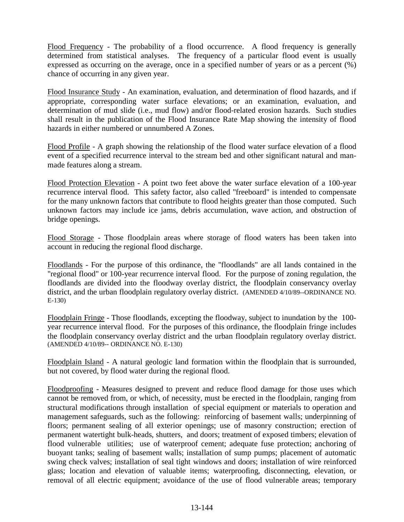Flood Frequency - The probability of a flood occurrence. A flood frequency is generally determined from statistical analyses. The frequency of a particular flood event is usually expressed as occurring on the average, once in a specified number of years or as a percent (%) chance of occurring in any given year.

Flood Insurance Study - An examination, evaluation, and determination of flood hazards, and if appropriate, corresponding water surface elevations; or an examination, evaluation, and determination of mud slide (i.e., mud flow) and/or flood-related erosion hazards. Such studies shall result in the publication of the Flood Insurance Rate Map showing the intensity of flood hazards in either numbered or unnumbered A Zones.

Flood Profile - A graph showing the relationship of the flood water surface elevation of a flood event of a specified recurrence interval to the stream bed and other significant natural and manmade features along a stream.

Flood Protection Elevation - A point two feet above the water surface elevation of a 100-year recurrence interval flood. This safety factor, also called "freeboard" is intended to compensate for the many unknown factors that contribute to flood heights greater than those computed. Such unknown factors may include ice jams, debris accumulation, wave action, and obstruction of bridge openings.

Flood Storage - Those floodplain areas where storage of flood waters has been taken into account in reducing the regional flood discharge.

Floodlands - For the purpose of this ordinance, the "floodlands" are all lands contained in the "regional flood" or 100-year recurrence interval flood. For the purpose of zoning regulation, the floodlands are divided into the floodway overlay district, the floodplain conservancy overlay district, and the urban floodplain regulatory overlay district. (AMENDED 4/10/89--ORDINANCE NO. E-130)

Floodplain Fringe - Those floodlands, excepting the floodway, subject to inundation by the 100 year recurrence interval flood. For the purposes of this ordinance, the floodplain fringe includes the floodplain conservancy overlay district and the urban floodplain regulatory overlay district. (AMENDED 4/10/89-- ORDINANCE NO. E-130)

Floodplain Island - A natural geologic land formation within the floodplain that is surrounded, but not covered, by flood water during the regional flood.

Floodproofing - Measures designed to prevent and reduce flood damage for those uses which cannot be removed from, or which, of necessity, must be erected in the floodplain, ranging from structural modifications through installation of special equipment or materials to operation and management safeguards, such as the following: reinforcing of basement walls; underpinning of floors; permanent sealing of all exterior openings; use of masonry construction; erection of permanent watertight bulk-heads, shutters, and doors; treatment of exposed timbers; elevation of flood vulnerable utilities; use of waterproof cement; adequate fuse protection; anchoring of buoyant tanks; sealing of basement walls; installation of sump pumps; placement of automatic swing check valves; installation of seal tight windows and doors; installation of wire reinforced glass; location and elevation of valuable items; waterproofing, disconnecting, elevation, or removal of all electric equipment; avoidance of the use of flood vulnerable areas; temporary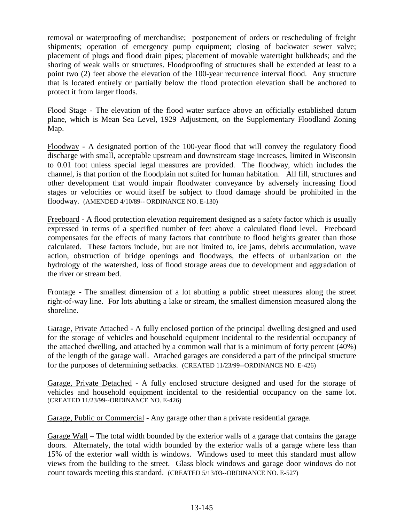removal or waterproofing of merchandise; postponement of orders or rescheduling of freight shipments; operation of emergency pump equipment; closing of backwater sewer valve; placement of plugs and flood drain pipes; placement of movable watertight bulkheads; and the shoring of weak walls or structures. Floodproofing of structures shall be extended at least to a point two (2) feet above the elevation of the 100-year recurrence interval flood. Any structure that is located entirely or partially below the flood protection elevation shall be anchored to protect it from larger floods.

Flood Stage - The elevation of the flood water surface above an officially established datum plane, which is Mean Sea Level, 1929 Adjustment, on the Supplementary Floodland Zoning Map.

Floodway - A designated portion of the 100-year flood that will convey the regulatory flood discharge with small, acceptable upstream and downstream stage increases, limited in Wisconsin to 0.01 foot unless special legal measures are provided. The floodway, which includes the channel, is that portion of the floodplain not suited for human habitation. All fill, structures and other development that would impair floodwater conveyance by adversely increasing flood stages or velocities or would itself be subject to flood damage should be prohibited in the floodway. (AMENDED 4/10/89-- ORDINANCE NO. E-130)

Freeboard - A flood protection elevation requirement designed as a safety factor which is usually expressed in terms of a specified number of feet above a calculated flood level. Freeboard compensates for the effects of many factors that contribute to flood heights greater than those calculated. These factors include, but are not limited to, ice jams, debris accumulation, wave action, obstruction of bridge openings and floodways, the effects of urbanization on the hydrology of the watershed, loss of flood storage areas due to development and aggradation of the river or stream bed.

Frontage - The smallest dimension of a lot abutting a public street measures along the street right-of-way line. For lots abutting a lake or stream, the smallest dimension measured along the shoreline.

Garage, Private Attached - A fully enclosed portion of the principal dwelling designed and used for the storage of vehicles and household equipment incidental to the residential occupancy of the attached dwelling, and attached by a common wall that is a minimum of forty percent (40%) of the length of the garage wall. Attached garages are considered a part of the principal structure for the purposes of determining setbacks. (CREATED 11/23/99--ORDINANCE NO. E-426)

Garage, Private Detached - A fully enclosed structure designed and used for the storage of vehicles and household equipment incidental to the residential occupancy on the same lot. (CREATED 11/23/99--ORDINANCE NO. E-426)

Garage, Public or Commercial - Any garage other than a private residential garage.

Garage Wall – The total width bounded by the exterior walls of a garage that contains the garage doors. Alternately, the total width bounded by the exterior walls of a garage where less than 15% of the exterior wall width is windows. Windows used to meet this standard must allow views from the building to the street. Glass block windows and garage door windows do not count towards meeting this standard. (CREATED 5/13/03--ORDINANCE NO. E-527)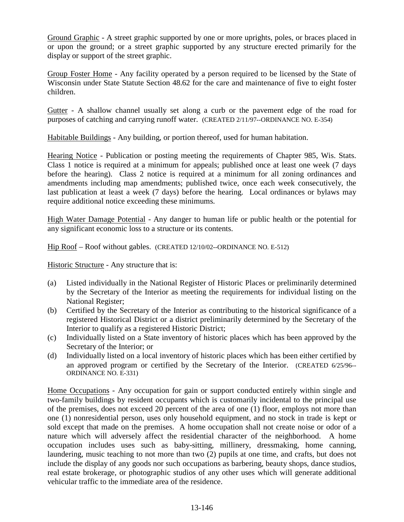Ground Graphic - A street graphic supported by one or more uprights, poles, or braces placed in or upon the ground; or a street graphic supported by any structure erected primarily for the display or support of the street graphic.

Group Foster Home - Any facility operated by a person required to be licensed by the State of Wisconsin under State Statute Section 48.62 for the care and maintenance of five to eight foster children.

Gutter - A shallow channel usually set along a curb or the pavement edge of the road for purposes of catching and carrying runoff water. (CREATED 2/11/97--ORDINANCE NO. E-354)

Habitable Buildings - Any building, or portion thereof, used for human habitation.

Hearing Notice - Publication or posting meeting the requirements of Chapter 985, Wis. Stats. Class 1 notice is required at a minimum for appeals; published once at least one week (7 days before the hearing). Class 2 notice is required at a minimum for all zoning ordinances and amendments including map amendments; published twice, once each week consecutively, the last publication at least a week (7 days) before the hearing. Local ordinances or bylaws may require additional notice exceeding these minimums.

High Water Damage Potential - Any danger to human life or public health or the potential for any significant economic loss to a structure or its contents.

Hip Roof – Roof without gables. (CREATED 12/10/02--ORDINANCE NO. E-512)

Historic Structure - Any structure that is:

- (a) Listed individually in the National Register of Historic Places or preliminarily determined by the Secretary of the Interior as meeting the requirements for individual listing on the National Register;
- (b) Certified by the Secretary of the Interior as contributing to the historical significance of a registered Historical District or a district preliminarily determined by the Secretary of the Interior to qualify as a registered Historic District;
- (c) Individually listed on a State inventory of historic places which has been approved by the Secretary of the Interior; or
- (d) Individually listed on a local inventory of historic places which has been either certified by an approved program or certified by the Secretary of the Interior. (CREATED 6/25/96-- ORDINANCE NO. E-331)

Home Occupations - Any occupation for gain or support conducted entirely within single and two-family buildings by resident occupants which is customarily incidental to the principal use of the premises, does not exceed 20 percent of the area of one (1) floor, employs not more than one (1) nonresidential person, uses only household equipment, and no stock in trade is kept or sold except that made on the premises. A home occupation shall not create noise or odor of a nature which will adversely affect the residential character of the neighborhood. A home occupation includes uses such as baby-sitting, millinery, dressmaking, home canning, laundering, music teaching to not more than two (2) pupils at one time, and crafts, but does not include the display of any goods nor such occupations as barbering, beauty shops, dance studios, real estate brokerage, or photographic studios of any other uses which will generate additional vehicular traffic to the immediate area of the residence.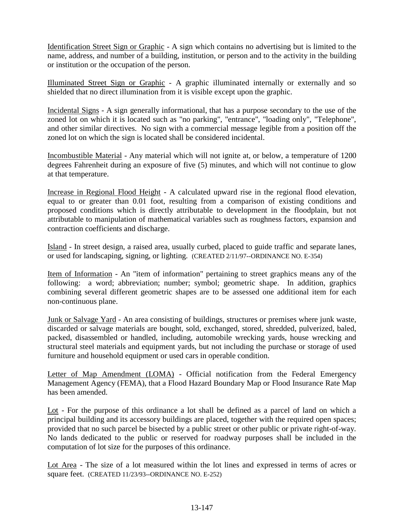Identification Street Sign or Graphic - A sign which contains no advertising but is limited to the name, address, and number of a building, institution, or person and to the activity in the building or institution or the occupation of the person.

Illuminated Street Sign or Graphic - A graphic illuminated internally or externally and so shielded that no direct illumination from it is visible except upon the graphic.

Incidental Signs - A sign generally informational, that has a purpose secondary to the use of the zoned lot on which it is located such as "no parking", "entrance", "loading only", "Telephone", and other similar directives. No sign with a commercial message legible from a position off the zoned lot on which the sign is located shall be considered incidental.

Incombustible Material - Any material which will not ignite at, or below, a temperature of 1200 degrees Fahrenheit during an exposure of five (5) minutes, and which will not continue to glow at that temperature.

Increase in Regional Flood Height - A calculated upward rise in the regional flood elevation, equal to or greater than 0.01 foot, resulting from a comparison of existing conditions and proposed conditions which is directly attributable to development in the floodplain, but not attributable to manipulation of mathematical variables such as roughness factors, expansion and contraction coefficients and discharge.

Island - In street design, a raised area, usually curbed, placed to guide traffic and separate lanes, or used for landscaping, signing, or lighting. (CREATED 2/11/97--ORDINANCE NO. E-354)

Item of Information - An "item of information" pertaining to street graphics means any of the following: a word; abbreviation; number; symbol; geometric shape. In addition, graphics combining several different geometric shapes are to be assessed one additional item for each non-continuous plane.

Junk or Salvage Yard - An area consisting of buildings, structures or premises where junk waste, discarded or salvage materials are bought, sold, exchanged, stored, shredded, pulverized, baled, packed, disassembled or handled, including, automobile wrecking yards, house wrecking and structural steel materials and equipment yards, but not including the purchase or storage of used furniture and household equipment or used cars in operable condition.

Letter of Map Amendment (LOMA) - Official notification from the Federal Emergency Management Agency (FEMA), that a Flood Hazard Boundary Map or Flood Insurance Rate Map has been amended.

Lot - For the purpose of this ordinance a lot shall be defined as a parcel of land on which a principal building and its accessory buildings are placed, together with the required open spaces; provided that no such parcel be bisected by a public street or other public or private right-of-way. No lands dedicated to the public or reserved for roadway purposes shall be included in the computation of lot size for the purposes of this ordinance.

Lot Area - The size of a lot measured within the lot lines and expressed in terms of acres or square feet. (CREATED 11/23/93--ORDINANCE NO. E-252)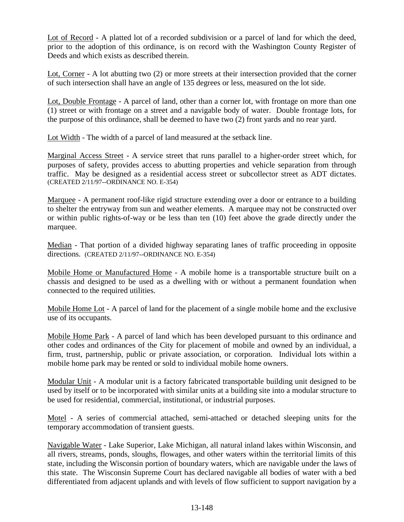Lot of Record - A platted lot of a recorded subdivision or a parcel of land for which the deed, prior to the adoption of this ordinance, is on record with the Washington County Register of Deeds and which exists as described therein.

Lot, Corner - A lot abutting two (2) or more streets at their intersection provided that the corner of such intersection shall have an angle of 135 degrees or less, measured on the lot side.

Lot, Double Frontage - A parcel of land, other than a corner lot, with frontage on more than one (1) street or with frontage on a street and a navigable body of water. Double frontage lots, for the purpose of this ordinance, shall be deemed to have two (2) front yards and no rear yard.

Lot Width - The width of a parcel of land measured at the setback line.

Marginal Access Street - A service street that runs parallel to a higher-order street which, for purposes of safety, provides access to abutting properties and vehicle separation from through traffic. May be designed as a residential access street or subcollector street as ADT dictates. (CREATED 2/11/97--ORDINANCE NO. E-354)

Marquee - A permanent roof-like rigid structure extending over a door or entrance to a building to shelter the entryway from sun and weather elements. A marquee may not be constructed over or within public rights-of-way or be less than ten (10) feet above the grade directly under the marquee.

Median - That portion of a divided highway separating lanes of traffic proceeding in opposite directions. (CREATED 2/11/97--ORDINANCE NO. E-354)

Mobile Home or Manufactured Home - A mobile home is a transportable structure built on a chassis and designed to be used as a dwelling with or without a permanent foundation when connected to the required utilities.

Mobile Home Lot - A parcel of land for the placement of a single mobile home and the exclusive use of its occupants.

Mobile Home Park - A parcel of land which has been developed pursuant to this ordinance and other codes and ordinances of the City for placement of mobile and owned by an individual, a firm, trust, partnership, public or private association, or corporation. Individual lots within a mobile home park may be rented or sold to individual mobile home owners.

Modular Unit - A modular unit is a factory fabricated transportable building unit designed to be used by itself or to be incorporated with similar units at a building site into a modular structure to be used for residential, commercial, institutional, or industrial purposes.

Motel - A series of commercial attached, semi-attached or detached sleeping units for the temporary accommodation of transient guests.

Navigable Water - Lake Superior, Lake Michigan, all natural inland lakes within Wisconsin, and all rivers, streams, ponds, sloughs, flowages, and other waters within the territorial limits of this state, including the Wisconsin portion of boundary waters, which are navigable under the laws of this state. The Wisconsin Supreme Court has declared navigable all bodies of water with a bed differentiated from adjacent uplands and with levels of flow sufficient to support navigation by a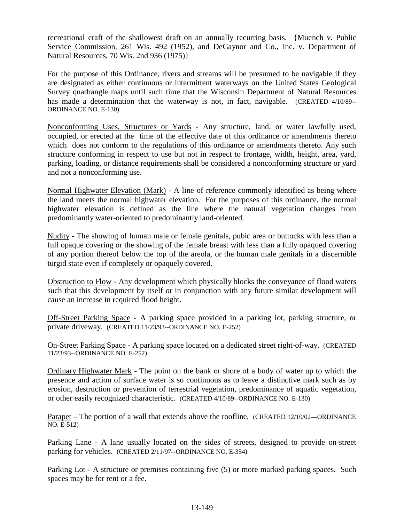recreational craft of the shallowest draft on an annually recurring basis. {Muench v. Public Service Commission, 261 Wis. 492 (1952), and DeGaynor and Co., Inc. v. Department of Natural Resources, 70 Wis. 2nd 936 (1975)}

For the purpose of this Ordinance, rivers and streams will be presumed to be navigable if they are designated as either continuous or intermittent waterways on the United States Geological Survey quadrangle maps until such time that the Wisconsin Department of Natural Resources has made a determination that the waterway is not, in fact, navigable. (CREATED 4/10/89--ORDINANCE NO. E-130)

Nonconforming Uses, Structures or Yards - Any structure, land, or water lawfully used, occupied, or erected at the time of the effective date of this ordinance or amendments thereto which does not conform to the regulations of this ordinance or amendments thereto. Any such structure conforming in respect to use but not in respect to frontage, width, height, area, yard, parking, loading, or distance requirements shall be considered a nonconforming structure or yard and not a nonconforming use.

Normal Highwater Elevation (Mark) - A line of reference commonly identified as being where the land meets the normal highwater elevation. For the purposes of this ordinance, the normal highwater elevation is defined as the line where the natural vegetation changes from predominantly water-oriented to predominantly land-oriented.

Nudity - The showing of human male or female genitals, pubic area or buttocks with less than a full opaque covering or the showing of the female breast with less than a fully opaqued covering of any portion thereof below the top of the areola, or the human male genitals in a discernible turgid state even if completely or opaquely covered.

Obstruction to Flow - Any development which physically blocks the conveyance of flood waters such that this development by itself or in conjunction with any future similar development will cause an increase in required flood height.

Off-Street Parking Space - A parking space provided in a parking lot, parking structure, or private driveway. (CREATED 11/23/93--ORDINANCE NO. E-252)

On-Street Parking Space - A parking space located on a dedicated street right-of-way. (CREATED 11/23/93--ORDINANCE NO. E-252)

Ordinary Highwater Mark - The point on the bank or shore of a body of water up to which the presence and action of surface water is so continuous as to leave a distinctive mark such as by erosion, destruction or prevention of terrestrial vegetation, predominance of aquatic vegetation, or other easily recognized characteristic. (CREATED 4/10/89--ORDINANCE NO. E-130)

Parapet – The portion of a wall that extends above the roofline. (CREATED 12/10/02—ORDINANCE NO. E-512)

Parking Lane - A lane usually located on the sides of streets, designed to provide on-street parking for vehicles. (CREATED 2/11/97--ORDINANCE NO. E-354)

Parking Lot - A structure or premises containing five (5) or more marked parking spaces. Such spaces may be for rent or a fee.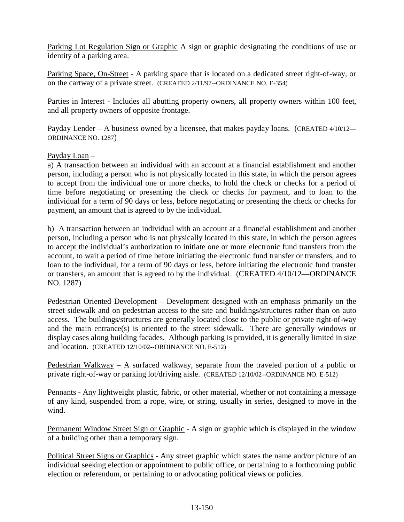Parking Lot Regulation Sign or Graphic A sign or graphic designating the conditions of use or identity of a parking area.

Parking Space, On-Street - A parking space that is located on a dedicated street right-of-way, or on the cartway of a private street. (CREATED 2/11/97--ORDINANCE NO. E-354)

Parties in Interest - Includes all abutting property owners, all property owners within 100 feet, and all property owners of opposite frontage.

Payday Lender – A business owned by a licensee, that makes payday loans. (CREATED 4/10/12— ORDINANCE NO. 1287)

## Payday Loan –

a) A transaction between an individual with an account at a financial establishment and another person, including a person who is not physically located in this state, in which the person agrees to accept from the individual one or more checks, to hold the check or checks for a period of time before negotiating or presenting the check or checks for payment, and to loan to the individual for a term of 90 days or less, before negotiating or presenting the check or checks for payment, an amount that is agreed to by the individual.

b) A transaction between an individual with an account at a financial establishment and another person, including a person who is not physically located in this state, in which the person agrees to accept the individual's authorization to initiate one or more electronic fund transfers from the account, to wait a period of time before initiating the electronic fund transfer or transfers, and to loan to the individual, for a term of 90 days or less, before initiating the electronic fund transfer or transfers, an amount that is agreed to by the individual. (CREATED 4/10/12—ORDINANCE NO. 1287)

Pedestrian Oriented Development – Development designed with an emphasis primarily on the street sidewalk and on pedestrian access to the site and buildings/structures rather than on auto access. The buildings/structures are generally located close to the public or private right-of-way and the main entrance(s) is oriented to the street sidewalk. There are generally windows or display cases along building facades. Although parking is provided, it is generally limited in size and location. (CREATED 12/10/02--ORDINANCE NO. E-512)

Pedestrian Walkway – A surfaced walkway, separate from the traveled portion of a public or private right-of-way or parking lot/driving aisle. (CREATED 12/10/02--ORDINANCE NO. E-512)

Pennants - Any lightweight plastic, fabric, or other material, whether or not containing a message of any kind, suspended from a rope, wire, or string, usually in series, designed to move in the wind.

Permanent Window Street Sign or Graphic - A sign or graphic which is displayed in the window of a building other than a temporary sign.

Political Street Signs or Graphics - Any street graphic which states the name and/or picture of an individual seeking election or appointment to public office, or pertaining to a forthcoming public election or referendum, or pertaining to or advocating political views or policies.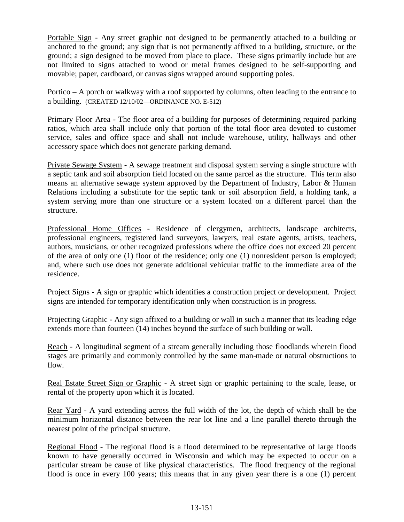Portable Sign - Any street graphic not designed to be permanently attached to a building or anchored to the ground; any sign that is not permanently affixed to a building, structure, or the ground; a sign designed to be moved from place to place. These signs primarily include but are not limited to signs attached to wood or metal frames designed to be self-supporting and movable; paper, cardboard, or canvas signs wrapped around supporting poles.

Portico – A porch or walkway with a roof supported by columns, often leading to the entrance to a building. (CREATED 12/10/02—ORDINANCE NO. E-512)

Primary Floor Area - The floor area of a building for purposes of determining required parking ratios, which area shall include only that portion of the total floor area devoted to customer service, sales and office space and shall not include warehouse, utility, hallways and other accessory space which does not generate parking demand.

Private Sewage System - A sewage treatment and disposal system serving a single structure with a septic tank and soil absorption field located on the same parcel as the structure. This term also means an alternative sewage system approved by the Department of Industry, Labor & Human Relations including a substitute for the septic tank or soil absorption field, a holding tank, a system serving more than one structure or a system located on a different parcel than the structure.

Professional Home Offices - Residence of clergymen, architects, landscape architects, professional engineers, registered land surveyors, lawyers, real estate agents, artists, teachers, authors, musicians, or other recognized professions where the office does not exceed 20 percent of the area of only one (1) floor of the residence; only one (1) nonresident person is employed; and, where such use does not generate additional vehicular traffic to the immediate area of the residence.

Project Signs - A sign or graphic which identifies a construction project or development. Project signs are intended for temporary identification only when construction is in progress.

Projecting Graphic - Any sign affixed to a building or wall in such a manner that its leading edge extends more than fourteen (14) inches beyond the surface of such building or wall.

Reach - A longitudinal segment of a stream generally including those floodlands wherein flood stages are primarily and commonly controlled by the same man-made or natural obstructions to flow.

Real Estate Street Sign or Graphic - A street sign or graphic pertaining to the scale, lease, or rental of the property upon which it is located.

Rear Yard - A yard extending across the full width of the lot, the depth of which shall be the minimum horizontal distance between the rear lot line and a line parallel thereto through the nearest point of the principal structure.

Regional Flood - The regional flood is a flood determined to be representative of large floods known to have generally occurred in Wisconsin and which may be expected to occur on a particular stream be cause of like physical characteristics. The flood frequency of the regional flood is once in every 100 years; this means that in any given year there is a one (1) percent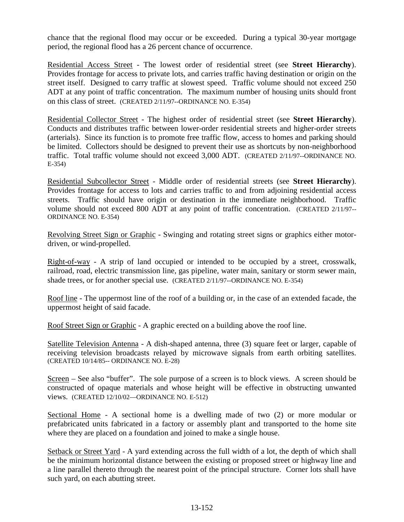chance that the regional flood may occur or be exceeded. During a typical 30-year mortgage period, the regional flood has a 26 percent chance of occurrence.

Residential Access Street - The lowest order of residential street (see **Street Hierarchy**). Provides frontage for access to private lots, and carries traffic having destination or origin on the street itself. Designed to carry traffic at slowest speed. Traffic volume should not exceed 250 ADT at any point of traffic concentration. The maximum number of housing units should front on this class of street. (CREATED 2/11/97--ORDINANCE NO. E-354)

Residential Collector Street - The highest order of residential street (see **Street Hierarchy**). Conducts and distributes traffic between lower-order residential streets and higher-order streets (arterials). Since its function is to promote free traffic flow, access to homes and parking should be limited. Collectors should be designed to prevent their use as shortcuts by non-neighborhood traffic. Total traffic volume should not exceed 3,000 ADT. (CREATED 2/11/97--ORDINANCE NO. E-354)

Residential Subcollector Street - Middle order of residential streets (see **Street Hierarchy**). Provides frontage for access to lots and carries traffic to and from adjoining residential access streets. Traffic should have origin or destination in the immediate neighborhood. Traffic volume should not exceed 800 ADT at any point of traffic concentration. (CREATED 2/11/97-- ORDINANCE NO. E-354)

Revolving Street Sign or Graphic - Swinging and rotating street signs or graphics either motordriven, or wind-propelled.

Right-of-way - A strip of land occupied or intended to be occupied by a street, crosswalk, railroad, road, electric transmission line, gas pipeline, water main, sanitary or storm sewer main, shade trees, or for another special use. (CREATED 2/11/97--ORDINANCE NO. E-354)

Roof line - The uppermost line of the roof of a building or, in the case of an extended facade, the uppermost height of said facade.

Roof Street Sign or Graphic - A graphic erected on a building above the roof line.

Satellite Television Antenna - A dish-shaped antenna, three (3) square feet or larger, capable of receiving television broadcasts relayed by microwave signals from earth orbiting satellites. (CREATED 10/14/85-- ORDINANCE NO. E-28)

Screen – See also "buffer". The sole purpose of a screen is to block views. A screen should be constructed of opaque materials and whose height will be effective in obstructing unwanted views. (CREATED 12/10/02—ORDINANCE NO. E-512)

Sectional Home - A sectional home is a dwelling made of two (2) or more modular or prefabricated units fabricated in a factory or assembly plant and transported to the home site where they are placed on a foundation and joined to make a single house.

Setback or Street Yard - A yard extending across the full width of a lot, the depth of which shall be the minimum horizontal distance between the existing or proposed street or highway line and a line parallel thereto through the nearest point of the principal structure. Corner lots shall have such yard, on each abutting street.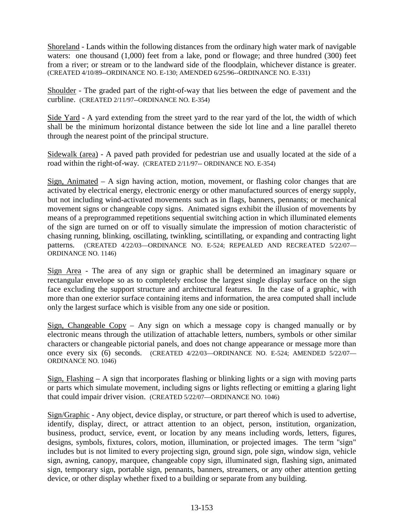Shoreland - Lands within the following distances from the ordinary high water mark of navigable waters: one thousand (1,000) feet from a lake, pond or flowage; and three hundred (300) feet from a river; or stream or to the landward side of the floodplain, whichever distance is greater. (CREATED 4/10/89--ORDINANCE NO. E-130; AMENDED 6/25/96--ORDINANCE NO. E-331)

Shoulder - The graded part of the right-of-way that lies between the edge of pavement and the curbline. (CREATED 2/11/97--ORDINANCE NO. E-354)

Side Yard - A yard extending from the street yard to the rear yard of the lot, the width of which shall be the minimum horizontal distance between the side lot line and a line parallel thereto through the nearest point of the principal structure.

Sidewalk (area) - A paved path provided for pedestrian use and usually located at the side of a road within the right-of-way. (CREATED 2/11/97-- ORDINANCE NO. E-354)

Sign, Animated – A sign having action, motion, movement, or flashing color changes that are activated by electrical energy, electronic energy or other manufactured sources of energy supply, but not including wind-activated movements such as in flags, banners, pennants; or mechanical movement signs or changeable copy signs. Animated signs exhibit the illusion of movements by means of a preprogrammed repetitions sequential switching action in which illuminated elements of the sign are turned on or off to visually simulate the impression of motion characteristic of chasing running, blinking, oscillating, twinkling, scintillating, or expanding and contracting light patterns. (CREATED 4/22/03—ORDINANCE NO. E-524; REPEALED AND RECREATED 5/22/07— ORDINANCE NO. 1146)

Sign Area - The area of any sign or graphic shall be determined an imaginary square or rectangular envelope so as to completely enclose the largest single display surface on the sign face excluding the support structure and architectural features. In the case of a graphic, with more than one exterior surface containing items and information, the area computed shall include only the largest surface which is visible from any one side or position.

Sign, Changeable Copy – Any sign on which a message copy is changed manually or by electronic means through the utilization of attachable letters, numbers, symbols or other similar characters or changeable pictorial panels, and does not change appearance or message more than once every six (6) seconds. (CREATED 4/22/03—ORDINANCE NO. E-524; AMENDED 5/22/07— ORDINANCE NO. 1046)

Sign, Flashing  $- A$  sign that incorporates flashing or blinking lights or a sign with moving parts or parts which simulate movement, including signs or lights reflecting or emitting a glaring light that could impair driver vision. (CREATED 5/22/07—ORDINANCE NO. 1046)

Sign/Graphic - Any object, device display, or structure, or part thereof which is used to advertise, identify, display, direct, or attract attention to an object, person, institution, organization, business, product, service, event, or location by any means including words, letters, figures, designs, symbols, fixtures, colors, motion, illumination, or projected images. The term "sign" includes but is not limited to every projecting sign, ground sign, pole sign, window sign, vehicle sign, awning, canopy, marquee, changeable copy sign, illuminated sign, flashing sign, animated sign, temporary sign, portable sign, pennants, banners, streamers, or any other attention getting device, or other display whether fixed to a building or separate from any building.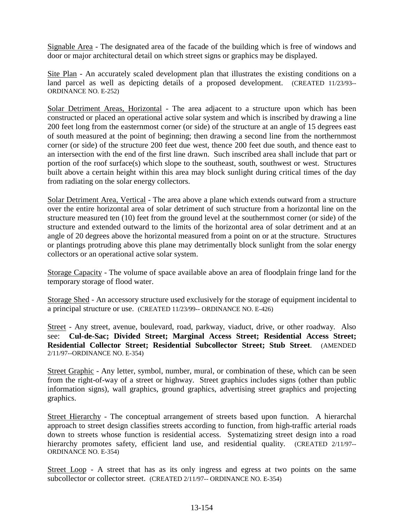Signable Area - The designated area of the facade of the building which is free of windows and door or major architectural detail on which street signs or graphics may be displayed.

Site Plan - An accurately scaled development plan that illustrates the existing conditions on a land parcel as well as depicting details of a proposed development. (CREATED 11/23/93-- ORDINANCE NO. E-252)

Solar Detriment Areas, Horizontal - The area adjacent to a structure upon which has been constructed or placed an operational active solar system and which is inscribed by drawing a line 200 feet long from the easternmost corner (or side) of the structure at an angle of 15 degrees east of south measured at the point of beginning; then drawing a second line from the northernmost corner (or side) of the structure 200 feet due west, thence 200 feet due south, and thence east to an intersection with the end of the first line drawn. Such inscribed area shall include that part or portion of the roof surface(s) which slope to the southeast, south, southwest or west. Structures built above a certain height within this area may block sunlight during critical times of the day from radiating on the solar energy collectors.

Solar Detriment Area, Vertical - The area above a plane which extends outward from a structure over the entire horizontal area of solar detriment of such structure from a horizontal line on the structure measured ten (10) feet from the ground level at the southernmost corner (or side) of the structure and extended outward to the limits of the horizontal area of solar detriment and at an angle of 20 degrees above the horizontal measured from a point on or at the structure. Structures or plantings protruding above this plane may detrimentally block sunlight from the solar energy collectors or an operational active solar system.

Storage Capacity - The volume of space available above an area of floodplain fringe land for the temporary storage of flood water.

Storage Shed - An accessory structure used exclusively for the storage of equipment incidental to a principal structure or use. (CREATED 11/23/99-- ORDINANCE NO. E-426)

Street - Any street, avenue, boulevard, road, parkway, viaduct, drive, or other roadway. Also see: **Cul-de-Sac; Divided Street; Marginal Access Street; Residential Access Street; Residential Collector Street; Residential Subcollector Street; Stub Street**. (AMENDED 2/11/97--ORDINANCE NO. E-354)

Street Graphic - Any letter, symbol, number, mural, or combination of these, which can be seen from the right-of-way of a street or highway. Street graphics includes signs (other than public information signs), wall graphics, ground graphics, advertising street graphics and projecting graphics.

Street Hierarchy - The conceptual arrangement of streets based upon function. A hierarchal approach to street design classifies streets according to function, from high-traffic arterial roads down to streets whose function is residential access. Systematizing street design into a road hierarchy promotes safety, efficient land use, and residential quality. (CREATED 2/11/97--ORDINANCE NO. E-354)

Street Loop - A street that has as its only ingress and egress at two points on the same subcollector or collector street. (CREATED 2/11/97-- ORDINANCE NO. E-354)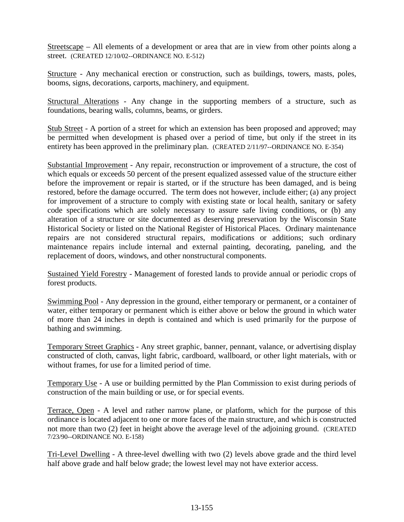Streetscape – All elements of a development or area that are in view from other points along a street. (CREATED 12/10/02--ORDINANCE NO. E-512)

Structure - Any mechanical erection or construction, such as buildings, towers, masts, poles, booms, signs, decorations, carports, machinery, and equipment.

Structural Alterations - Any change in the supporting members of a structure, such as foundations, bearing walls, columns, beams, or girders.

Stub Street - A portion of a street for which an extension has been proposed and approved; may be permitted when development is phased over a period of time, but only if the street in its entirety has been approved in the preliminary plan. (CREATED 2/11/97--ORDINANCE NO. E-354)

Substantial Improvement - Any repair, reconstruction or improvement of a structure, the cost of which equals or exceeds 50 percent of the present equalized assessed value of the structure either before the improvement or repair is started, or if the structure has been damaged, and is being restored, before the damage occurred. The term does not however, include either; (a) any project for improvement of a structure to comply with existing state or local health, sanitary or safety code specifications which are solely necessary to assure safe living conditions, or (b) any alteration of a structure or site documented as deserving preservation by the Wisconsin State Historical Society or listed on the National Register of Historical Places. Ordinary maintenance repairs are not considered structural repairs, modifications or additions; such ordinary maintenance repairs include internal and external painting, decorating, paneling, and the replacement of doors, windows, and other nonstructural components.

Sustained Yield Forestry - Management of forested lands to provide annual or periodic crops of forest products.

Swimming Pool - Any depression in the ground, either temporary or permanent, or a container of water, either temporary or permanent which is either above or below the ground in which water of more than 24 inches in depth is contained and which is used primarily for the purpose of bathing and swimming.

Temporary Street Graphics - Any street graphic, banner, pennant, valance, or advertising display constructed of cloth, canvas, light fabric, cardboard, wallboard, or other light materials, with or without frames, for use for a limited period of time.

Temporary Use - A use or building permitted by the Plan Commission to exist during periods of construction of the main building or use, or for special events.

Terrace, Open - A level and rather narrow plane, or platform, which for the purpose of this ordinance is located adjacent to one or more faces of the main structure, and which is constructed not more than two (2) feet in height above the average level of the adjoining ground. (CREATED 7/23/90--ORDINANCE NO. E-158)

Tri-Level Dwelling - A three-level dwelling with two (2) levels above grade and the third level half above grade and half below grade; the lowest level may not have exterior access.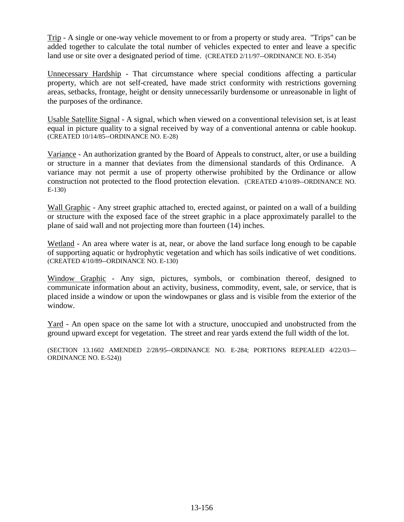Trip - A single or one-way vehicle movement to or from a property or study area. "Trips" can be added together to calculate the total number of vehicles expected to enter and leave a specific land use or site over a designated period of time. (CREATED 2/11/97--ORDINANCE NO. E-354)

Unnecessary Hardship - That circumstance where special conditions affecting a particular property, which are not self-created, have made strict conformity with restrictions governing areas, setbacks, frontage, height or density unnecessarily burdensome or unreasonable in light of the purposes of the ordinance.

Usable Satellite Signal - A signal, which when viewed on a conventional television set, is at least equal in picture quality to a signal received by way of a conventional antenna or cable hookup. (CREATED 10/14/85--ORDINANCE NO. E-28)

Variance - An authorization granted by the Board of Appeals to construct, alter, or use a building or structure in a manner that deviates from the dimensional standards of this Ordinance. A variance may not permit a use of property otherwise prohibited by the Ordinance or allow construction not protected to the flood protection elevation. (CREATED 4/10/89--ORDINANCE NO. E-130)

Wall Graphic - Any street graphic attached to, erected against, or painted on a wall of a building or structure with the exposed face of the street graphic in a place approximately parallel to the plane of said wall and not projecting more than fourteen (14) inches.

Wetland - An area where water is at, near, or above the land surface long enough to be capable of supporting aquatic or hydrophytic vegetation and which has soils indicative of wet conditions. (CREATED 4/10/89--ORDINANCE NO. E-130)

Window Graphic - Any sign, pictures, symbols, or combination thereof, designed to communicate information about an activity, business, commodity, event, sale, or service, that is placed inside a window or upon the windowpanes or glass and is visible from the exterior of the window.

Yard - An open space on the same lot with a structure, unoccupied and unobstructed from the ground upward except for vegetation. The street and rear yards extend the full width of the lot.

(SECTION 13.1602 AMENDED 2/28/95--ORDINANCE NO. E-284; PORTIONS REPEALED 4/22/03— ORDINANCE NO. E-524))